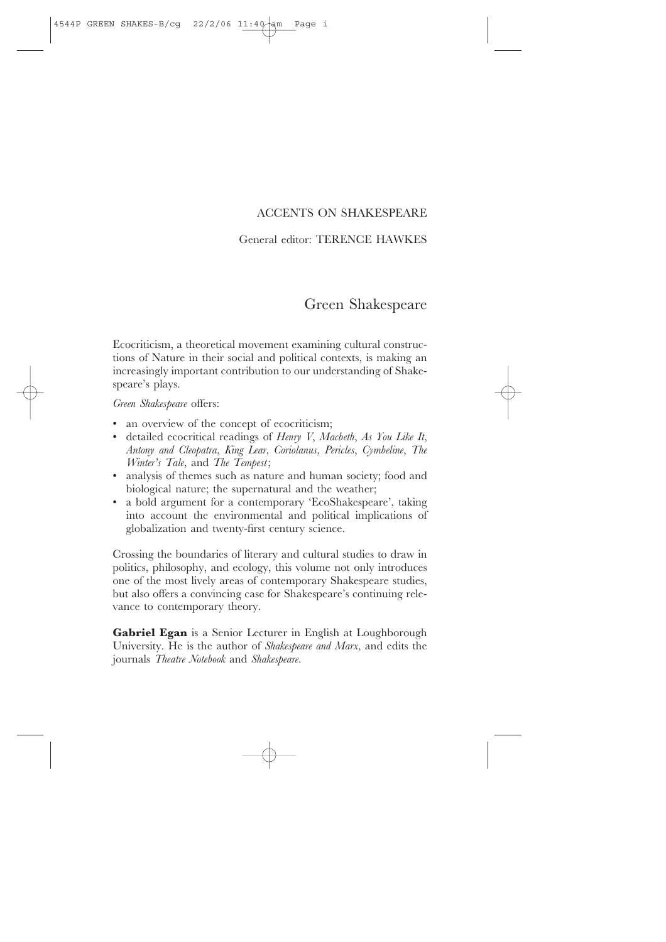### ACCENTS ON SHAKESPEARE

### General editor: TERENCE HAWKES

### Green Shakespeare

Ecocriticism, a theoretical movement examining cultural constructions of Nature in their social and political contexts, is making an increasingly important contribution to our understanding of Shakespeare's plays.

*Green Shakespeare* offers:

- an overview of the concept of ecocriticism;
- detailed ecocritical readings of *Henry V*, *Macbeth*, *As You Like It*, *Antony and Cleopatra*, *King Lear*, *Coriolanus*, *Pericles*, *Cymbeline*, *The Winter's Tale*, and *The Tempest*;
- analysis of themes such as nature and human society; food and biological nature; the supernatural and the weather;
- a bold argument for a contemporary 'EcoShakespeare', taking into account the environmental and political implications of globalization and twenty-first century science.

Crossing the boundaries of literary and cultural studies to draw in politics, philosophy, and ecology, this volume not only introduces one of the most lively areas of contemporary Shakespeare studies, but also offers a convincing case for Shakespeare's continuing relevance to contemporary theory.

**Gabriel Egan** is a Senior Lecturer in English at Loughborough University. He is the author of *Shakespeare and Marx*, and edits the journals *Theatre Notebook* and *Shakespeare*.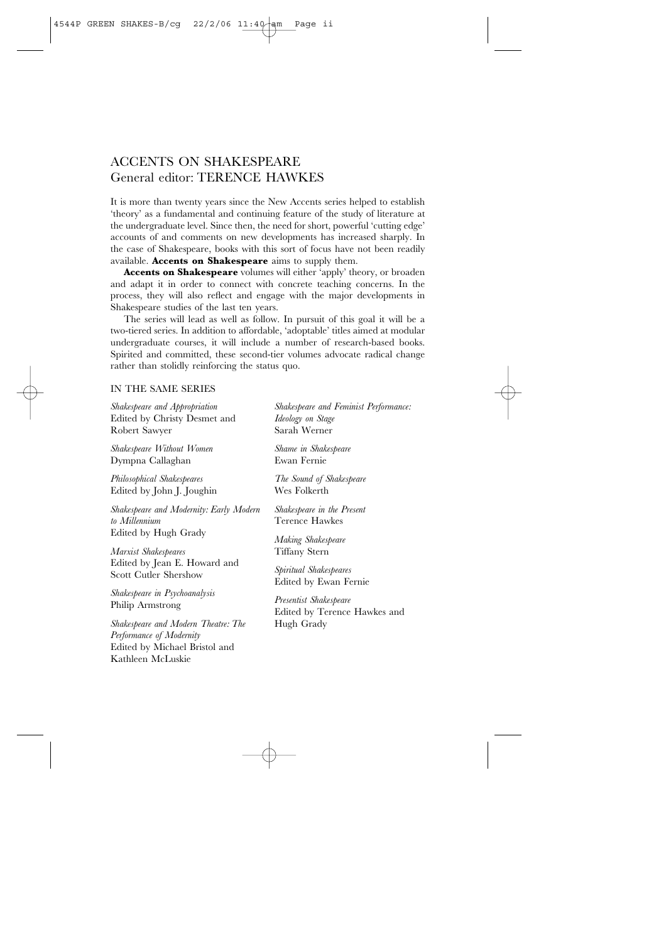### ACCENTS ON SHAKESPEARE General editor: TERENCE HAWKES

It is more than twenty years since the New Accents series helped to establish 'theory' as a fundamental and continuing feature of the study of literature at the undergraduate level. Since then, the need for short, powerful 'cutting edge' accounts of and comments on new developments has increased sharply. In the case of Shakespeare, books with this sort of focus have not been readily available. **Accents on Shakespeare** aims to supply them.

**Accents on Shakespeare** volumes will either 'apply' theory, or broaden and adapt it in order to connect with concrete teaching concerns. In the process, they will also reflect and engage with the major developments in Shakespeare studies of the last ten years.

The series will lead as well as follow. In pursuit of this goal it will be a two-tiered series. In addition to affordable, 'adoptable' titles aimed at modular undergraduate courses, it will include a number of research-based books. Spirited and committed, these second-tier volumes advocate radical change rather than stolidly reinforcing the status quo.

#### IN THE SAME SERIES

| Shakespeare and Appropriation           | Shakespeare and Feminist Performance. |  |
|-----------------------------------------|---------------------------------------|--|
| Edited by Christy Desmet and            | Ideology on Stage                     |  |
| Robert Sawyer                           | Sarah Werner                          |  |
| Shakespeare Without Women               | Shame in Shakespeare                  |  |
| Dympna Callaghan                        | Ewan Fernie                           |  |
| <b>Philosophical Shakespeares</b>       | The Sound of Shakespeare              |  |
| Edited by John J. Joughin               | Wes Folkerth                          |  |
| Shakespeare and Modernity: Early Modern | Shakespeare in the Present            |  |
| to Millennium                           | Terence Hawkes                        |  |
| Edited by Hugh Grady                    | Making Shakespeare                    |  |
| Marxist Shakespeares                    | Tiffany Stern                         |  |
| Edited by Jean E. Howard and            |                                       |  |
| <b>Scott Cutler Shershow</b>            | Spiritual Shakespeares                |  |
|                                         | Edited by Ewan Fernie                 |  |
| Shakespeare in Psychoanalysis           | Presentist Shakespeare                |  |
| Philip Armstrong                        | Edited by Terence Hawkes and          |  |
| Shakespeare and Modern Theatre: The     | Hugh Grady                            |  |
| Performance of Modernity                |                                       |  |
| Edited by Michael Bristol and           |                                       |  |
| Kathleen McLuskie                       |                                       |  |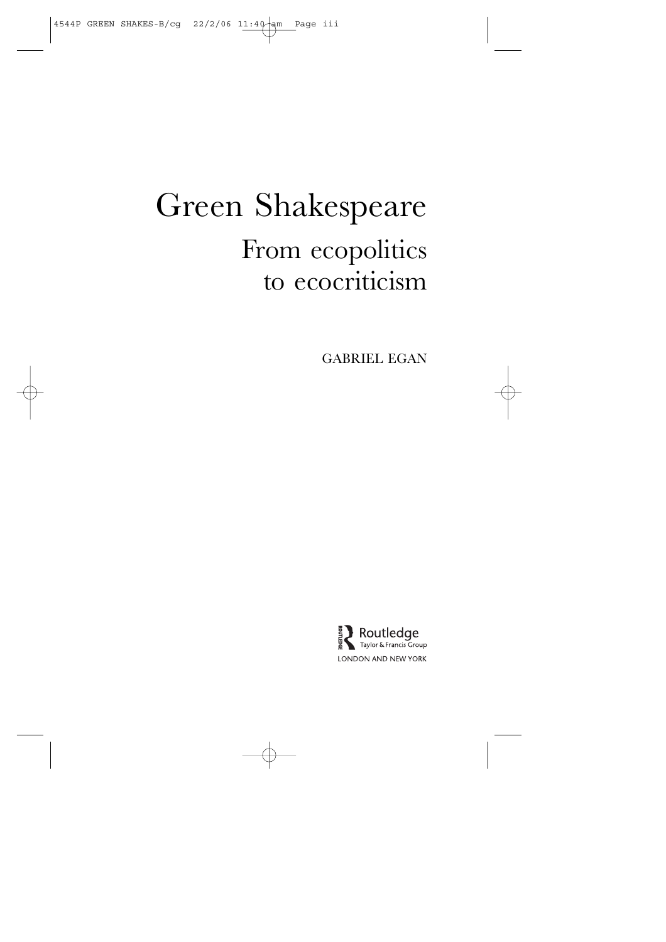# Green Shakespeare From ecopolitics to ecocriticism

GABRIEL EGAN

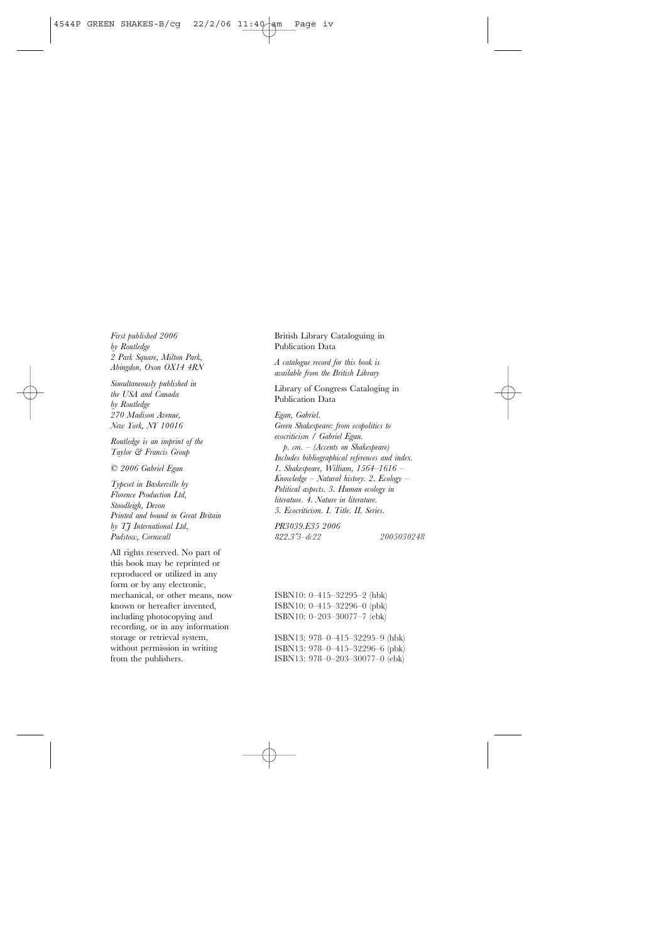*First published 2006 by Routledge 2 Park Square, Milton Park, Abingdon, Oxon OX14 4RN*

*Simultaneously published in the USA and Canada by Routledge 270 Madison Avenue, New York, NY 10016*

*Routledge is an imprint of the Taylor & Francis Group*

*© 2006 Gabriel Egan*

*Typeset in Baskerville by Florence Production Ltd, Stoodleigh, Devon Printed and bound in Great Britain by TJ International Ltd, Padstow, Cornwall*

All rights reserved. No part of this book may be reprinted or reproduced or utilized in any form or by any electronic, mechanical, or other means, now known or hereafter invented, including photocopying and recording, or in any information storage or retrieval system, without permission in writing from the publishers.

#### British Library Cataloguing in Publication Data

*A catalogue record for this book is available from the British Library*

Library of Congress Cataloging in Publication Data

*Egan, Gabriel. Green Shakespeare: from ecopolitics to ecocriticism / Gabriel Egan. p. cm. – (Accents on Shakespeare) Includes bibliographical references and index. 1. Shakespeare, William, 1564–1616 – Knowledge – Natural history. 2. Ecology – Political aspects. 3. Human ecology in literature. 4. Nature in literature. 5. Ecocriticism. I. Title. II. Series.*

*PR3039.E35 2006 822.3*′*3–dc22 2005030248*

ISBN10: 0–415–32295–2 (hbk) ISBN10: 0–415–32296–0 (pbk) ISBN10: 0–203–30077–7 (ebk)

ISBN13: 978–0–415–32295–9 (hbk) ISBN13: 978–0–415–32296–6 (pbk) ISBN13: 978–0–203–30077–0 (ebk)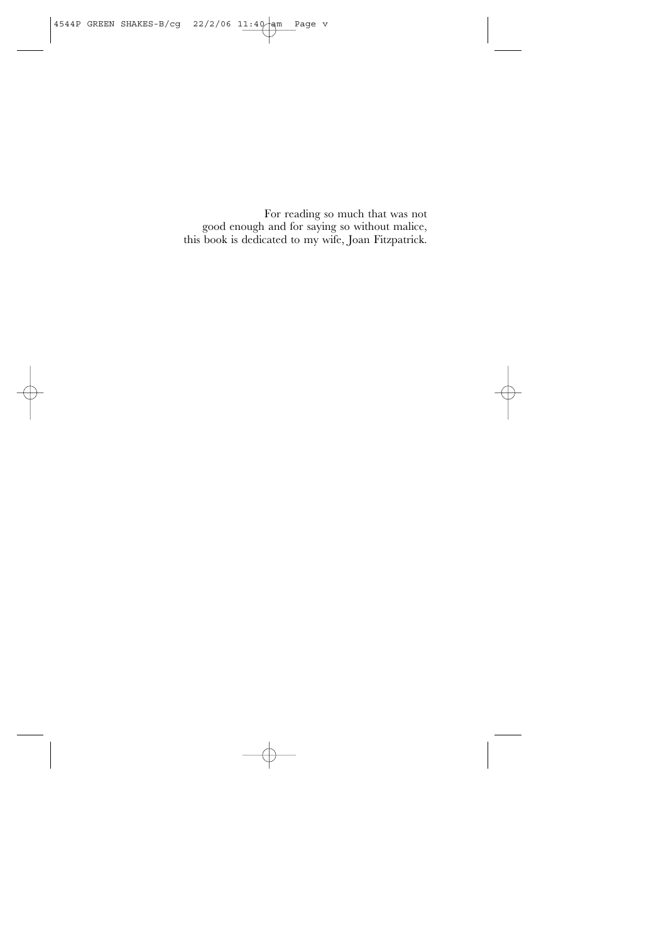For reading so much that was not good enough and for saying so without malice, this book is dedicated to my wife, Joan Fitzpatrick.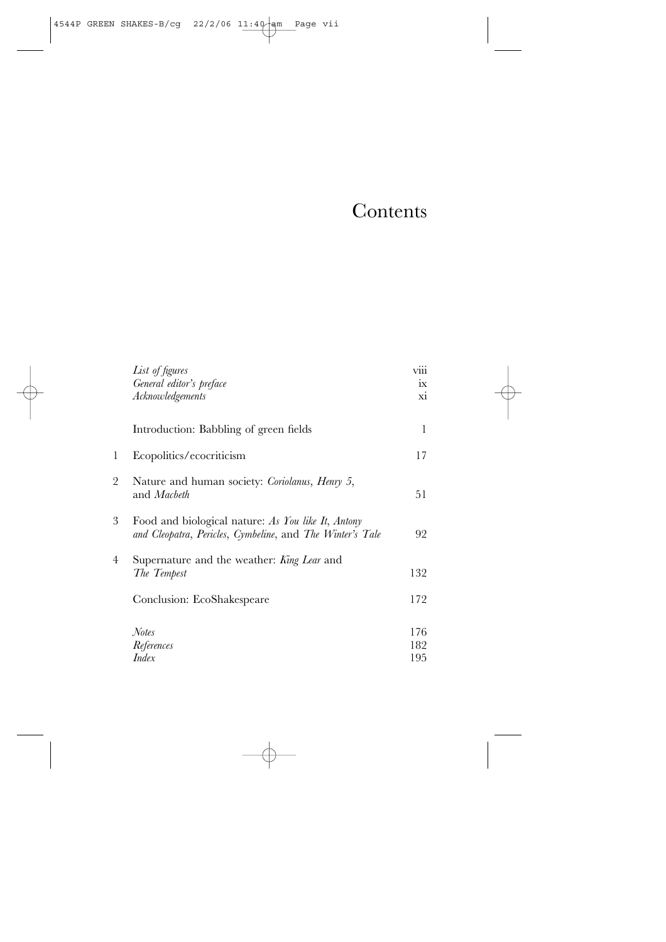# **Contents**

|   | List of figures                                                                                                 | <br>V111 |
|---|-----------------------------------------------------------------------------------------------------------------|----------|
|   | General editor's preface                                                                                        | ix       |
|   | Acknowledgements                                                                                                | xi       |
|   | Introduction: Babbling of green fields                                                                          | 1        |
| 1 | Ecopolitics/ecocriticism                                                                                        | 17       |
| 2 | Nature and human society: Coriolanus, Henry 5,<br>and Macbeth                                                   | 51       |
| 3 | Food and biological nature: As You like It, Antony<br>and Cleopatra, Pericles, Cymbeline, and The Winter's Tale | 92       |
| 4 | Supernature and the weather: King Lear and<br>The Tempest                                                       | 132      |
|   | Conclusion: EcoShakespeare                                                                                      | 172      |
|   | Notes.                                                                                                          | 176      |
|   | References                                                                                                      | 182      |
|   | <i>Index</i>                                                                                                    | 195      |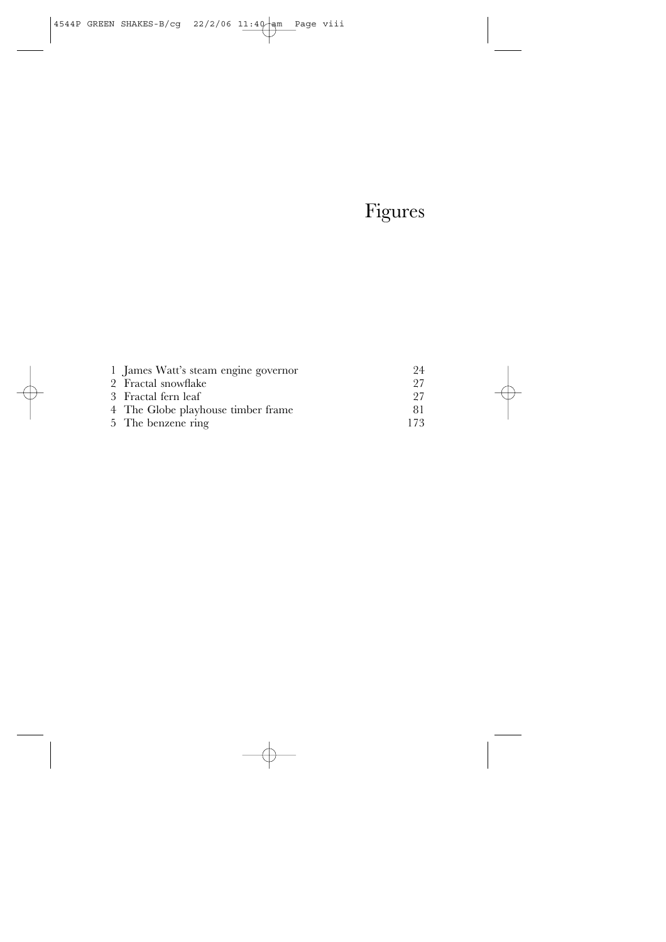# Figures

| 1 James Watt's steam engine governor | 94  |
|--------------------------------------|-----|
| 2 Fractal snowflake                  | 97  |
| 3 Fractal fern leaf                  | 97  |
| 4 The Globe playhouse timber frame   | 81  |
| 5 The benzene ring                   | 173 |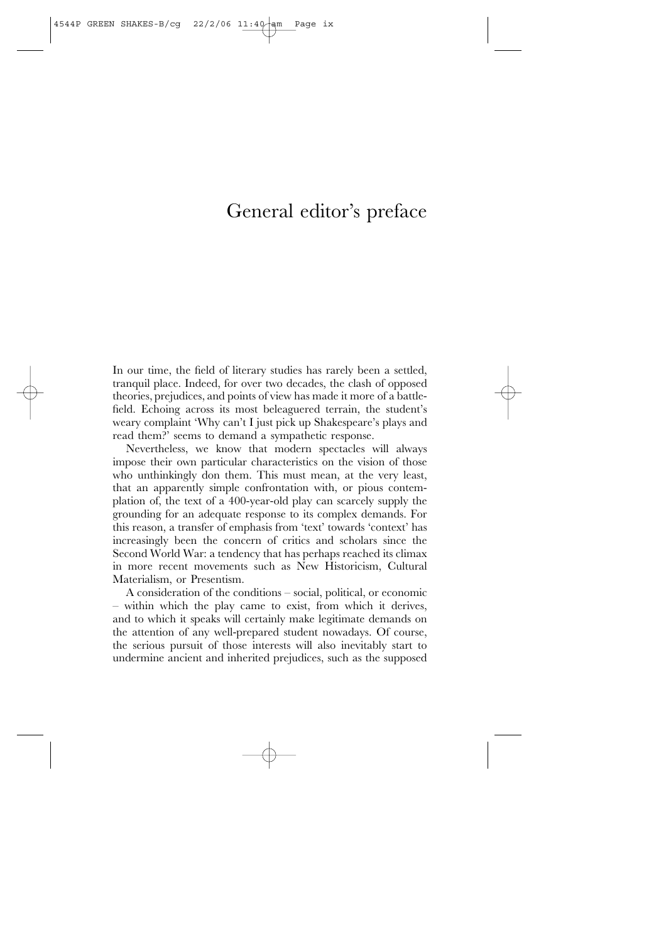### General editor's preface

In our time, the field of literary studies has rarely been a settled, tranquil place. Indeed, for over two decades, the clash of opposed theories, prejudices, and points of view has made it more of a battlefield. Echoing across its most beleaguered terrain, the student's weary complaint 'Why can't I just pick up Shakespeare's plays and read them?' seems to demand a sympathetic response.

Nevertheless, we know that modern spectacles will always impose their own particular characteristics on the vision of those who unthinkingly don them. This must mean, at the very least, that an apparently simple confrontation with, or pious contemplation of, the text of a 400-year-old play can scarcely supply the grounding for an adequate response to its complex demands. For this reason, a transfer of emphasis from 'text' towards 'context' has increasingly been the concern of critics and scholars since the Second World War: a tendency that has perhaps reached its climax in more recent movements such as New Historicism, Cultural Materialism, or Presentism.

A consideration of the conditions – social, political, or economic – within which the play came to exist, from which it derives, and to which it speaks will certainly make legitimate demands on the attention of any well-prepared student nowadays. Of course, the serious pursuit of those interests will also inevitably start to undermine ancient and inherited prejudices, such as the supposed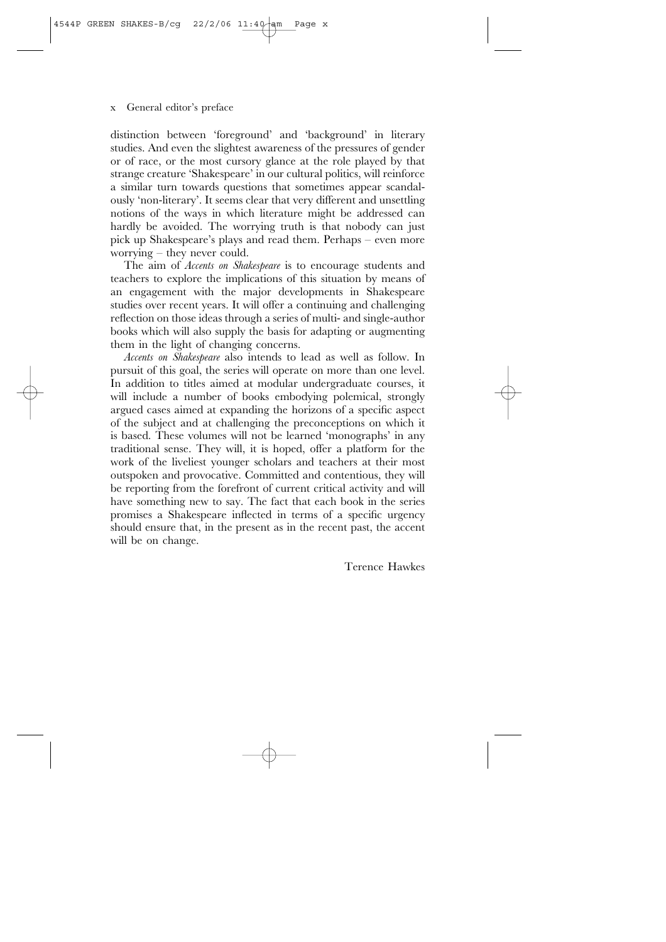distinction between 'foreground' and 'background' in literary studies. And even the slightest awareness of the pressures of gender or of race, or the most cursory glance at the role played by that strange creature 'Shakespeare' in our cultural politics, will reinforce a similar turn towards questions that sometimes appear scandalously 'non-literary'. It seems clear that very different and unsettling notions of the ways in which literature might be addressed can hardly be avoided. The worrying truth is that nobody can just pick up Shakespeare's plays and read them. Perhaps – even more worrying – they never could.

The aim of *Accents on Shakespeare* is to encourage students and teachers to explore the implications of this situation by means of an engagement with the major developments in Shakespeare studies over recent years. It will offer a continuing and challenging reflection on those ideas through a series of multi- and single-author books which will also supply the basis for adapting or augmenting them in the light of changing concerns.

*Accents on Shakespeare* also intends to lead as well as follow. In pursuit of this goal, the series will operate on more than one level. In addition to titles aimed at modular undergraduate courses, it will include a number of books embodying polemical, strongly argued cases aimed at expanding the horizons of a specific aspect of the subject and at challenging the preconceptions on which it is based. These volumes will not be learned 'monographs' in any traditional sense. They will, it is hoped, offer a platform for the work of the liveliest younger scholars and teachers at their most outspoken and provocative. Committed and contentious, they will be reporting from the forefront of current critical activity and will have something new to say. The fact that each book in the series promises a Shakespeare inflected in terms of a specific urgency should ensure that, in the present as in the recent past, the accent will be on change.

Terence Hawkes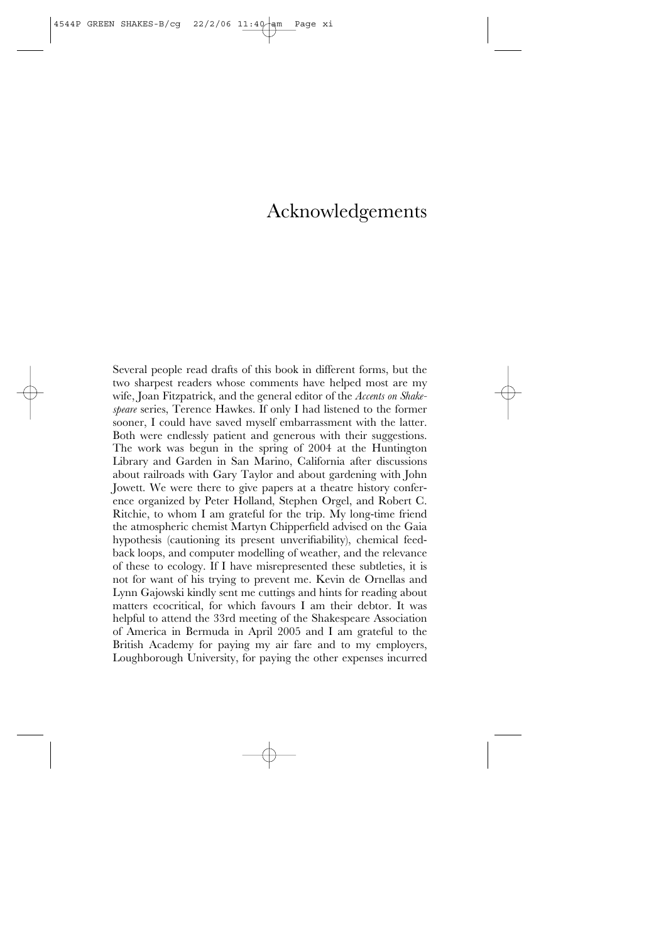### Acknowledgements

Several people read drafts of this book in different forms, but the two sharpest readers whose comments have helped most are my wife, Joan Fitzpatrick, and the general editor of the *Accents on Shakespeare* series, Terence Hawkes. If only I had listened to the former sooner, I could have saved myself embarrassment with the latter. Both were endlessly patient and generous with their suggestions. The work was begun in the spring of 2004 at the Huntington Library and Garden in San Marino, California after discussions about railroads with Gary Taylor and about gardening with John Jowett. We were there to give papers at a theatre history conference organized by Peter Holland, Stephen Orgel, and Robert C. Ritchie, to whom I am grateful for the trip. My long-time friend the atmospheric chemist Martyn Chipperfield advised on the Gaia hypothesis (cautioning its present unverifiability), chemical feedback loops, and computer modelling of weather, and the relevance of these to ecology. If I have misrepresented these subtleties, it is not for want of his trying to prevent me. Kevin de Ornellas and Lynn Gajowski kindly sent me cuttings and hints for reading about matters ecocritical, for which favours I am their debtor. It was helpful to attend the 33rd meeting of the Shakespeare Association of America in Bermuda in April 2005 and I am grateful to the British Academy for paying my air fare and to my employers, Loughborough University, for paying the other expenses incurred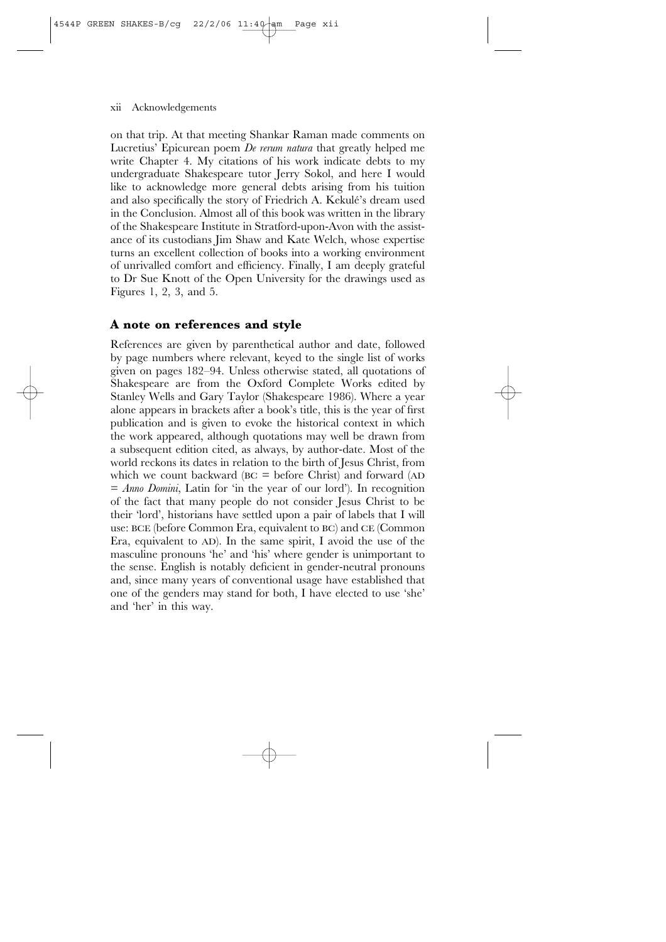on that trip. At that meeting Shankar Raman made comments on Lucretius' Epicurean poem *De rerum natura* that greatly helped me write Chapter 4. My citations of his work indicate debts to my undergraduate Shakespeare tutor Jerry Sokol, and here I would like to acknowledge more general debts arising from his tuition and also specifically the story of Friedrich A. Kekulé's dream used in the Conclusion. Almost all of this book was written in the library of the Shakespeare Institute in Stratford-upon-Avon with the assistance of its custodians Jim Shaw and Kate Welch, whose expertise turns an excellent collection of books into a working environment of unrivalled comfort and efficiency. Finally, I am deeply grateful to Dr Sue Knott of the Open University for the drawings used as Figures 1, 2, 3, and 5.

### **A note on references and style**

References are given by parenthetical author and date, followed by page numbers where relevant, keyed to the single list of works given on pages 182–94. Unless otherwise stated, all quotations of Shakespeare are from the Oxford Complete Works edited by Stanley Wells and Gary Taylor (Shakespeare 1986). Where a year alone appears in brackets after a book's title, this is the year of first publication and is given to evoke the historical context in which the work appeared, although quotations may well be drawn from a subsequent edition cited, as always, by author-date. Most of the world reckons its dates in relation to the birth of Jesus Christ, from which we count backward  $(BC = before Christ)$  and forward  $(AD)$ = *Anno Domini*, Latin for 'in the year of our lord'). In recognition of the fact that many people do not consider Jesus Christ to be their 'lord', historians have settled upon a pair of labels that I will use: BCE (before Common Era, equivalent to BC) and CE (Common Era, equivalent to AD). In the same spirit, I avoid the use of the masculine pronouns 'he' and 'his' where gender is unimportant to the sense. English is notably deficient in gender-neutral pronouns and, since many years of conventional usage have established that one of the genders may stand for both, I have elected to use 'she' and 'her' in this way.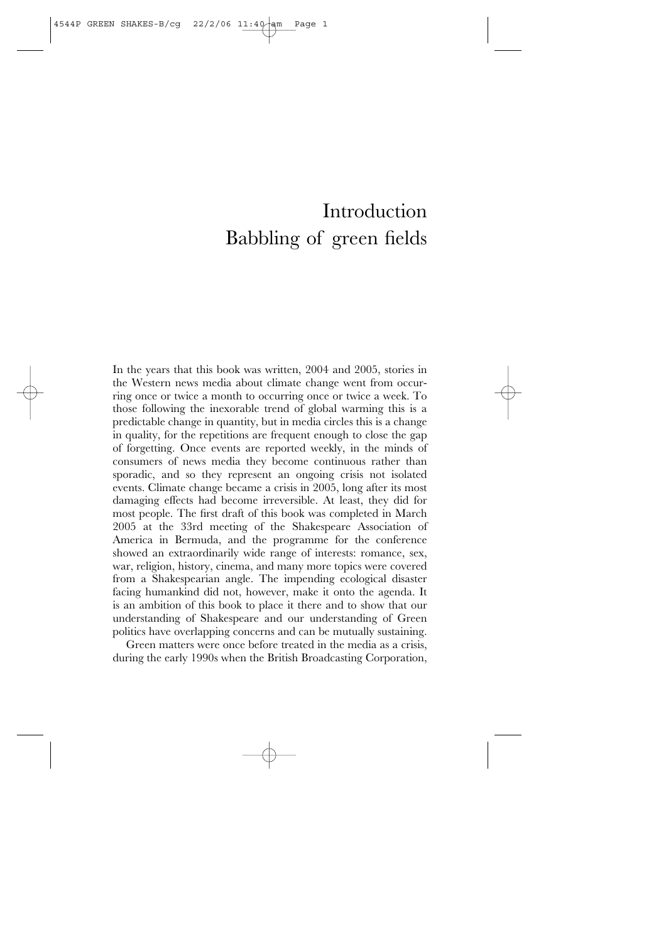# Introduction Babbling of green fields

In the years that this book was written, 2004 and 2005, stories in the Western news media about climate change went from occurring once or twice a month to occurring once or twice a week. To those following the inexorable trend of global warming this is a predictable change in quantity, but in media circles this is a change in quality, for the repetitions are frequent enough to close the gap of forgetting. Once events are reported weekly, in the minds of consumers of news media they become continuous rather than sporadic, and so they represent an ongoing crisis not isolated events. Climate change became a crisis in 2005, long after its most damaging effects had become irreversible. At least, they did for most people. The first draft of this book was completed in March 2005 at the 33rd meeting of the Shakespeare Association of America in Bermuda, and the programme for the conference showed an extraordinarily wide range of interests: romance, sex, war, religion, history, cinema, and many more topics were covered from a Shakespearian angle. The impending ecological disaster facing humankind did not, however, make it onto the agenda. It is an ambition of this book to place it there and to show that our understanding of Shakespeare and our understanding of Green politics have overlapping concerns and can be mutually sustaining.

Green matters were once before treated in the media as a crisis, during the early 1990s when the British Broadcasting Corporation,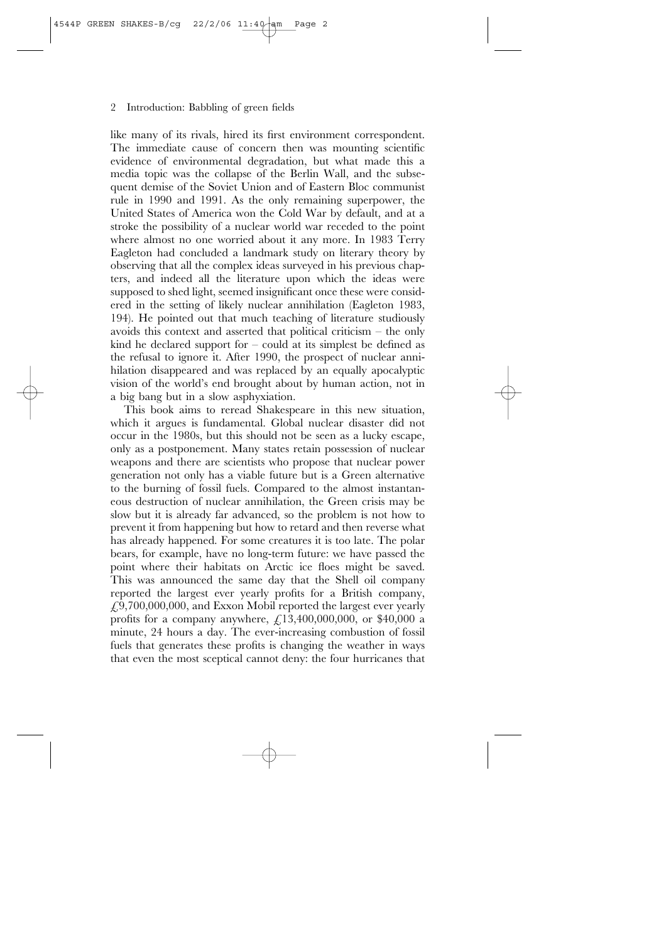like many of its rivals, hired its first environment correspondent. The immediate cause of concern then was mounting scientific evidence of environmental degradation, but what made this a media topic was the collapse of the Berlin Wall, and the subsequent demise of the Soviet Union and of Eastern Bloc communist rule in 1990 and 1991. As the only remaining superpower, the United States of America won the Cold War by default, and at a stroke the possibility of a nuclear world war receded to the point where almost no one worried about it any more. In 1983 Terry Eagleton had concluded a landmark study on literary theory by observing that all the complex ideas surveyed in his previous chapters, and indeed all the literature upon which the ideas were supposed to shed light, seemed insignificant once these were considered in the setting of likely nuclear annihilation (Eagleton 1983, 194). He pointed out that much teaching of literature studiously avoids this context and asserted that political criticism – the only kind he declared support for  $-$  could at its simplest be defined as the refusal to ignore it. After 1990, the prospect of nuclear annihilation disappeared and was replaced by an equally apocalyptic vision of the world's end brought about by human action, not in a big bang but in a slow asphyxiation.

This book aims to reread Shakespeare in this new situation, which it argues is fundamental. Global nuclear disaster did not occur in the 1980s, but this should not be seen as a lucky escape, only as a postponement. Many states retain possession of nuclear weapons and there are scientists who propose that nuclear power generation not only has a viable future but is a Green alternative to the burning of fossil fuels. Compared to the almost instantaneous destruction of nuclear annihilation, the Green crisis may be slow but it is already far advanced, so the problem is not how to prevent it from happening but how to retard and then reverse what has already happened. For some creatures it is too late. The polar bears, for example, have no long-term future: we have passed the point where their habitats on Arctic ice floes might be saved. This was announced the same day that the Shell oil company reported the largest ever yearly profits for a British company,  $\overline{f}9,700,000,000$ , and Exxon Mobil reported the largest ever yearly profits for a company anywhere,  $\sqrt{13,400,000,000}$ , or \$40,000 a minute, 24 hours a day. The ever-increasing combustion of fossil fuels that generates these profits is changing the weather in ways that even the most sceptical cannot deny: the four hurricanes that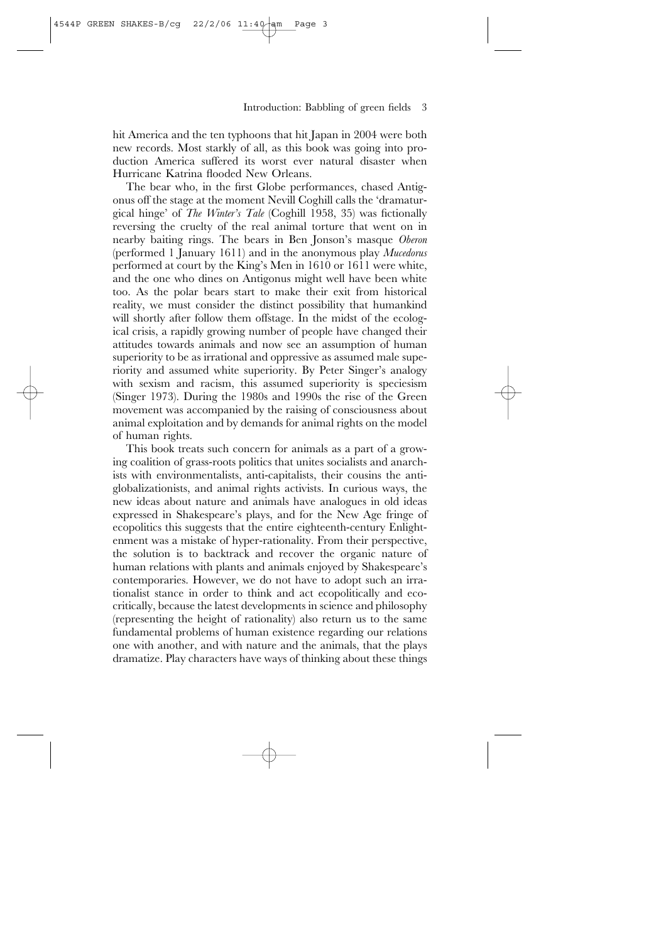hit America and the ten typhoons that hit Japan in 2004 were both new records. Most starkly of all, as this book was going into production America suffered its worst ever natural disaster when Hurricane Katrina flooded New Orleans.

The bear who, in the first Globe performances, chased Antigonus off the stage at the moment Nevill Coghill calls the 'dramaturgical hinge' of *The Winter's Tale* (Coghill 1958, 35) was fictionally reversing the cruelty of the real animal torture that went on in nearby baiting rings. The bears in Ben Jonson's masque *Oberon* (performed 1 January 1611) and in the anonymous play *Mucedorus* performed at court by the King's Men in 1610 or 1611 were white, and the one who dines on Antigonus might well have been white too. As the polar bears start to make their exit from historical reality, we must consider the distinct possibility that humankind will shortly after follow them offstage. In the midst of the ecological crisis, a rapidly growing number of people have changed their attitudes towards animals and now see an assumption of human superiority to be as irrational and oppressive as assumed male superiority and assumed white superiority. By Peter Singer's analogy with sexism and racism, this assumed superiority is speciesism (Singer 1973). During the 1980s and 1990s the rise of the Green movement was accompanied by the raising of consciousness about animal exploitation and by demands for animal rights on the model of human rights.

This book treats such concern for animals as a part of a growing coalition of grass-roots politics that unites socialists and anarchists with environmentalists, anti-capitalists, their cousins the antiglobalizationists, and animal rights activists. In curious ways, the new ideas about nature and animals have analogues in old ideas expressed in Shakespeare's plays, and for the New Age fringe of ecopolitics this suggests that the entire eighteenth-century Enlightenment was a mistake of hyper-rationality. From their perspective, the solution is to backtrack and recover the organic nature of human relations with plants and animals enjoyed by Shakespeare's contemporaries. However, we do not have to adopt such an irrationalist stance in order to think and act ecopolitically and ecocritically, because the latest developments in science and philosophy (representing the height of rationality) also return us to the same fundamental problems of human existence regarding our relations one with another, and with nature and the animals, that the plays dramatize. Play characters have ways of thinking about these things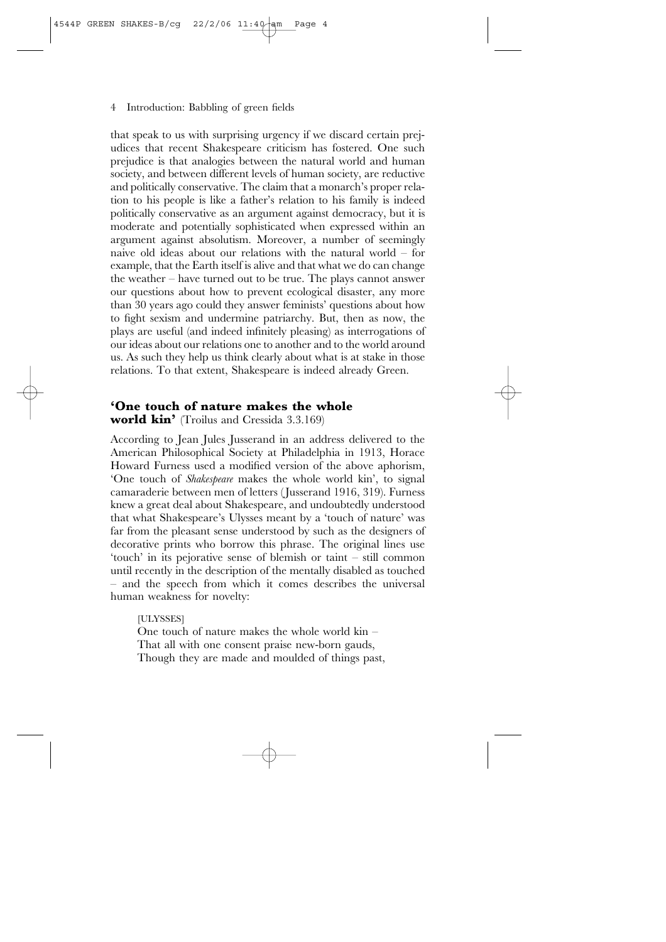that speak to us with surprising urgency if we discard certain prejudices that recent Shakespeare criticism has fostered. One such prejudice is that analogies between the natural world and human society, and between different levels of human society, are reductive and politically conservative. The claim that a monarch's proper relation to his people is like a father's relation to his family is indeed politically conservative as an argument against democracy, but it is moderate and potentially sophisticated when expressed within an argument against absolutism. Moreover, a number of seemingly naive old ideas about our relations with the natural world – for example, that the Earth itself is alive and that what we do can change the weather – have turned out to be true. The plays cannot answer our questions about how to prevent ecological disaster, any more than 30 years ago could they answer feminists' questions about how to fight sexism and undermine patriarchy. But, then as now, the plays are useful (and indeed infinitely pleasing) as interrogations of our ideas about our relations one to another and to the world around us. As such they help us think clearly about what is at stake in those relations. To that extent, Shakespeare is indeed already Green.

### **'One touch of nature makes the whole**

**world kin'** (Troilus and Cressida 3.3.169)

According to Jean Jules Jusserand in an address delivered to the American Philosophical Society at Philadelphia in 1913, Horace Howard Furness used a modified version of the above aphorism, 'One touch of *Shakespeare* makes the whole world kin', to signal camaraderie between men of letters ( Jusserand 1916, 319). Furness knew a great deal about Shakespeare, and undoubtedly understood that what Shakespeare's Ulysses meant by a 'touch of nature' was far from the pleasant sense understood by such as the designers of decorative prints who borrow this phrase. The original lines use 'touch' in its pejorative sense of blemish or taint – still common until recently in the description of the mentally disabled as touched – and the speech from which it comes describes the universal human weakness for novelty:

[ULYSSES] One touch of nature makes the whole world kin – That all with one consent praise new-born gauds, Though they are made and moulded of things past,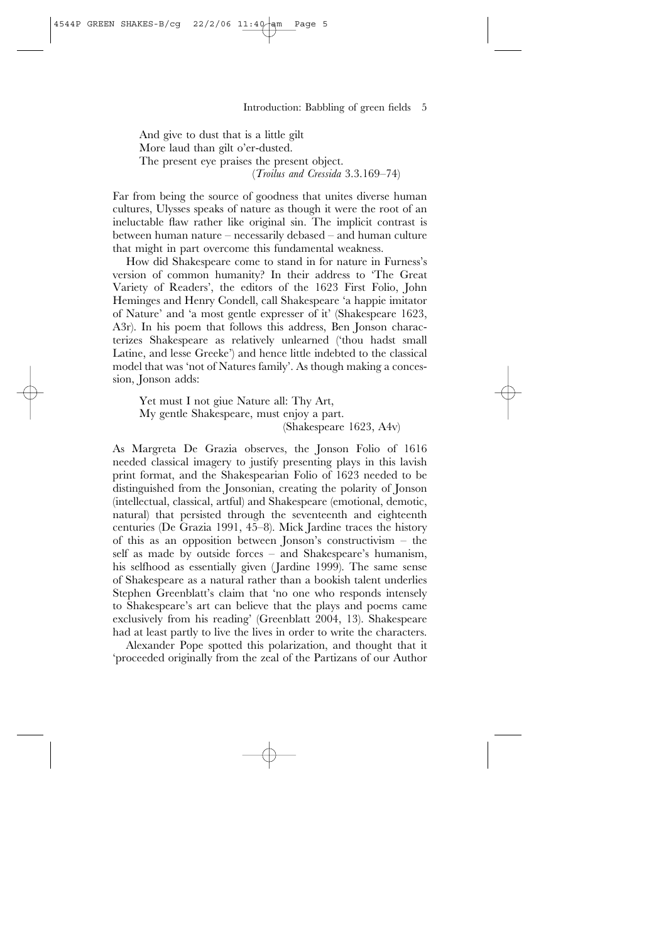And give to dust that is a little gilt More laud than gilt o'er-dusted. The present eye praises the present object. (*Troilus and Cressida* 3.3.169–74)

Far from being the source of goodness that unites diverse human cultures, Ulysses speaks of nature as though it were the root of an ineluctable flaw rather like original sin. The implicit contrast is between human nature – necessarily debased – and human culture that might in part overcome this fundamental weakness.

How did Shakespeare come to stand in for nature in Furness's version of common humanity? In their address to 'The Great Variety of Readers', the editors of the 1623 First Folio, John Heminges and Henry Condell, call Shakespeare 'a happie imitator of Nature' and 'a most gentle expresser of it' (Shakespeare 1623, A3r). In his poem that follows this address, Ben Jonson characterizes Shakespeare as relatively unlearned ('thou hadst small Latine, and lesse Greeke') and hence little indebted to the classical model that was 'not of Natures family'. As though making a concession, Jonson adds:

Yet must I not giue Nature all: Thy Art, My gentle Shakespeare, must enjoy a part. (Shakespeare 1623, A4v)

As Margreta De Grazia observes, the Jonson Folio of 1616 needed classical imagery to justify presenting plays in this lavish print format, and the Shakespearian Folio of 1623 needed to be distinguished from the Jonsonian, creating the polarity of Jonson (intellectual, classical, artful) and Shakespeare (emotional, demotic, natural) that persisted through the seventeenth and eighteenth centuries (De Grazia 1991, 45–8). Mick Jardine traces the history of this as an opposition between Jonson's constructivism – the self as made by outside forces – and Shakespeare's humanism, his selfhood as essentially given (Jardine 1999). The same sense of Shakespeare as a natural rather than a bookish talent underlies Stephen Greenblatt's claim that 'no one who responds intensely to Shakespeare's art can believe that the plays and poems came exclusively from his reading' (Greenblatt 2004, 13). Shakespeare had at least partly to live the lives in order to write the characters.

Alexander Pope spotted this polarization, and thought that it 'proceeded originally from the zeal of the Partizans of our Author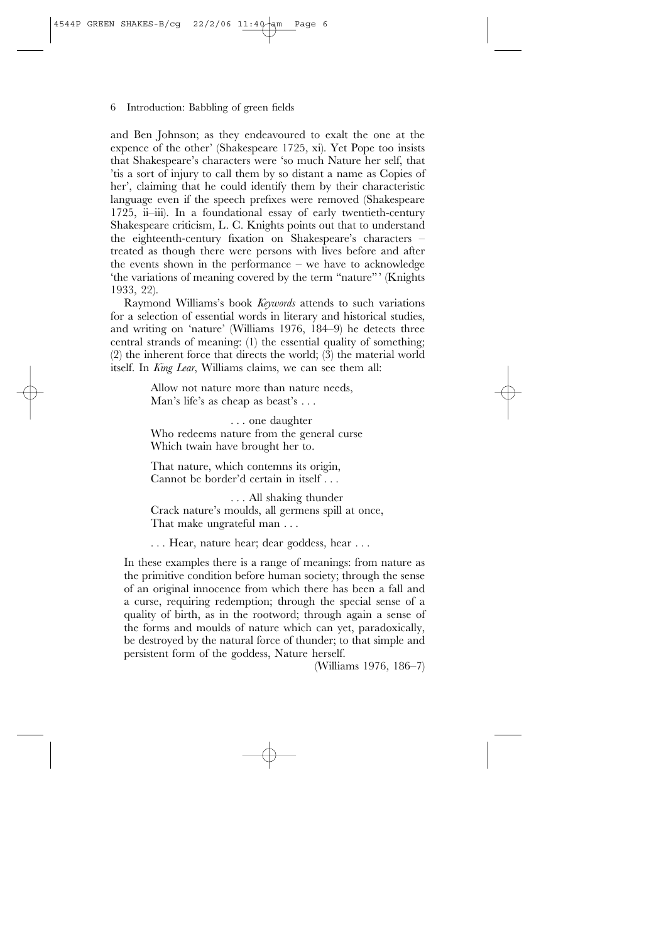and Ben Johnson; as they endeavoured to exalt the one at the expence of the other' (Shakespeare 1725, xi). Yet Pope too insists that Shakespeare's characters were 'so much Nature her self, that 'tis a sort of injury to call them by so distant a name as Copies of her', claiming that he could identify them by their characteristic language even if the speech prefixes were removed (Shakespeare 1725, ii-iii). In a foundational essay of early twentieth-century Shakespeare criticism, L. C. Knights points out that to understand the eighteenth-century fixation on Shakespeare's characters – treated as though there were persons with lives before and after the events shown in the performance – we have to acknowledge 'the variations of meaning covered by the term "nature"' (Knights 1933, 22).

Raymond Williams's book *Keywords* attends to such variations for a selection of essential words in literary and historical studies, and writing on 'nature' (Williams 1976, 184–9) he detects three central strands of meaning: (1) the essential quality of something; (2) the inherent force that directs the world; (3) the material world itself. In *King Lear*, Williams claims, we can see them all:

> Allow not nature more than nature needs, Man's life's as cheap as beast's . . .

. . . one daughter Who redeems nature from the general curse Which twain have brought her to.

That nature, which contemns its origin, Cannot be border'd certain in itself . . .

. . . All shaking thunder Crack nature's moulds, all germens spill at once, That make ungrateful man . . .

. . . Hear, nature hear; dear goddess, hear . . .

In these examples there is a range of meanings: from nature as the primitive condition before human society; through the sense of an original innocence from which there has been a fall and a curse, requiring redemption; through the special sense of a quality of birth, as in the rootword; through again a sense of the forms and moulds of nature which can yet, paradoxically, be destroyed by the natural force of thunder; to that simple and persistent form of the goddess, Nature herself.

(Williams 1976, 186–7)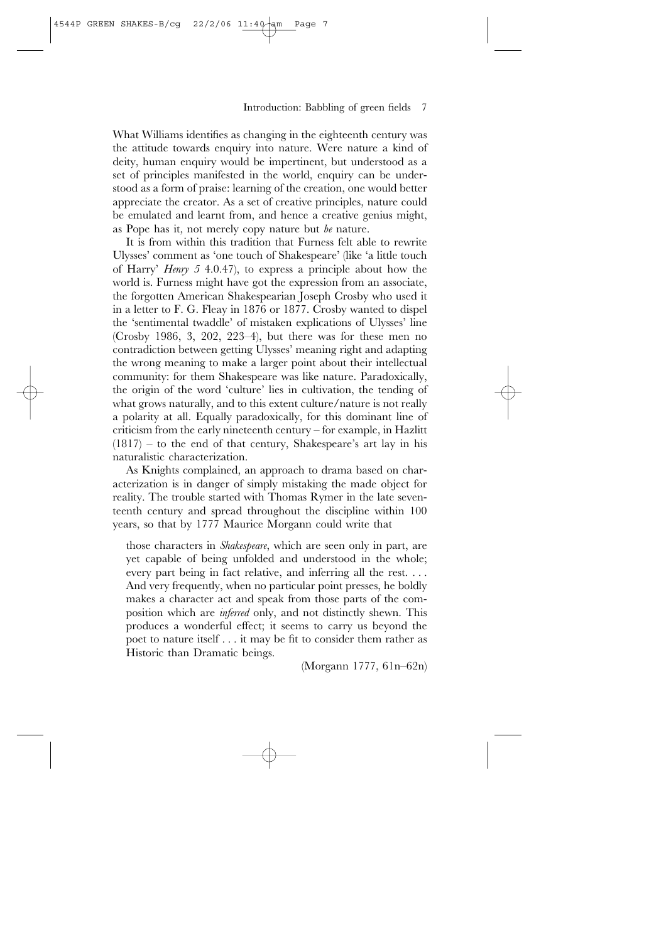What Williams identifies as changing in the eighteenth century was the attitude towards enquiry into nature. Were nature a kind of deity, human enquiry would be impertinent, but understood as a set of principles manifested in the world, enquiry can be understood as a form of praise: learning of the creation, one would better appreciate the creator. As a set of creative principles, nature could be emulated and learnt from, and hence a creative genius might, as Pope has it, not merely copy nature but *be* nature.

It is from within this tradition that Furness felt able to rewrite Ulysses' comment as 'one touch of Shakespeare' (like 'a little touch of Harry' *Henry 5* 4.0.47), to express a principle about how the world is. Furness might have got the expression from an associate, the forgotten American Shakespearian Joseph Crosby who used it in a letter to F. G. Fleay in 1876 or 1877. Crosby wanted to dispel the 'sentimental twaddle' of mistaken explications of Ulysses' line (Crosby 1986, 3, 202, 223–4), but there was for these men no contradiction between getting Ulysses' meaning right and adapting the wrong meaning to make a larger point about their intellectual community: for them Shakespeare was like nature. Paradoxically, the origin of the word 'culture' lies in cultivation, the tending of what grows naturally, and to this extent culture/nature is not really a polarity at all. Equally paradoxically, for this dominant line of criticism from the early nineteenth century – for example, in Hazlitt (1817) – to the end of that century, Shakespeare's art lay in his naturalistic characterization.

As Knights complained, an approach to drama based on characterization is in danger of simply mistaking the made object for reality. The trouble started with Thomas Rymer in the late seventeenth century and spread throughout the discipline within 100 years, so that by 1777 Maurice Morgann could write that

those characters in *Shakespeare*, which are seen only in part, are yet capable of being unfolded and understood in the whole; every part being in fact relative, and inferring all the rest. . . . And very frequently, when no particular point presses, he boldly makes a character act and speak from those parts of the composition which are *inferred* only, and not distinctly shewn. This produces a wonderful effect; it seems to carry us beyond the poet to nature itself . . . it may be fit to consider them rather as Historic than Dramatic beings.

(Morgann 1777, 61n–62n)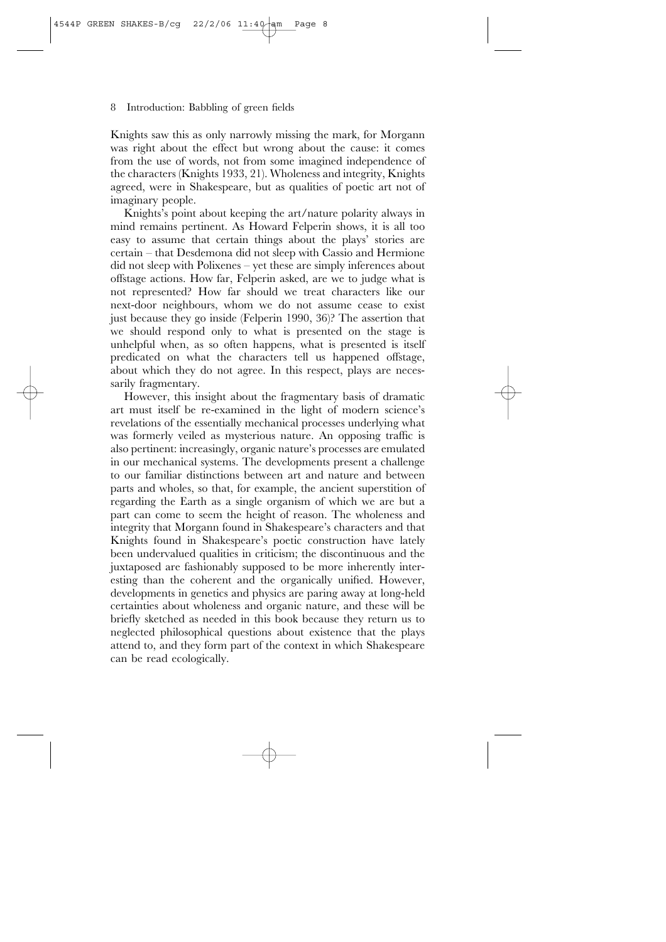Knights saw this as only narrowly missing the mark, for Morgann was right about the effect but wrong about the cause: it comes from the use of words, not from some imagined independence of the characters (Knights 1933, 21). Wholeness and integrity, Knights agreed, were in Shakespeare, but as qualities of poetic art not of imaginary people.

Knights's point about keeping the art/nature polarity always in mind remains pertinent. As Howard Felperin shows, it is all too easy to assume that certain things about the plays' stories are certain – that Desdemona did not sleep with Cassio and Hermione did not sleep with Polixenes – yet these are simply inferences about offstage actions. How far, Felperin asked, are we to judge what is not represented? How far should we treat characters like our next-door neighbours, whom we do not assume cease to exist just because they go inside (Felperin 1990, 36)? The assertion that we should respond only to what is presented on the stage is unhelpful when, as so often happens, what is presented is itself predicated on what the characters tell us happened offstage, about which they do not agree. In this respect, plays are necessarily fragmentary.

However, this insight about the fragmentary basis of dramatic art must itself be re-examined in the light of modern science's revelations of the essentially mechanical processes underlying what was formerly veiled as mysterious nature. An opposing traffic is also pertinent: increasingly, organic nature's processes are emulated in our mechanical systems. The developments present a challenge to our familiar distinctions between art and nature and between parts and wholes, so that, for example, the ancient superstition of regarding the Earth as a single organism of which we are but a part can come to seem the height of reason. The wholeness and integrity that Morgann found in Shakespeare's characters and that Knights found in Shakespeare's poetic construction have lately been undervalued qualities in criticism; the discontinuous and the juxtaposed are fashionably supposed to be more inherently interesting than the coherent and the organically unified. However, developments in genetics and physics are paring away at long-held certainties about wholeness and organic nature, and these will be briefly sketched as needed in this book because they return us to neglected philosophical questions about existence that the plays attend to, and they form part of the context in which Shakespeare can be read ecologically.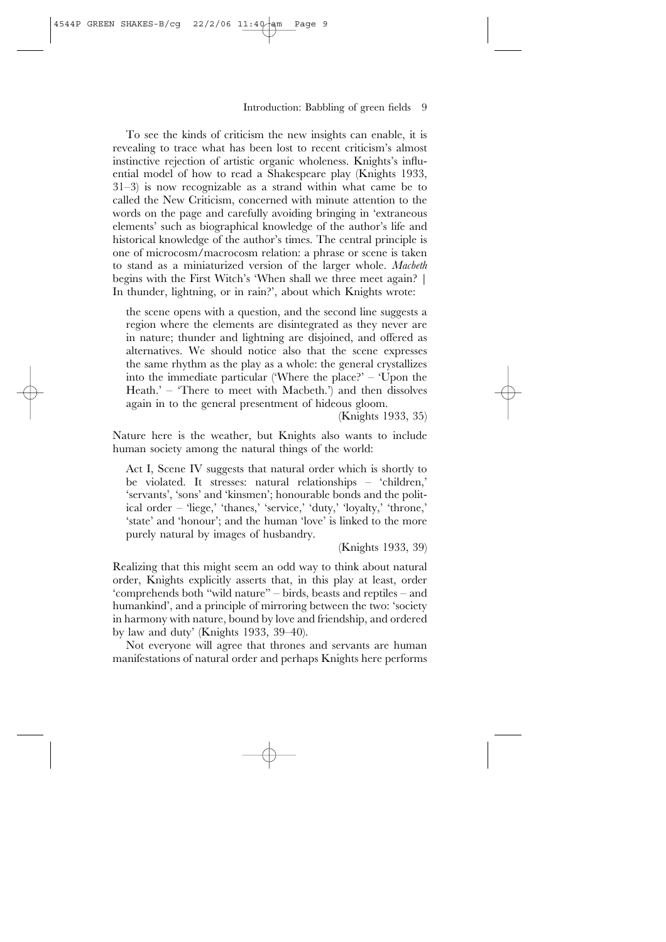To see the kinds of criticism the new insights can enable, it is revealing to trace what has been lost to recent criticism's almost instinctive rejection of artistic organic wholeness. Knights's influential model of how to read a Shakespeare play (Knights 1933, 31–3) is now recognizable as a strand within what came be to called the New Criticism, concerned with minute attention to the words on the page and carefully avoiding bringing in 'extraneous elements' such as biographical knowledge of the author's life and historical knowledge of the author's times. The central principle is one of microcosm/macrocosm relation: a phrase or scene is taken to stand as a miniaturized version of the larger whole. *Macbeth* begins with the First Witch's 'When shall we three meet again? | In thunder, lightning, or in rain?', about which Knights wrote:

the scene opens with a question, and the second line suggests a region where the elements are disintegrated as they never are in nature; thunder and lightning are disjoined, and offered as alternatives. We should notice also that the scene expresses the same rhythm as the play as a whole: the general crystallizes into the immediate particular ('Where the place?' – 'Upon the Heath.' – 'There to meet with Macbeth.') and then dissolves again in to the general presentment of hideous gloom.

(Knights 1933, 35)

Nature here is the weather, but Knights also wants to include human society among the natural things of the world:

Act I, Scene IV suggests that natural order which is shortly to be violated. It stresses: natural relationships – 'children,' 'servants', 'sons' and 'kinsmen'; honourable bonds and the political order – 'liege,' 'thanes,' 'service,' 'duty,' 'loyalty,' 'throne,' 'state' and 'honour'; and the human 'love' is linked to the more purely natural by images of husbandry.

(Knights 1933, 39)

Realizing that this might seem an odd way to think about natural order, Knights explicitly asserts that, in this play at least, order 'comprehends both "wild nature" – birds, beasts and reptiles – and humankind', and a principle of mirroring between the two: 'society in harmony with nature, bound by love and friendship, and ordered by law and duty' (Knights 1933, 39–40).

Not everyone will agree that thrones and servants are human manifestations of natural order and perhaps Knights here performs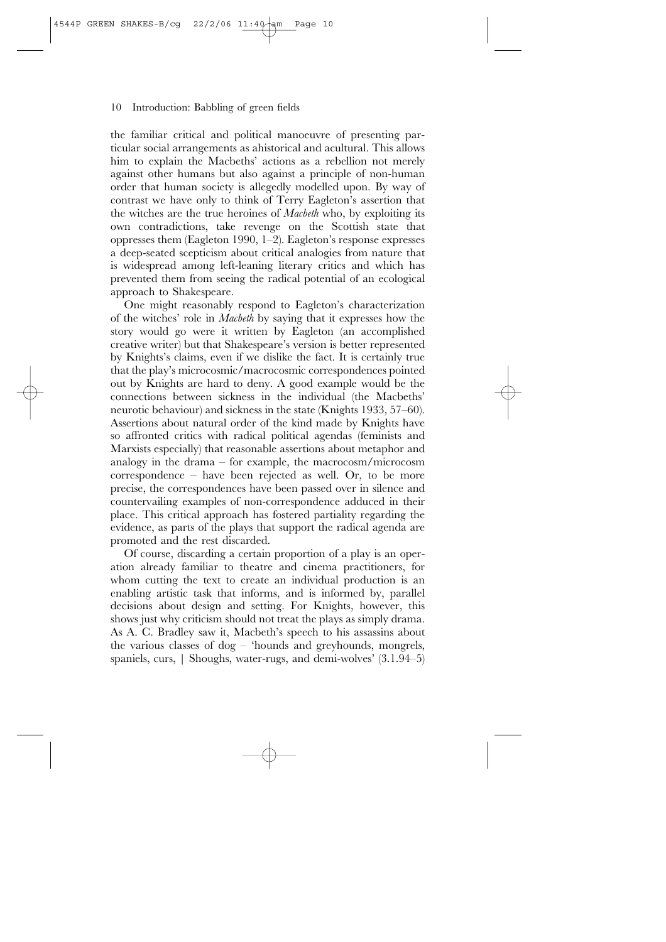the familiar critical and political manoeuvre of presenting particular social arrangements as ahistorical and acultural. This allows him to explain the Macbeths' actions as a rebellion not merely against other humans but also against a principle of non-human order that human society is allegedly modelled upon. By way of contrast we have only to think of Terry Eagleton's assertion that the witches are the true heroines of *Macbeth* who, by exploiting its own contradictions, take revenge on the Scottish state that oppresses them (Eagleton 1990, 1–2). Eagleton's response expresses a deep-seated scepticism about critical analogies from nature that is widespread among left-leaning literary critics and which has prevented them from seeing the radical potential of an ecological approach to Shakespeare.

One might reasonably respond to Eagleton's characterization of the witches' role in *Macbeth* by saying that it expresses how the story would go were it written by Eagleton (an accomplished creative writer) but that Shakespeare's version is better represented by Knights's claims, even if we dislike the fact. It is certainly true that the play's microcosmic/macrocosmic correspondences pointed out by Knights are hard to deny. A good example would be the connections between sickness in the individual (the Macbeths' neurotic behaviour) and sickness in the state (Knights 1933, 57–60). Assertions about natural order of the kind made by Knights have so affronted critics with radical political agendas (feminists and Marxists especially) that reasonable assertions about metaphor and analogy in the drama – for example, the macrocosm/microcosm correspondence – have been rejected as well. Or, to be more precise, the correspondences have been passed over in silence and countervailing examples of non-correspondence adduced in their place. This critical approach has fostered partiality regarding the evidence, as parts of the plays that support the radical agenda are promoted and the rest discarded.

Of course, discarding a certain proportion of a play is an operation already familiar to theatre and cinema practitioners, for whom cutting the text to create an individual production is an enabling artistic task that informs, and is informed by, parallel decisions about design and setting. For Knights, however, this shows just why criticism should not treat the plays as simply drama. As A. C. Bradley saw it, Macbeth's speech to his assassins about the various classes of dog – 'hounds and greyhounds, mongrels, spaniels, curs, | Shoughs, water-rugs, and demi-wolves' (3.1.94–5)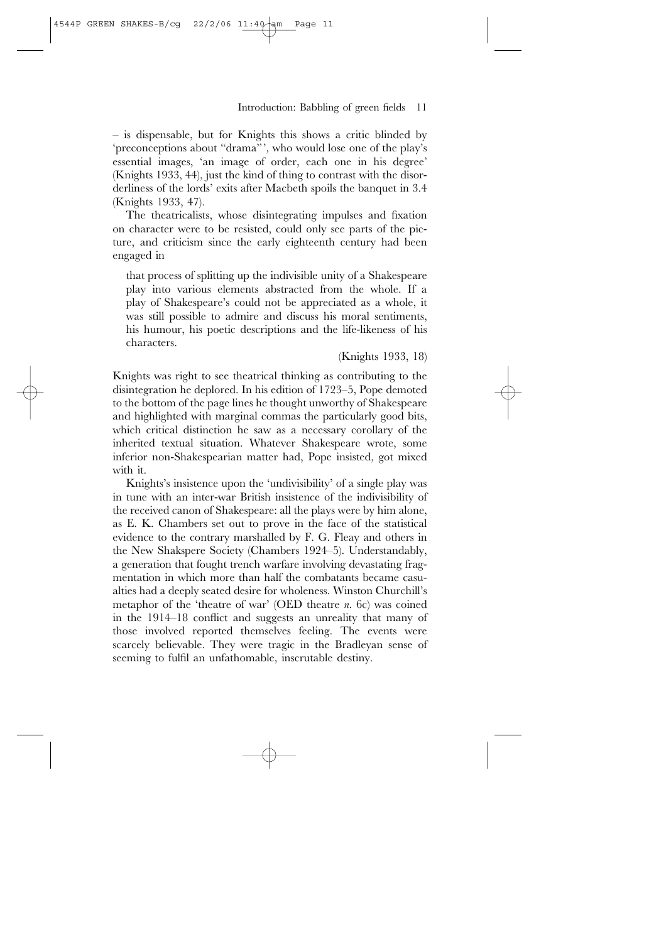– is dispensable, but for Knights this shows a critic blinded by 'preconceptions about "drama"', who would lose one of the play's essential images, 'an image of order, each one in his degree' (Knights 1933, 44), just the kind of thing to contrast with the disorderliness of the lords' exits after Macbeth spoils the banquet in 3.4 (Knights 1933, 47).

The theatricalists, whose disintegrating impulses and fixation on character were to be resisted, could only see parts of the picture, and criticism since the early eighteenth century had been engaged in

that process of splitting up the indivisible unity of a Shakespeare play into various elements abstracted from the whole. If a play of Shakespeare's could not be appreciated as a whole, it was still possible to admire and discuss his moral sentiments, his humour, his poetic descriptions and the life-likeness of his characters.

(Knights 1933, 18)

Knights was right to see theatrical thinking as contributing to the disintegration he deplored. In his edition of 1723–5, Pope demoted to the bottom of the page lines he thought unworthy of Shakespeare and highlighted with marginal commas the particularly good bits, which critical distinction he saw as a necessary corollary of the inherited textual situation. Whatever Shakespeare wrote, some inferior non-Shakespearian matter had, Pope insisted, got mixed with it.

Knights's insistence upon the 'undivisibility' of a single play was in tune with an inter-war British insistence of the indivisibility of the received canon of Shakespeare: all the plays were by him alone, as E. K. Chambers set out to prove in the face of the statistical evidence to the contrary marshalled by F. G. Fleay and others in the New Shakspere Society (Chambers 1924–5). Understandably, a generation that fought trench warfare involving devastating fragmentation in which more than half the combatants became casualties had a deeply seated desire for wholeness. Winston Churchill's metaphor of the 'theatre of war' (OED theatre *n*. 6c) was coined in the 1914–18 conflict and suggests an unreality that many of those involved reported themselves feeling. The events were scarcely believable. They were tragic in the Bradleyan sense of seeming to fulfil an unfathomable, inscrutable destiny.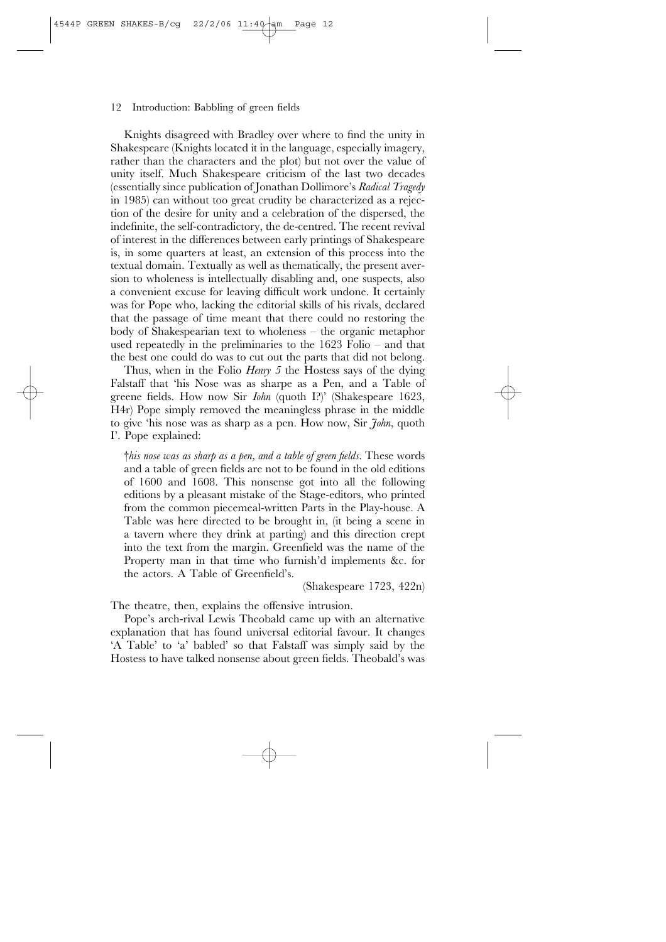#### 12 Introduction: Babbling of green fields

Knights disagreed with Bradley over where to find the unity in Shakespeare (Knights located it in the language, especially imagery, rather than the characters and the plot) but not over the value of unity itself. Much Shakespeare criticism of the last two decades (essentially since publication of Jonathan Dollimore's *Radical Tragedy* in 1985) can without too great crudity be characterized as a rejection of the desire for unity and a celebration of the dispersed, the indefinite, the self-contradictory, the de-centred. The recent revival of interest in the differences between early printings of Shakespeare is, in some quarters at least, an extension of this process into the textual domain. Textually as well as thematically, the present aversion to wholeness is intellectually disabling and, one suspects, also a convenient excuse for leaving difficult work undone. It certainly was for Pope who, lacking the editorial skills of his rivals, declared that the passage of time meant that there could no restoring the body of Shakespearian text to wholeness – the organic metaphor used repeatedly in the preliminaries to the 1623 Folio – and that the best one could do was to cut out the parts that did not belong.

Thus, when in the Folio *Henry 5* the Hostess says of the dying Falstaff that 'his Nose was as sharpe as a Pen, and a Table of greene fields. How now Sir *Iohn* (quoth I?)' (Shakespeare 1623, H4r) Pope simply removed the meaningless phrase in the middle to give 'his nose was as sharp as a pen. How now, Sir *John*, quoth I'. Pope explained:

†*his nose was as sharp as a pen, and a table of green fields*. These words and a table of green fields are not to be found in the old editions of 1600 and 1608. This nonsense got into all the following editions by a pleasant mistake of the Stage-editors, who printed from the common piecemeal-written Parts in the Play-house. A Table was here directed to be brought in, (it being a scene in a tavern where they drink at parting) and this direction crept into the text from the margin. Greenfield was the name of the Property man in that time who furnish'd implements &c. for the actors. A Table of Greenfield's.

(Shakespeare 1723, 422n)

The theatre, then, explains the offensive intrusion.

Pope's arch-rival Lewis Theobald came up with an alternative explanation that has found universal editorial favour. It changes 'A Table' to 'a' babled' so that Falstaff was simply said by the Hostess to have talked nonsense about green fields. Theobald's was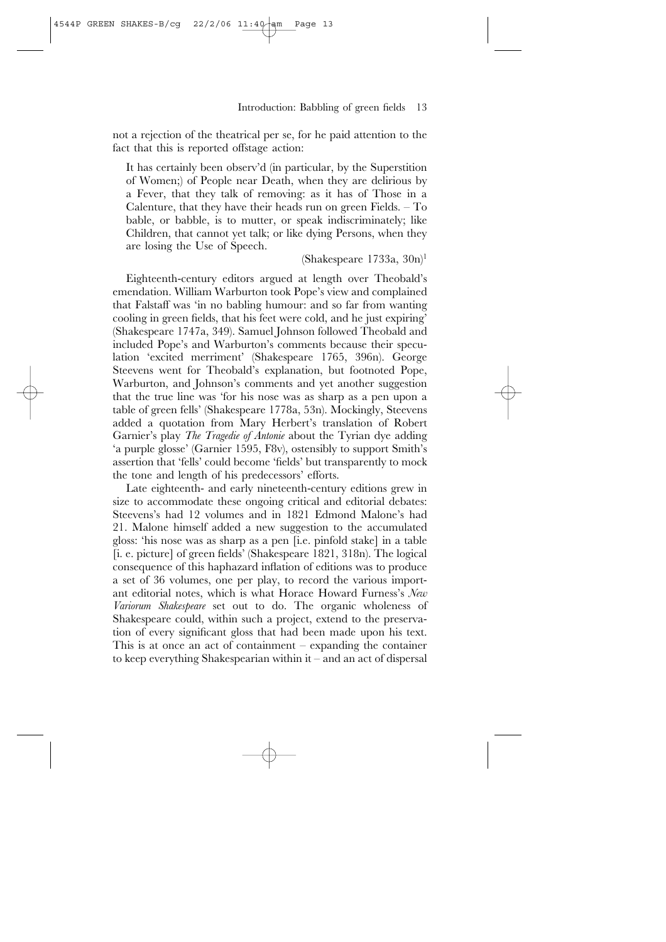not a rejection of the theatrical per se, for he paid attention to the fact that this is reported offstage action:

It has certainly been observ'd (in particular, by the Superstition of Women;) of People near Death, when they are delirious by a Fever, that they talk of removing: as it has of Those in a Calenture, that they have their heads run on green Fields. – To bable, or babble, is to mutter, or speak indiscriminately; like Children, that cannot yet talk; or like dying Persons, when they are losing the Use of Speech.

 $(Shakespeare 1733a, 30n)^{1}$ 

Eighteenth-century editors argued at length over Theobald's emendation. William Warburton took Pope's view and complained that Falstaff was 'in no babling humour: and so far from wanting cooling in green fields, that his feet were cold, and he just expiring' (Shakespeare 1747a, 349). Samuel Johnson followed Theobald and included Pope's and Warburton's comments because their speculation 'excited merriment' (Shakespeare 1765, 396n). George Steevens went for Theobald's explanation, but footnoted Pope, Warburton, and Johnson's comments and yet another suggestion that the true line was 'for his nose was as sharp as a pen upon a table of green fells' (Shakespeare 1778a, 53n). Mockingly, Steevens added a quotation from Mary Herbert's translation of Robert Garnier's play *The Tragedie of Antonie* about the Tyrian dye adding 'a purple glosse' (Garnier 1595, F8v), ostensibly to support Smith's assertion that 'fells' could become 'fields' but transparently to mock the tone and length of his predecessors' efforts.

Late eighteenth- and early nineteenth-century editions grew in size to accommodate these ongoing critical and editorial debates: Steevens's had 12 volumes and in 1821 Edmond Malone's had 21. Malone himself added a new suggestion to the accumulated gloss: 'his nose was as sharp as a pen [i.e. pinfold stake] in a table [i. e. picture] of green fields' (Shakespeare 1821, 318n). The logical consequence of this haphazard inflation of editions was to produce a set of 36 volumes, one per play, to record the various important editorial notes, which is what Horace Howard Furness's *New Variorum Shakespeare* set out to do. The organic wholeness of Shakespeare could, within such a project, extend to the preservation of every significant gloss that had been made upon his text. This is at once an act of containment – expanding the container to keep everything Shakespearian within it – and an act of dispersal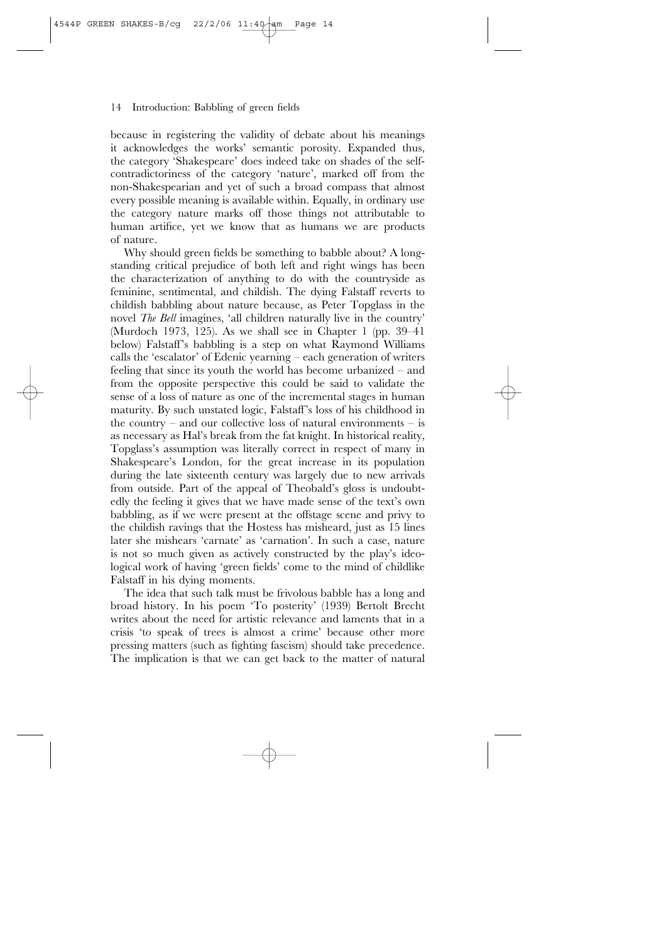because in registering the validity of debate about his meanings it acknowledges the works' semantic porosity. Expanded thus, the category 'Shakespeare' does indeed take on shades of the selfcontradictoriness of the category 'nature', marked off from the non-Shakespearian and yet of such a broad compass that almost every possible meaning is available within. Equally, in ordinary use the category nature marks off those things not attributable to human artifice, yet we know that as humans we are products of nature.

Why should green fields be something to babble about? A longstanding critical prejudice of both left and right wings has been the characterization of anything to do with the countryside as feminine, sentimental, and childish. The dying Falstaff reverts to childish babbling about nature because, as Peter Topglass in the novel *The Bell* imagines, 'all children naturally live in the country' (Murdoch 1973, 125). As we shall see in Chapter 1 (pp. 39–41 below) Falstaff's babbling is a step on what Raymond Williams calls the 'escalator' of Edenic yearning – each generation of writers feeling that since its youth the world has become urbanized – and from the opposite perspective this could be said to validate the sense of a loss of nature as one of the incremental stages in human maturity. By such unstated logic, Falstaff's loss of his childhood in the country – and our collective loss of natural environments – is as necessary as Hal's break from the fat knight. In historical reality, Topglass's assumption was literally correct in respect of many in Shakespeare's London, for the great increase in its population during the late sixteenth century was largely due to new arrivals from outside. Part of the appeal of Theobald's gloss is undoubtedly the feeling it gives that we have made sense of the text's own babbling, as if we were present at the offstage scene and privy to the childish ravings that the Hostess has misheard, just as 15 lines later she mishears 'carnate' as 'carnation'. In such a case, nature is not so much given as actively constructed by the play's ideological work of having 'green fields' come to the mind of childlike Falstaff in his dying moments.

The idea that such talk must be frivolous babble has a long and broad history. In his poem 'To posterity' (1939) Bertolt Brecht writes about the need for artistic relevance and laments that in a crisis 'to speak of trees is almost a crime' because other more pressing matters (such as fighting fascism) should take precedence. The implication is that we can get back to the matter of natural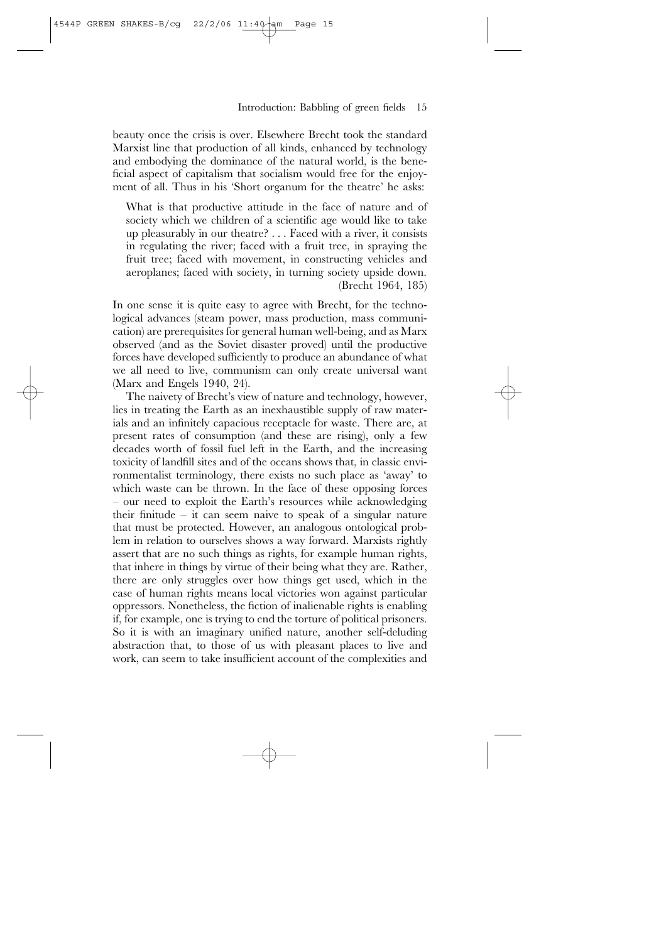beauty once the crisis is over. Elsewhere Brecht took the standard Marxist line that production of all kinds, enhanced by technology and embodying the dominance of the natural world, is the beneficial aspect of capitalism that socialism would free for the enjoyment of all. Thus in his 'Short organum for the theatre' he asks:

What is that productive attitude in the face of nature and of society which we children of a scientific age would like to take up pleasurably in our theatre? . . . Faced with a river, it consists in regulating the river; faced with a fruit tree, in spraying the fruit tree; faced with movement, in constructing vehicles and aeroplanes; faced with society, in turning society upside down. (Brecht 1964, 185)

In one sense it is quite easy to agree with Brecht, for the technological advances (steam power, mass production, mass communication) are prerequisites for general human well-being, and as Marx observed (and as the Soviet disaster proved) until the productive forces have developed sufficiently to produce an abundance of what we all need to live, communism can only create universal want (Marx and Engels 1940, 24).

The naivety of Brecht's view of nature and technology, however, lies in treating the Earth as an inexhaustible supply of raw materials and an infinitely capacious receptacle for waste. There are, at present rates of consumption (and these are rising), only a few decades worth of fossil fuel left in the Earth, and the increasing toxicity of landfill sites and of the oceans shows that, in classic environmentalist terminology, there exists no such place as 'away' to which waste can be thrown. In the face of these opposing forces – our need to exploit the Earth's resources while acknowledging their finitude – it can seem naive to speak of a singular nature that must be protected. However, an analogous ontological problem in relation to ourselves shows a way forward. Marxists rightly assert that are no such things as rights, for example human rights, that inhere in things by virtue of their being what they are. Rather, there are only struggles over how things get used, which in the case of human rights means local victories won against particular oppressors. Nonetheless, the fiction of inalienable rights is enabling if, for example, one is trying to end the torture of political prisoners. So it is with an imaginary unified nature, another self-deluding abstraction that, to those of us with pleasant places to live and work, can seem to take insufficient account of the complexities and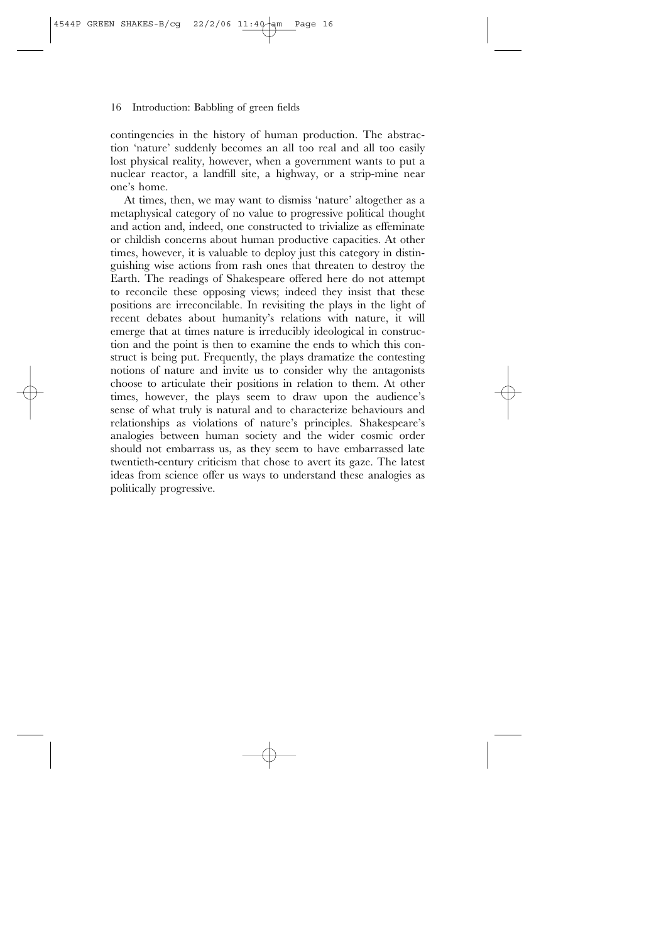contingencies in the history of human production. The abstraction 'nature' suddenly becomes an all too real and all too easily lost physical reality, however, when a government wants to put a nuclear reactor, a landfill site, a highway, or a strip-mine near one's home.

At times, then, we may want to dismiss 'nature' altogether as a metaphysical category of no value to progressive political thought and action and, indeed, one constructed to trivialize as effeminate or childish concerns about human productive capacities. At other times, however, it is valuable to deploy just this category in distinguishing wise actions from rash ones that threaten to destroy the Earth. The readings of Shakespeare offered here do not attempt to reconcile these opposing views; indeed they insist that these positions are irreconcilable. In revisiting the plays in the light of recent debates about humanity's relations with nature, it will emerge that at times nature is irreducibly ideological in construction and the point is then to examine the ends to which this construct is being put. Frequently, the plays dramatize the contesting notions of nature and invite us to consider why the antagonists choose to articulate their positions in relation to them. At other times, however, the plays seem to draw upon the audience's sense of what truly is natural and to characterize behaviours and relationships as violations of nature's principles. Shakespeare's analogies between human society and the wider cosmic order should not embarrass us, as they seem to have embarrassed late twentieth-century criticism that chose to avert its gaze. The latest ideas from science offer us ways to understand these analogies as politically progressive.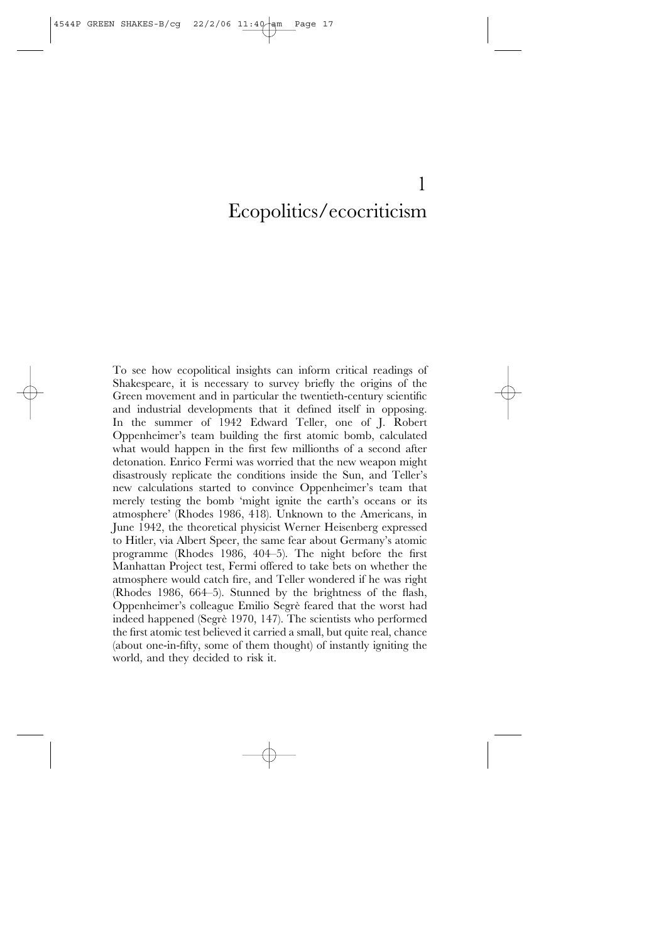## 1 Ecopolitics/ecocriticism

To see how ecopolitical insights can inform critical readings of Shakespeare, it is necessary to survey briefly the origins of the Green movement and in particular the twentieth-century scientific and industrial developments that it defined itself in opposing. In the summer of 1942 Edward Teller, one of J. Robert Oppenheimer's team building the first atomic bomb, calculated what would happen in the first few millionths of a second after detonation. Enrico Fermi was worried that the new weapon might disastrously replicate the conditions inside the Sun, and Teller's new calculations started to convince Oppenheimer's team that merely testing the bomb 'might ignite the earth's oceans or its atmosphere' (Rhodes 1986, 418). Unknown to the Americans, in June 1942, the theoretical physicist Werner Heisenberg expressed to Hitler, via Albert Speer, the same fear about Germany's atomic programme (Rhodes 1986, 404–5). The night before the first Manhattan Project test, Fermi offered to take bets on whether the atmosphere would catch fire, and Teller wondered if he was right (Rhodes 1986, 664–5). Stunned by the brightness of the flash, Oppenheimer's colleague Emilio Segrè feared that the worst had indeed happened (Segrè 1970, 147). The scientists who performed the first atomic test believed it carried a small, but quite real, chance (about one-in-fifty, some of them thought) of instantly igniting the world, and they decided to risk it.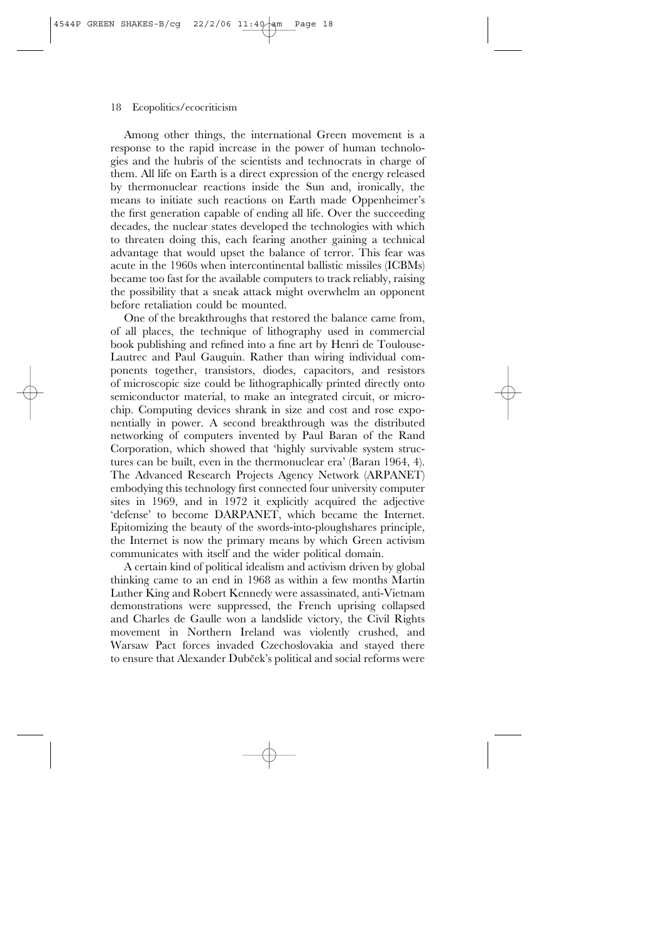Among other things, the international Green movement is a response to the rapid increase in the power of human technologies and the hubris of the scientists and technocrats in charge of them. All life on Earth is a direct expression of the energy released by thermonuclear reactions inside the Sun and, ironically, the means to initiate such reactions on Earth made Oppenheimer's the first generation capable of ending all life. Over the succeeding decades, the nuclear states developed the technologies with which to threaten doing this, each fearing another gaining a technical advantage that would upset the balance of terror. This fear was acute in the 1960s when intercontinental ballistic missiles (ICBMs) became too fast for the available computers to track reliably, raising the possibility that a sneak attack might overwhelm an opponent before retaliation could be mounted.

One of the breakthroughs that restored the balance came from, of all places, the technique of lithography used in commercial book publishing and refined into a fine art by Henri de Toulouse-Lautrec and Paul Gauguin. Rather than wiring individual components together, transistors, diodes, capacitors, and resistors of microscopic size could be lithographically printed directly onto semiconductor material, to make an integrated circuit, or microchip. Computing devices shrank in size and cost and rose exponentially in power. A second breakthrough was the distributed networking of computers invented by Paul Baran of the Rand Corporation, which showed that 'highly survivable system structures can be built, even in the thermonuclear era' (Baran 1964, 4). The Advanced Research Projects Agency Network (ARPANET) embodying this technology first connected four university computer sites in 1969, and in 1972 it explicitly acquired the adjective 'defense' to become DARPANET, which became the Internet. Epitomizing the beauty of the swords-into-ploughshares principle, the Internet is now the primary means by which Green activism communicates with itself and the wider political domain.

A certain kind of political idealism and activism driven by global thinking came to an end in 1968 as within a few months Martin Luther King and Robert Kennedy were assassinated, anti-Vietnam demonstrations were suppressed, the French uprising collapsed and Charles de Gaulle won a landslide victory, the Civil Rights movement in Northern Ireland was violently crushed, and Warsaw Pact forces invaded Czechoslovakia and stayed there to ensure that Alexander Dubček's political and social reforms were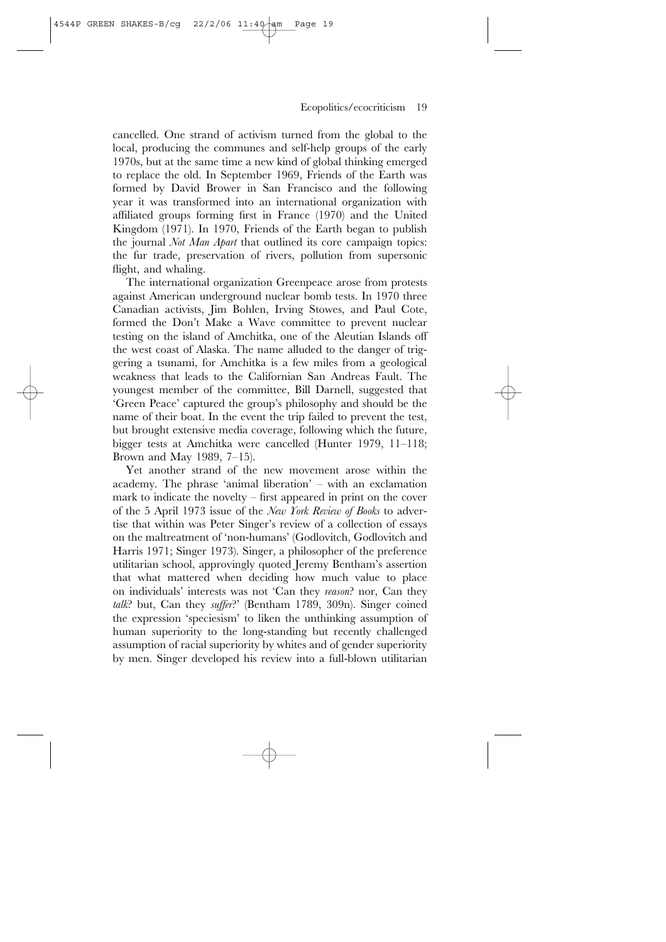cancelled. One strand of activism turned from the global to the local, producing the communes and self-help groups of the early 1970s, but at the same time a new kind of global thinking emerged to replace the old. In September 1969, Friends of the Earth was formed by David Brower in San Francisco and the following year it was transformed into an international organization with affiliated groups forming first in France (1970) and the United Kingdom (1971). In 1970, Friends of the Earth began to publish the journal *Not Man Apart* that outlined its core campaign topics: the fur trade, preservation of rivers, pollution from supersonic flight, and whaling.

The international organization Greenpeace arose from protests against American underground nuclear bomb tests. In 1970 three Canadian activists, Jim Bohlen, Irving Stowes, and Paul Cote, formed the Don't Make a Wave committee to prevent nuclear testing on the island of Amchitka, one of the Aleutian Islands off the west coast of Alaska. The name alluded to the danger of triggering a tsunami, for Amchitka is a few miles from a geological weakness that leads to the Californian San Andreas Fault. The youngest member of the committee, Bill Darnell, suggested that 'Green Peace' captured the group's philosophy and should be the name of their boat. In the event the trip failed to prevent the test, but brought extensive media coverage, following which the future, bigger tests at Amchitka were cancelled (Hunter 1979, 11–118; Brown and May 1989, 7–15).

Yet another strand of the new movement arose within the academy. The phrase 'animal liberation' – with an exclamation mark to indicate the novelty – first appeared in print on the cover of the 5 April 1973 issue of the *New York Review of Books* to advertise that within was Peter Singer's review of a collection of essays on the maltreatment of 'non-humans' (Godlovitch, Godlovitch and Harris 1971; Singer 1973). Singer, a philosopher of the preference utilitarian school, approvingly quoted Jeremy Bentham's assertion that what mattered when deciding how much value to place on individuals' interests was not 'Can they *reason*? nor, Can they *talk*? but, Can they *suffer*?' (Bentham 1789, 309n). Singer coined the expression 'speciesism' to liken the unthinking assumption of human superiority to the long-standing but recently challenged assumption of racial superiority by whites and of gender superiority by men. Singer developed his review into a full-blown utilitarian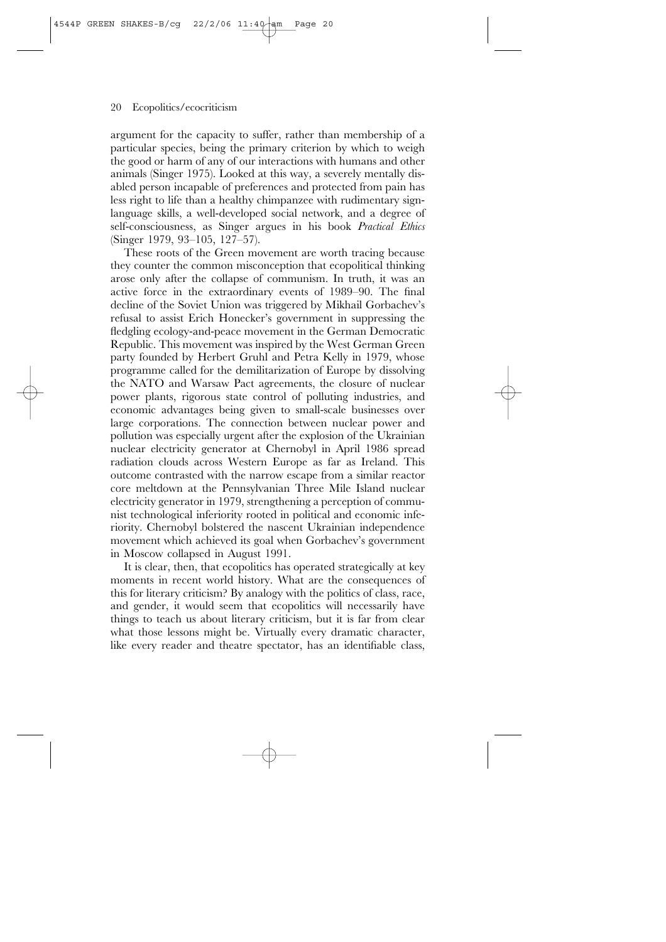argument for the capacity to suffer, rather than membership of a particular species, being the primary criterion by which to weigh the good or harm of any of our interactions with humans and other animals (Singer 1975). Looked at this way, a severely mentally disabled person incapable of preferences and protected from pain has less right to life than a healthy chimpanzee with rudimentary signlanguage skills, a well-developed social network, and a degree of self-consciousness, as Singer argues in his book *Practical Ethics* (Singer 1979, 93–105, 127–57).

These roots of the Green movement are worth tracing because they counter the common misconception that ecopolitical thinking arose only after the collapse of communism. In truth, it was an active force in the extraordinary events of 1989–90. The final decline of the Soviet Union was triggered by Mikhail Gorbachev's refusal to assist Erich Honecker's government in suppressing the fledgling ecology-and-peace movement in the German Democratic Republic. This movement was inspired by the West German Green party founded by Herbert Gruhl and Petra Kelly in 1979, whose programme called for the demilitarization of Europe by dissolving the NATO and Warsaw Pact agreements, the closure of nuclear power plants, rigorous state control of polluting industries, and economic advantages being given to small-scale businesses over large corporations. The connection between nuclear power and pollution was especially urgent after the explosion of the Ukrainian nuclear electricity generator at Chernobyl in April 1986 spread radiation clouds across Western Europe as far as Ireland. This outcome contrasted with the narrow escape from a similar reactor core meltdown at the Pennsylvanian Three Mile Island nuclear electricity generator in 1979, strengthening a perception of communist technological inferiority rooted in political and economic inferiority. Chernobyl bolstered the nascent Ukrainian independence movement which achieved its goal when Gorbachev's government in Moscow collapsed in August 1991.

It is clear, then, that ecopolitics has operated strategically at key moments in recent world history. What are the consequences of this for literary criticism? By analogy with the politics of class, race, and gender, it would seem that ecopolitics will necessarily have things to teach us about literary criticism, but it is far from clear what those lessons might be. Virtually every dramatic character, like every reader and theatre spectator, has an identifiable class,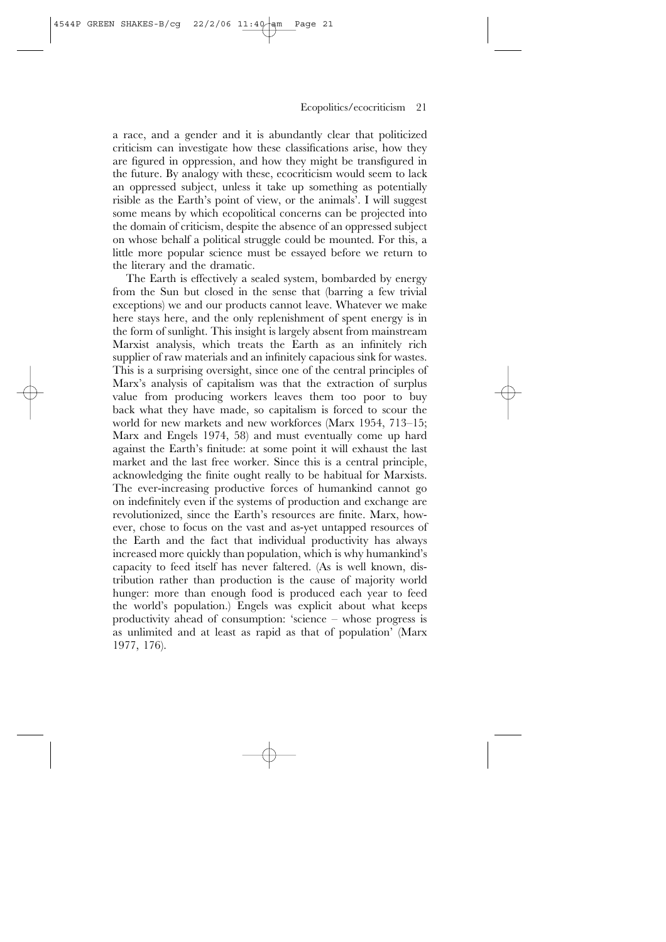a race, and a gender and it is abundantly clear that politicized criticism can investigate how these classifications arise, how they are figured in oppression, and how they might be transfigured in the future. By analogy with these, ecocriticism would seem to lack an oppressed subject, unless it take up something as potentially risible as the Earth's point of view, or the animals'. I will suggest some means by which ecopolitical concerns can be projected into the domain of criticism, despite the absence of an oppressed subject on whose behalf a political struggle could be mounted. For this, a little more popular science must be essayed before we return to the literary and the dramatic.

The Earth is effectively a sealed system, bombarded by energy from the Sun but closed in the sense that (barring a few trivial exceptions) we and our products cannot leave. Whatever we make here stays here, and the only replenishment of spent energy is in the form of sunlight. This insight is largely absent from mainstream Marxist analysis, which treats the Earth as an infinitely rich supplier of raw materials and an infinitely capacious sink for wastes. This is a surprising oversight, since one of the central principles of Marx's analysis of capitalism was that the extraction of surplus value from producing workers leaves them too poor to buy back what they have made, so capitalism is forced to scour the world for new markets and new workforces (Marx 1954, 713–15; Marx and Engels 1974, 58) and must eventually come up hard against the Earth's finitude: at some point it will exhaust the last market and the last free worker. Since this is a central principle, acknowledging the finite ought really to be habitual for Marxists. The ever-increasing productive forces of humankind cannot go on indefinitely even if the systems of production and exchange are revolutionized, since the Earth's resources are finite. Marx, however, chose to focus on the vast and as-yet untapped resources of the Earth and the fact that individual productivity has always increased more quickly than population, which is why humankind's capacity to feed itself has never faltered. (As is well known, distribution rather than production is the cause of majority world hunger: more than enough food is produced each year to feed the world's population.) Engels was explicit about what keeps productivity ahead of consumption: 'science – whose progress is as unlimited and at least as rapid as that of population' (Marx 1977, 176).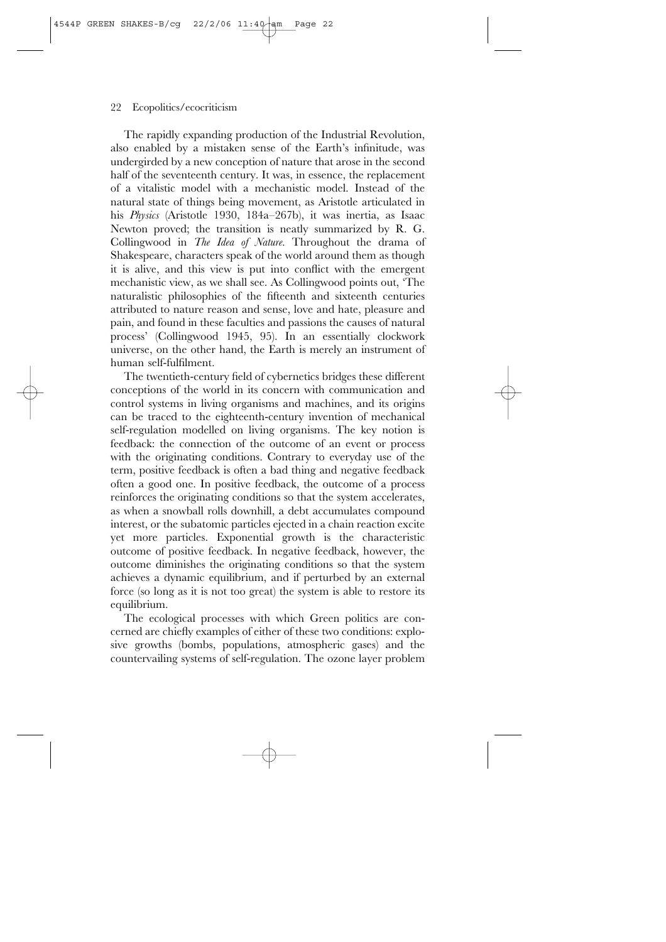The rapidly expanding production of the Industrial Revolution, also enabled by a mistaken sense of the Earth's infinitude, was undergirded by a new conception of nature that arose in the second half of the seventeenth century. It was, in essence, the replacement of a vitalistic model with a mechanistic model. Instead of the natural state of things being movement, as Aristotle articulated in his *Physics* (Aristotle 1930, 184a–267b), it was inertia, as Isaac Newton proved; the transition is neatly summarized by R. G. Collingwood in *The Idea of Nature*. Throughout the drama of Shakespeare, characters speak of the world around them as though it is alive, and this view is put into conflict with the emergent mechanistic view, as we shall see. As Collingwood points out, 'The naturalistic philosophies of the fifteenth and sixteenth centuries attributed to nature reason and sense, love and hate, pleasure and pain, and found in these faculties and passions the causes of natural process' (Collingwood 1945, 95). In an essentially clockwork universe, on the other hand, the Earth is merely an instrument of human self-fulfilment.

The twentieth-century field of cybernetics bridges these different conceptions of the world in its concern with communication and control systems in living organisms and machines, and its origins can be traced to the eighteenth-century invention of mechanical self-regulation modelled on living organisms. The key notion is feedback: the connection of the outcome of an event or process with the originating conditions. Contrary to everyday use of the term, positive feedback is often a bad thing and negative feedback often a good one. In positive feedback, the outcome of a process reinforces the originating conditions so that the system accelerates, as when a snowball rolls downhill, a debt accumulates compound interest, or the subatomic particles ejected in a chain reaction excite yet more particles. Exponential growth is the characteristic outcome of positive feedback. In negative feedback, however, the outcome diminishes the originating conditions so that the system achieves a dynamic equilibrium, and if perturbed by an external force (so long as it is not too great) the system is able to restore its equilibrium.

The ecological processes with which Green politics are concerned are chiefly examples of either of these two conditions: explosive growths (bombs, populations, atmospheric gases) and the countervailing systems of self-regulation. The ozone layer problem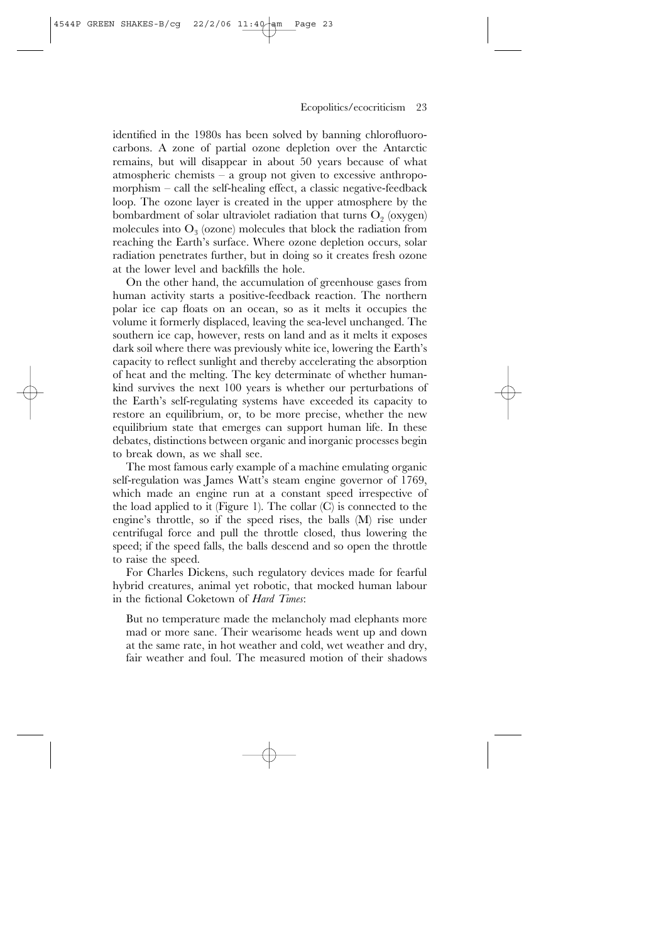identified in the 1980s has been solved by banning chlorofluorocarbons. A zone of partial ozone depletion over the Antarctic remains, but will disappear in about 50 years because of what atmospheric chemists – a group not given to excessive anthropomorphism – call the self-healing effect, a classic negative-feedback loop. The ozone layer is created in the upper atmosphere by the bombardment of solar ultraviolet radiation that turns  $O<sub>2</sub>$  (oxygen) molecules into  $O_3$  (ozone) molecules that block the radiation from reaching the Earth's surface. Where ozone depletion occurs, solar radiation penetrates further, but in doing so it creates fresh ozone at the lower level and backfills the hole.

On the other hand, the accumulation of greenhouse gases from human activity starts a positive-feedback reaction. The northern polar ice cap floats on an ocean, so as it melts it occupies the volume it formerly displaced, leaving the sea-level unchanged. The southern ice cap, however, rests on land and as it melts it exposes dark soil where there was previously white ice, lowering the Earth's capacity to reflect sunlight and thereby accelerating the absorption of heat and the melting. The key determinate of whether humankind survives the next 100 years is whether our perturbations of the Earth's self-regulating systems have exceeded its capacity to restore an equilibrium, or, to be more precise, whether the new equilibrium state that emerges can support human life. In these debates, distinctions between organic and inorganic processes begin to break down, as we shall see.

The most famous early example of a machine emulating organic self-regulation was James Watt's steam engine governor of 1769, which made an engine run at a constant speed irrespective of the load applied to it (Figure 1). The collar (C) is connected to the engine's throttle, so if the speed rises, the balls (M) rise under centrifugal force and pull the throttle closed, thus lowering the speed; if the speed falls, the balls descend and so open the throttle to raise the speed.

For Charles Dickens, such regulatory devices made for fearful hybrid creatures, animal yet robotic, that mocked human labour in the fictional Coketown of *Hard Times*:

But no temperature made the melancholy mad elephants more mad or more sane. Their wearisome heads went up and down at the same rate, in hot weather and cold, wet weather and dry, fair weather and foul. The measured motion of their shadows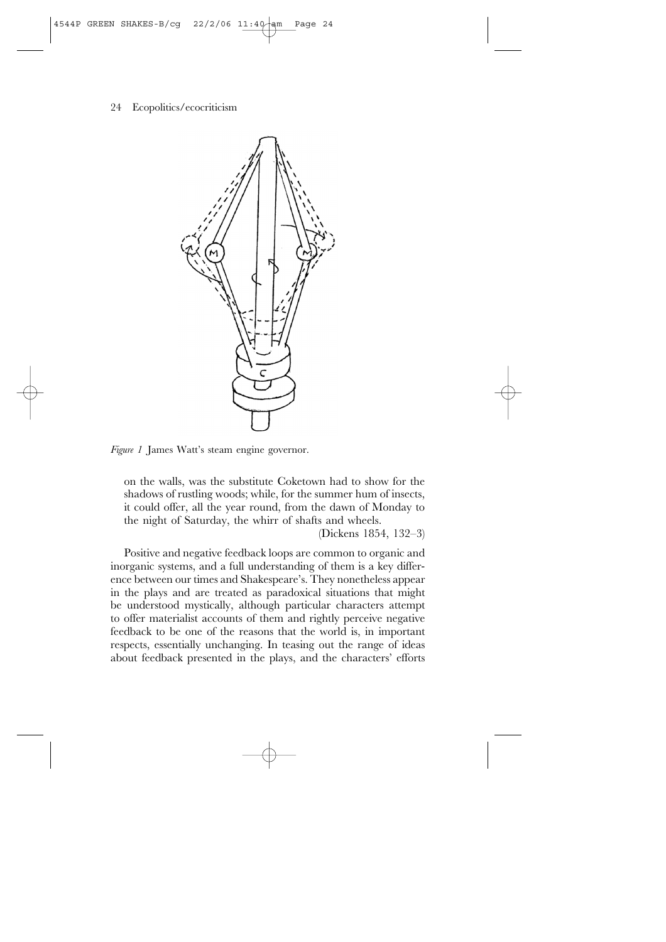### 24 Ecopolitics/ecocriticism



*Figure 1* James Watt's steam engine governor.

on the walls, was the substitute Coketown had to show for the shadows of rustling woods; while, for the summer hum of insects, it could offer, all the year round, from the dawn of Monday to the night of Saturday, the whirr of shafts and wheels.

(Dickens 1854, 132–3)

Positive and negative feedback loops are common to organic and inorganic systems, and a full understanding of them is a key difference between our times and Shakespeare's. They nonetheless appear in the plays and are treated as paradoxical situations that might be understood mystically, although particular characters attempt to offer materialist accounts of them and rightly perceive negative feedback to be one of the reasons that the world is, in important respects, essentially unchanging. In teasing out the range of ideas about feedback presented in the plays, and the characters' efforts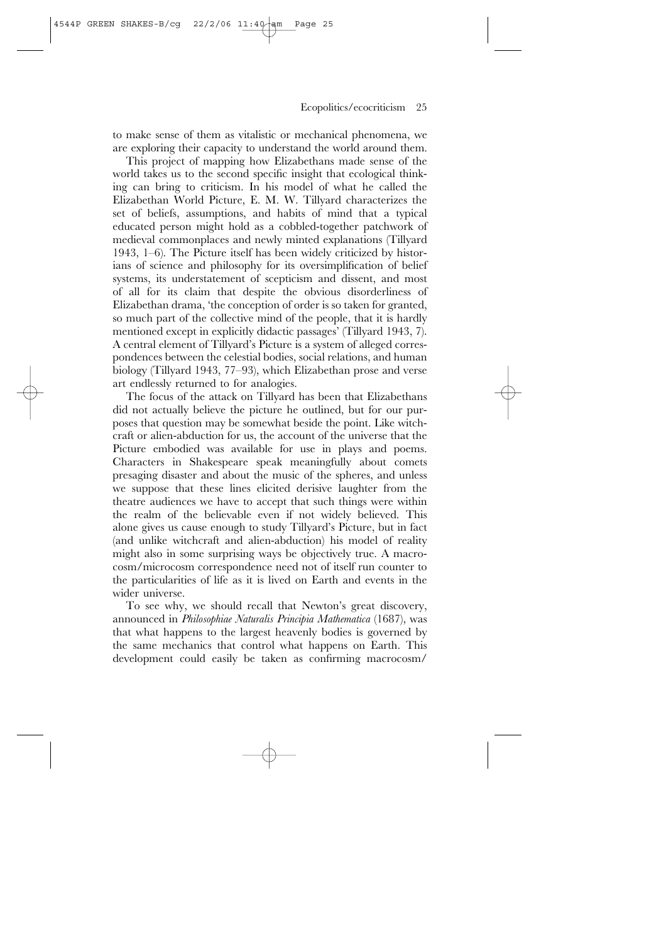to make sense of them as vitalistic or mechanical phenomena, we are exploring their capacity to understand the world around them.

This project of mapping how Elizabethans made sense of the world takes us to the second specific insight that ecological thinking can bring to criticism. In his model of what he called the Elizabethan World Picture, E. M. W. Tillyard characterizes the set of beliefs, assumptions, and habits of mind that a typical educated person might hold as a cobbled-together patchwork of medieval commonplaces and newly minted explanations (Tillyard 1943, 1–6). The Picture itself has been widely criticized by historians of science and philosophy for its oversimplification of belief systems, its understatement of scepticism and dissent, and most of all for its claim that despite the obvious disorderliness of Elizabethan drama, 'the conception of order is so taken for granted, so much part of the collective mind of the people, that it is hardly mentioned except in explicitly didactic passages' (Tillyard 1943, 7). A central element of Tillyard's Picture is a system of alleged correspondences between the celestial bodies, social relations, and human biology (Tillyard 1943, 77–93), which Elizabethan prose and verse art endlessly returned to for analogies.

The focus of the attack on Tillyard has been that Elizabethans did not actually believe the picture he outlined, but for our purposes that question may be somewhat beside the point. Like witchcraft or alien-abduction for us, the account of the universe that the Picture embodied was available for use in plays and poems. Characters in Shakespeare speak meaningfully about comets presaging disaster and about the music of the spheres, and unless we suppose that these lines elicited derisive laughter from the theatre audiences we have to accept that such things were within the realm of the believable even if not widely believed. This alone gives us cause enough to study Tillyard's Picture, but in fact (and unlike witchcraft and alien-abduction) his model of reality might also in some surprising ways be objectively true. A macrocosm/microcosm correspondence need not of itself run counter to the particularities of life as it is lived on Earth and events in the wider universe.

To see why, we should recall that Newton's great discovery, announced in *Philosophiae Naturalis Principia Mathematica* (1687), was that what happens to the largest heavenly bodies is governed by the same mechanics that control what happens on Earth. This development could easily be taken as confirming macrocosm/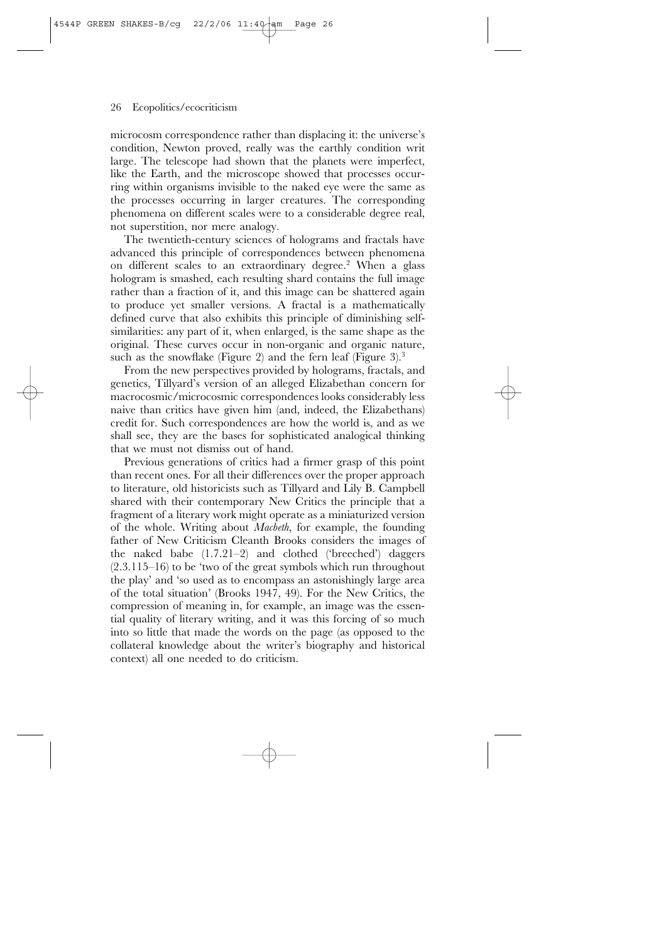microcosm correspondence rather than displacing it: the universe's condition, Newton proved, really was the earthly condition writ large. The telescope had shown that the planets were imperfect, like the Earth, and the microscope showed that processes occurring within organisms invisible to the naked eye were the same as the processes occurring in larger creatures. The corresponding phenomena on different scales were to a considerable degree real, not superstition, nor mere analogy.

The twentieth-century sciences of holograms and fractals have advanced this principle of correspondences between phenomena on different scales to an extraordinary degree.2 When a glass hologram is smashed, each resulting shard contains the full image rather than a fraction of it, and this image can be shattered again to produce yet smaller versions. A fractal is a mathematically defined curve that also exhibits this principle of diminishing selfsimilarities: any part of it, when enlarged, is the same shape as the original. These curves occur in non-organic and organic nature, such as the snowflake (Figure 2) and the fern leaf (Figure 3).<sup>3</sup>

From the new perspectives provided by holograms, fractals, and genetics, Tillyard's version of an alleged Elizabethan concern for macrocosmic/microcosmic correspondences looks considerably less naive than critics have given him (and, indeed, the Elizabethans) credit for. Such correspondences are how the world is, and as we shall see, they are the bases for sophisticated analogical thinking that we must not dismiss out of hand.

Previous generations of critics had a firmer grasp of this point than recent ones. For all their differences over the proper approach to literature, old historicists such as Tillyard and Lily B. Campbell shared with their contemporary New Critics the principle that a fragment of a literary work might operate as a miniaturized version of the whole. Writing about *Macbeth*, for example, the founding father of New Criticism Cleanth Brooks considers the images of the naked babe (1.7.21–2) and clothed ('breeched') daggers (2.3.115–16) to be 'two of the great symbols which run throughout the play' and 'so used as to encompass an astonishingly large area of the total situation' (Brooks 1947, 49). For the New Critics, the compression of meaning in, for example, an image was the essential quality of literary writing, and it was this forcing of so much into so little that made the words on the page (as opposed to the collateral knowledge about the writer's biography and historical context) all one needed to do criticism.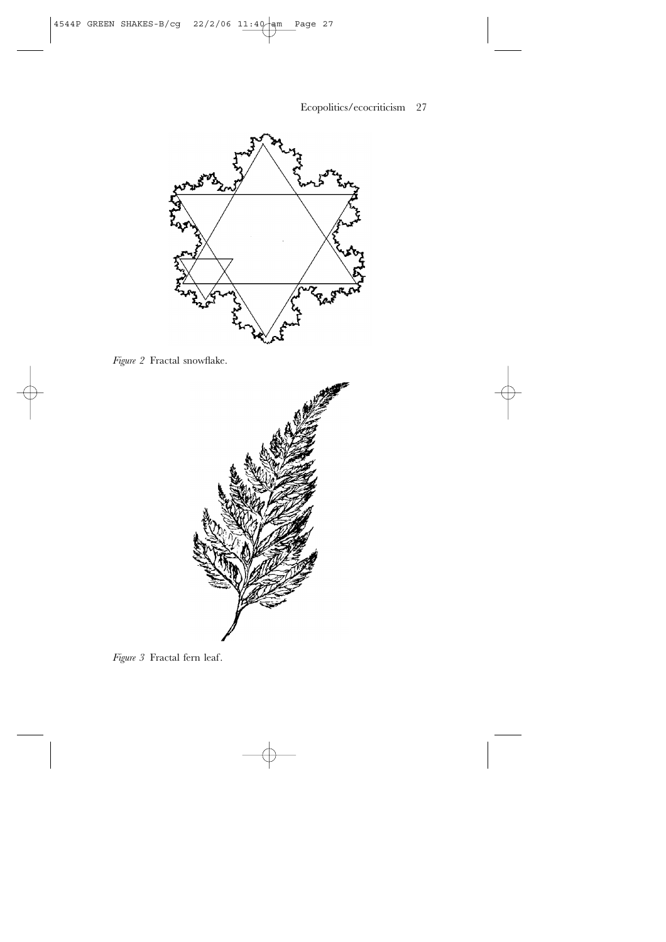

*Figure 2* Fractal snowflake.



*Figure 3* Fractal fern leaf.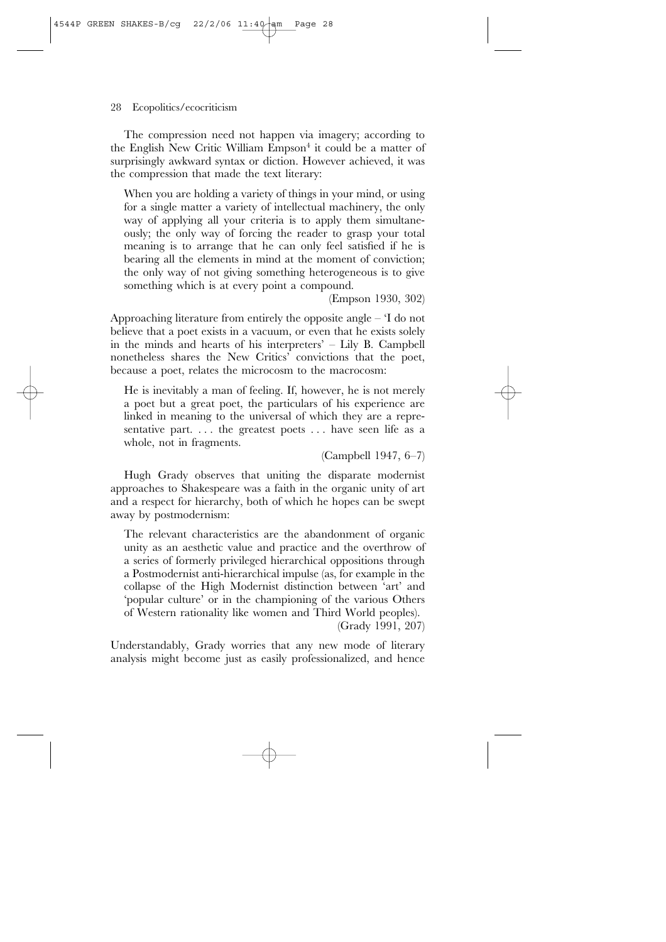The compression need not happen via imagery; according to the English New Critic William Empson<sup>4</sup> it could be a matter of surprisingly awkward syntax or diction. However achieved, it was the compression that made the text literary:

When you are holding a variety of things in your mind, or using for a single matter a variety of intellectual machinery, the only way of applying all your criteria is to apply them simultaneously; the only way of forcing the reader to grasp your total meaning is to arrange that he can only feel satisfied if he is bearing all the elements in mind at the moment of conviction; the only way of not giving something heterogeneous is to give something which is at every point a compound.

(Empson 1930, 302)

Approaching literature from entirely the opposite angle – 'I do not believe that a poet exists in a vacuum, or even that he exists solely in the minds and hearts of his interpreters' – Lily B. Campbell nonetheless shares the New Critics' convictions that the poet, because a poet, relates the microcosm to the macrocosm:

He is inevitably a man of feeling. If, however, he is not merely a poet but a great poet, the particulars of his experience are linked in meaning to the universal of which they are a representative part. . . . the greatest poets . . . have seen life as a whole, not in fragments.

(Campbell 1947, 6–7)

Hugh Grady observes that uniting the disparate modernist approaches to Shakespeare was a faith in the organic unity of art and a respect for hierarchy, both of which he hopes can be swept away by postmodernism:

The relevant characteristics are the abandonment of organic unity as an aesthetic value and practice and the overthrow of a series of formerly privileged hierarchical oppositions through a Postmodernist anti-hierarchical impulse (as, for example in the collapse of the High Modernist distinction between 'art' and 'popular culture' or in the championing of the various Others of Western rationality like women and Third World peoples).

(Grady 1991, 207)

Understandably, Grady worries that any new mode of literary analysis might become just as easily professionalized, and hence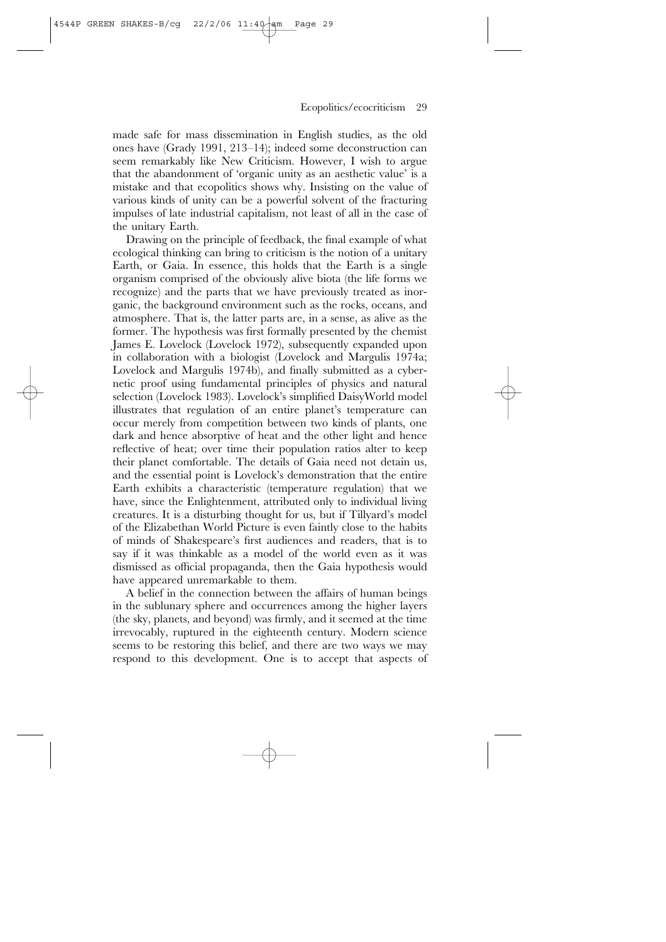made safe for mass dissemination in English studies, as the old ones have (Grady 1991, 213–14); indeed some deconstruction can seem remarkably like New Criticism. However, I wish to argue that the abandonment of 'organic unity as an aesthetic value' is a mistake and that ecopolitics shows why. Insisting on the value of various kinds of unity can be a powerful solvent of the fracturing impulses of late industrial capitalism, not least of all in the case of the unitary Earth.

Drawing on the principle of feedback, the final example of what ecological thinking can bring to criticism is the notion of a unitary Earth, or Gaia. In essence, this holds that the Earth is a single organism comprised of the obviously alive biota (the life forms we recognize) and the parts that we have previously treated as inorganic, the background environment such as the rocks, oceans, and atmosphere. That is, the latter parts are, in a sense, as alive as the former. The hypothesis was first formally presented by the chemist James E. Lovelock (Lovelock 1972), subsequently expanded upon in collaboration with a biologist (Lovelock and Margulis 1974a; Lovelock and Margulis 1974b), and finally submitted as a cybernetic proof using fundamental principles of physics and natural selection (Lovelock 1983). Lovelock's simplified DaisyWorld model illustrates that regulation of an entire planet's temperature can occur merely from competition between two kinds of plants, one dark and hence absorptive of heat and the other light and hence reflective of heat; over time their population ratios alter to keep their planet comfortable. The details of Gaia need not detain us, and the essential point is Lovelock's demonstration that the entire Earth exhibits a characteristic (temperature regulation) that we have, since the Enlightenment, attributed only to individual living creatures. It is a disturbing thought for us, but if Tillyard's model of the Elizabethan World Picture is even faintly close to the habits of minds of Shakespeare's first audiences and readers, that is to say if it was thinkable as a model of the world even as it was dismissed as official propaganda, then the Gaia hypothesis would have appeared unremarkable to them.

A belief in the connection between the affairs of human beings in the sublunary sphere and occurrences among the higher layers (the sky, planets, and beyond) was firmly, and it seemed at the time irrevocably, ruptured in the eighteenth century. Modern science seems to be restoring this belief, and there are two ways we may respond to this development. One is to accept that aspects of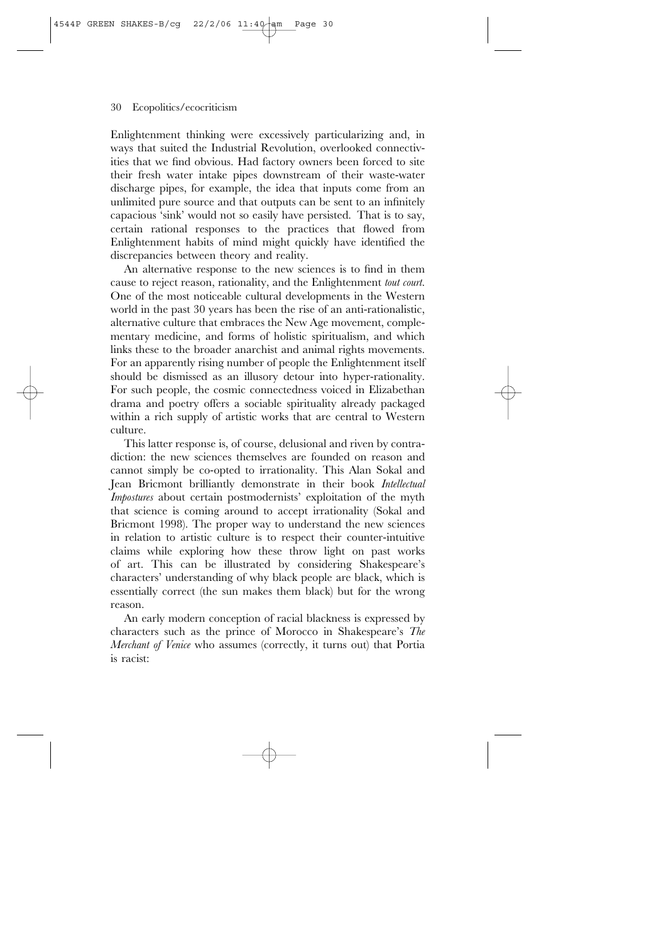Enlightenment thinking were excessively particularizing and, in ways that suited the Industrial Revolution, overlooked connectivities that we find obvious. Had factory owners been forced to site their fresh water intake pipes downstream of their waste-water discharge pipes, for example, the idea that inputs come from an unlimited pure source and that outputs can be sent to an infinitely capacious 'sink' would not so easily have persisted. That is to say, certain rational responses to the practices that flowed from Enlightenment habits of mind might quickly have identified the discrepancies between theory and reality.

An alternative response to the new sciences is to find in them cause to reject reason, rationality, and the Enlightenment *tout court*. One of the most noticeable cultural developments in the Western world in the past 30 years has been the rise of an anti-rationalistic, alternative culture that embraces the New Age movement, complementary medicine, and forms of holistic spiritualism, and which links these to the broader anarchist and animal rights movements. For an apparently rising number of people the Enlightenment itself should be dismissed as an illusory detour into hyper-rationality. For such people, the cosmic connectedness voiced in Elizabethan drama and poetry offers a sociable spirituality already packaged within a rich supply of artistic works that are central to Western culture.

This latter response is, of course, delusional and riven by contradiction: the new sciences themselves are founded on reason and cannot simply be co-opted to irrationality. This Alan Sokal and Jean Bricmont brilliantly demonstrate in their book *Intellectual Impostures* about certain postmodernists' exploitation of the myth that science is coming around to accept irrationality (Sokal and Bricmont 1998). The proper way to understand the new sciences in relation to artistic culture is to respect their counter-intuitive claims while exploring how these throw light on past works of art. This can be illustrated by considering Shakespeare's characters' understanding of why black people are black, which is essentially correct (the sun makes them black) but for the wrong reason.

An early modern conception of racial blackness is expressed by characters such as the prince of Morocco in Shakespeare's *The Merchant of Venice* who assumes (correctly, it turns out) that Portia is racist: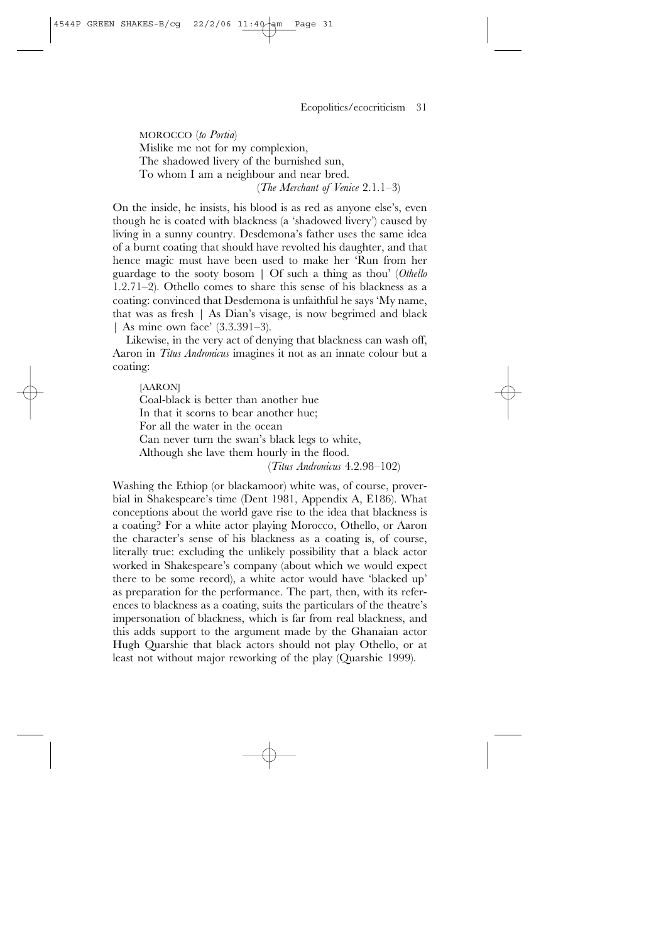MOROCCO (*to Portia*) Mislike me not for my complexion, The shadowed livery of the burnished sun, To whom I am a neighbour and near bred. (*The Merchant of Venice* 2.1.1–3)

On the inside, he insists, his blood is as red as anyone else's, even though he is coated with blackness (a 'shadowed livery') caused by living in a sunny country. Desdemona's father uses the same idea of a burnt coating that should have revolted his daughter, and that hence magic must have been used to make her 'Run from her guardage to the sooty bosom | Of such a thing as thou' (*Othello* 1.2.71–2). Othello comes to share this sense of his blackness as a coating: convinced that Desdemona is unfaithful he says 'My name, that was as fresh | As Dian's visage, is now begrimed and black | As mine own face' (3.3.391–3).

Likewise, in the very act of denying that blackness can wash off, Aaron in *Titus Andronicus* imagines it not as an innate colour but a coating:

[AARON] Coal-black is better than another hue In that it scorns to bear another hue; For all the water in the ocean Can never turn the swan's black legs to white, Although she lave them hourly in the flood. (*Titus Andronicus* 4.2.98–102)

Washing the Ethiop (or blackamoor) white was, of course, proverbial in Shakespeare's time (Dent 1981, Appendix A, E186). What conceptions about the world gave rise to the idea that blackness is a coating? For a white actor playing Morocco, Othello, or Aaron the character's sense of his blackness as a coating is, of course, literally true: excluding the unlikely possibility that a black actor worked in Shakespeare's company (about which we would expect there to be some record), a white actor would have 'blacked up' as preparation for the performance. The part, then, with its references to blackness as a coating, suits the particulars of the theatre's impersonation of blackness, which is far from real blackness, and this adds support to the argument made by the Ghanaian actor Hugh Quarshie that black actors should not play Othello, or at least not without major reworking of the play (Quarshie 1999).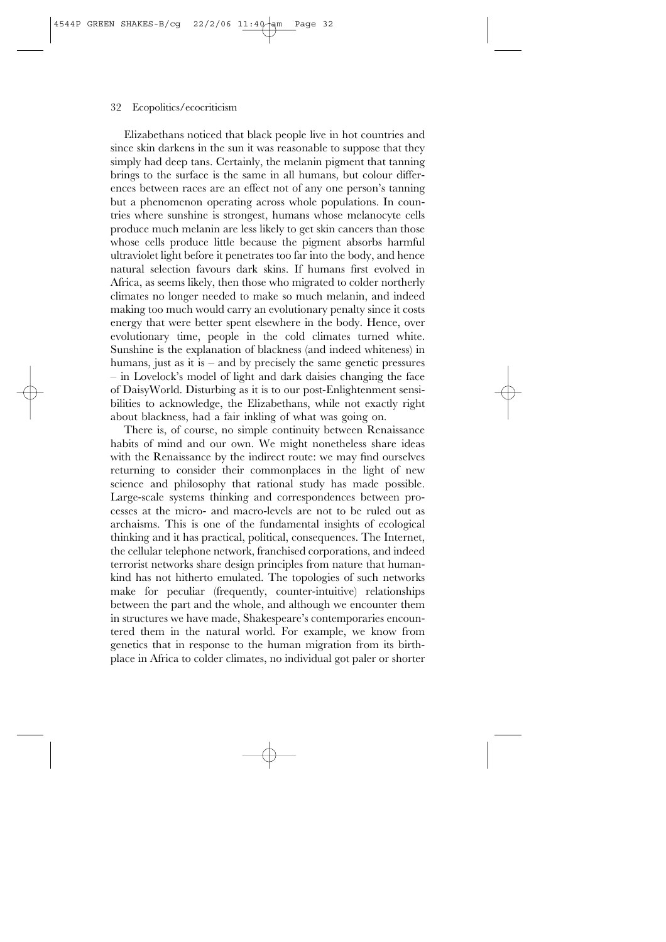Elizabethans noticed that black people live in hot countries and since skin darkens in the sun it was reasonable to suppose that they simply had deep tans. Certainly, the melanin pigment that tanning brings to the surface is the same in all humans, but colour differences between races are an effect not of any one person's tanning but a phenomenon operating across whole populations. In countries where sunshine is strongest, humans whose melanocyte cells produce much melanin are less likely to get skin cancers than those whose cells produce little because the pigment absorbs harmful ultraviolet light before it penetrates too far into the body, and hence natural selection favours dark skins. If humans first evolved in Africa, as seems likely, then those who migrated to colder northerly climates no longer needed to make so much melanin, and indeed making too much would carry an evolutionary penalty since it costs energy that were better spent elsewhere in the body. Hence, over evolutionary time, people in the cold climates turned white. Sunshine is the explanation of blackness (and indeed whiteness) in humans, just as it is – and by precisely the same genetic pressures – in Lovelock's model of light and dark daisies changing the face of DaisyWorld. Disturbing as it is to our post-Enlightenment sensibilities to acknowledge, the Elizabethans, while not exactly right about blackness, had a fair inkling of what was going on.

There is, of course, no simple continuity between Renaissance habits of mind and our own. We might nonetheless share ideas with the Renaissance by the indirect route: we may find ourselves returning to consider their commonplaces in the light of new science and philosophy that rational study has made possible. Large-scale systems thinking and correspondences between processes at the micro- and macro-levels are not to be ruled out as archaisms. This is one of the fundamental insights of ecological thinking and it has practical, political, consequences. The Internet, the cellular telephone network, franchised corporations, and indeed terrorist networks share design principles from nature that humankind has not hitherto emulated. The topologies of such networks make for peculiar (frequently, counter-intuitive) relationships between the part and the whole, and although we encounter them in structures we have made, Shakespeare's contemporaries encountered them in the natural world. For example, we know from genetics that in response to the human migration from its birthplace in Africa to colder climates, no individual got paler or shorter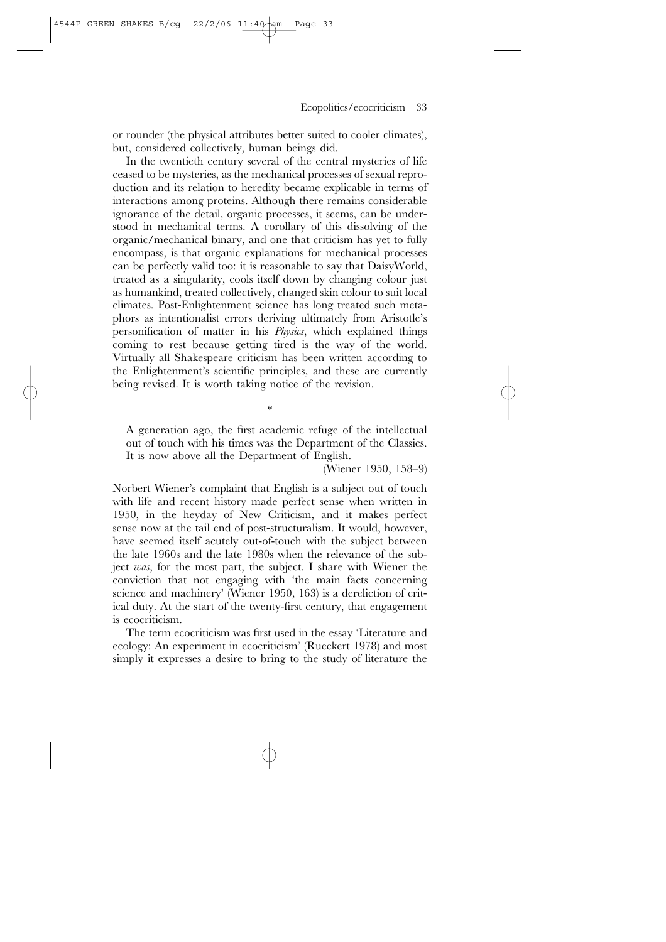or rounder (the physical attributes better suited to cooler climates), but, considered collectively, human beings did.

In the twentieth century several of the central mysteries of life ceased to be mysteries, as the mechanical processes of sexual reproduction and its relation to heredity became explicable in terms of interactions among proteins. Although there remains considerable ignorance of the detail, organic processes, it seems, can be understood in mechanical terms. A corollary of this dissolving of the organic/mechanical binary, and one that criticism has yet to fully encompass, is that organic explanations for mechanical processes can be perfectly valid too: it is reasonable to say that DaisyWorld, treated as a singularity, cools itself down by changing colour just as humankind, treated collectively, changed skin colour to suit local climates. Post-Enlightenment science has long treated such metaphors as intentionalist errors deriving ultimately from Aristotle's personification of matter in his *Physics*, which explained things coming to rest because getting tired is the way of the world. Virtually all Shakespeare criticism has been written according to the Enlightenment's scientific principles, and these are currently being revised. It is worth taking notice of the revision.

A generation ago, the first academic refuge of the intellectual out of touch with his times was the Department of the Classics. It is now above all the Department of English.

\*

(Wiener 1950, 158–9)

Norbert Wiener's complaint that English is a subject out of touch with life and recent history made perfect sense when written in 1950, in the heyday of New Criticism, and it makes perfect sense now at the tail end of post-structuralism. It would, however, have seemed itself acutely out-of-touch with the subject between the late 1960s and the late 1980s when the relevance of the subject *was*, for the most part, the subject. I share with Wiener the conviction that not engaging with 'the main facts concerning science and machinery' (Wiener 1950, 163) is a dereliction of critical duty. At the start of the twenty-first century, that engagement is ecocriticism.

The term ecocriticism was first used in the essay 'Literature and ecology: An experiment in ecocriticism' (Rueckert 1978) and most simply it expresses a desire to bring to the study of literature the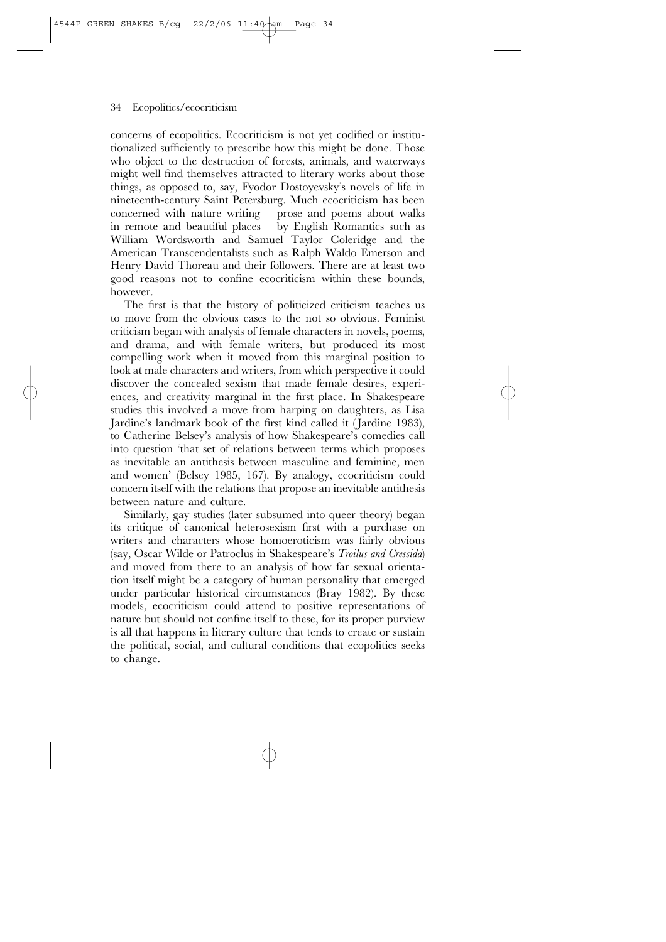concerns of ecopolitics. Ecocriticism is not yet codified or institutionalized sufficiently to prescribe how this might be done. Those who object to the destruction of forests, animals, and waterways might well find themselves attracted to literary works about those things, as opposed to, say, Fyodor Dostoyevsky's novels of life in nineteenth-century Saint Petersburg. Much ecocriticism has been concerned with nature writing – prose and poems about walks in remote and beautiful places – by English Romantics such as William Wordsworth and Samuel Taylor Coleridge and the American Transcendentalists such as Ralph Waldo Emerson and Henry David Thoreau and their followers. There are at least two good reasons not to confine ecocriticism within these bounds, however.

The first is that the history of politicized criticism teaches us to move from the obvious cases to the not so obvious. Feminist criticism began with analysis of female characters in novels, poems, and drama, and with female writers, but produced its most compelling work when it moved from this marginal position to look at male characters and writers, from which perspective it could discover the concealed sexism that made female desires, experiences, and creativity marginal in the first place. In Shakespeare studies this involved a move from harping on daughters, as Lisa Jardine's landmark book of the first kind called it ( Jardine 1983), to Catherine Belsey's analysis of how Shakespeare's comedies call into question 'that set of relations between terms which proposes as inevitable an antithesis between masculine and feminine, men and women' (Belsey 1985, 167). By analogy, ecocriticism could concern itself with the relations that propose an inevitable antithesis between nature and culture.

Similarly, gay studies (later subsumed into queer theory) began its critique of canonical heterosexism first with a purchase on writers and characters whose homoeroticism was fairly obvious (say, Oscar Wilde or Patroclus in Shakespeare's *Troilus and Cressida*) and moved from there to an analysis of how far sexual orientation itself might be a category of human personality that emerged under particular historical circumstances (Bray 1982). By these models, ecocriticism could attend to positive representations of nature but should not confine itself to these, for its proper purview is all that happens in literary culture that tends to create or sustain the political, social, and cultural conditions that ecopolitics seeks to change.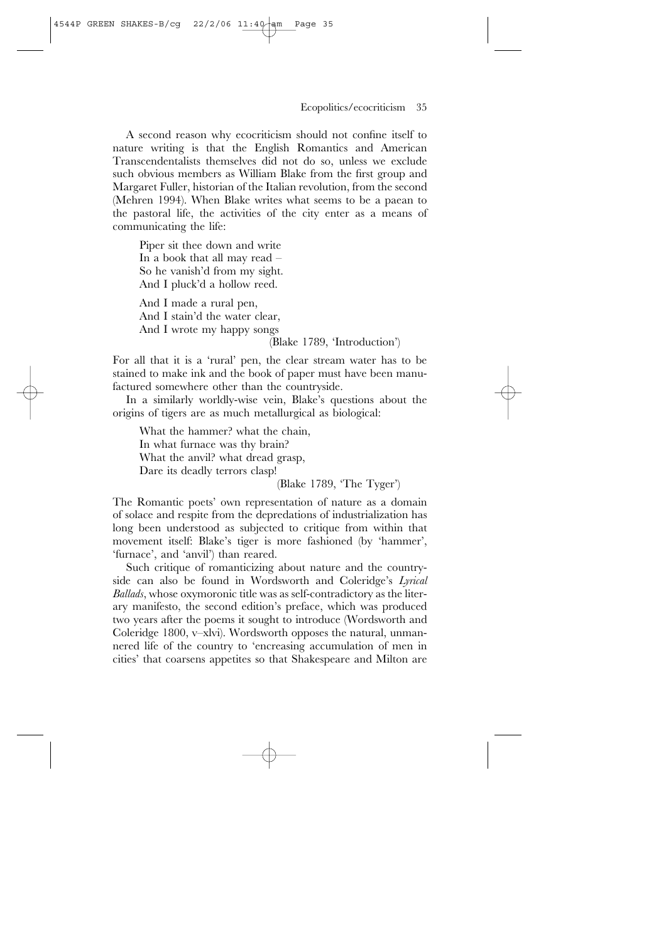A second reason why ecocriticism should not confine itself to nature writing is that the English Romantics and American Transcendentalists themselves did not do so, unless we exclude such obvious members as William Blake from the first group and Margaret Fuller, historian of the Italian revolution, from the second (Mehren 1994). When Blake writes what seems to be a paean to the pastoral life, the activities of the city enter as a means of communicating the life:

Piper sit thee down and write In a book that all may read – So he vanish'd from my sight. And I pluck'd a hollow reed. And I made a rural pen, And I stain'd the water clear,

And I wrote my happy songs

(Blake 1789, 'Introduction')

For all that it is a 'rural' pen, the clear stream water has to be stained to make ink and the book of paper must have been manufactured somewhere other than the countryside.

In a similarly worldly-wise vein, Blake's questions about the origins of tigers are as much metallurgical as biological:

What the hammer? what the chain, In what furnace was thy brain? What the anvil? what dread grasp, Dare its deadly terrors clasp!

(Blake 1789, 'The Tyger')

The Romantic poets' own representation of nature as a domain of solace and respite from the depredations of industrialization has long been understood as subjected to critique from within that movement itself: Blake's tiger is more fashioned (by 'hammer', 'furnace', and 'anvil') than reared.

Such critique of romanticizing about nature and the countryside can also be found in Wordsworth and Coleridge's *Lyrical Ballads*, whose oxymoronic title was as self-contradictory as the literary manifesto, the second edition's preface, which was produced two years after the poems it sought to introduce (Wordsworth and Coleridge 1800, v–xlvi). Wordsworth opposes the natural, unmannered life of the country to 'encreasing accumulation of men in cities' that coarsens appetites so that Shakespeare and Milton are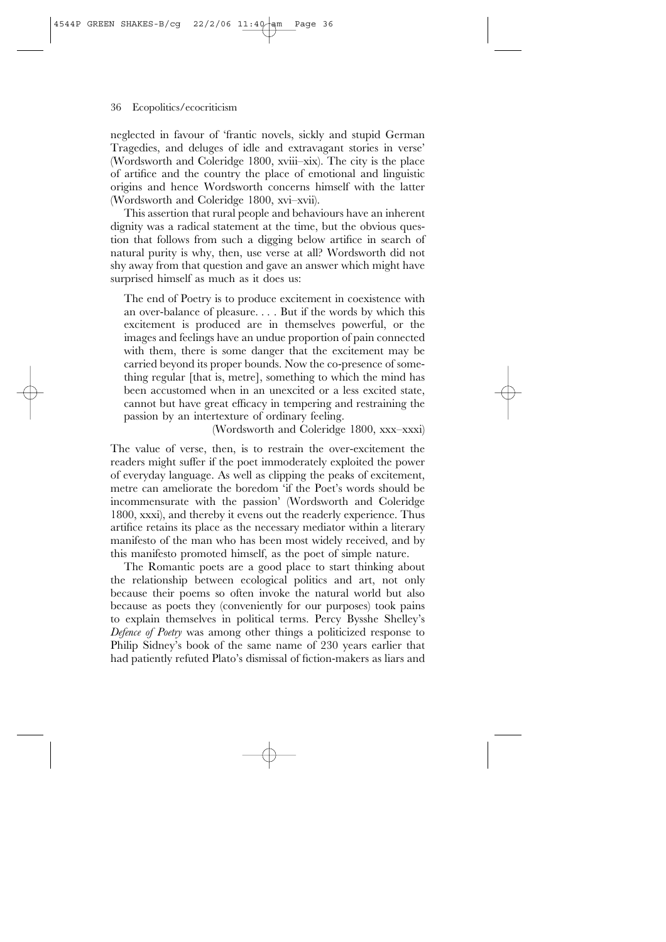neglected in favour of 'frantic novels, sickly and stupid German Tragedies, and deluges of idle and extravagant stories in verse' (Wordsworth and Coleridge 1800, xviii–xix). The city is the place of artifice and the country the place of emotional and linguistic origins and hence Wordsworth concerns himself with the latter (Wordsworth and Coleridge 1800, xvi–xvii).

This assertion that rural people and behaviours have an inherent dignity was a radical statement at the time, but the obvious question that follows from such a digging below artifice in search of natural purity is why, then, use verse at all? Wordsworth did not shy away from that question and gave an answer which might have surprised himself as much as it does us:

The end of Poetry is to produce excitement in coexistence with an over-balance of pleasure. . . . But if the words by which this excitement is produced are in themselves powerful, or the images and feelings have an undue proportion of pain connected with them, there is some danger that the excitement may be carried beyond its proper bounds. Now the co-presence of something regular [that is, metre], something to which the mind has been accustomed when in an unexcited or a less excited state, cannot but have great efficacy in tempering and restraining the passion by an intertexture of ordinary feeling.

(Wordsworth and Coleridge 1800, xxx–xxxi)

The value of verse, then, is to restrain the over-excitement the readers might suffer if the poet immoderately exploited the power of everyday language. As well as clipping the peaks of excitement, metre can ameliorate the boredom 'if the Poet's words should be incommensurate with the passion' (Wordsworth and Coleridge 1800, xxxi), and thereby it evens out the readerly experience. Thus artifice retains its place as the necessary mediator within a literary manifesto of the man who has been most widely received, and by this manifesto promoted himself, as the poet of simple nature.

The Romantic poets are a good place to start thinking about the relationship between ecological politics and art, not only because their poems so often invoke the natural world but also because as poets they (conveniently for our purposes) took pains to explain themselves in political terms. Percy Bysshe Shelley's *Defence of Poetry* was among other things a politicized response to Philip Sidney's book of the same name of 230 years earlier that had patiently refuted Plato's dismissal of fiction-makers as liars and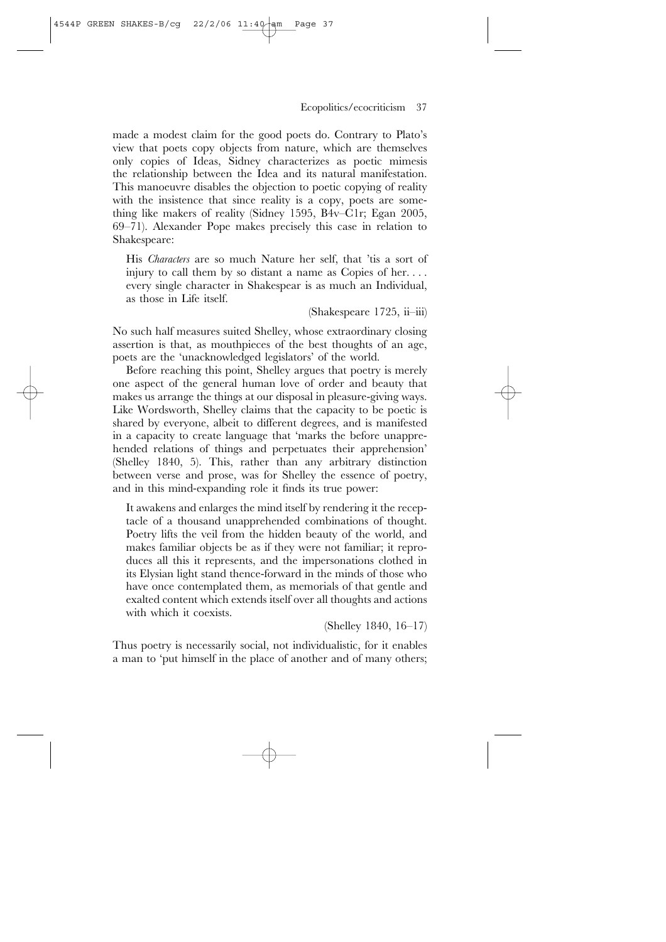made a modest claim for the good poets do. Contrary to Plato's view that poets copy objects from nature, which are themselves only copies of Ideas, Sidney characterizes as poetic mimesis the relationship between the Idea and its natural manifestation. This manoeuvre disables the objection to poetic copying of reality with the insistence that since reality is a copy, poets are something like makers of reality (Sidney 1595, B4v–C1r; Egan 2005, 69–71). Alexander Pope makes precisely this case in relation to Shakespeare:

His *Characters* are so much Nature her self, that 'tis a sort of injury to call them by so distant a name as Copies of her. . . . every single character in Shakespear is as much an Individual, as those in Life itself.

(Shakespeare 1725, ii–iii)

No such half measures suited Shelley, whose extraordinary closing assertion is that, as mouthpieces of the best thoughts of an age, poets are the 'unacknowledged legislators' of the world.

Before reaching this point, Shelley argues that poetry is merely one aspect of the general human love of order and beauty that makes us arrange the things at our disposal in pleasure-giving ways. Like Wordsworth, Shelley claims that the capacity to be poetic is shared by everyone, albeit to different degrees, and is manifested in a capacity to create language that 'marks the before unapprehended relations of things and perpetuates their apprehension' (Shelley 1840, 5). This, rather than any arbitrary distinction between verse and prose, was for Shelley the essence of poetry, and in this mind-expanding role it finds its true power:

It awakens and enlarges the mind itself by rendering it the receptacle of a thousand unapprehended combinations of thought. Poetry lifts the veil from the hidden beauty of the world, and makes familiar objects be as if they were not familiar; it reproduces all this it represents, and the impersonations clothed in its Elysian light stand thence-forward in the minds of those who have once contemplated them, as memorials of that gentle and exalted content which extends itself over all thoughts and actions with which it coexists.

(Shelley 1840, 16–17)

Thus poetry is necessarily social, not individualistic, for it enables a man to 'put himself in the place of another and of many others;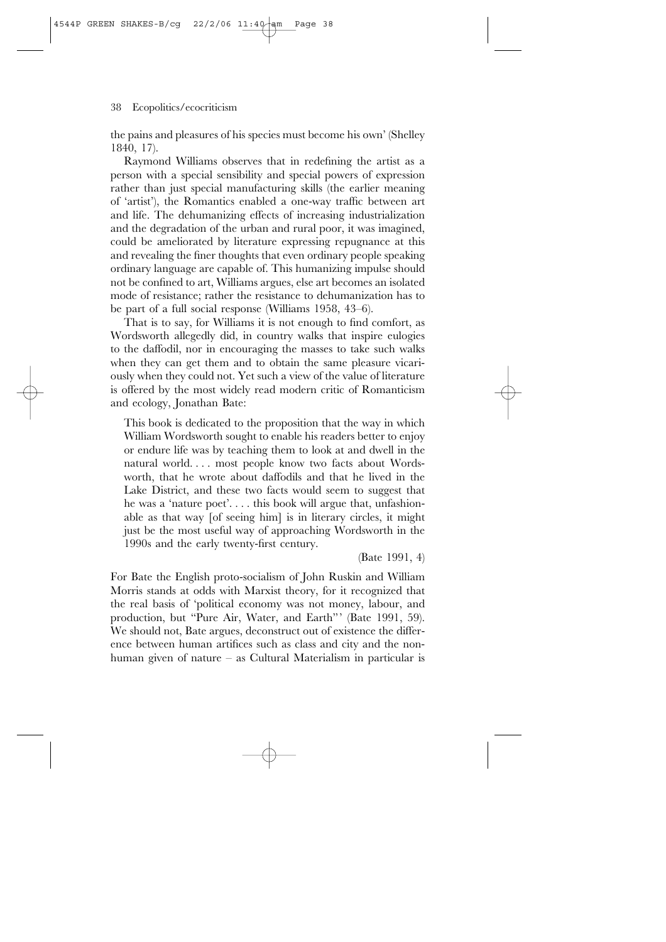the pains and pleasures of his species must become his own' (Shelley 1840, 17).

Raymond Williams observes that in redefining the artist as a person with a special sensibility and special powers of expression rather than just special manufacturing skills (the earlier meaning of 'artist'), the Romantics enabled a one-way traffic between art and life. The dehumanizing effects of increasing industrialization and the degradation of the urban and rural poor, it was imagined, could be ameliorated by literature expressing repugnance at this and revealing the finer thoughts that even ordinary people speaking ordinary language are capable of. This humanizing impulse should not be confined to art, Williams argues, else art becomes an isolated mode of resistance; rather the resistance to dehumanization has to be part of a full social response (Williams 1958, 43–6).

That is to say, for Williams it is not enough to find comfort, as Wordsworth allegedly did, in country walks that inspire eulogies to the daffodil, nor in encouraging the masses to take such walks when they can get them and to obtain the same pleasure vicariously when they could not. Yet such a view of the value of literature is offered by the most widely read modern critic of Romanticism and ecology, Jonathan Bate:

This book is dedicated to the proposition that the way in which William Wordsworth sought to enable his readers better to enjoy or endure life was by teaching them to look at and dwell in the natural world. . . . most people know two facts about Wordsworth, that he wrote about daffodils and that he lived in the Lake District, and these two facts would seem to suggest that he was a 'nature poet'. . . . this book will argue that, unfashionable as that way [of seeing him] is in literary circles, it might just be the most useful way of approaching Wordsworth in the 1990s and the early twenty-first century.

(Bate 1991, 4)

For Bate the English proto-socialism of John Ruskin and William Morris stands at odds with Marxist theory, for it recognized that the real basis of 'political economy was not money, labour, and production, but "Pure Air, Water, and Earth"' (Bate 1991, 59). We should not, Bate argues, deconstruct out of existence the difference between human artifices such as class and city and the nonhuman given of nature – as Cultural Materialism in particular is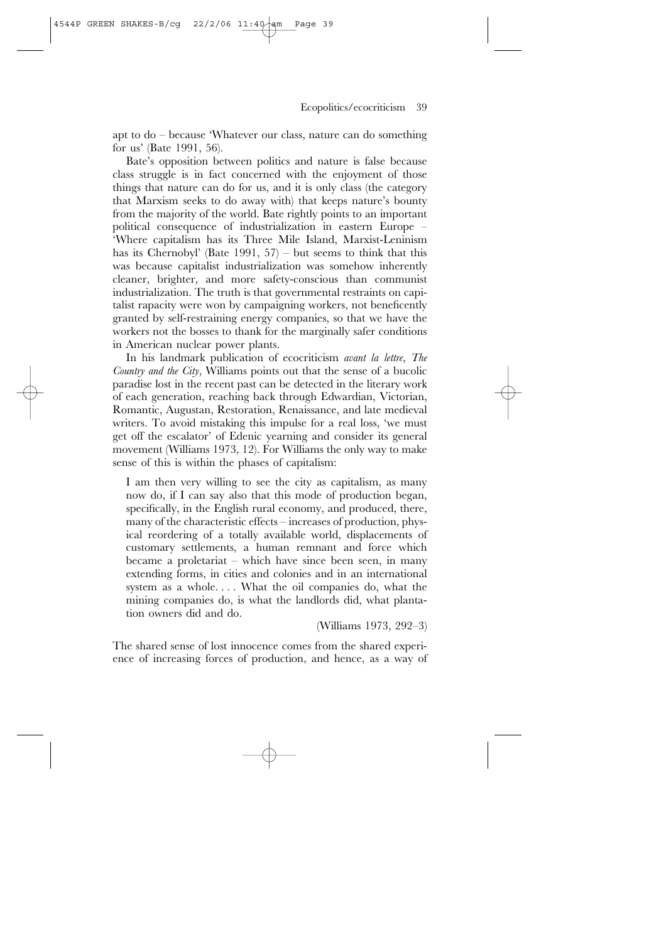apt to do – because 'Whatever our class, nature can do something for us' (Bate 1991, 56).

Bate's opposition between politics and nature is false because class struggle is in fact concerned with the enjoyment of those things that nature can do for us, and it is only class (the category that Marxism seeks to do away with) that keeps nature's bounty from the majority of the world. Bate rightly points to an important political consequence of industrialization in eastern Europe – 'Where capitalism has its Three Mile Island, Marxist-Leninism has its Chernobyl' (Bate 1991,  $57$ ) – but seems to think that this was because capitalist industrialization was somehow inherently cleaner, brighter, and more safety-conscious than communist industrialization. The truth is that governmental restraints on capitalist rapacity were won by campaigning workers, not beneficently granted by self-restraining energy companies, so that we have the workers not the bosses to thank for the marginally safer conditions in American nuclear power plants.

In his landmark publication of ecocriticism *avant la lettre*, *The Country and the City*, Williams points out that the sense of a bucolic paradise lost in the recent past can be detected in the literary work of each generation, reaching back through Edwardian, Victorian, Romantic, Augustan, Restoration, Renaissance, and late medieval writers. To avoid mistaking this impulse for a real loss, 'we must get off the escalator' of Edenic yearning and consider its general movement (Williams 1973, 12). For Williams the only way to make sense of this is within the phases of capitalism:

I am then very willing to see the city as capitalism, as many now do, if I can say also that this mode of production began, specifically, in the English rural economy, and produced, there, many of the characteristic effects – increases of production, physical reordering of a totally available world, displacements of customary settlements, a human remnant and force which became a proletariat – which have since been seen, in many extending forms, in cities and colonies and in an international system as a whole.... What the oil companies do, what the mining companies do, is what the landlords did, what plantation owners did and do.

(Williams 1973, 292–3)

The shared sense of lost innocence comes from the shared experience of increasing forces of production, and hence, as a way of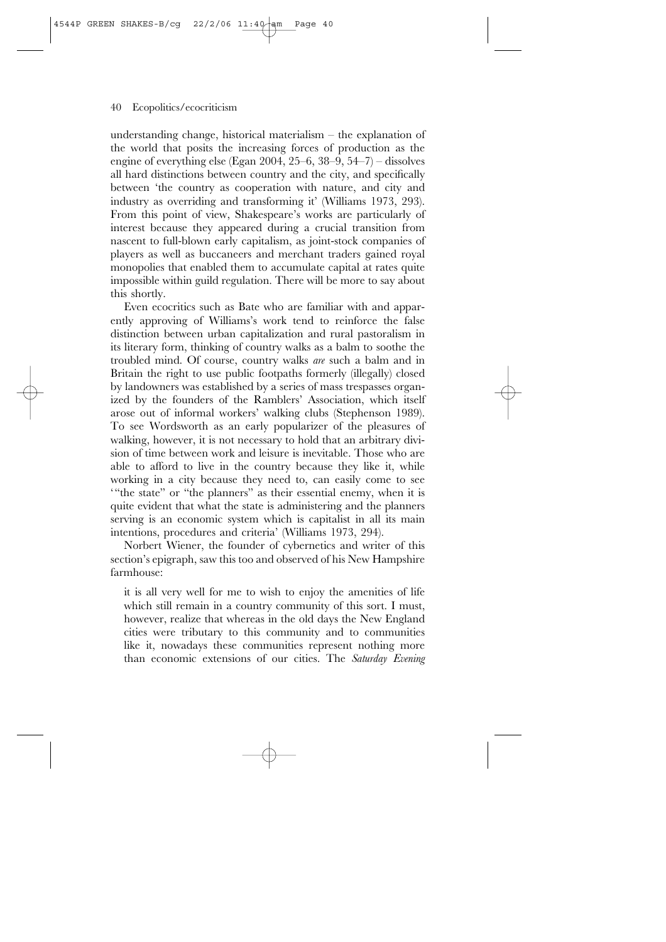understanding change, historical materialism – the explanation of the world that posits the increasing forces of production as the engine of everything else (Egan 2004, 25–6, 38–9, 54–7) – dissolves all hard distinctions between country and the city, and specifically between 'the country as cooperation with nature, and city and industry as overriding and transforming it' (Williams 1973, 293). From this point of view, Shakespeare's works are particularly of interest because they appeared during a crucial transition from nascent to full-blown early capitalism, as joint-stock companies of players as well as buccaneers and merchant traders gained royal monopolies that enabled them to accumulate capital at rates quite impossible within guild regulation. There will be more to say about this shortly.

Even ecocritics such as Bate who are familiar with and apparently approving of Williams's work tend to reinforce the false distinction between urban capitalization and rural pastoralism in its literary form, thinking of country walks as a balm to soothe the troubled mind. Of course, country walks *are* such a balm and in Britain the right to use public footpaths formerly (illegally) closed by landowners was established by a series of mass trespasses organized by the founders of the Ramblers' Association, which itself arose out of informal workers' walking clubs (Stephenson 1989). To see Wordsworth as an early popularizer of the pleasures of walking, however, it is not necessary to hold that an arbitrary division of time between work and leisure is inevitable. Those who are able to afford to live in the country because they like it, while working in a city because they need to, can easily come to see '"the state" or "the planners" as their essential enemy, when it is quite evident that what the state is administering and the planners serving is an economic system which is capitalist in all its main intentions, procedures and criteria' (Williams 1973, 294).

Norbert Wiener, the founder of cybernetics and writer of this section's epigraph, saw this too and observed of his New Hampshire farmhouse:

it is all very well for me to wish to enjoy the amenities of life which still remain in a country community of this sort. I must, however, realize that whereas in the old days the New England cities were tributary to this community and to communities like it, nowadays these communities represent nothing more than economic extensions of our cities. The *Saturday Evening*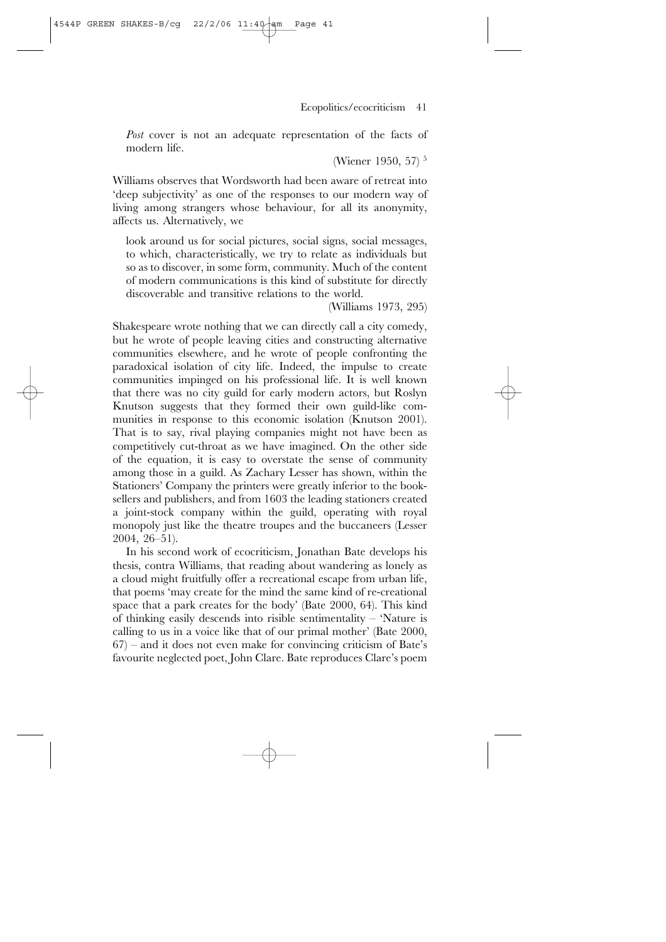*Post* cover is not an adequate representation of the facts of modern life.

(Wiener 1950, 57)<sup>5</sup>

Williams observes that Wordsworth had been aware of retreat into 'deep subjectivity' as one of the responses to our modern way of living among strangers whose behaviour, for all its anonymity, affects us. Alternatively, we

look around us for social pictures, social signs, social messages, to which, characteristically, we try to relate as individuals but so as to discover, in some form, community. Much of the content of modern communications is this kind of substitute for directly discoverable and transitive relations to the world.

(Williams 1973, 295)

Shakespeare wrote nothing that we can directly call a city comedy, but he wrote of people leaving cities and constructing alternative communities elsewhere, and he wrote of people confronting the paradoxical isolation of city life. Indeed, the impulse to create communities impinged on his professional life. It is well known that there was no city guild for early modern actors, but Roslyn Knutson suggests that they formed their own guild-like communities in response to this economic isolation (Knutson 2001). That is to say, rival playing companies might not have been as competitively cut-throat as we have imagined. On the other side of the equation, it is easy to overstate the sense of community among those in a guild. As Zachary Lesser has shown, within the Stationers' Company the printers were greatly inferior to the booksellers and publishers, and from 1603 the leading stationers created a joint-stock company within the guild, operating with royal monopoly just like the theatre troupes and the buccaneers (Lesser 2004, 26–51).

In his second work of ecocriticism, Jonathan Bate develops his thesis, contra Williams, that reading about wandering as lonely as a cloud might fruitfully offer a recreational escape from urban life, that poems 'may create for the mind the same kind of re-creational space that a park creates for the body' (Bate 2000, 64). This kind of thinking easily descends into risible sentimentality – 'Nature is calling to us in a voice like that of our primal mother' (Bate 2000,  $67$  – and it does not even make for convincing criticism of Bate's favourite neglected poet, John Clare. Bate reproduces Clare's poem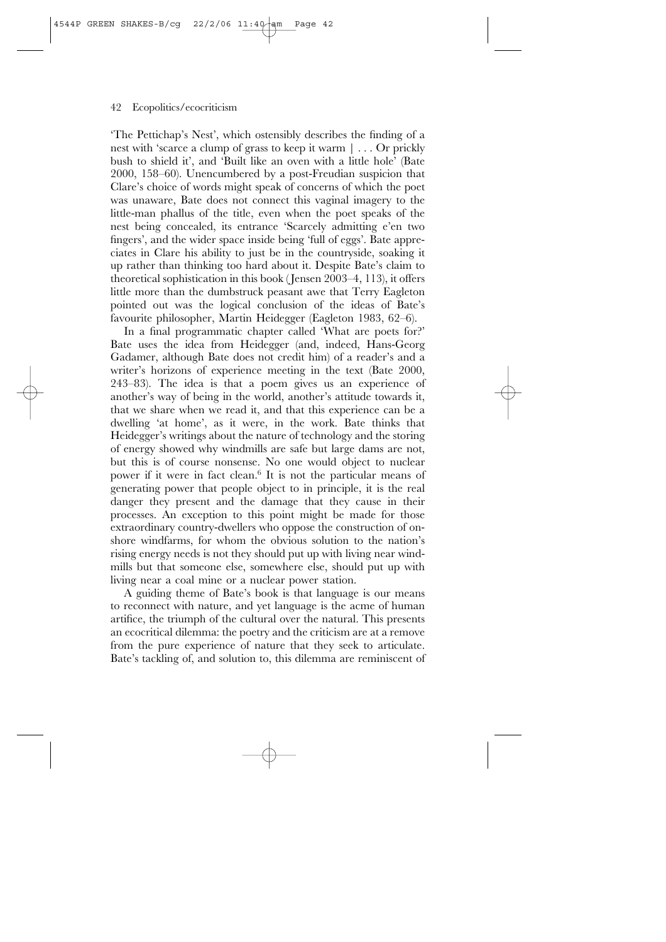'The Pettichap's Nest', which ostensibly describes the finding of a nest with 'scarce a clump of grass to keep it warm | . . . Or prickly bush to shield it', and 'Built like an oven with a little hole' (Bate 2000, 158–60). Unencumbered by a post-Freudian suspicion that Clare's choice of words might speak of concerns of which the poet was unaware, Bate does not connect this vaginal imagery to the little-man phallus of the title, even when the poet speaks of the nest being concealed, its entrance 'Scarcely admitting e'en two fingers', and the wider space inside being 'full of eggs'. Bate appreciates in Clare his ability to just be in the countryside, soaking it up rather than thinking too hard about it. Despite Bate's claim to theoretical sophistication in this book ( Jensen 2003–4, 113), it offers little more than the dumbstruck peasant awe that Terry Eagleton pointed out was the logical conclusion of the ideas of Bate's favourite philosopher, Martin Heidegger (Eagleton 1983, 62–6).

In a final programmatic chapter called 'What are poets for?' Bate uses the idea from Heidegger (and, indeed, Hans-Georg Gadamer, although Bate does not credit him) of a reader's and a writer's horizons of experience meeting in the text (Bate 2000, 243–83). The idea is that a poem gives us an experience of another's way of being in the world, another's attitude towards it, that we share when we read it, and that this experience can be a dwelling 'at home', as it were, in the work. Bate thinks that Heidegger's writings about the nature of technology and the storing of energy showed why windmills are safe but large dams are not, but this is of course nonsense. No one would object to nuclear power if it were in fact clean.6 It is not the particular means of generating power that people object to in principle, it is the real danger they present and the damage that they cause in their processes. An exception to this point might be made for those extraordinary country-dwellers who oppose the construction of onshore windfarms, for whom the obvious solution to the nation's rising energy needs is not they should put up with living near windmills but that someone else, somewhere else, should put up with living near a coal mine or a nuclear power station.

A guiding theme of Bate's book is that language is our means to reconnect with nature, and yet language is the acme of human artifice, the triumph of the cultural over the natural. This presents an ecocritical dilemma: the poetry and the criticism are at a remove from the pure experience of nature that they seek to articulate. Bate's tackling of, and solution to, this dilemma are reminiscent of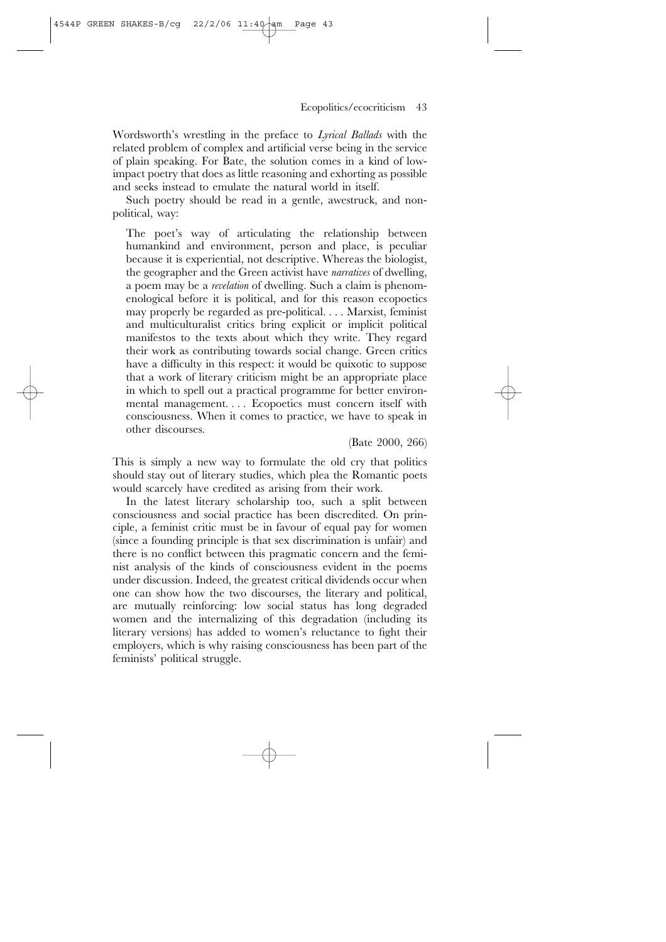Wordsworth's wrestling in the preface to *Lyrical Ballads* with the related problem of complex and artificial verse being in the service of plain speaking. For Bate, the solution comes in a kind of lowimpact poetry that does as little reasoning and exhorting as possible and seeks instead to emulate the natural world in itself.

Such poetry should be read in a gentle, awestruck, and nonpolitical, way:

The poet's way of articulating the relationship between humankind and environment, person and place, is peculiar because it is experiential, not descriptive. Whereas the biologist, the geographer and the Green activist have *narratives* of dwelling, a poem may be a *revelation* of dwelling. Such a claim is phenomenological before it is political, and for this reason ecopoetics may properly be regarded as pre-political. . . . Marxist, feminist and multiculturalist critics bring explicit or implicit political manifestos to the texts about which they write. They regard their work as contributing towards social change. Green critics have a difficulty in this respect: it would be quixotic to suppose that a work of literary criticism might be an appropriate place in which to spell out a practical programme for better environmental management. . . . Ecopoetics must concern itself with consciousness. When it comes to practice, we have to speak in other discourses.

(Bate 2000, 266)

This is simply a new way to formulate the old cry that politics should stay out of literary studies, which plea the Romantic poets would scarcely have credited as arising from their work.

In the latest literary scholarship too, such a split between consciousness and social practice has been discredited. On principle, a feminist critic must be in favour of equal pay for women (since a founding principle is that sex discrimination is unfair) and there is no conflict between this pragmatic concern and the feminist analysis of the kinds of consciousness evident in the poems under discussion. Indeed, the greatest critical dividends occur when one can show how the two discourses, the literary and political, are mutually reinforcing: low social status has long degraded women and the internalizing of this degradation (including its literary versions) has added to women's reluctance to fight their employers, which is why raising consciousness has been part of the feminists' political struggle.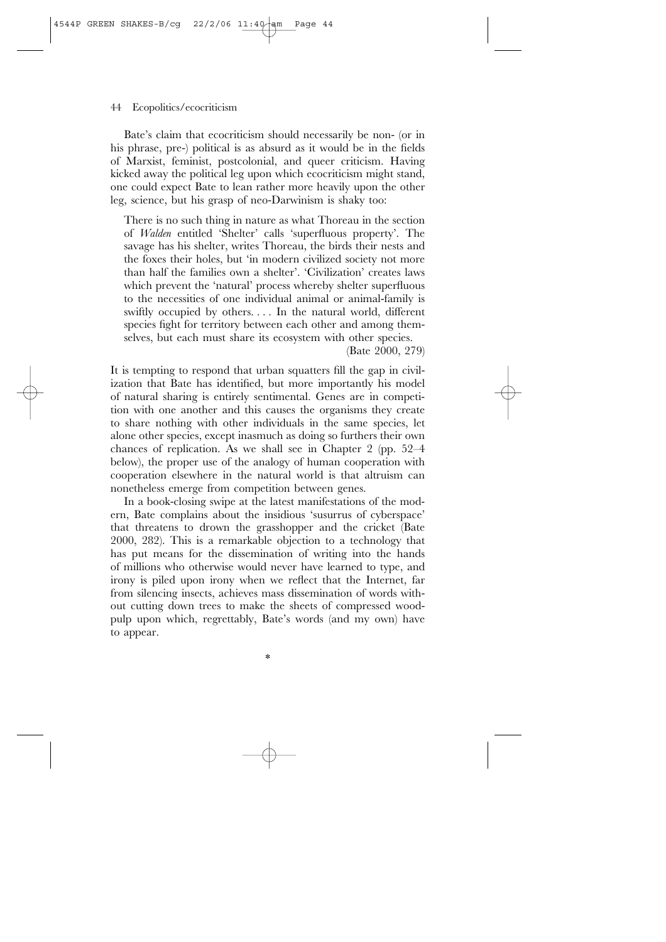Bate's claim that ecocriticism should necessarily be non- (or in his phrase, pre-) political is as absurd as it would be in the fields of Marxist, feminist, postcolonial, and queer criticism. Having kicked away the political leg upon which ecocriticism might stand, one could expect Bate to lean rather more heavily upon the other leg, science, but his grasp of neo-Darwinism is shaky too:

There is no such thing in nature as what Thoreau in the section of *Walden* entitled 'Shelter' calls 'superfluous property'. The savage has his shelter, writes Thoreau, the birds their nests and the foxes their holes, but 'in modern civilized society not more than half the families own a shelter'. 'Civilization' creates laws which prevent the 'natural' process whereby shelter superfluous to the necessities of one individual animal or animal-family is swiftly occupied by others.... In the natural world, different species fight for territory between each other and among themselves, but each must share its ecosystem with other species.

(Bate 2000, 279)

It is tempting to respond that urban squatters fill the gap in civilization that Bate has identified, but more importantly his model of natural sharing is entirely sentimental. Genes are in competition with one another and this causes the organisms they create to share nothing with other individuals in the same species, let alone other species, except inasmuch as doing so furthers their own chances of replication. As we shall see in Chapter 2 (pp. 52–4 below), the proper use of the analogy of human cooperation with cooperation elsewhere in the natural world is that altruism can nonetheless emerge from competition between genes.

In a book-closing swipe at the latest manifestations of the modern, Bate complains about the insidious 'susurrus of cyberspace' that threatens to drown the grasshopper and the cricket (Bate 2000, 282). This is a remarkable objection to a technology that has put means for the dissemination of writing into the hands of millions who otherwise would never have learned to type, and irony is piled upon irony when we reflect that the Internet, far from silencing insects, achieves mass dissemination of words without cutting down trees to make the sheets of compressed woodpulp upon which, regrettably, Bate's words (and my own) have to appear.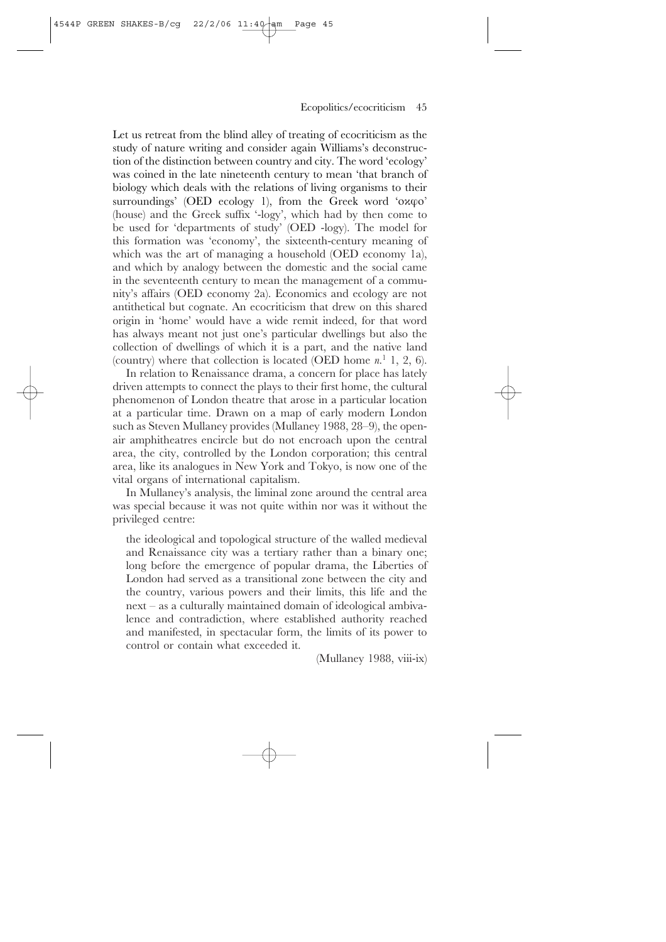Let us retreat from the blind alley of treating of ecocriticism as the study of nature writing and consider again Williams's deconstruction of the distinction between country and city. The word 'ecology' was coined in the late nineteenth century to mean 'that branch of biology which deals with the relations of living organisms to their surroundings' (OED ecology 1), from the Greek word 'οκφο' (house) and the Greek suffix '-logy', which had by then come to be used for 'departments of study' (OED -logy). The model for this formation was 'economy', the sixteenth-century meaning of which was the art of managing a household (OED economy 1a), and which by analogy between the domestic and the social came in the seventeenth century to mean the management of a community's affairs (OED economy 2a). Economics and ecology are not antithetical but cognate. An ecocriticism that drew on this shared origin in 'home' would have a wide remit indeed, for that word has always meant not just one's particular dwellings but also the collection of dwellings of which it is a part, and the native land (country) where that collection is located (OED home  $n<sup>1</sup>$  1, 2, 6).

In relation to Renaissance drama, a concern for place has lately driven attempts to connect the plays to their first home, the cultural phenomenon of London theatre that arose in a particular location at a particular time. Drawn on a map of early modern London such as Steven Mullaney provides (Mullaney 1988, 28–9), the openair amphitheatres encircle but do not encroach upon the central area, the city, controlled by the London corporation; this central area, like its analogues in New York and Tokyo, is now one of the vital organs of international capitalism.

In Mullaney's analysis, the liminal zone around the central area was special because it was not quite within nor was it without the privileged centre:

the ideological and topological structure of the walled medieval and Renaissance city was a tertiary rather than a binary one; long before the emergence of popular drama, the Liberties of London had served as a transitional zone between the city and the country, various powers and their limits, this life and the next – as a culturally maintained domain of ideological ambivalence and contradiction, where established authority reached and manifested, in spectacular form, the limits of its power to control or contain what exceeded it.

(Mullaney 1988, viii-ix)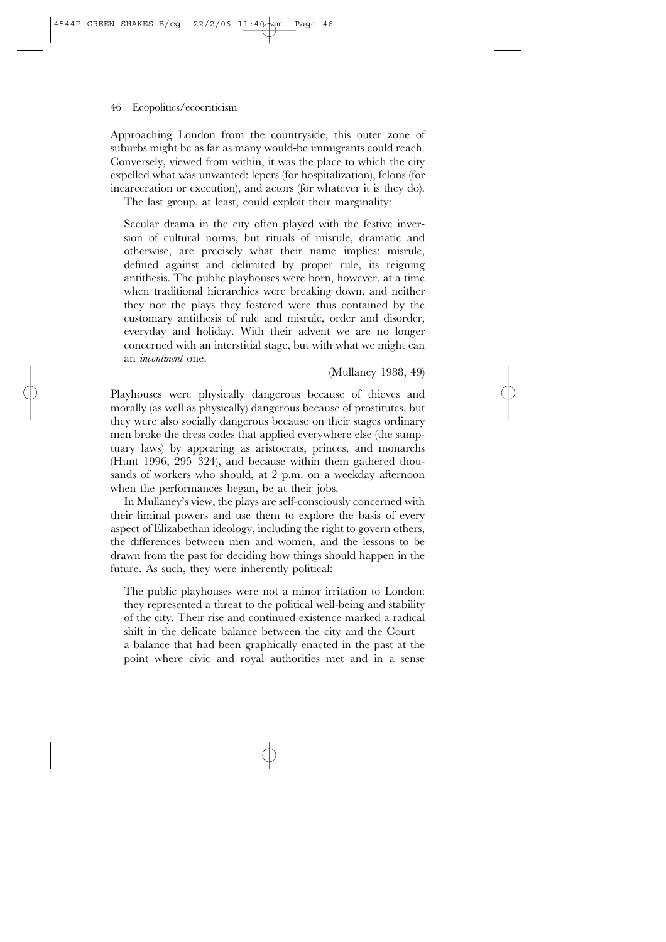Approaching London from the countryside, this outer zone of suburbs might be as far as many would-be immigrants could reach. Conversely, viewed from within, it was the place to which the city expelled what was unwanted: lepers (for hospitalization), felons (for incarceration or execution), and actors (for whatever it is they do).

The last group, at least, could exploit their marginality:

Secular drama in the city often played with the festive inversion of cultural norms, but rituals of misrule, dramatic and otherwise, are precisely what their name implies: misrule, defined against and delimited by proper rule, its reigning antithesis. The public playhouses were born, however, at a time when traditional hierarchies were breaking down, and neither they nor the plays they fostered were thus contained by the customary antithesis of rule and misrule, order and disorder, everyday and holiday. With their advent we are no longer concerned with an interstitial stage, but with what we might can an *incontinent* one.

(Mullaney 1988, 49)

Playhouses were physically dangerous because of thieves and morally (as well as physically) dangerous because of prostitutes, but they were also socially dangerous because on their stages ordinary men broke the dress codes that applied everywhere else (the sumptuary laws) by appearing as aristocrats, princes, and monarchs (Hunt 1996, 295–324), and because within them gathered thousands of workers who should, at 2 p.m. on a weekday afternoon when the performances began, be at their jobs.

In Mullaney's view, the plays are self-consciously concerned with their liminal powers and use them to explore the basis of every aspect of Elizabethan ideology, including the right to govern others, the differences between men and women, and the lessons to be drawn from the past for deciding how things should happen in the future. As such, they were inherently political:

The public playhouses were not a minor irritation to London: they represented a threat to the political well-being and stability of the city. Their rise and continued existence marked a radical shift in the delicate balance between the city and the Court – a balance that had been graphically enacted in the past at the point where civic and royal authorities met and in a sense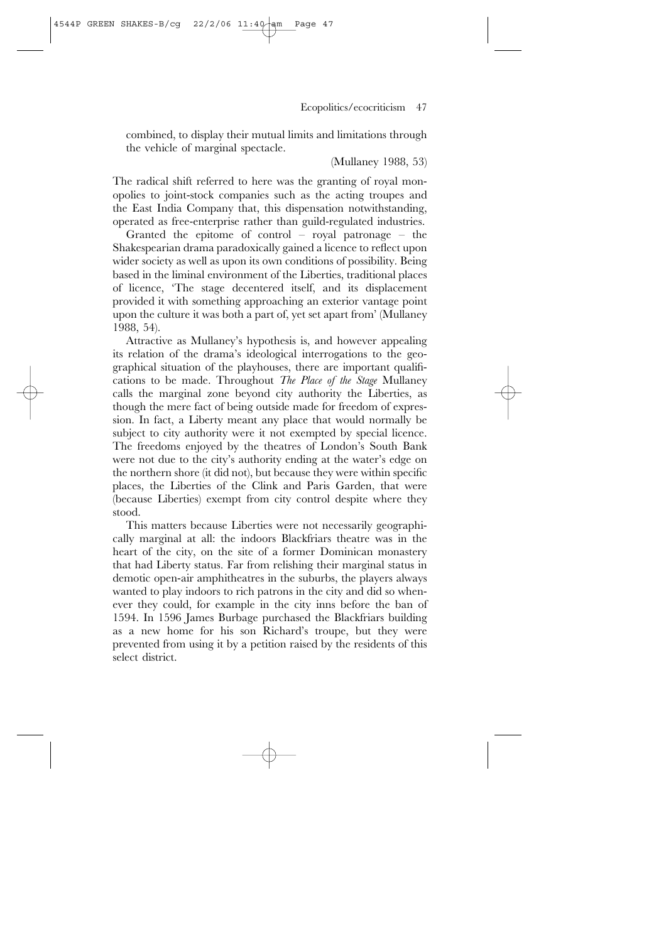combined, to display their mutual limits and limitations through the vehicle of marginal spectacle.

(Mullaney 1988, 53)

The radical shift referred to here was the granting of royal monopolies to joint-stock companies such as the acting troupes and the East India Company that, this dispensation notwithstanding, operated as free-enterprise rather than guild-regulated industries.

Granted the epitome of control – royal patronage – the Shakespearian drama paradoxically gained a licence to reflect upon wider society as well as upon its own conditions of possibility. Being based in the liminal environment of the Liberties, traditional places of licence, 'The stage decentered itself, and its displacement provided it with something approaching an exterior vantage point upon the culture it was both a part of, yet set apart from' (Mullaney 1988, 54).

Attractive as Mullaney's hypothesis is, and however appealing its relation of the drama's ideological interrogations to the geographical situation of the playhouses, there are important qualifications to be made. Throughout *The Place of the Stage* Mullaney calls the marginal zone beyond city authority the Liberties, as though the mere fact of being outside made for freedom of expression. In fact, a Liberty meant any place that would normally be subject to city authority were it not exempted by special licence. The freedoms enjoyed by the theatres of London's South Bank were not due to the city's authority ending at the water's edge on the northern shore (it did not), but because they were within specific places, the Liberties of the Clink and Paris Garden, that were (because Liberties) exempt from city control despite where they stood.

This matters because Liberties were not necessarily geographically marginal at all: the indoors Blackfriars theatre was in the heart of the city, on the site of a former Dominican monastery that had Liberty status. Far from relishing their marginal status in demotic open-air amphitheatres in the suburbs, the players always wanted to play indoors to rich patrons in the city and did so whenever they could, for example in the city inns before the ban of 1594. In 1596 James Burbage purchased the Blackfriars building as a new home for his son Richard's troupe, but they were prevented from using it by a petition raised by the residents of this select district.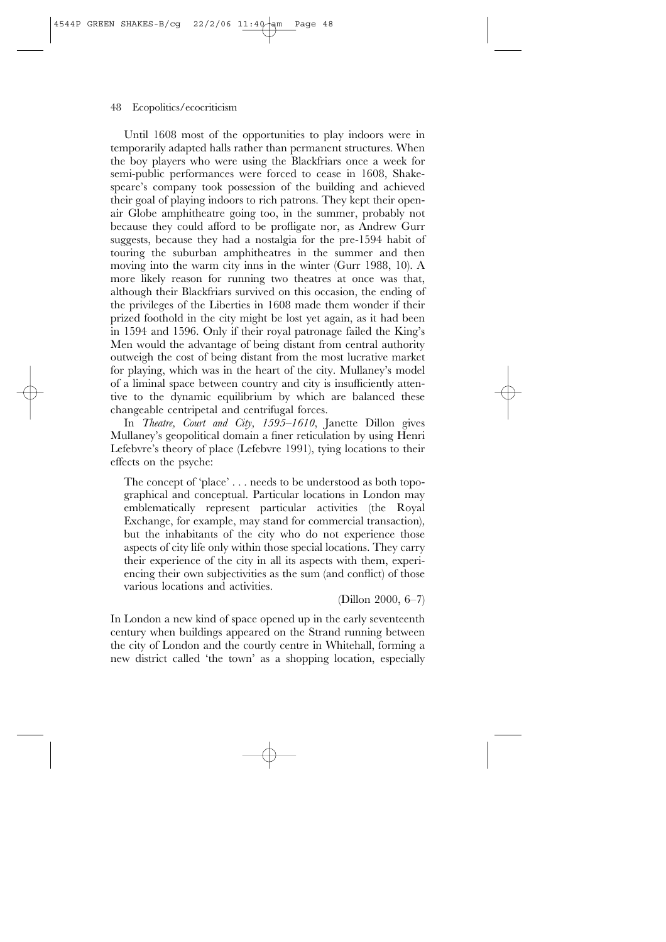Until 1608 most of the opportunities to play indoors were in temporarily adapted halls rather than permanent structures. When the boy players who were using the Blackfriars once a week for semi-public performances were forced to cease in 1608, Shakespeare's company took possession of the building and achieved their goal of playing indoors to rich patrons. They kept their openair Globe amphitheatre going too, in the summer, probably not because they could afford to be profligate nor, as Andrew Gurr suggests, because they had a nostalgia for the pre-1594 habit of touring the suburban amphitheatres in the summer and then moving into the warm city inns in the winter (Gurr 1988, 10). A more likely reason for running two theatres at once was that, although their Blackfriars survived on this occasion, the ending of the privileges of the Liberties in 1608 made them wonder if their prized foothold in the city might be lost yet again, as it had been in 1594 and 1596. Only if their royal patronage failed the King's Men would the advantage of being distant from central authority outweigh the cost of being distant from the most lucrative market for playing, which was in the heart of the city. Mullaney's model of a liminal space between country and city is insufficiently attentive to the dynamic equilibrium by which are balanced these changeable centripetal and centrifugal forces.

In *Theatre, Court and City, 1595–1610*, Janette Dillon gives Mullaney's geopolitical domain a finer reticulation by using Henri Lefebvre's theory of place (Lefebvre 1991), tying locations to their effects on the psyche:

The concept of 'place' . . . needs to be understood as both topographical and conceptual. Particular locations in London may emblematically represent particular activities (the Royal Exchange, for example, may stand for commercial transaction), but the inhabitants of the city who do not experience those aspects of city life only within those special locations. They carry their experience of the city in all its aspects with them, experiencing their own subjectivities as the sum (and conflict) of those various locations and activities.

(Dillon 2000, 6–7)

In London a new kind of space opened up in the early seventeenth century when buildings appeared on the Strand running between the city of London and the courtly centre in Whitehall, forming a new district called 'the town' as a shopping location, especially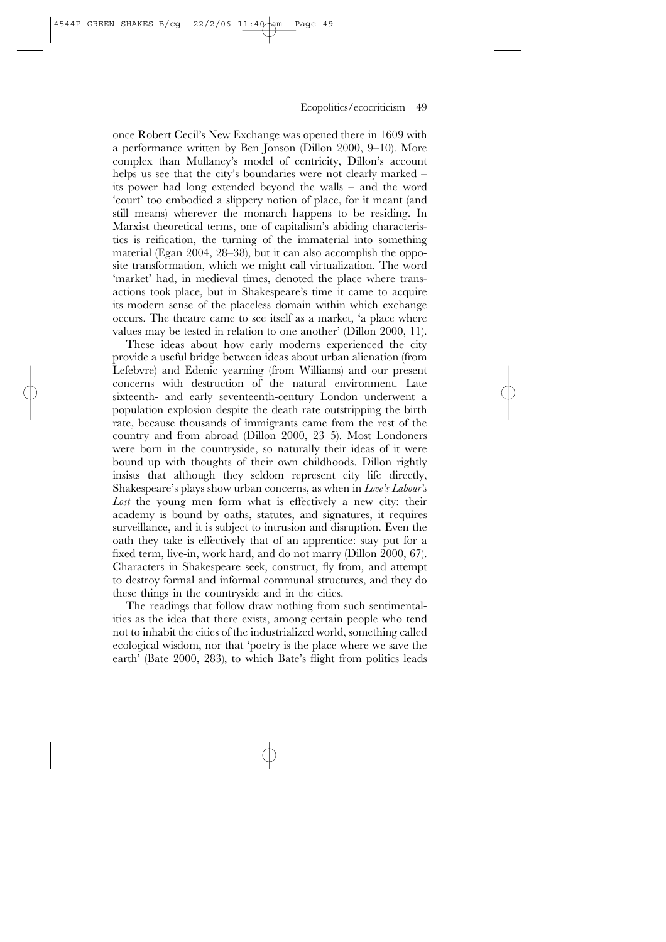once Robert Cecil's New Exchange was opened there in 1609 with a performance written by Ben Jonson (Dillon 2000, 9–10). More complex than Mullaney's model of centricity, Dillon's account helps us see that the city's boundaries were not clearly marked – its power had long extended beyond the walls – and the word 'court' too embodied a slippery notion of place, for it meant (and still means) wherever the monarch happens to be residing. In Marxist theoretical terms, one of capitalism's abiding characteristics is reification, the turning of the immaterial into something material (Egan 2004, 28–38), but it can also accomplish the opposite transformation, which we might call virtualization. The word 'market' had, in medieval times, denoted the place where transactions took place, but in Shakespeare's time it came to acquire its modern sense of the placeless domain within which exchange occurs. The theatre came to see itself as a market, 'a place where values may be tested in relation to one another' (Dillon 2000, 11).

These ideas about how early moderns experienced the city provide a useful bridge between ideas about urban alienation (from Lefebvre) and Edenic yearning (from Williams) and our present concerns with destruction of the natural environment. Late sixteenth- and early seventeenth-century London underwent a population explosion despite the death rate outstripping the birth rate, because thousands of immigrants came from the rest of the country and from abroad (Dillon 2000, 23–5). Most Londoners were born in the countryside, so naturally their ideas of it were bound up with thoughts of their own childhoods. Dillon rightly insists that although they seldom represent city life directly, Shakespeare's plays show urban concerns, as when in *Love's Labour's Lost* the young men form what is effectively a new city: their academy is bound by oaths, statutes, and signatures, it requires surveillance, and it is subject to intrusion and disruption. Even the oath they take is effectively that of an apprentice: stay put for a fixed term, live-in, work hard, and do not marry (Dillon 2000, 67). Characters in Shakespeare seek, construct, fly from, and attempt to destroy formal and informal communal structures, and they do these things in the countryside and in the cities.

The readings that follow draw nothing from such sentimentalities as the idea that there exists, among certain people who tend not to inhabit the cities of the industrialized world, something called ecological wisdom, nor that 'poetry is the place where we save the earth' (Bate 2000, 283), to which Bate's flight from politics leads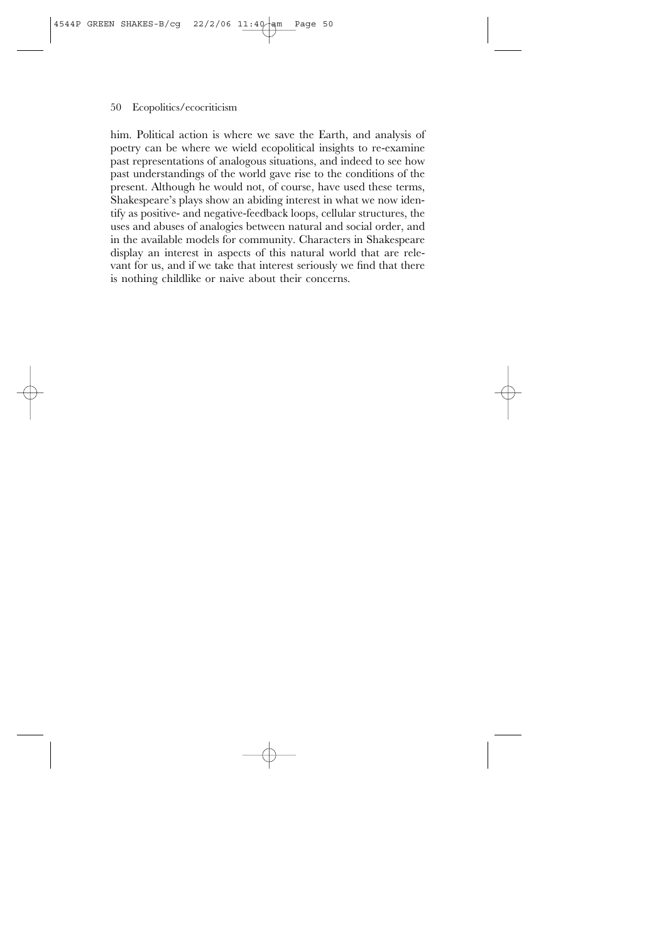him. Political action is where we save the Earth, and analysis of poetry can be where we wield ecopolitical insights to re-examine past representations of analogous situations, and indeed to see how past understandings of the world gave rise to the conditions of the present. Although he would not, of course, have used these terms, Shakespeare's plays show an abiding interest in what we now identify as positive- and negative-feedback loops, cellular structures, the uses and abuses of analogies between natural and social order, and in the available models for community. Characters in Shakespeare display an interest in aspects of this natural world that are relevant for us, and if we take that interest seriously we find that there is nothing childlike or naive about their concerns.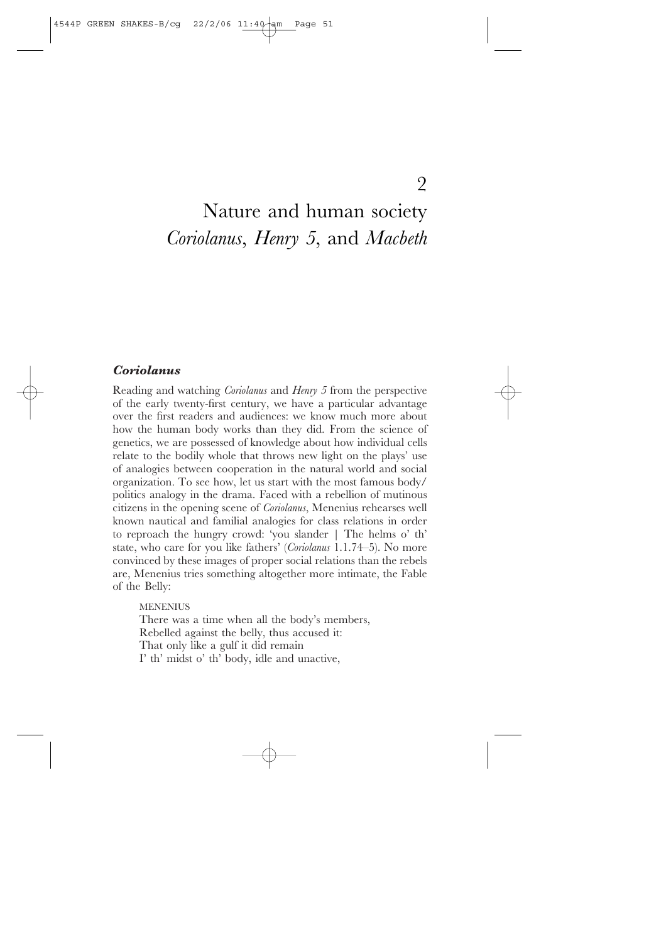## Nature and human society *Coriolanus*, *Henry 5*, and *Macbeth*

## *Coriolanus*

Reading and watching *Coriolanus* and *Henry 5* from the perspective of the early twenty-first century, we have a particular advantage over the first readers and audiences: we know much more about how the human body works than they did. From the science of genetics, we are possessed of knowledge about how individual cells relate to the bodily whole that throws new light on the plays' use of analogies between cooperation in the natural world and social organization. To see how, let us start with the most famous body/ politics analogy in the drama. Faced with a rebellion of mutinous citizens in the opening scene of *Coriolanus*, Menenius rehearses well known nautical and familial analogies for class relations in order to reproach the hungry crowd: 'you slander | The helms o' th' state, who care for you like fathers' (*Coriolanus* 1.1.74–5). No more convinced by these images of proper social relations than the rebels are, Menenius tries something altogether more intimate, the Fable of the Belly:

## **MENENIUS**

There was a time when all the body's members, Rebelled against the belly, thus accused it: That only like a gulf it did remain I' th' midst o' th' body, idle and unactive,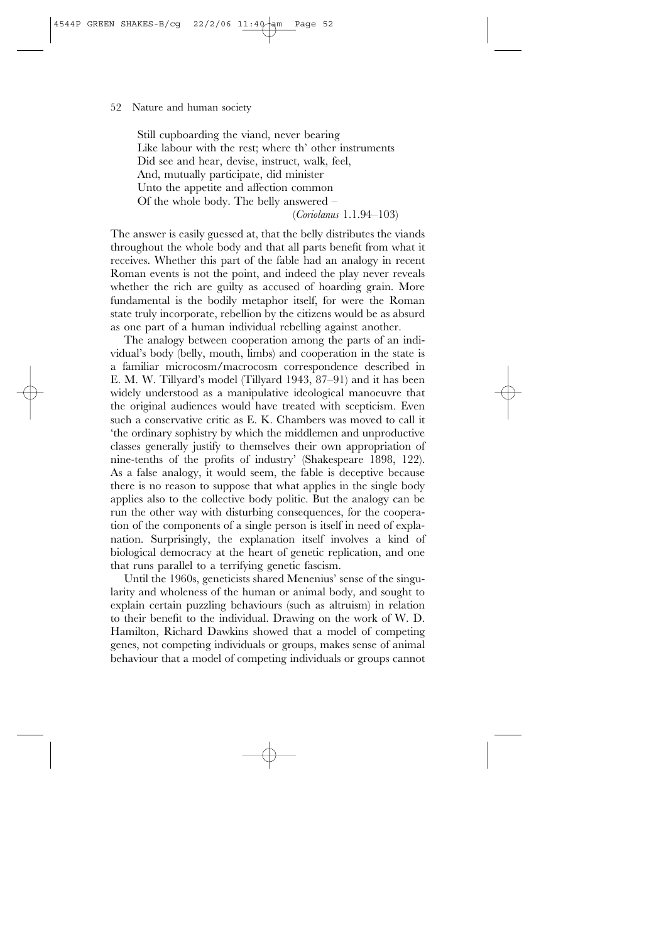Still cupboarding the viand, never bearing Like labour with the rest; where th' other instruments Did see and hear, devise, instruct, walk, feel, And, mutually participate, did minister Unto the appetite and affection common Of the whole body. The belly answered – (*Coriolanus* 1.1.94–103)

The answer is easily guessed at, that the belly distributes the viands throughout the whole body and that all parts benefit from what it receives. Whether this part of the fable had an analogy in recent Roman events is not the point, and indeed the play never reveals whether the rich are guilty as accused of hoarding grain. More fundamental is the bodily metaphor itself, for were the Roman state truly incorporate, rebellion by the citizens would be as absurd as one part of a human individual rebelling against another.

The analogy between cooperation among the parts of an individual's body (belly, mouth, limbs) and cooperation in the state is a familiar microcosm/macrocosm correspondence described in E. M. W. Tillyard's model (Tillyard 1943, 87–91) and it has been widely understood as a manipulative ideological manoeuvre that the original audiences would have treated with scepticism. Even such a conservative critic as E. K. Chambers was moved to call it 'the ordinary sophistry by which the middlemen and unproductive classes generally justify to themselves their own appropriation of nine-tenths of the profits of industry' (Shakespeare 1898, 122). As a false analogy, it would seem, the fable is deceptive because there is no reason to suppose that what applies in the single body applies also to the collective body politic. But the analogy can be run the other way with disturbing consequences, for the cooperation of the components of a single person is itself in need of explanation. Surprisingly, the explanation itself involves a kind of biological democracy at the heart of genetic replication, and one that runs parallel to a terrifying genetic fascism.

Until the 1960s, geneticists shared Menenius' sense of the singularity and wholeness of the human or animal body, and sought to explain certain puzzling behaviours (such as altruism) in relation to their benefit to the individual. Drawing on the work of W. D. Hamilton, Richard Dawkins showed that a model of competing genes, not competing individuals or groups, makes sense of animal behaviour that a model of competing individuals or groups cannot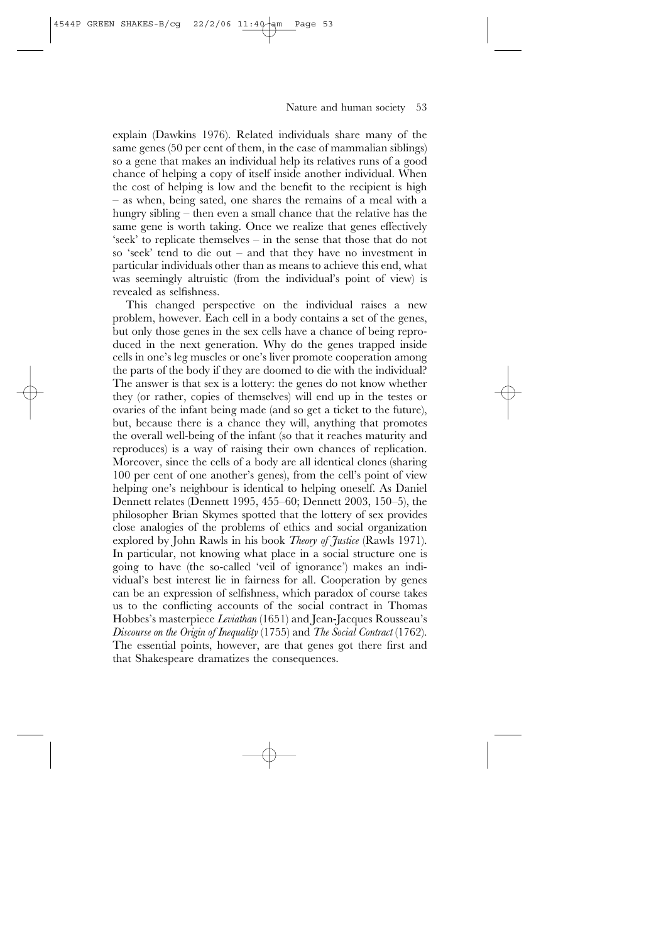explain (Dawkins 1976). Related individuals share many of the same genes (50 per cent of them, in the case of mammalian siblings) so a gene that makes an individual help its relatives runs of a good chance of helping a copy of itself inside another individual. When the cost of helping is low and the benefit to the recipient is high – as when, being sated, one shares the remains of a meal with a hungry sibling – then even a small chance that the relative has the same gene is worth taking. Once we realize that genes effectively 'seek' to replicate themselves – in the sense that those that do not so 'seek' tend to die out – and that they have no investment in particular individuals other than as means to achieve this end, what was seemingly altruistic (from the individual's point of view) is revealed as selfishness.

This changed perspective on the individual raises a new problem, however. Each cell in a body contains a set of the genes, but only those genes in the sex cells have a chance of being reproduced in the next generation. Why do the genes trapped inside cells in one's leg muscles or one's liver promote cooperation among the parts of the body if they are doomed to die with the individual? The answer is that sex is a lottery: the genes do not know whether they (or rather, copies of themselves) will end up in the testes or ovaries of the infant being made (and so get a ticket to the future), but, because there is a chance they will, anything that promotes the overall well-being of the infant (so that it reaches maturity and reproduces) is a way of raising their own chances of replication. Moreover, since the cells of a body are all identical clones (sharing 100 per cent of one another's genes), from the cell's point of view helping one's neighbour is identical to helping oneself. As Daniel Dennett relates (Dennett 1995, 455–60; Dennett 2003, 150–5), the philosopher Brian Skymes spotted that the lottery of sex provides close analogies of the problems of ethics and social organization explored by John Rawls in his book *Theory of Justice* (Rawls 1971). In particular, not knowing what place in a social structure one is going to have (the so-called 'veil of ignorance') makes an individual's best interest lie in fairness for all. Cooperation by genes can be an expression of selfishness, which paradox of course takes us to the conflicting accounts of the social contract in Thomas Hobbes's masterpiece *Leviathan* (1651) and Jean-Jacques Rousseau's *Discourse on the Origin of Inequality* (1755) and *The Social Contract* (1762). The essential points, however, are that genes got there first and that Shakespeare dramatizes the consequences.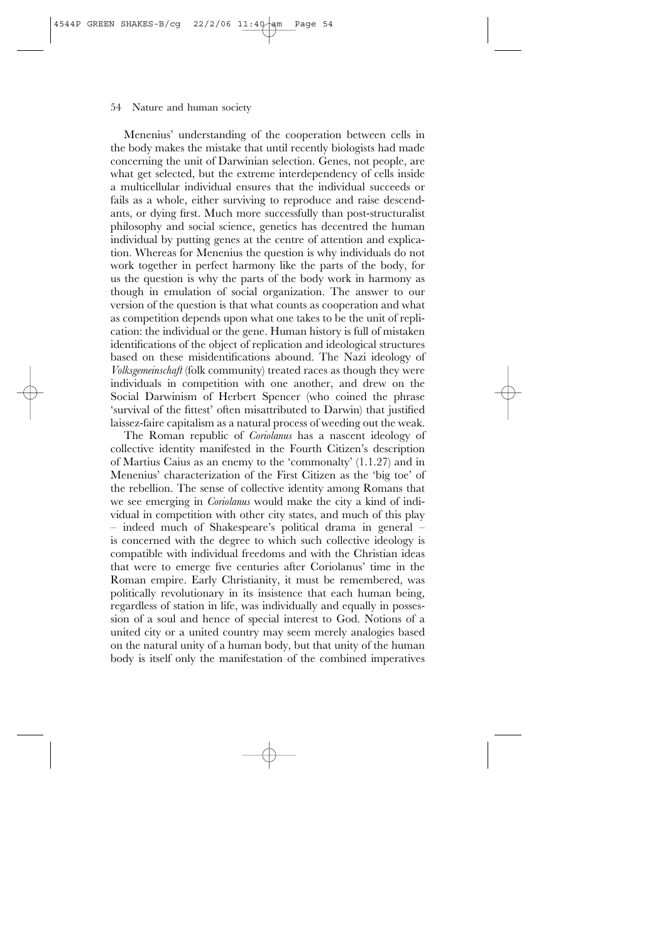Menenius' understanding of the cooperation between cells in the body makes the mistake that until recently biologists had made concerning the unit of Darwinian selection. Genes, not people, are what get selected, but the extreme interdependency of cells inside a multicellular individual ensures that the individual succeeds or fails as a whole, either surviving to reproduce and raise descendants, or dying first. Much more successfully than post-structuralist philosophy and social science, genetics has decentred the human individual by putting genes at the centre of attention and explication. Whereas for Menenius the question is why individuals do not work together in perfect harmony like the parts of the body, for us the question is why the parts of the body work in harmony as though in emulation of social organization. The answer to our version of the question is that what counts as cooperation and what as competition depends upon what one takes to be the unit of replication: the individual or the gene. Human history is full of mistaken identifications of the object of replication and ideological structures based on these misidentifications abound. The Nazi ideology of *Volksgemeinschaft* (folk community) treated races as though they were individuals in competition with one another, and drew on the Social Darwinism of Herbert Spencer (who coined the phrase 'survival of the fittest' often misattributed to Darwin) that justified laissez-faire capitalism as a natural process of weeding out the weak.

The Roman republic of *Coriolanus* has a nascent ideology of collective identity manifested in the Fourth Citizen's description of Martius Caius as an enemy to the 'commonalty' (1.1.27) and in Menenius' characterization of the First Citizen as the 'big toe' of the rebellion. The sense of collective identity among Romans that we see emerging in *Coriolanus* would make the city a kind of individual in competition with other city states, and much of this play – indeed much of Shakespeare's political drama in general – is concerned with the degree to which such collective ideology is compatible with individual freedoms and with the Christian ideas that were to emerge five centuries after Coriolanus' time in the Roman empire. Early Christianity, it must be remembered, was politically revolutionary in its insistence that each human being, regardless of station in life, was individually and equally in possession of a soul and hence of special interest to God. Notions of a united city or a united country may seem merely analogies based on the natural unity of a human body, but that unity of the human body is itself only the manifestation of the combined imperatives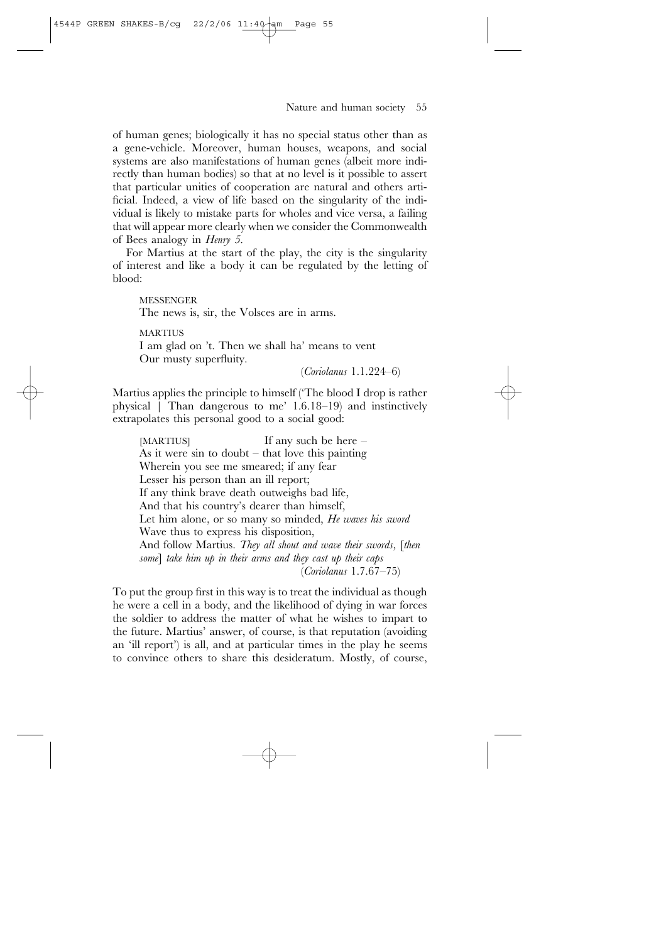of human genes; biologically it has no special status other than as a gene-vehicle. Moreover, human houses, weapons, and social systems are also manifestations of human genes (albeit more indirectly than human bodies) so that at no level is it possible to assert that particular unities of cooperation are natural and others artificial. Indeed, a view of life based on the singularity of the individual is likely to mistake parts for wholes and vice versa, a failing that will appear more clearly when we consider the Commonwealth of Bees analogy in *Henry 5*.

For Martius at the start of the play, the city is the singularity of interest and like a body it can be regulated by the letting of blood:

**MESSENGER** 

The news is, sir, the Volsces are in arms.

**MARTIUS** I am glad on 't. Then we shall ha' means to vent Our musty superfluity.

(*Coriolanus* 1.1.224–6)

Martius applies the principle to himself ('The blood I drop is rather physical | Than dangerous to me' 1.6.18–19) and instinctively extrapolates this personal good to a social good:

[MARTIUS] If any such be here – As it were sin to doubt – that love this painting Wherein you see me smeared; if any fear Lesser his person than an ill report; If any think brave death outweighs bad life, And that his country's dearer than himself, Let him alone, or so many so minded, *He waves his sword* Wave thus to express his disposition, And follow Martius. *They all shout and wave their swords*, [*then some*] *take him up in their arms and they cast up their caps* (*Coriolanus* 1.7.67–75)

To put the group first in this way is to treat the individual as though he were a cell in a body, and the likelihood of dying in war forces the soldier to address the matter of what he wishes to impart to the future. Martius' answer, of course, is that reputation (avoiding an 'ill report') is all, and at particular times in the play he seems to convince others to share this desideratum. Mostly, of course,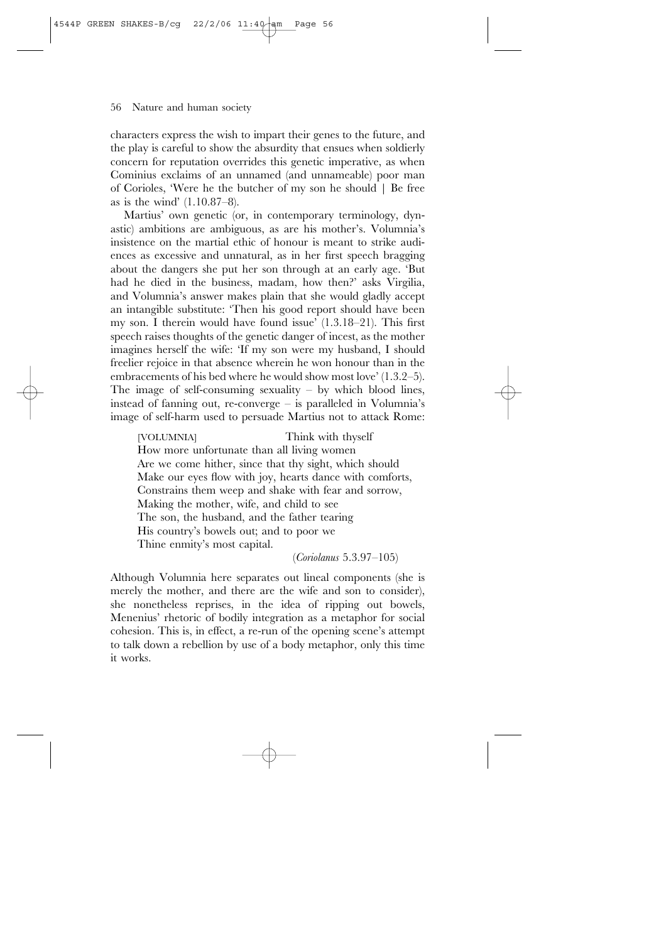characters express the wish to impart their genes to the future, and the play is careful to show the absurdity that ensues when soldierly concern for reputation overrides this genetic imperative, as when Cominius exclaims of an unnamed (and unnameable) poor man of Corioles, 'Were he the butcher of my son he should | Be free as is the wind' (1.10.87–8).

Martius' own genetic (or, in contemporary terminology, dynastic) ambitions are ambiguous, as are his mother's. Volumnia's insistence on the martial ethic of honour is meant to strike audiences as excessive and unnatural, as in her first speech bragging about the dangers she put her son through at an early age. 'But had he died in the business, madam, how then?' asks Virgilia, and Volumnia's answer makes plain that she would gladly accept an intangible substitute: 'Then his good report should have been my son. I therein would have found issue' (1.3.18–21). This first speech raises thoughts of the genetic danger of incest, as the mother imagines herself the wife: 'If my son were my husband, I should freelier rejoice in that absence wherein he won honour than in the embracements of his bed where he would show most love' (1.3.2–5). The image of self-consuming sexuality  $-$  by which blood lines, instead of fanning out, re-converge – is paralleled in Volumnia's image of self-harm used to persuade Martius not to attack Rome:

[VOLUMNIA] Think with thyself How more unfortunate than all living women Are we come hither, since that thy sight, which should Make our eyes flow with joy, hearts dance with comforts, Constrains them weep and shake with fear and sorrow, Making the mother, wife, and child to see The son, the husband, and the father tearing His country's bowels out; and to poor we Thine enmity's most capital.

(*Coriolanus* 5.3.97–105)

Although Volumnia here separates out lineal components (she is merely the mother, and there are the wife and son to consider), she nonetheless reprises, in the idea of ripping out bowels, Menenius' rhetoric of bodily integration as a metaphor for social cohesion. This is, in effect, a re-run of the opening scene's attempt to talk down a rebellion by use of a body metaphor, only this time it works.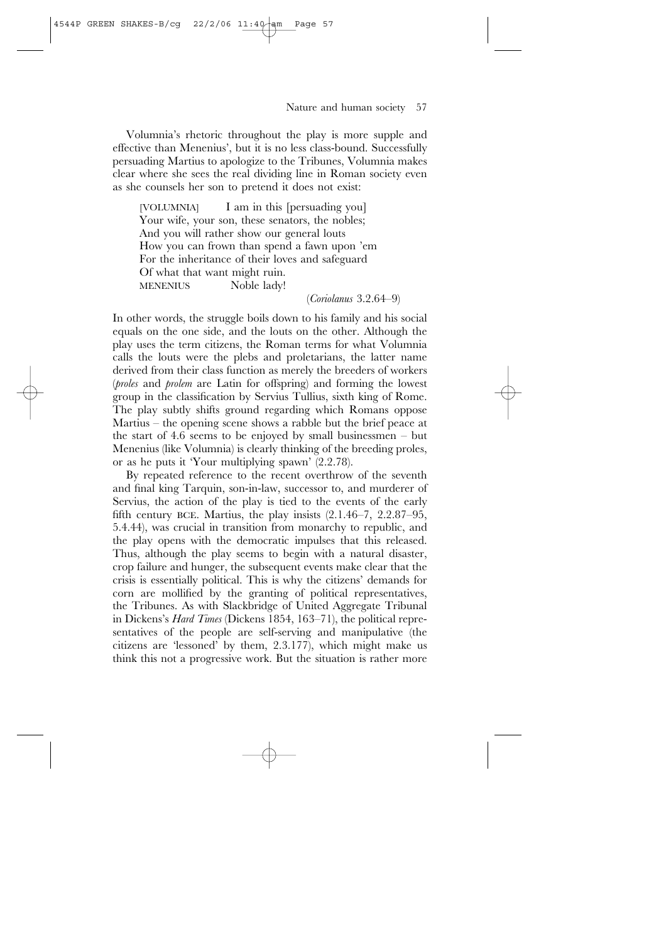Volumnia's rhetoric throughout the play is more supple and effective than Menenius', but it is no less class-bound. Successfully persuading Martius to apologize to the Tribunes, Volumnia makes clear where she sees the real dividing line in Roman society even as she counsels her son to pretend it does not exist:

[VOLUMNIA] I am in this [persuading you] Your wife, your son, these senators, the nobles; And you will rather show our general louts How you can frown than spend a fawn upon 'em For the inheritance of their loves and safeguard Of what that want might ruin. MENENIUS Noble lady!

(*Coriolanus* 3.2.64–9)

In other words, the struggle boils down to his family and his social equals on the one side, and the louts on the other. Although the play uses the term citizens, the Roman terms for what Volumnia calls the louts were the plebs and proletarians, the latter name derived from their class function as merely the breeders of workers (*proles* and *prolem* are Latin for offspring) and forming the lowest group in the classification by Servius Tullius, sixth king of Rome. The play subtly shifts ground regarding which Romans oppose Martius – the opening scene shows a rabble but the brief peace at the start of 4.6 seems to be enjoyed by small businessmen – but Menenius (like Volumnia) is clearly thinking of the breeding proles, or as he puts it 'Your multiplying spawn' (2.2.78).

By repeated reference to the recent overthrow of the seventh and final king Tarquin, son-in-law, successor to, and murderer of Servius, the action of the play is tied to the events of the early fifth century BCE. Martius, the play insists (2.1.46–7, 2.2.87–95, 5.4.44), was crucial in transition from monarchy to republic, and the play opens with the democratic impulses that this released. Thus, although the play seems to begin with a natural disaster, crop failure and hunger, the subsequent events make clear that the crisis is essentially political. This is why the citizens' demands for corn are mollified by the granting of political representatives, the Tribunes. As with Slackbridge of United Aggregate Tribunal in Dickens's *Hard Times* (Dickens 1854, 163–71), the political representatives of the people are self-serving and manipulative (the citizens are 'lessoned' by them, 2.3.177), which might make us think this not a progressive work. But the situation is rather more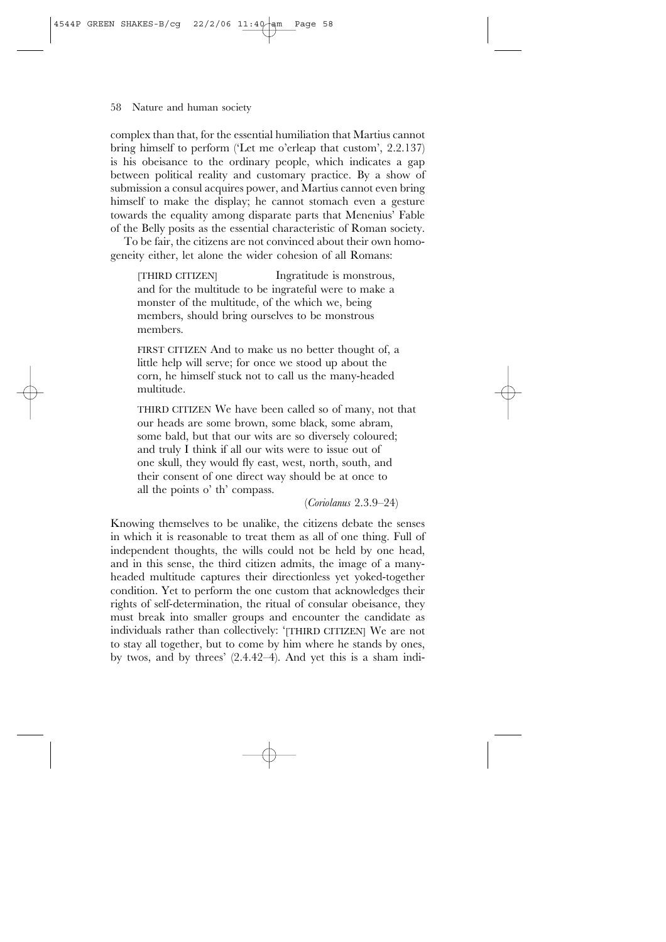complex than that, for the essential humiliation that Martius cannot bring himself to perform ('Let me o'erleap that custom', 2.2.137) is his obeisance to the ordinary people, which indicates a gap between political reality and customary practice. By a show of submission a consul acquires power, and Martius cannot even bring himself to make the display; he cannot stomach even a gesture towards the equality among disparate parts that Menenius' Fable of the Belly posits as the essential characteristic of Roman society.

To be fair, the citizens are not convinced about their own homogeneity either, let alone the wider cohesion of all Romans:

[THIRD CITIZEN] Ingratitude is monstrous, and for the multitude to be ingrateful were to make a monster of the multitude, of the which we, being members, should bring ourselves to be monstrous members.

FIRST CITIZEN And to make us no better thought of, a little help will serve; for once we stood up about the corn, he himself stuck not to call us the many-headed multitude.

THIRD CITIZEN We have been called so of many, not that our heads are some brown, some black, some abram, some bald, but that our wits are so diversely coloured; and truly I think if all our wits were to issue out of one skull, they would fly east, west, north, south, and their consent of one direct way should be at once to all the points o' th' compass.

(*Coriolanus* 2.3.9–24)

Knowing themselves to be unalike, the citizens debate the senses in which it is reasonable to treat them as all of one thing. Full of independent thoughts, the wills could not be held by one head, and in this sense, the third citizen admits, the image of a manyheaded multitude captures their directionless yet yoked-together condition. Yet to perform the one custom that acknowledges their rights of self-determination, the ritual of consular obeisance, they must break into smaller groups and encounter the candidate as individuals rather than collectively: '[THIRD CITIZEN] We are not to stay all together, but to come by him where he stands by ones, by twos, and by threes' (2.4.42–4). And yet this is a sham indi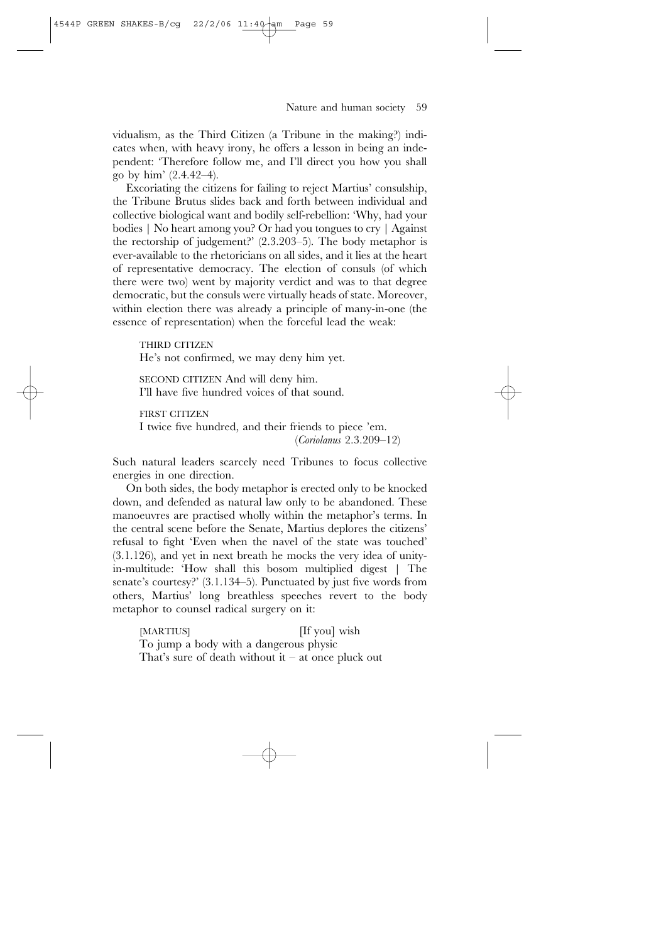vidualism, as the Third Citizen (a Tribune in the making?) indicates when, with heavy irony, he offers a lesson in being an independent: 'Therefore follow me, and I'll direct you how you shall go by him' (2.4.42–4).

Excoriating the citizens for failing to reject Martius' consulship, the Tribune Brutus slides back and forth between individual and collective biological want and bodily self-rebellion: 'Why, had your bodies | No heart among you? Or had you tongues to cry | Against the rectorship of judgement?' (2.3.203–5). The body metaphor is ever-available to the rhetoricians on all sides, and it lies at the heart of representative democracy. The election of consuls (of which there were two) went by majority verdict and was to that degree democratic, but the consuls were virtually heads of state. Moreover, within election there was already a principle of many-in-one (the essence of representation) when the forceful lead the weak:

THIRD CITIZEN He's not confirmed, we may deny him yet.

SECOND CITIZEN And will deny him. I'll have five hundred voices of that sound.

FIRST CITIZEN I twice five hundred, and their friends to piece 'em. (*Coriolanus* 2.3.209–12)

Such natural leaders scarcely need Tribunes to focus collective energies in one direction.

On both sides, the body metaphor is erected only to be knocked down, and defended as natural law only to be abandoned. These manoeuvres are practised wholly within the metaphor's terms. In the central scene before the Senate, Martius deplores the citizens' refusal to fight 'Even when the navel of the state was touched' (3.1.126), and yet in next breath he mocks the very idea of unityin-multitude: 'How shall this bosom multiplied digest | The senate's courtesy?' (3.1.134–5). Punctuated by just five words from others, Martius' long breathless speeches revert to the body metaphor to counsel radical surgery on it:

[MARTIUS] [If you] wish To jump a body with a dangerous physic That's sure of death without it – at once pluck out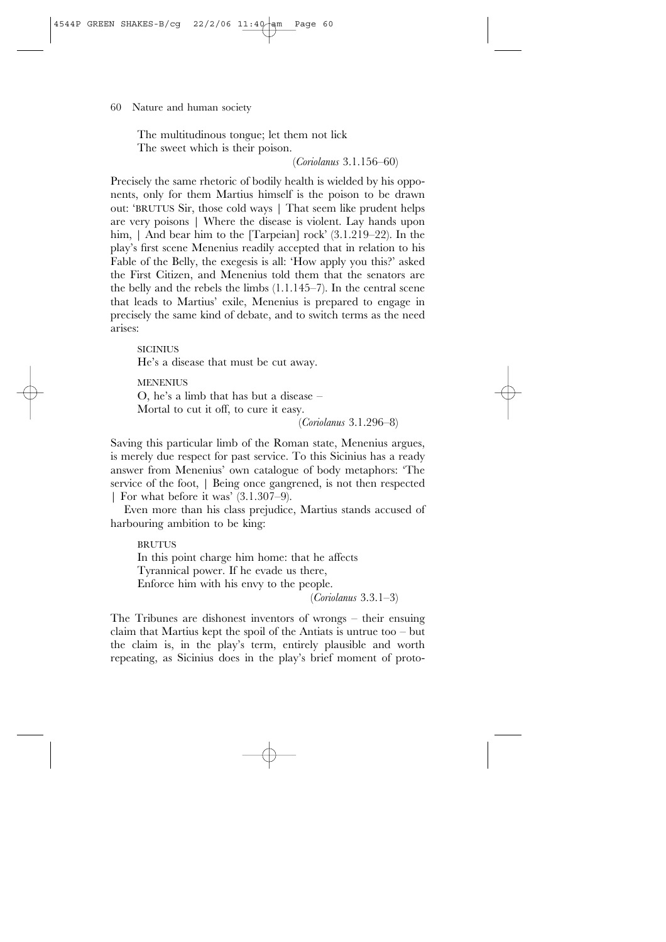The multitudinous tongue; let them not lick The sweet which is their poison.

(*Coriolanus* 3.1.156–60)

Precisely the same rhetoric of bodily health is wielded by his opponents, only for them Martius himself is the poison to be drawn out: 'BRUTUS Sir, those cold ways | That seem like prudent helps are very poisons | Where the disease is violent. Lay hands upon him, | And bear him to the [Tarpeian] rock' (3.1.219–22). In the play's first scene Menenius readily accepted that in relation to his Fable of the Belly, the exegesis is all: 'How apply you this?' asked the First Citizen, and Menenius told them that the senators are the belly and the rebels the limbs (1.1.145–7). In the central scene that leads to Martius' exile, Menenius is prepared to engage in precisely the same kind of debate, and to switch terms as the need arises:

**SICINIUS** He's a disease that must be cut away. **MENENIUS** O, he's a limb that has but a disease – Mortal to cut it off, to cure it easy.

(*Coriolanus* 3.1.296–8)

Saving this particular limb of the Roman state, Menenius argues, is merely due respect for past service. To this Sicinius has a ready answer from Menenius' own catalogue of body metaphors: 'The service of the foot, | Being once gangrened, is not then respected | For what before it was' (3.1.307–9).

Even more than his class prejudice, Martius stands accused of harbouring ambition to be king:

**BRUTUS** In this point charge him home: that he affects Tyrannical power. If he evade us there, Enforce him with his envy to the people.

(*Coriolanus* 3.3.1–3)

The Tribunes are dishonest inventors of wrongs – their ensuing claim that Martius kept the spoil of the Antiats is untrue too – but the claim is, in the play's term, entirely plausible and worth repeating, as Sicinius does in the play's brief moment of proto-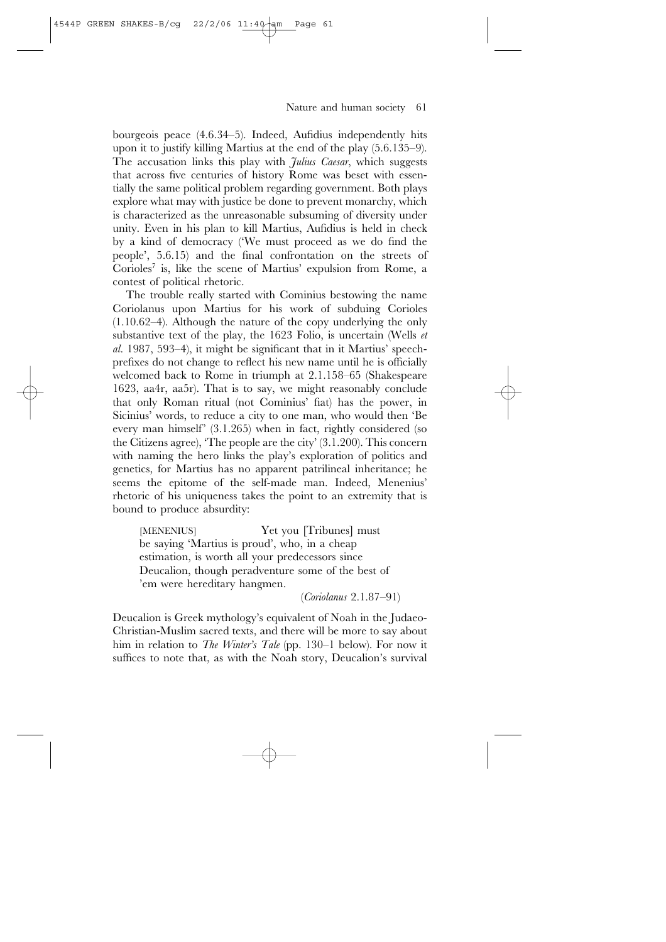bourgeois peace (4.6.34–5). Indeed, Aufidius independently hits upon it to justify killing Martius at the end of the play (5.6.135–9). The accusation links this play with *Julius Caesar*, which suggests that across five centuries of history Rome was beset with essentially the same political problem regarding government. Both plays explore what may with justice be done to prevent monarchy, which is characterized as the unreasonable subsuming of diversity under unity. Even in his plan to kill Martius, Aufidius is held in check by a kind of democracy ('We must proceed as we do find the people', 5.6.15) and the final confrontation on the streets of Corioles<sup>7</sup> is, like the scene of Martius' expulsion from Rome, a contest of political rhetoric.

The trouble really started with Cominius bestowing the name Coriolanus upon Martius for his work of subduing Corioles (1.10.62–4). Although the nature of the copy underlying the only substantive text of the play, the 1623 Folio, is uncertain (Wells *et al*. 1987, 593–4), it might be significant that in it Martius' speechprefixes do not change to reflect his new name until he is officially welcomed back to Rome in triumph at 2.1.158–65 (Shakespeare 1623, aa4r, aa5r). That is to say, we might reasonably conclude that only Roman ritual (not Cominius' fiat) has the power, in Sicinius' words, to reduce a city to one man, who would then 'Be every man himself' (3.1.265) when in fact, rightly considered (so the Citizens agree), 'The people are the city' (3.1.200). This concern with naming the hero links the play's exploration of politics and genetics, for Martius has no apparent patrilineal inheritance; he seems the epitome of the self-made man. Indeed, Menenius' rhetoric of his uniqueness takes the point to an extremity that is bound to produce absurdity:

[MENENIUS] Yet you [Tribunes] must be saying 'Martius is proud', who, in a cheap estimation, is worth all your predecessors since Deucalion, though peradventure some of the best of 'em were hereditary hangmen.

(*Coriolanus* 2.1.87–91)

Deucalion is Greek mythology's equivalent of Noah in the Judaeo-Christian-Muslim sacred texts, and there will be more to say about him in relation to *The Winter's Tale* (pp. 130–1 below). For now it suffices to note that, as with the Noah story, Deucalion's survival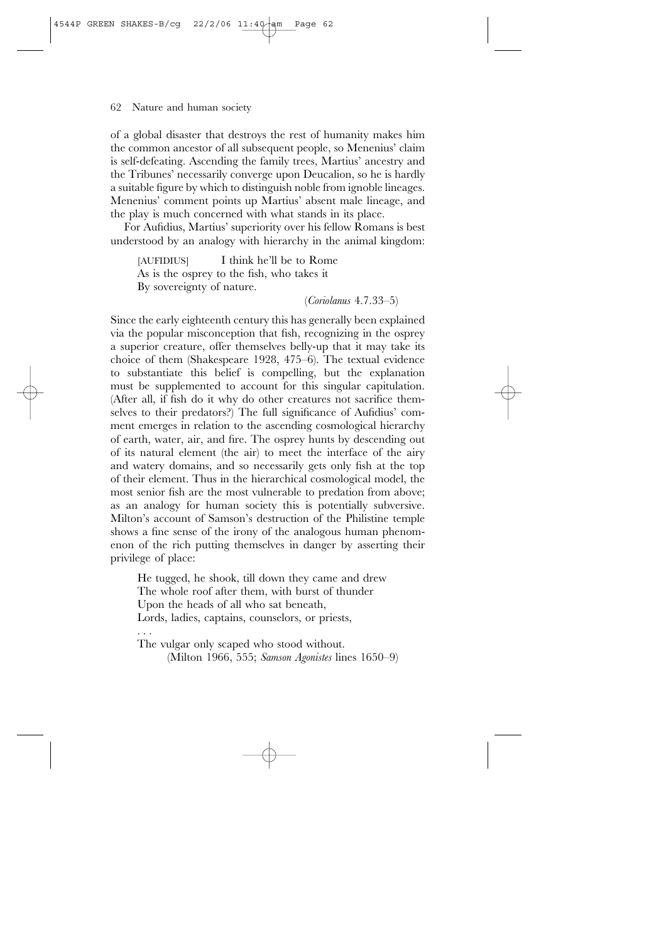of a global disaster that destroys the rest of humanity makes him the common ancestor of all subsequent people, so Menenius' claim is self-defeating. Ascending the family trees, Martius' ancestry and the Tribunes' necessarily converge upon Deucalion, so he is hardly a suitable figure by which to distinguish noble from ignoble lineages. Menenius' comment points up Martius' absent male lineage, and the play is much concerned with what stands in its place.

For Aufidius, Martius' superiority over his fellow Romans is best understood by an analogy with hierarchy in the animal kingdom:

[AUFIDIUS] I think he'll be to Rome As is the osprey to the fish, who takes it By sovereignty of nature.

(*Coriolanus* 4.7.33–5)

Since the early eighteenth century this has generally been explained via the popular misconception that fish, recognizing in the osprey a superior creature, offer themselves belly-up that it may take its choice of them (Shakespeare 1928, 475–6). The textual evidence to substantiate this belief is compelling, but the explanation must be supplemented to account for this singular capitulation. (After all, if fish do it why do other creatures not sacrifice themselves to their predators?) The full significance of Aufidius' comment emerges in relation to the ascending cosmological hierarchy of earth, water, air, and fire. The osprey hunts by descending out of its natural element (the air) to meet the interface of the airy and watery domains, and so necessarily gets only fish at the top of their element. Thus in the hierarchical cosmological model, the most senior fish are the most vulnerable to predation from above; as an analogy for human society this is potentially subversive. Milton's account of Samson's destruction of the Philistine temple shows a fine sense of the irony of the analogous human phenomenon of the rich putting themselves in danger by asserting their privilege of place:

He tugged, he shook, till down they came and drew The whole roof after them, with burst of thunder Upon the heads of all who sat beneath, Lords, ladies, captains, counselors, or priests, . . . The vulgar only scaped who stood without.

(Milton 1966, 555; *Samson Agonistes* lines 1650–9)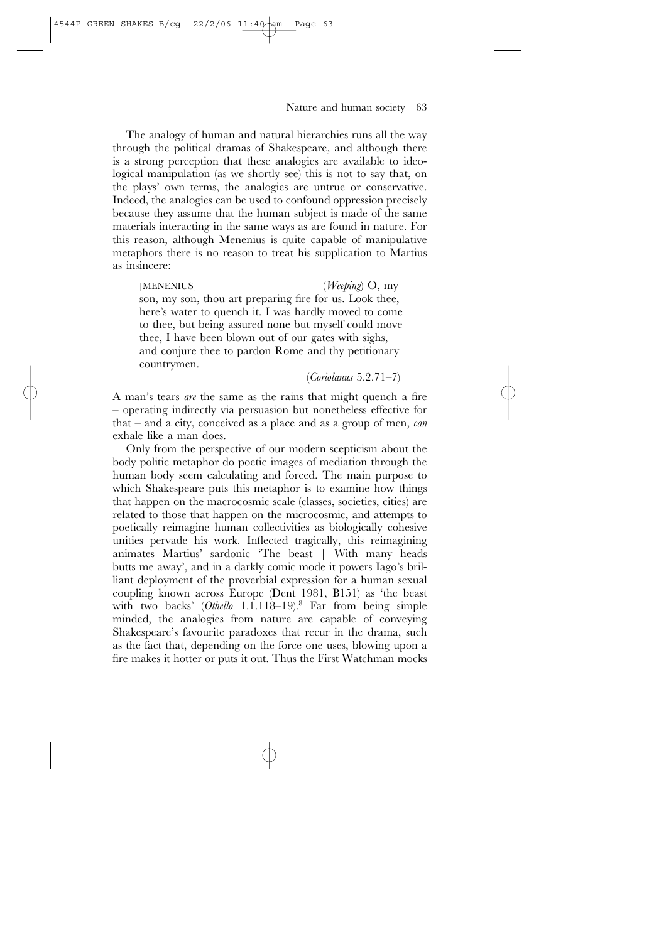The analogy of human and natural hierarchies runs all the way through the political dramas of Shakespeare, and although there is a strong perception that these analogies are available to ideological manipulation (as we shortly see) this is not to say that, on the plays' own terms, the analogies are untrue or conservative. Indeed, the analogies can be used to confound oppression precisely because they assume that the human subject is made of the same materials interacting in the same ways as are found in nature. For this reason, although Menenius is quite capable of manipulative metaphors there is no reason to treat his supplication to Martius as insincere:

[MENENIUS] (*Weeping*) O, my son, my son, thou art preparing fire for us. Look thee, here's water to quench it. I was hardly moved to come to thee, but being assured none but myself could move thee, I have been blown out of our gates with sighs, and conjure thee to pardon Rome and thy petitionary countrymen.

(*Coriolanus* 5.2.71–7)

A man's tears *are* the same as the rains that might quench a fire – operating indirectly via persuasion but nonetheless effective for that – and a city, conceived as a place and as a group of men, *can* exhale like a man does.

Only from the perspective of our modern scepticism about the body politic metaphor do poetic images of mediation through the human body seem calculating and forced. The main purpose to which Shakespeare puts this metaphor is to examine how things that happen on the macrocosmic scale (classes, societies, cities) are related to those that happen on the microcosmic, and attempts to poetically reimagine human collectivities as biologically cohesive unities pervade his work. Inflected tragically, this reimagining animates Martius' sardonic 'The beast | With many heads butts me away', and in a darkly comic mode it powers Iago's brilliant deployment of the proverbial expression for a human sexual coupling known across Europe (Dent 1981, B151) as 'the beast with two backs' (*Othello* 1.1.118–19).8 Far from being simple minded, the analogies from nature are capable of conveying Shakespeare's favourite paradoxes that recur in the drama, such as the fact that, depending on the force one uses, blowing upon a fire makes it hotter or puts it out. Thus the First Watchman mocks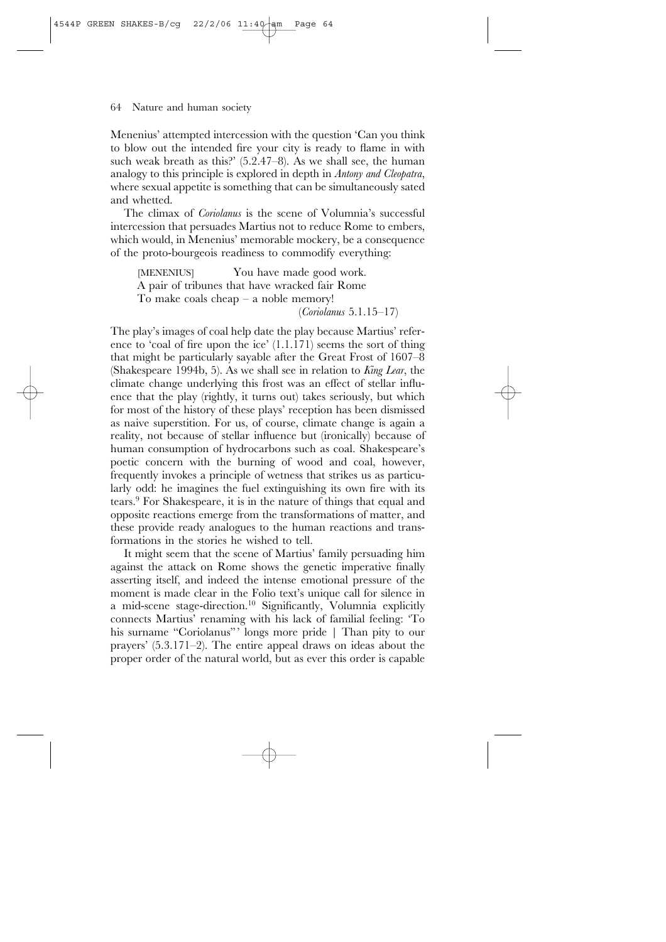Menenius' attempted intercession with the question 'Can you think to blow out the intended fire your city is ready to flame in with such weak breath as this?' (5.2.47–8). As we shall see, the human analogy to this principle is explored in depth in *Antony and Cleopatra*, where sexual appetite is something that can be simultaneously sated and whetted.

The climax of *Coriolanus* is the scene of Volumnia's successful intercession that persuades Martius not to reduce Rome to embers, which would, in Menenius' memorable mockery, be a consequence of the proto-bourgeois readiness to commodify everything:

[MENENIUS] You have made good work. A pair of tribunes that have wracked fair Rome To make coals cheap – a noble memory! (*Coriolanus* 5.1.15–17)

The play's images of coal help date the play because Martius' reference to 'coal of fire upon the ice' (1.1.171) seems the sort of thing that might be particularly sayable after the Great Frost of 1607–8 (Shakespeare 1994b, 5). As we shall see in relation to *King Lear*, the climate change underlying this frost was an effect of stellar influence that the play (rightly, it turns out) takes seriously, but which for most of the history of these plays' reception has been dismissed as naive superstition. For us, of course, climate change is again a reality, not because of stellar influence but (ironically) because of human consumption of hydrocarbons such as coal. Shakespeare's poetic concern with the burning of wood and coal, however, frequently invokes a principle of wetness that strikes us as particularly odd: he imagines the fuel extinguishing its own fire with its tears.9 For Shakespeare, it is in the nature of things that equal and opposite reactions emerge from the transformations of matter, and these provide ready analogues to the human reactions and transformations in the stories he wished to tell.

It might seem that the scene of Martius' family persuading him against the attack on Rome shows the genetic imperative finally asserting itself, and indeed the intense emotional pressure of the moment is made clear in the Folio text's unique call for silence in a mid-scene stage-direction.10 Significantly, Volumnia explicitly connects Martius' renaming with his lack of familial feeling: 'To his surname "Coriolanus"<sup>'</sup> longs more pride | Than pity to our prayers' (5.3.171–2). The entire appeal draws on ideas about the proper order of the natural world, but as ever this order is capable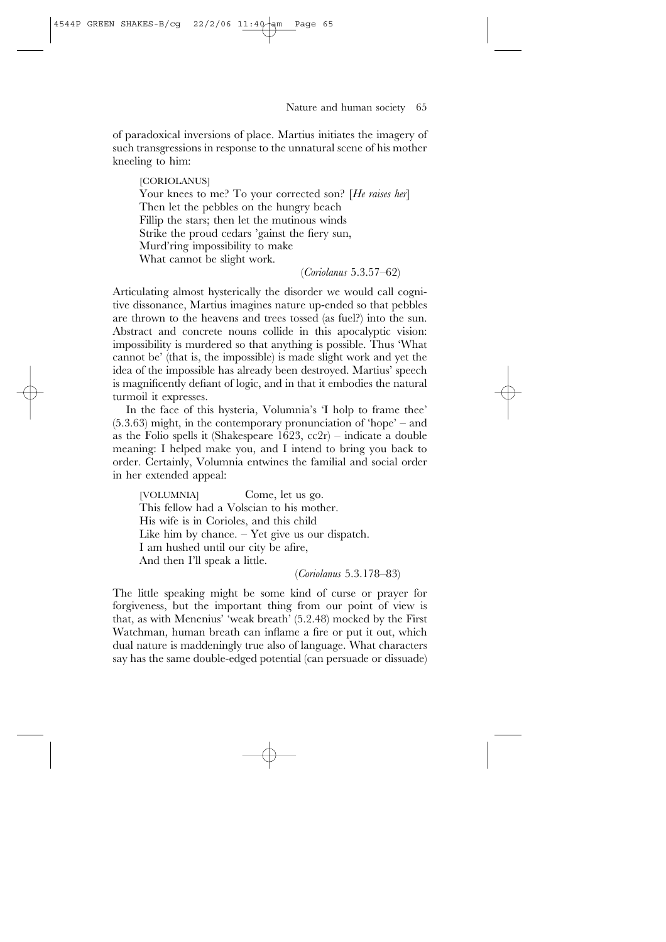of paradoxical inversions of place. Martius initiates the imagery of such transgressions in response to the unnatural scene of his mother kneeling to him:

#### [CORIOLANUS]

Your knees to me? To your corrected son? [*He raises her*] Then let the pebbles on the hungry beach Fillip the stars; then let the mutinous winds Strike the proud cedars 'gainst the fiery sun, Murd'ring impossibility to make What cannot be slight work.

(*Coriolanus* 5.3.57–62)

Articulating almost hysterically the disorder we would call cognitive dissonance, Martius imagines nature up-ended so that pebbles are thrown to the heavens and trees tossed (as fuel?) into the sun. Abstract and concrete nouns collide in this apocalyptic vision: impossibility is murdered so that anything is possible. Thus 'What cannot be' (that is, the impossible) is made slight work and yet the idea of the impossible has already been destroyed. Martius' speech is magnificently defiant of logic, and in that it embodies the natural turmoil it expresses.

In the face of this hysteria, Volumnia's 'I holp to frame thee' (5.3.63) might, in the contemporary pronunciation of 'hope' – and as the Folio spells it (Shakespeare 1623,  $cc2r$ ) – indicate a double meaning: I helped make you, and I intend to bring you back to order. Certainly, Volumnia entwines the familial and social order in her extended appeal:

[VOLUMNIA] Come, let us go. This fellow had a Volscian to his mother. His wife is in Corioles, and this child Like him by chance. – Yet give us our dispatch. I am hushed until our city be afire, And then I'll speak a little.

(*Coriolanus* 5.3.178–83)

The little speaking might be some kind of curse or prayer for forgiveness, but the important thing from our point of view is that, as with Menenius' 'weak breath' (5.2.48) mocked by the First Watchman, human breath can inflame a fire or put it out, which dual nature is maddeningly true also of language. What characters say has the same double-edged potential (can persuade or dissuade)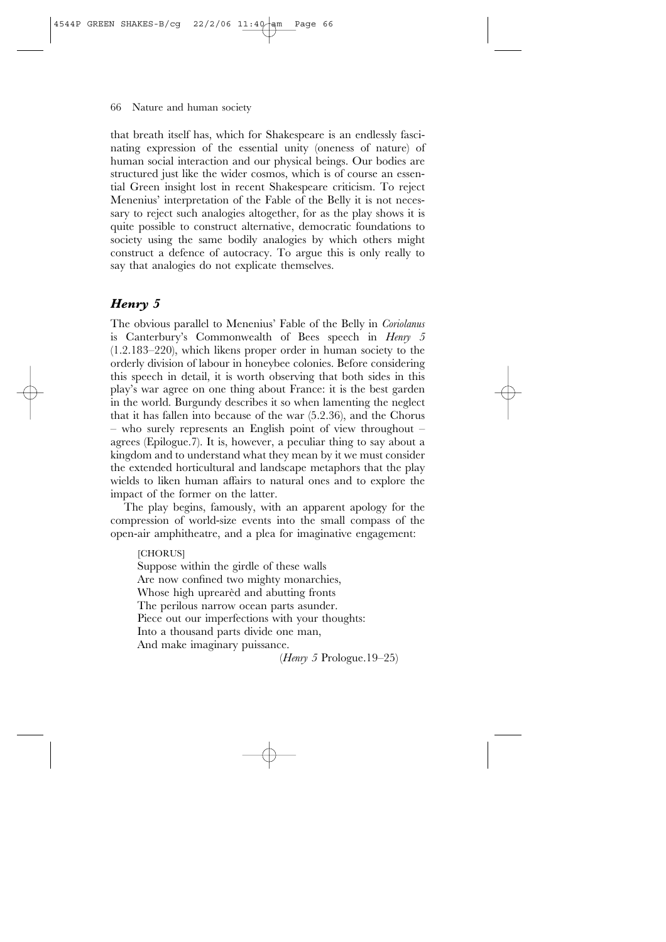that breath itself has, which for Shakespeare is an endlessly fascinating expression of the essential unity (oneness of nature) of human social interaction and our physical beings. Our bodies are structured just like the wider cosmos, which is of course an essential Green insight lost in recent Shakespeare criticism. To reject Menenius' interpretation of the Fable of the Belly it is not necessary to reject such analogies altogether, for as the play shows it is quite possible to construct alternative, democratic foundations to society using the same bodily analogies by which others might construct a defence of autocracy. To argue this is only really to say that analogies do not explicate themselves.

# *Henry 5*

The obvious parallel to Menenius' Fable of the Belly in *Coriolanus* is Canterbury's Commonwealth of Bees speech in *Henry 5* (1.2.183–220), which likens proper order in human society to the orderly division of labour in honeybee colonies. Before considering this speech in detail, it is worth observing that both sides in this play's war agree on one thing about France: it is the best garden in the world. Burgundy describes it so when lamenting the neglect that it has fallen into because of the war (5.2.36), and the Chorus – who surely represents an English point of view throughout – agrees (Epilogue.7). It is, however, a peculiar thing to say about a kingdom and to understand what they mean by it we must consider the extended horticultural and landscape metaphors that the play wields to liken human affairs to natural ones and to explore the impact of the former on the latter.

The play begins, famously, with an apparent apology for the compression of world-size events into the small compass of the open-air amphitheatre, and a plea for imaginative engagement:

[CHORUS] Suppose within the girdle of these walls Are now confined two mighty monarchies, Whose high uprearèd and abutting fronts The perilous narrow ocean parts asunder. Piece out our imperfections with your thoughts: Into a thousand parts divide one man, And make imaginary puissance.

(*Henry 5* Prologue.19–25)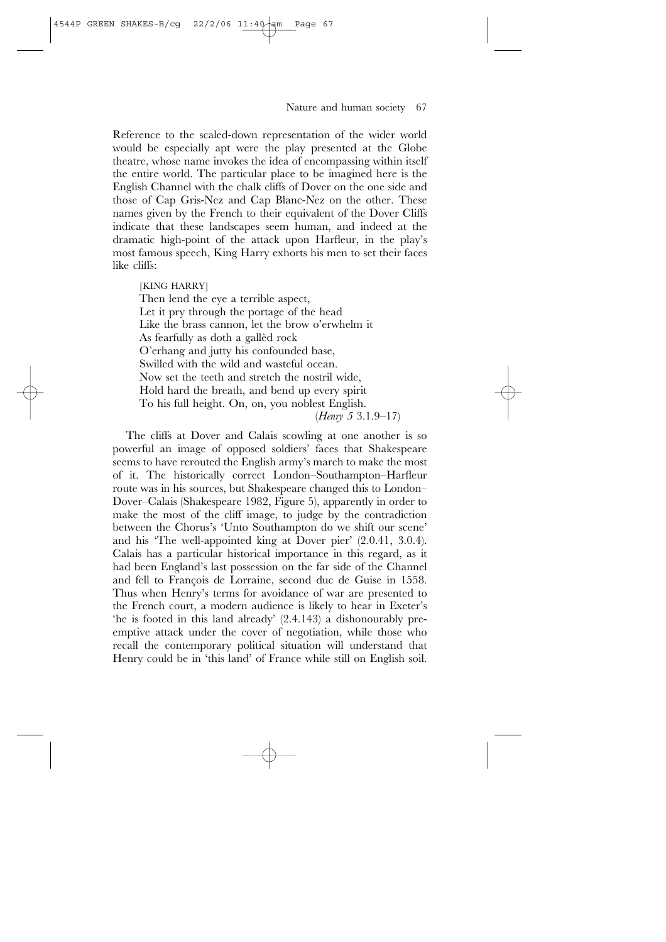Reference to the scaled-down representation of the wider world would be especially apt were the play presented at the Globe theatre, whose name invokes the idea of encompassing within itself the entire world. The particular place to be imagined here is the English Channel with the chalk cliffs of Dover on the one side and those of Cap Gris-Nez and Cap Blanc-Nez on the other. These names given by the French to their equivalent of the Dover Cliffs indicate that these landscapes seem human, and indeed at the dramatic high-point of the attack upon Harfleur, in the play's most famous speech, King Harry exhorts his men to set their faces like cliffs:

#### [KING HARRY]

Then lend the eye a terrible aspect, Let it pry through the portage of the head Like the brass cannon, let the brow o'erwhelm it As fearfully as doth a gallèd rock O'erhang and jutty his confounded base, Swilled with the wild and wasteful ocean. Now set the teeth and stretch the nostril wide, Hold hard the breath, and bend up every spirit To his full height. On, on, you noblest English. (*Henry 5* 3.1.9–17)

The cliffs at Dover and Calais scowling at one another is so powerful an image of opposed soldiers' faces that Shakespeare seems to have rerouted the English army's march to make the most of it. The historically correct London–Southampton–Harfleur route was in his sources, but Shakespeare changed this to London– Dover–Calais (Shakespeare 1982, Figure 5), apparently in order to make the most of the cliff image, to judge by the contradiction between the Chorus's 'Unto Southampton do we shift our scene' and his 'The well-appointed king at Dover pier' (2.0.41, 3.0.4). Calais has a particular historical importance in this regard, as it had been England's last possession on the far side of the Channel and fell to François de Lorraine, second duc de Guise in 1558. Thus when Henry's terms for avoidance of war are presented to the French court, a modern audience is likely to hear in Exeter's 'he is footed in this land already' (2.4.143) a dishonourably preemptive attack under the cover of negotiation, while those who recall the contemporary political situation will understand that Henry could be in 'this land' of France while still on English soil.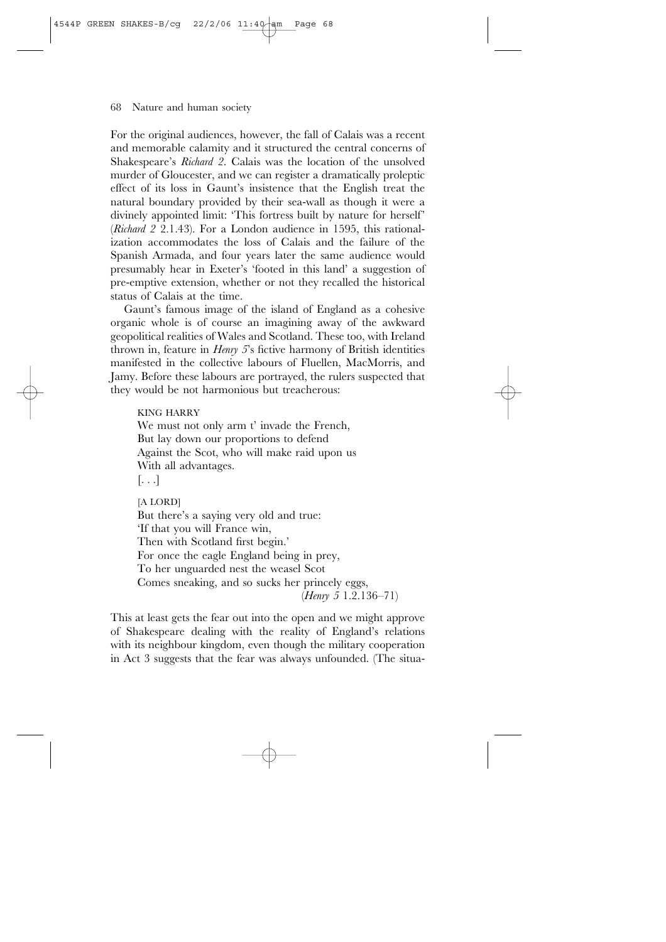For the original audiences, however, the fall of Calais was a recent and memorable calamity and it structured the central concerns of Shakespeare's *Richard 2*. Calais was the location of the unsolved murder of Gloucester, and we can register a dramatically proleptic effect of its loss in Gaunt's insistence that the English treat the natural boundary provided by their sea-wall as though it were a divinely appointed limit: 'This fortress built by nature for herself' (*Richard 2* 2.1.43). For a London audience in 1595, this rationalization accommodates the loss of Calais and the failure of the Spanish Armada, and four years later the same audience would presumably hear in Exeter's 'footed in this land' a suggestion of pre-emptive extension, whether or not they recalled the historical status of Calais at the time.

Gaunt's famous image of the island of England as a cohesive organic whole is of course an imagining away of the awkward geopolitical realities of Wales and Scotland. These too, with Ireland thrown in, feature in *Henry 5*'s fictive harmony of British identities manifested in the collective labours of Fluellen, MacMorris, and Jamy. Before these labours are portrayed, the rulers suspected that they would be not harmonious but treacherous:

KING HARRY

We must not only arm t' invade the French, But lay down our proportions to defend Against the Scot, who will make raid upon us With all advantages. [. . .] [A LORD] But there's a saying very old and true: 'If that you will France win, Then with Scotland first begin.' For once the eagle England being in prey, To her unguarded nest the weasel Scot

Comes sneaking, and so sucks her princely eggs,

(*Henry 5* 1.2.136–71)

This at least gets the fear out into the open and we might approve of Shakespeare dealing with the reality of England's relations with its neighbour kingdom, even though the military cooperation in Act 3 suggests that the fear was always unfounded. (The situa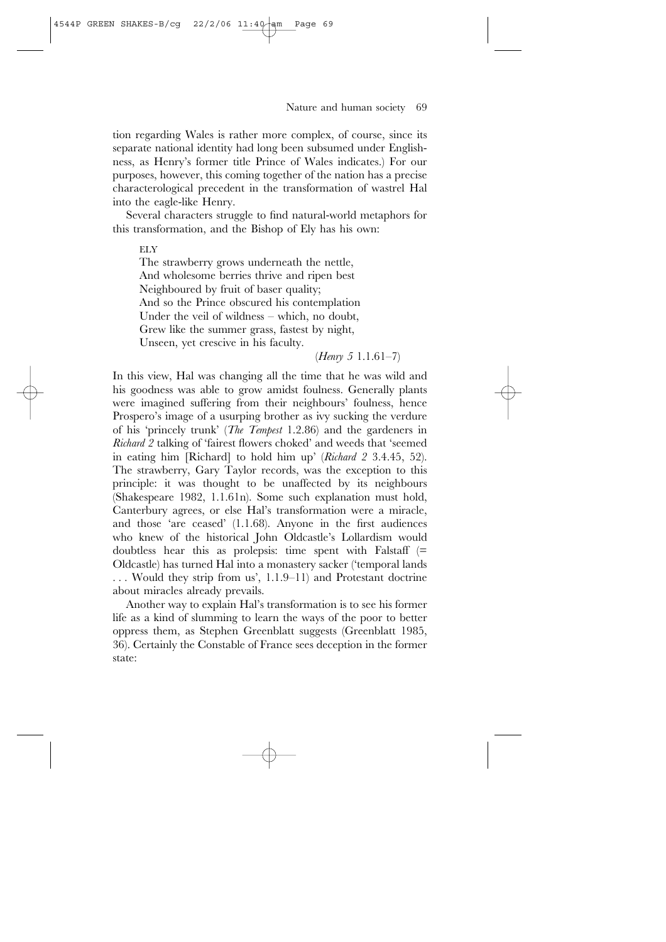tion regarding Wales is rather more complex, of course, since its separate national identity had long been subsumed under Englishness, as Henry's former title Prince of Wales indicates.) For our purposes, however, this coming together of the nation has a precise characterological precedent in the transformation of wastrel Hal into the eagle-like Henry.

Several characters struggle to find natural-world metaphors for this transformation, and the Bishop of Ely has his own:

ELY

The strawberry grows underneath the nettle, And wholesome berries thrive and ripen best Neighboured by fruit of baser quality; And so the Prince obscured his contemplation Under the veil of wildness – which, no doubt, Grew like the summer grass, fastest by night, Unseen, yet crescive in his faculty.

(*Henry 5* 1.1.61–7)

In this view, Hal was changing all the time that he was wild and his goodness was able to grow amidst foulness. Generally plants were imagined suffering from their neighbours' foulness, hence Prospero's image of a usurping brother as ivy sucking the verdure of his 'princely trunk' (*The Tempest* 1.2.86) and the gardeners in *Richard 2* talking of 'fairest flowers choked' and weeds that 'seemed in eating him [Richard] to hold him up' (*Richard 2* 3.4.45, 52). The strawberry, Gary Taylor records, was the exception to this principle: it was thought to be unaffected by its neighbours (Shakespeare 1982, 1.1.61n). Some such explanation must hold, Canterbury agrees, or else Hal's transformation were a miracle, and those 'are ceased' (1.1.68). Anyone in the first audiences who knew of the historical John Oldcastle's Lollardism would doubtless hear this as prolepsis: time spent with Falstaff  $(=$ Oldcastle) has turned Hal into a monastery sacker ('temporal lands . . . Would they strip from us', 1.1.9–11) and Protestant doctrine about miracles already prevails.

Another way to explain Hal's transformation is to see his former life as a kind of slumming to learn the ways of the poor to better oppress them, as Stephen Greenblatt suggests (Greenblatt 1985, 36). Certainly the Constable of France sees deception in the former state: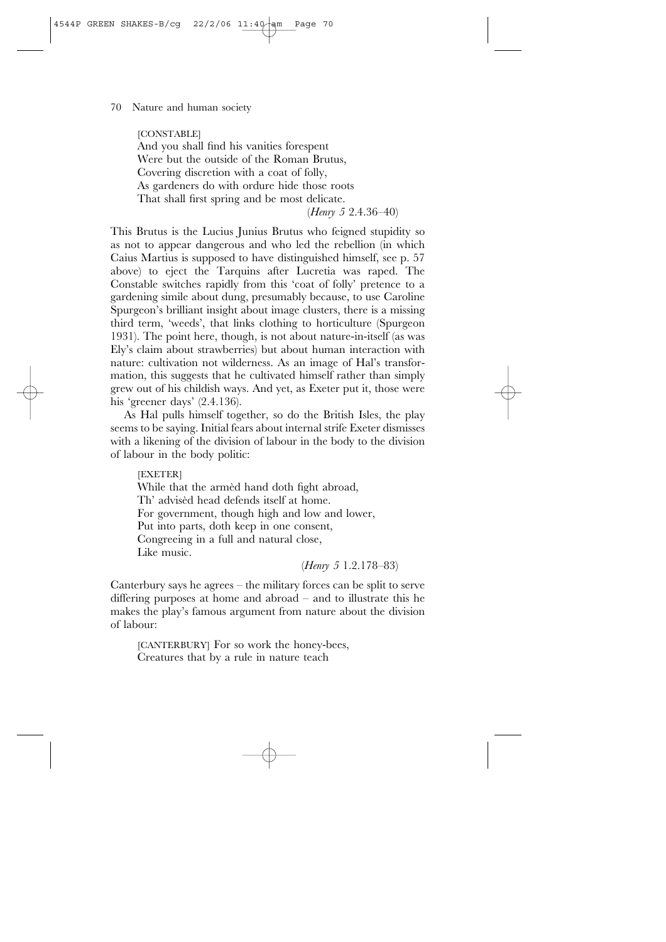[CONSTABLE] And you shall find his vanities forespent Were but the outside of the Roman Brutus, Covering discretion with a coat of folly, As gardeners do with ordure hide those roots That shall first spring and be most delicate. (*Henry 5* 2.4.36–40)

This Brutus is the Lucius Junius Brutus who feigned stupidity so as not to appear dangerous and who led the rebellion (in which Caius Martius is supposed to have distinguished himself, see p. 57 above) to eject the Tarquins after Lucretia was raped. The Constable switches rapidly from this 'coat of folly' pretence to a gardening simile about dung, presumably because, to use Caroline Spurgeon's brilliant insight about image clusters, there is a missing third term, 'weeds', that links clothing to horticulture (Spurgeon 1931). The point here, though, is not about nature-in-itself (as was Ely's claim about strawberries) but about human interaction with nature: cultivation not wilderness. As an image of Hal's transformation, this suggests that he cultivated himself rather than simply grew out of his childish ways. And yet, as Exeter put it, those were his 'greener days' (2.4.136).

As Hal pulls himself together, so do the British Isles, the play seems to be saying. Initial fears about internal strife Exeter dismisses with a likening of the division of labour in the body to the division of labour in the body politic:

[EXETER] While that the armèd hand doth fight abroad, Th' advisèd head defends itself at home. For government, though high and low and lower, Put into parts, doth keep in one consent, Congreeing in a full and natural close, Like music.

(*Henry 5* 1.2.178–83)

Canterbury says he agrees – the military forces can be split to serve differing purposes at home and abroad – and to illustrate this he makes the play's famous argument from nature about the division of labour:

[CANTERBURY] For so work the honey-bees, Creatures that by a rule in nature teach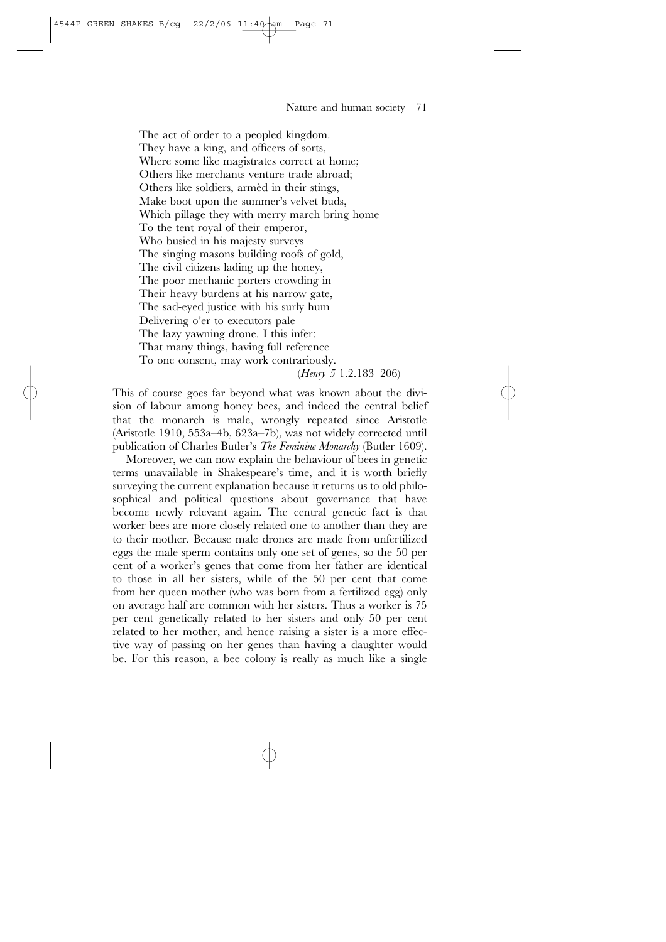The act of order to a peopled kingdom. They have a king, and officers of sorts, Where some like magistrates correct at home; Others like merchants venture trade abroad; Others like soldiers, armèd in their stings, Make boot upon the summer's velvet buds, Which pillage they with merry march bring home To the tent royal of their emperor, Who busied in his majesty surveys The singing masons building roofs of gold, The civil citizens lading up the honey, The poor mechanic porters crowding in Their heavy burdens at his narrow gate, The sad-eyed justice with his surly hum Delivering o'er to executors pale The lazy yawning drone. I this infer: That many things, having full reference To one consent, may work contrariously. (*Henry 5* 1.2.183–206)

This of course goes far beyond what was known about the division of labour among honey bees, and indeed the central belief that the monarch is male, wrongly repeated since Aristotle (Aristotle 1910, 553a–4b, 623a–7b), was not widely corrected until publication of Charles Butler's *The Feminine Monarchy* (Butler 1609).

Moreover, we can now explain the behaviour of bees in genetic terms unavailable in Shakespeare's time, and it is worth briefly surveying the current explanation because it returns us to old philosophical and political questions about governance that have become newly relevant again. The central genetic fact is that worker bees are more closely related one to another than they are to their mother. Because male drones are made from unfertilized eggs the male sperm contains only one set of genes, so the 50 per cent of a worker's genes that come from her father are identical to those in all her sisters, while of the 50 per cent that come from her queen mother (who was born from a fertilized egg) only on average half are common with her sisters. Thus a worker is 75 per cent genetically related to her sisters and only 50 per cent related to her mother, and hence raising a sister is a more effective way of passing on her genes than having a daughter would be. For this reason, a bee colony is really as much like a single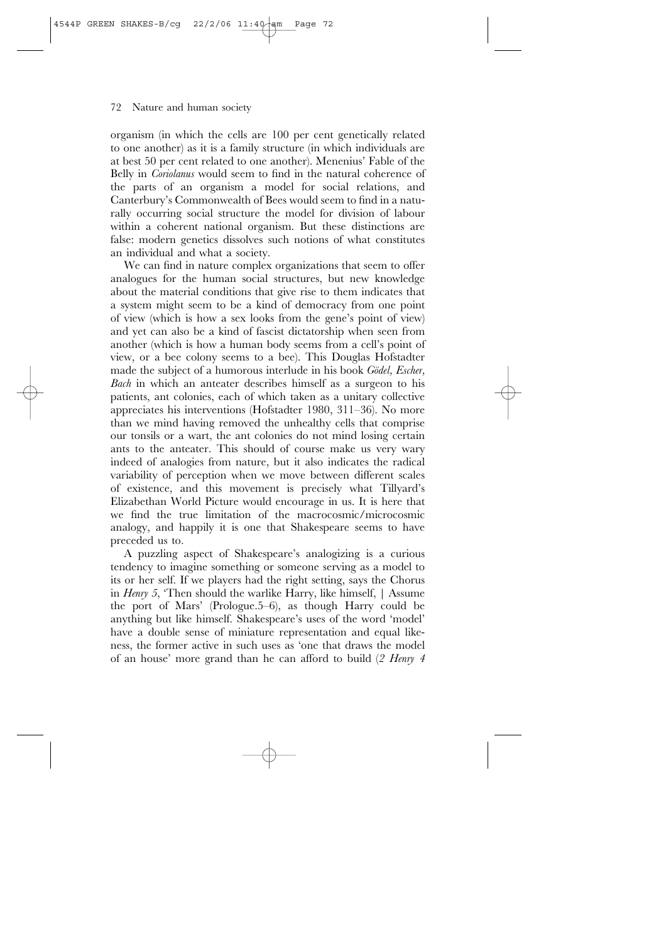organism (in which the cells are 100 per cent genetically related to one another) as it is a family structure (in which individuals are at best 50 per cent related to one another). Menenius' Fable of the Belly in *Coriolanus* would seem to find in the natural coherence of the parts of an organism a model for social relations, and Canterbury's Commonwealth of Bees would seem to find in a naturally occurring social structure the model for division of labour within a coherent national organism. But these distinctions are false: modern genetics dissolves such notions of what constitutes an individual and what a society.

We can find in nature complex organizations that seem to offer analogues for the human social structures, but new knowledge about the material conditions that give rise to them indicates that a system might seem to be a kind of democracy from one point of view (which is how a sex looks from the gene's point of view) and yet can also be a kind of fascist dictatorship when seen from another (which is how a human body seems from a cell's point of view, or a bee colony seems to a bee). This Douglas Hofstadter made the subject of a humorous interlude in his book *Gödel, Escher, Bach* in which an anteater describes himself as a surgeon to his patients, ant colonies, each of which taken as a unitary collective appreciates his interventions (Hofstadter 1980, 311–36). No more than we mind having removed the unhealthy cells that comprise our tonsils or a wart, the ant colonies do not mind losing certain ants to the anteater. This should of course make us very wary indeed of analogies from nature, but it also indicates the radical variability of perception when we move between different scales of existence, and this movement is precisely what Tillyard's Elizabethan World Picture would encourage in us. It is here that we find the true limitation of the macrocosmic/microcosmic analogy, and happily it is one that Shakespeare seems to have preceded us to.

A puzzling aspect of Shakespeare's analogizing is a curious tendency to imagine something or someone serving as a model to its or her self. If we players had the right setting, says the Chorus in *Henry 5*, 'Then should the warlike Harry, like himself, | Assume the port of Mars' (Prologue.5–6), as though Harry could be anything but like himself. Shakespeare's uses of the word 'model' have a double sense of miniature representation and equal likeness, the former active in such uses as 'one that draws the model of an house' more grand than he can afford to build (*2 Henry 4*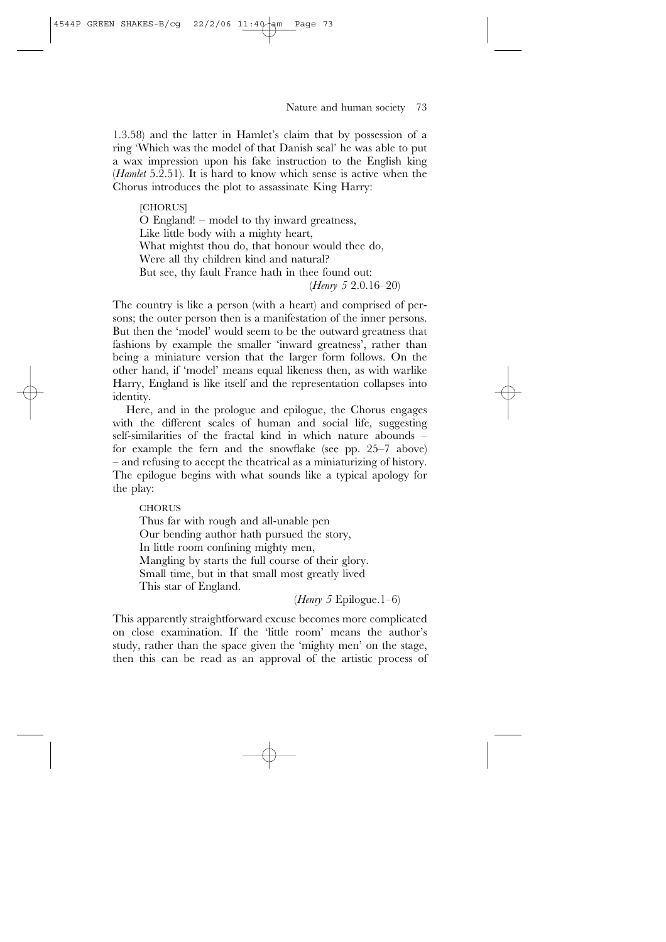1.3.58) and the latter in Hamlet's claim that by possession of a ring 'Which was the model of that Danish seal' he was able to put a wax impression upon his fake instruction to the English king (*Hamlet* 5.2.51). It is hard to know which sense is active when the Chorus introduces the plot to assassinate King Harry:

[CHORUS] O England! – model to thy inward greatness, Like little body with a mighty heart, What mightst thou do, that honour would thee do, Were all thy children kind and natural? But see, thy fault France hath in thee found out: (*Henry 5* 2.0.16–20)

The country is like a person (with a heart) and comprised of persons; the outer person then is a manifestation of the inner persons. But then the 'model' would seem to be the outward greatness that fashions by example the smaller 'inward greatness', rather than being a miniature version that the larger form follows. On the other hand, if 'model' means equal likeness then, as with warlike Harry, England is like itself and the representation collapses into identity.

Here, and in the prologue and epilogue, the Chorus engages with the different scales of human and social life, suggesting self-similarities of the fractal kind in which nature abounds – for example the fern and the snowflake (see pp. 25–7 above) – and refusing to accept the theatrical as a miniaturizing of history. The epilogue begins with what sounds like a typical apology for the play:

**CHORUS** Thus far with rough and all-unable pen Our bending author hath pursued the story, In little room confining mighty men, Mangling by starts the full course of their glory. Small time, but in that small most greatly lived This star of England.

(*Henry 5* Epilogue.1–6)

This apparently straightforward excuse becomes more complicated on close examination. If the 'little room' means the author's study, rather than the space given the 'mighty men' on the stage, then this can be read as an approval of the artistic process of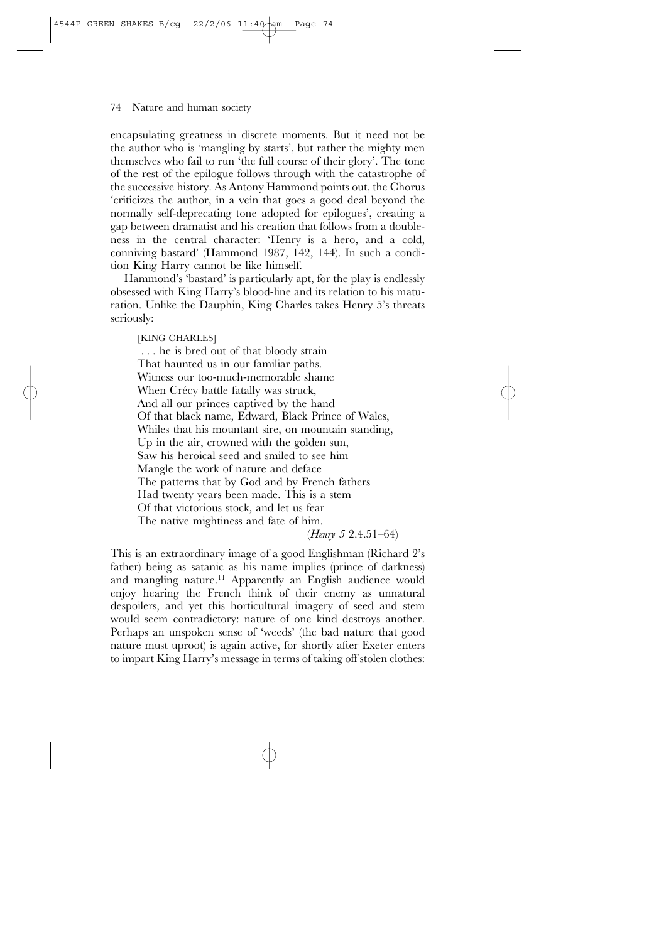encapsulating greatness in discrete moments. But it need not be the author who is 'mangling by starts', but rather the mighty men themselves who fail to run 'the full course of their glory'. The tone of the rest of the epilogue follows through with the catastrophe of the successive history. As Antony Hammond points out, the Chorus 'criticizes the author, in a vein that goes a good deal beyond the normally self-deprecating tone adopted for epilogues', creating a gap between dramatist and his creation that follows from a doubleness in the central character: 'Henry is a hero, and a cold, conniving bastard' (Hammond 1987, 142, 144). In such a condition King Harry cannot be like himself.

Hammond's 'bastard' is particularly apt, for the play is endlessly obsessed with King Harry's blood-line and its relation to his maturation. Unlike the Dauphin, King Charles takes Henry 5's threats seriously:

### [KING CHARLES]

. . . he is bred out of that bloody strain That haunted us in our familiar paths. Witness our too-much-memorable shame When Crécy battle fatally was struck, And all our princes captived by the hand Of that black name, Edward, Black Prince of Wales, Whiles that his mountant sire, on mountain standing, Up in the air, crowned with the golden sun, Saw his heroical seed and smiled to see him Mangle the work of nature and deface The patterns that by God and by French fathers Had twenty years been made. This is a stem Of that victorious stock, and let us fear The native mightiness and fate of him. (*Henry 5* 2.4.51–64)

This is an extraordinary image of a good Englishman (Richard 2's father) being as satanic as his name implies (prince of darkness) and mangling nature.<sup>11</sup> Apparently an English audience would enjoy hearing the French think of their enemy as unnatural despoilers, and yet this horticultural imagery of seed and stem would seem contradictory: nature of one kind destroys another. Perhaps an unspoken sense of 'weeds' (the bad nature that good nature must uproot) is again active, for shortly after Exeter enters to impart King Harry's message in terms of taking off stolen clothes: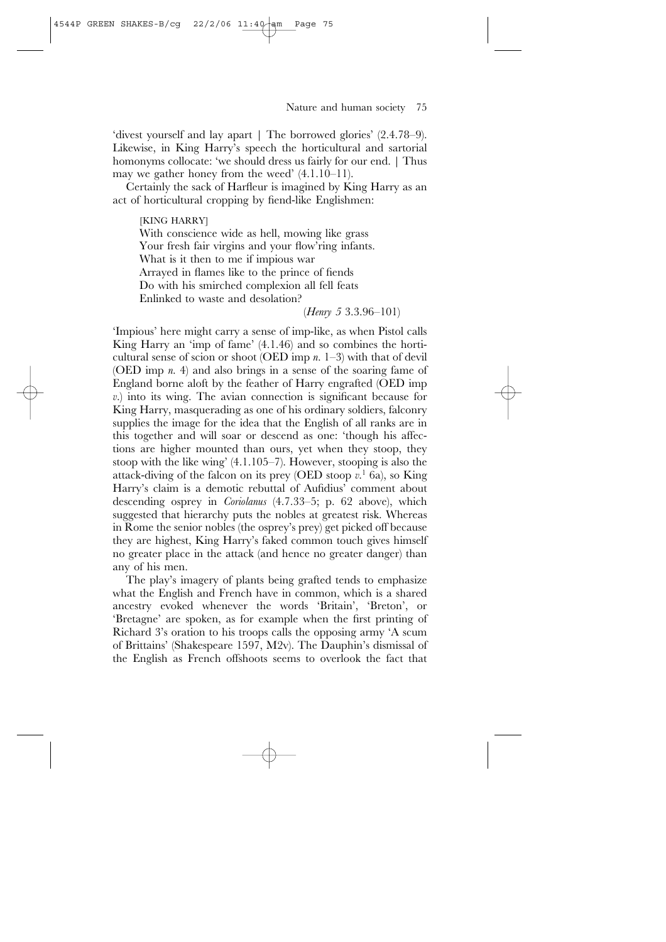'divest yourself and lay apart | The borrowed glories' (2.4.78–9). Likewise, in King Harry's speech the horticultural and sartorial homonyms collocate: 'we should dress us fairly for our end. | Thus may we gather honey from the weed' (4.1.10–11).

Certainly the sack of Harfleur is imagined by King Harry as an act of horticultural cropping by fiend-like Englishmen:

#### [KING HARRY]

With conscience wide as hell, mowing like grass Your fresh fair virgins and your flow'ring infants. What is it then to me if impious war Arrayed in flames like to the prince of fiends Do with his smirched complexion all fell feats Enlinked to waste and desolation?

(*Henry 5* 3.3.96–101)

'Impious' here might carry a sense of imp-like, as when Pistol calls King Harry an 'imp of fame' (4.1.46) and so combines the horticultural sense of scion or shoot (OED imp *n*. 1–3) with that of devil (OED imp *n*. 4) and also brings in a sense of the soaring fame of England borne aloft by the feather of Harry engrafted (OED imp *v*.) into its wing. The avian connection is significant because for King Harry, masquerading as one of his ordinary soldiers, falconry supplies the image for the idea that the English of all ranks are in this together and will soar or descend as one: 'though his affections are higher mounted than ours, yet when they stoop, they stoop with the like wing' (4.1.105–7). However, stooping is also the attack-diving of the falcon on its prey (OED stoop *v*. <sup>1</sup> 6a), so King Harry's claim is a demotic rebuttal of Aufidius' comment about descending osprey in *Coriolanus* (4.7.33–5; p. 62 above), which suggested that hierarchy puts the nobles at greatest risk. Whereas in Rome the senior nobles (the osprey's prey) get picked off because they are highest, King Harry's faked common touch gives himself no greater place in the attack (and hence no greater danger) than any of his men.

The play's imagery of plants being grafted tends to emphasize what the English and French have in common, which is a shared ancestry evoked whenever the words 'Britain', 'Breton', or 'Bretagne' are spoken, as for example when the first printing of Richard 3's oration to his troops calls the opposing army 'A scum of Brittains' (Shakespeare 1597, M2v). The Dauphin's dismissal of the English as French offshoots seems to overlook the fact that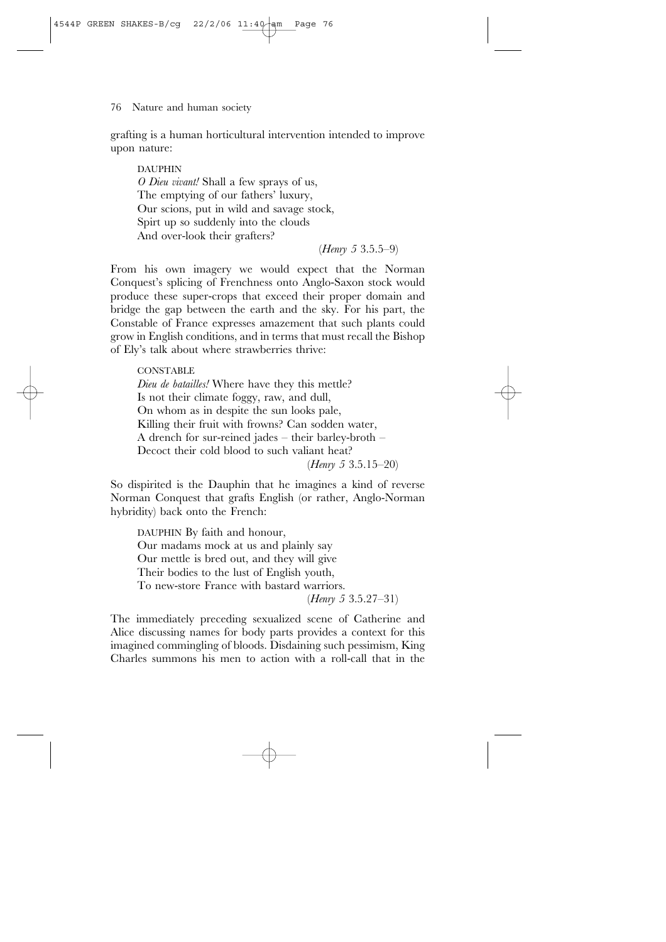grafting is a human horticultural intervention intended to improve upon nature:

DAUPHIN *O Dieu vivant!* Shall a few sprays of us, The emptying of our fathers' luxury, Our scions, put in wild and savage stock, Spirt up so suddenly into the clouds And over-look their grafters?

(*Henry 5* 3.5.5–9)

From his own imagery we would expect that the Norman Conquest's splicing of Frenchness onto Anglo-Saxon stock would produce these super-crops that exceed their proper domain and bridge the gap between the earth and the sky. For his part, the Constable of France expresses amazement that such plants could grow in English conditions, and in terms that must recall the Bishop of Ely's talk about where strawberries thrive:

**CONSTABLE** *Dieu de batailles!* Where have they this mettle? Is not their climate foggy, raw, and dull, On whom as in despite the sun looks pale, Killing their fruit with frowns? Can sodden water, A drench for sur-reined jades – their barley-broth – Decoct their cold blood to such valiant heat? (*Henry 5* 3.5.15–20)

So dispirited is the Dauphin that he imagines a kind of reverse Norman Conquest that grafts English (or rather, Anglo-Norman hybridity) back onto the French:

DAUPHIN By faith and honour, Our madams mock at us and plainly say Our mettle is bred out, and they will give Their bodies to the lust of English youth, To new-store France with bastard warriors.

(*Henry 5* 3.5.27–31)

The immediately preceding sexualized scene of Catherine and Alice discussing names for body parts provides a context for this imagined commingling of bloods. Disdaining such pessimism, King Charles summons his men to action with a roll-call that in the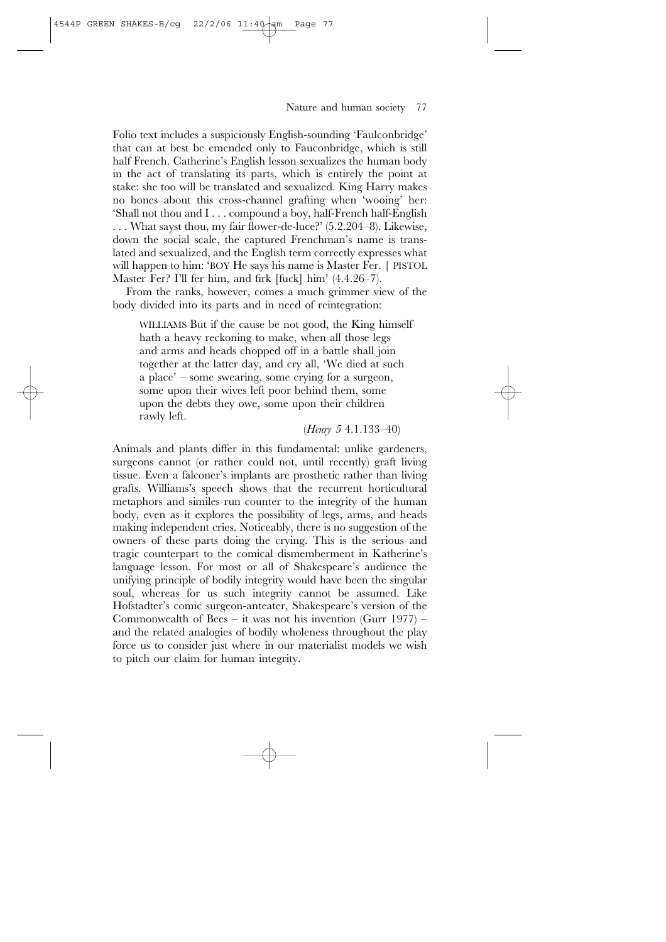Folio text includes a suspiciously English-sounding 'Faulconbridge' that can at best be emended only to Fauconbridge, which is still half French. Catherine's English lesson sexualizes the human body in the act of translating its parts, which is entirely the point at stake: she too will be translated and sexualized. King Harry makes no bones about this cross-channel grafting when 'wooing' her: 'Shall not thou and I . . . compound a boy, half-French half-English . . . What sayst thou, my fair flower-de-luce?' (5.2.204–8). Likewise, down the social scale, the captured Frenchman's name is translated and sexualized, and the English term correctly expresses what will happen to him: 'BOY He says his name is Master Fer. | PISTOL Master Fer? I'll fer him, and firk [fuck] him' (4.4.26–7).

From the ranks, however, comes a much grimmer view of the body divided into its parts and in need of reintegration:

WILLIAMS But if the cause be not good, the King himself hath a heavy reckoning to make, when all those legs and arms and heads chopped off in a battle shall join together at the latter day, and cry all, 'We died at such a place' – some swearing, some crying for a surgeon, some upon their wives left poor behind them, some upon the debts they owe, some upon their children rawly left.

(*Henry 5* 4.1.133–40)

Animals and plants differ in this fundamental: unlike gardeners, surgeons cannot (or rather could not, until recently) graft living tissue. Even a falconer's implants are prosthetic rather than living grafts. Williams's speech shows that the recurrent horticultural metaphors and similes run counter to the integrity of the human body, even as it explores the possibility of legs, arms, and heads making independent cries. Noticeably, there is no suggestion of the owners of these parts doing the crying. This is the serious and tragic counterpart to the comical dismemberment in Katherine's language lesson. For most or all of Shakespeare's audience the unifying principle of bodily integrity would have been the singular soul, whereas for us such integrity cannot be assumed. Like Hofstadter's comic surgeon-anteater, Shakespeare's version of the Commonwealth of Bees – it was not his invention  $(Gurr 1977)$  – and the related analogies of bodily wholeness throughout the play force us to consider just where in our materialist models we wish to pitch our claim for human integrity.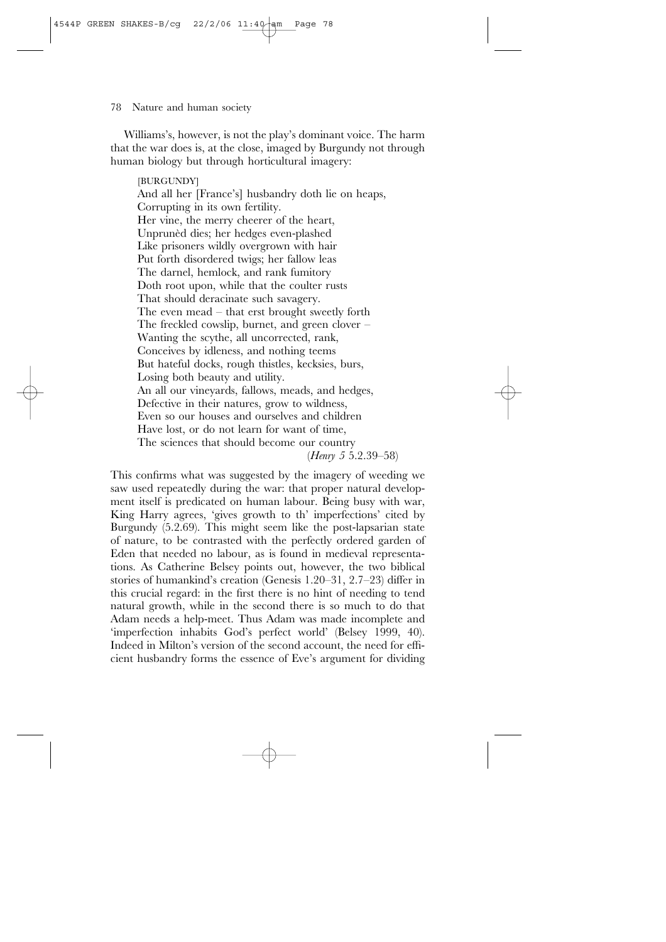Williams's, however, is not the play's dominant voice. The harm that the war does is, at the close, imaged by Burgundy not through human biology but through horticultural imagery:

[BURGUNDY] And all her [France's] husbandry doth lie on heaps, Corrupting in its own fertility. Her vine, the merry cheerer of the heart, Unprunèd dies; her hedges even-plashed Like prisoners wildly overgrown with hair Put forth disordered twigs; her fallow leas The darnel, hemlock, and rank fumitory Doth root upon, while that the coulter rusts That should deracinate such savagery. The even mead – that erst brought sweetly forth The freckled cowslip, burnet, and green clover – Wanting the scythe, all uncorrected, rank, Conceives by idleness, and nothing teems But hateful docks, rough thistles, kecksies, burs, Losing both beauty and utility. An all our vineyards, fallows, meads, and hedges, Defective in their natures, grow to wildness, Even so our houses and ourselves and children Have lost, or do not learn for want of time, The sciences that should become our country (*Henry 5* 5.2.39–58)

This confirms what was suggested by the imagery of weeding we saw used repeatedly during the war: that proper natural development itself is predicated on human labour. Being busy with war, King Harry agrees, 'gives growth to th' imperfections' cited by Burgundy (5.2.69). This might seem like the post-lapsarian state of nature, to be contrasted with the perfectly ordered garden of Eden that needed no labour, as is found in medieval representations. As Catherine Belsey points out, however, the two biblical stories of humankind's creation (Genesis 1.20–31, 2.7–23) differ in this crucial regard: in the first there is no hint of needing to tend natural growth, while in the second there is so much to do that Adam needs a help-meet. Thus Adam was made incomplete and 'imperfection inhabits God's perfect world' (Belsey 1999, 40). Indeed in Milton's version of the second account, the need for efficient husbandry forms the essence of Eve's argument for dividing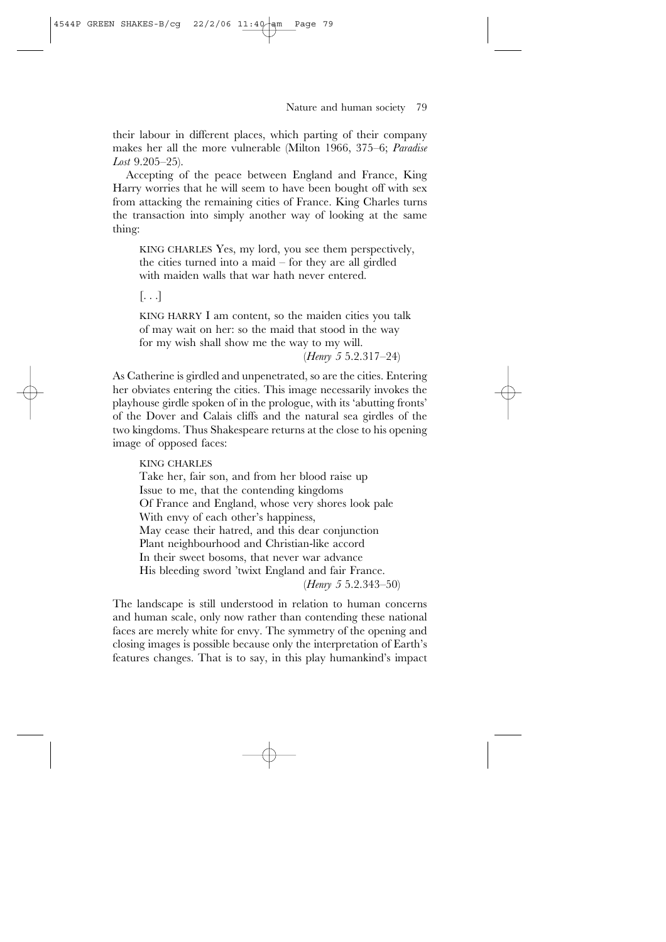their labour in different places, which parting of their company makes her all the more vulnerable (Milton 1966, 375–6; *Paradise Lost* 9.205–25).

Accepting of the peace between England and France, King Harry worries that he will seem to have been bought off with sex from attacking the remaining cities of France. King Charles turns the transaction into simply another way of looking at the same thing:

KING CHARLES Yes, my lord, you see them perspectively, the cities turned into a maid – for they are all girdled with maiden walls that war hath never entered.

 $[\ldots]$ 

KING HARRY I am content, so the maiden cities you talk of may wait on her: so the maid that stood in the way for my wish shall show me the way to my will.

(*Henry 5* 5.2.317–24)

As Catherine is girdled and unpenetrated, so are the cities. Entering her obviates entering the cities. This image necessarily invokes the playhouse girdle spoken of in the prologue, with its 'abutting fronts' of the Dover and Calais cliffs and the natural sea girdles of the two kingdoms. Thus Shakespeare returns at the close to his opening image of opposed faces:

## KING CHARLES

Take her, fair son, and from her blood raise up Issue to me, that the contending kingdoms Of France and England, whose very shores look pale With envy of each other's happiness, May cease their hatred, and this dear conjunction Plant neighbourhood and Christian-like accord In their sweet bosoms, that never war advance His bleeding sword 'twixt England and fair France. (*Henry 5* 5.2.343–50)

The landscape is still understood in relation to human concerns and human scale, only now rather than contending these national faces are merely white for envy. The symmetry of the opening and closing images is possible because only the interpretation of Earth's features changes. That is to say, in this play humankind's impact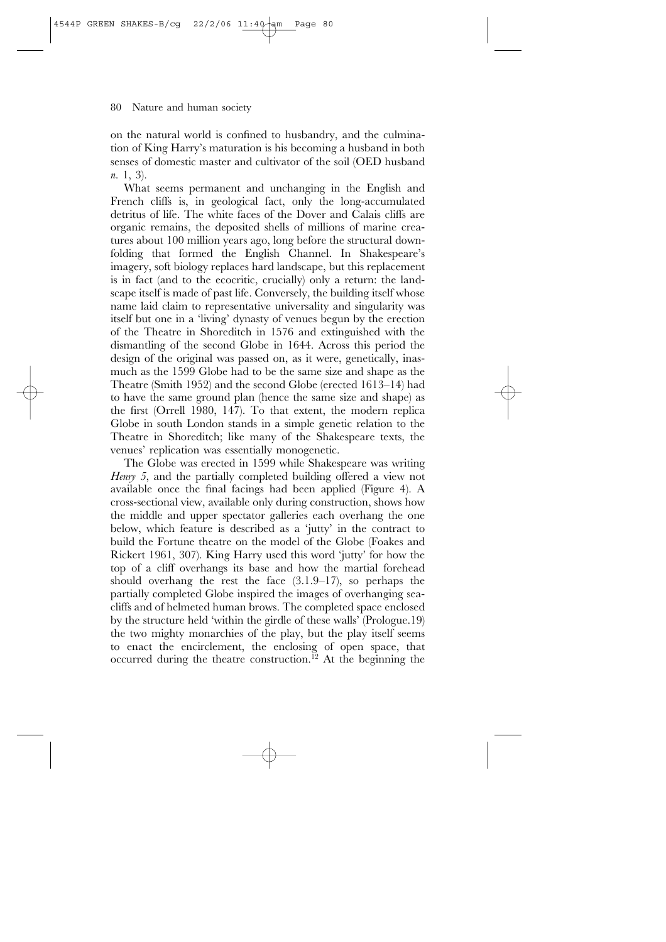on the natural world is confined to husbandry, and the culmination of King Harry's maturation is his becoming a husband in both senses of domestic master and cultivator of the soil (OED husband *n*. 1, 3).

What seems permanent and unchanging in the English and French cliffs is, in geological fact, only the long-accumulated detritus of life. The white faces of the Dover and Calais cliffs are organic remains, the deposited shells of millions of marine creatures about 100 million years ago, long before the structural downfolding that formed the English Channel. In Shakespeare's imagery, soft biology replaces hard landscape, but this replacement is in fact (and to the ecocritic, crucially) only a return: the landscape itself is made of past life. Conversely, the building itself whose name laid claim to representative universality and singularity was itself but one in a 'living' dynasty of venues begun by the erection of the Theatre in Shoreditch in 1576 and extinguished with the dismantling of the second Globe in 1644. Across this period the design of the original was passed on, as it were, genetically, inasmuch as the 1599 Globe had to be the same size and shape as the Theatre (Smith 1952) and the second Globe (erected 1613–14) had to have the same ground plan (hence the same size and shape) as the first (Orrell 1980, 147). To that extent, the modern replica Globe in south London stands in a simple genetic relation to the Theatre in Shoreditch; like many of the Shakespeare texts, the venues' replication was essentially monogenetic.

The Globe was erected in 1599 while Shakespeare was writing *Henry 5*, and the partially completed building offered a view not available once the final facings had been applied (Figure 4). A cross-sectional view, available only during construction, shows how the middle and upper spectator galleries each overhang the one below, which feature is described as a 'jutty' in the contract to build the Fortune theatre on the model of the Globe (Foakes and Rickert 1961, 307). King Harry used this word 'jutty' for how the top of a cliff overhangs its base and how the martial forehead should overhang the rest the face (3.1.9–17), so perhaps the partially completed Globe inspired the images of overhanging seacliffs and of helmeted human brows. The completed space enclosed by the structure held 'within the girdle of these walls' (Prologue.19) the two mighty monarchies of the play, but the play itself seems to enact the encirclement, the enclosing of open space, that occurred during the theatre construction.12 At the beginning the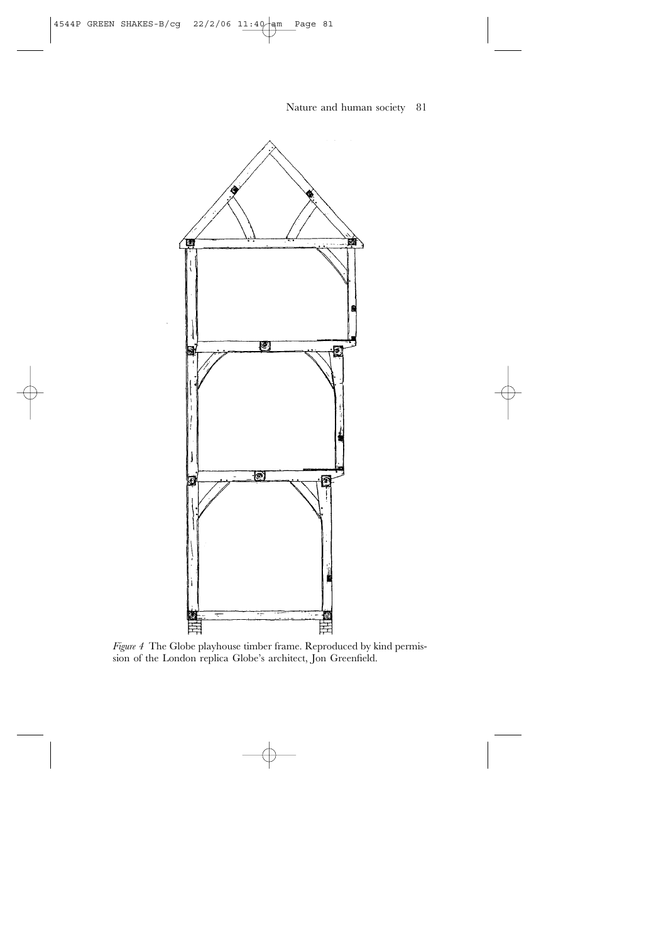

*Figure 4* The Globe playhouse timber frame. Reproduced by kind permission of the London replica Globe's architect, Jon Greenfield.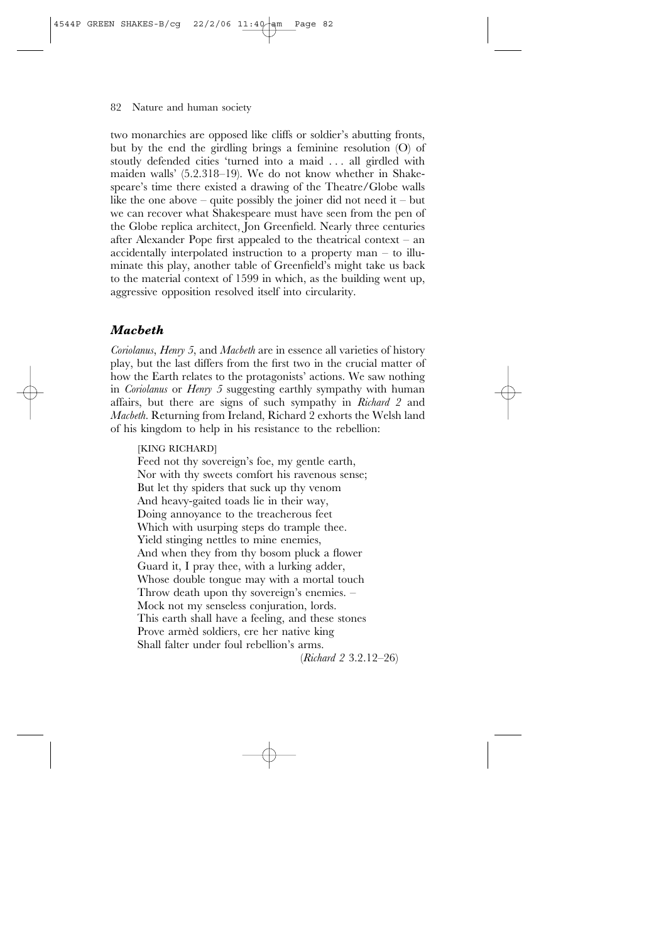two monarchies are opposed like cliffs or soldier's abutting fronts, but by the end the girdling brings a feminine resolution (O) of stoutly defended cities 'turned into a maid . . . all girdled with maiden walls' (5.2.318–19). We do not know whether in Shakespeare's time there existed a drawing of the Theatre/Globe walls like the one above – quite possibly the joiner did not need it – but we can recover what Shakespeare must have seen from the pen of the Globe replica architect, Jon Greenfield. Nearly three centuries after Alexander Pope first appealed to the theatrical context – an accidentally interpolated instruction to a property man – to illuminate this play, another table of Greenfield's might take us back to the material context of 1599 in which, as the building went up, aggressive opposition resolved itself into circularity.

# *Macbeth*

*Coriolanus*, *Henry 5*, and *Macbeth* are in essence all varieties of history play, but the last differs from the first two in the crucial matter of how the Earth relates to the protagonists' actions. We saw nothing in *Coriolanus* or *Henry 5* suggesting earthly sympathy with human affairs, but there are signs of such sympathy in *Richard 2* and *Macbeth*. Returning from Ireland, Richard 2 exhorts the Welsh land of his kingdom to help in his resistance to the rebellion:

## [KING RICHARD]

Feed not thy sovereign's foe, my gentle earth, Nor with thy sweets comfort his ravenous sense; But let thy spiders that suck up thy venom And heavy-gaited toads lie in their way, Doing annoyance to the treacherous feet Which with usurping steps do trample thee. Yield stinging nettles to mine enemies, And when they from thy bosom pluck a flower Guard it, I pray thee, with a lurking adder, Whose double tongue may with a mortal touch Throw death upon thy sovereign's enemies. – Mock not my senseless conjuration, lords. This earth shall have a feeling, and these stones Prove armèd soldiers, ere her native king Shall falter under foul rebellion's arms.

(*Richard 2* 3.2.12–26)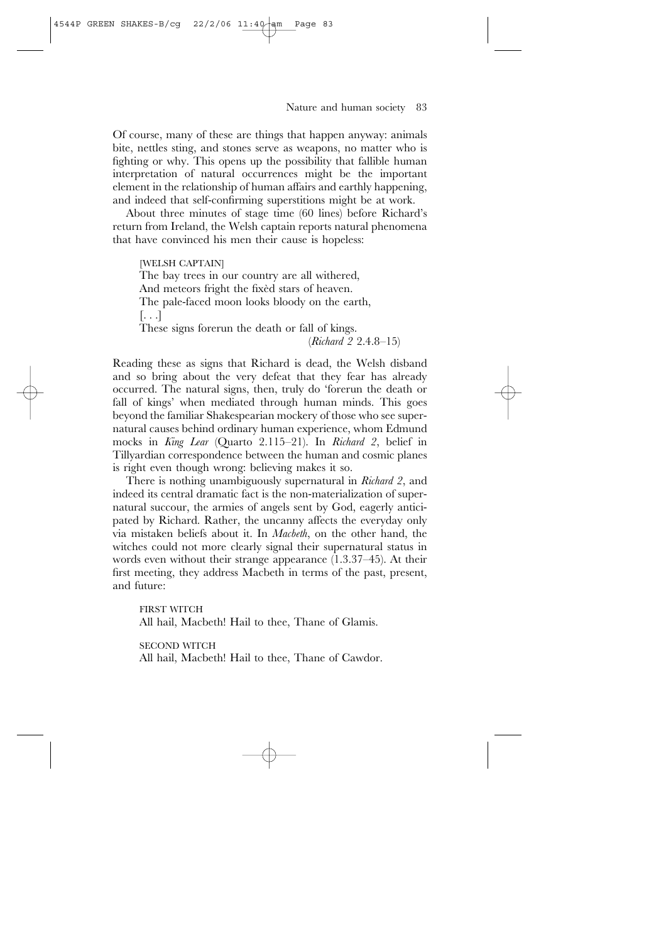Of course, many of these are things that happen anyway: animals bite, nettles sting, and stones serve as weapons, no matter who is fighting or why. This opens up the possibility that fallible human interpretation of natural occurrences might be the important element in the relationship of human affairs and earthly happening, and indeed that self-confirming superstitions might be at work.

About three minutes of stage time (60 lines) before Richard's return from Ireland, the Welsh captain reports natural phenomena that have convinced his men their cause is hopeless:

[WELSH CAPTAIN] The bay trees in our country are all withered, And meteors fright the fixèd stars of heaven. The pale-faced moon looks bloody on the earth, [. . .] These signs forerun the death or fall of kings.

(*Richard 2* 2.4.8–15)

Reading these as signs that Richard is dead, the Welsh disband and so bring about the very defeat that they fear has already occurred. The natural signs, then, truly do 'forerun the death or fall of kings' when mediated through human minds. This goes beyond the familiar Shakespearian mockery of those who see supernatural causes behind ordinary human experience, whom Edmund mocks in *King Lear* (Quarto 2.115–21). In *Richard 2*, belief in Tillyardian correspondence between the human and cosmic planes is right even though wrong: believing makes it so.

There is nothing unambiguously supernatural in *Richard 2*, and indeed its central dramatic fact is the non-materialization of supernatural succour, the armies of angels sent by God, eagerly anticipated by Richard. Rather, the uncanny affects the everyday only via mistaken beliefs about it. In *Macbeth*, on the other hand, the witches could not more clearly signal their supernatural status in words even without their strange appearance (1.3.37–45). At their first meeting, they address Macbeth in terms of the past, present, and future:

FIRST WITCH All hail, Macbeth! Hail to thee, Thane of Glamis.

SECOND WITCH

All hail, Macbeth! Hail to thee, Thane of Cawdor.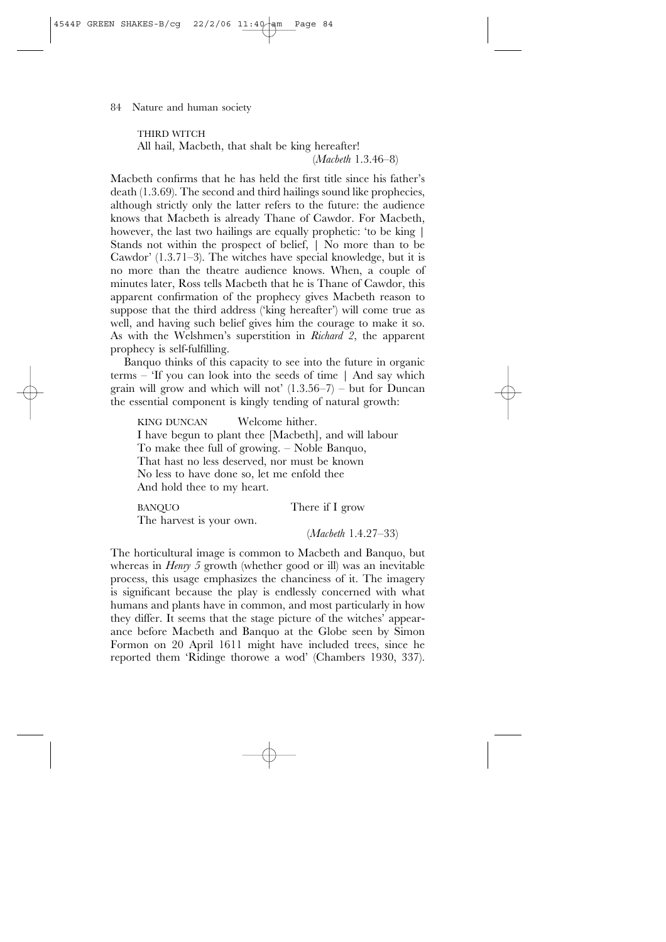THIRD WITCH All hail, Macbeth, that shalt be king hereafter! (*Macbeth* 1.3.46–8)

Macbeth confirms that he has held the first title since his father's death (1.3.69). The second and third hailings sound like prophecies, although strictly only the latter refers to the future: the audience knows that Macbeth is already Thane of Cawdor. For Macbeth, however, the last two hailings are equally prophetic: 'to be king | Stands not within the prospect of belief, | No more than to be Cawdor' (1.3.71–3). The witches have special knowledge, but it is no more than the theatre audience knows. When, a couple of minutes later, Ross tells Macbeth that he is Thane of Cawdor, this apparent confirmation of the prophecy gives Macbeth reason to suppose that the third address ('king hereafter') will come true as well, and having such belief gives him the courage to make it so. As with the Welshmen's superstition in *Richard 2*, the apparent prophecy is self-fulfilling.

Banquo thinks of this capacity to see into the future in organic terms – 'If you can look into the seeds of time | And say which grain will grow and which will not'  $(1.3.56-7)$  – but for Duncan the essential component is kingly tending of natural growth:

KING DUNCAN Welcome hither. I have begun to plant thee [Macbeth], and will labour To make thee full of growing. – Noble Banquo, That hast no less deserved, nor must be known No less to have done so, let me enfold thee And hold thee to my heart.

BANQUO There if I grow The harvest is your own.

(*Macbeth* 1.4.27–33)

The horticultural image is common to Macbeth and Banquo, but whereas in *Henry 5* growth (whether good or ill) was an inevitable process, this usage emphasizes the chanciness of it. The imagery is significant because the play is endlessly concerned with what humans and plants have in common, and most particularly in how they differ. It seems that the stage picture of the witches' appearance before Macbeth and Banquo at the Globe seen by Simon Formon on 20 April 1611 might have included trees, since he reported them 'Ridinge thorowe a wod' (Chambers 1930, 337).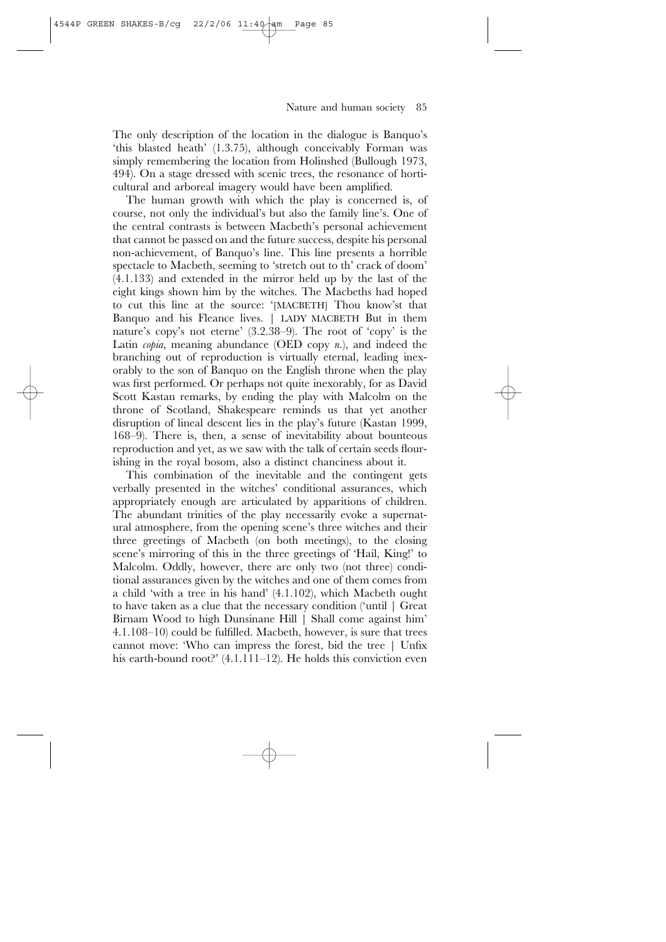The only description of the location in the dialogue is Banquo's 'this blasted heath' (1.3.75), although conceivably Forman was simply remembering the location from Holinshed (Bullough 1973, 494). On a stage dressed with scenic trees, the resonance of horticultural and arboreal imagery would have been amplified.

The human growth with which the play is concerned is, of course, not only the individual's but also the family line's. One of the central contrasts is between Macbeth's personal achievement that cannot be passed on and the future success, despite his personal non-achievement, of Banquo's line. This line presents a horrible spectacle to Macbeth, seeming to 'stretch out to th' crack of doom' (4.1.133) and extended in the mirror held up by the last of the eight kings shown him by the witches. The Macbeths had hoped to cut this line at the source: '[MACBETH] Thou know'st that Banquo and his Fleance lives. | LADY MACBETH But in them nature's copy's not eterne' (3.2.38–9). The root of 'copy' is the Latin *copia*, meaning abundance (OED copy *n*.), and indeed the branching out of reproduction is virtually eternal, leading inexorably to the son of Banquo on the English throne when the play was first performed. Or perhaps not quite inexorably, for as David Scott Kastan remarks, by ending the play with Malcolm on the throne of Scotland, Shakespeare reminds us that yet another disruption of lineal descent lies in the play's future (Kastan 1999, 168–9). There is, then, a sense of inevitability about bounteous reproduction and yet, as we saw with the talk of certain seeds flourishing in the royal bosom, also a distinct chanciness about it.

This combination of the inevitable and the contingent gets verbally presented in the witches' conditional assurances, which appropriately enough are articulated by apparitions of children. The abundant trinities of the play necessarily evoke a supernatural atmosphere, from the opening scene's three witches and their three greetings of Macbeth (on both meetings), to the closing scene's mirroring of this in the three greetings of 'Hail, King!' to Malcolm. Oddly, however, there are only two (not three) conditional assurances given by the witches and one of them comes from a child 'with a tree in his hand' (4.1.102), which Macbeth ought to have taken as a clue that the necessary condition ('until | Great Birnam Wood to high Dunsinane Hill | Shall come against him' 4.1.108–10) could be fulfilled. Macbeth, however, is sure that trees cannot move: 'Who can impress the forest, bid the tree | Unfix his earth-bound root?' (4.1.111–12). He holds this conviction even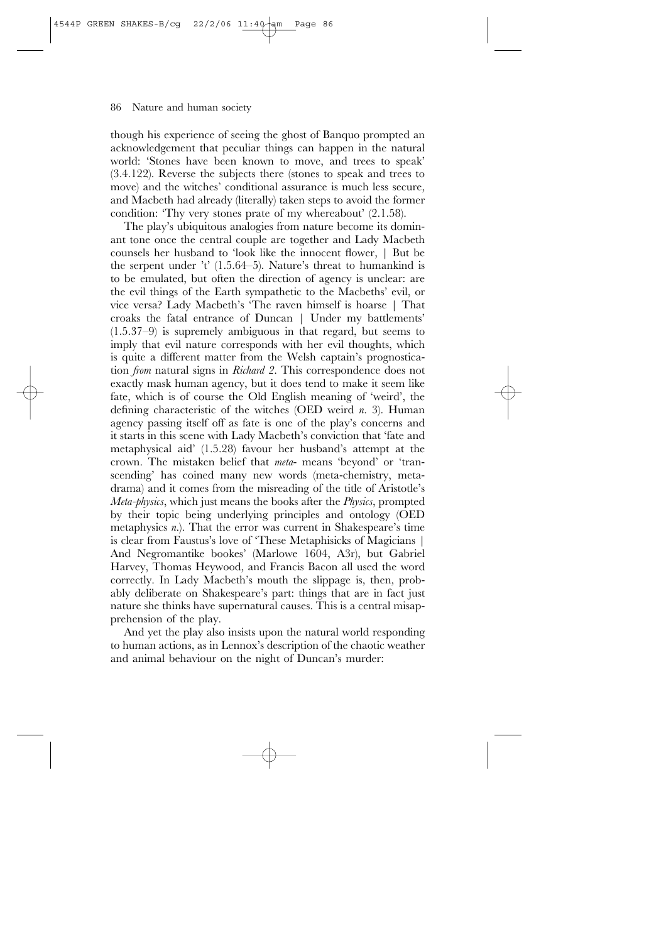though his experience of seeing the ghost of Banquo prompted an acknowledgement that peculiar things can happen in the natural world: 'Stones have been known to move, and trees to speak' (3.4.122). Reverse the subjects there (stones to speak and trees to move) and the witches' conditional assurance is much less secure, and Macbeth had already (literally) taken steps to avoid the former condition: 'Thy very stones prate of my whereabout' (2.1.58).

The play's ubiquitous analogies from nature become its dominant tone once the central couple are together and Lady Macbeth counsels her husband to 'look like the innocent flower, | But be the serpent under 't' (1.5.64–5). Nature's threat to humankind is to be emulated, but often the direction of agency is unclear: are the evil things of the Earth sympathetic to the Macbeths' evil, or vice versa? Lady Macbeth's 'The raven himself is hoarse | That croaks the fatal entrance of Duncan | Under my battlements' (1.5.37–9) is supremely ambiguous in that regard, but seems to imply that evil nature corresponds with her evil thoughts, which is quite a different matter from the Welsh captain's prognostication *from* natural signs in *Richard 2*. This correspondence does not exactly mask human agency, but it does tend to make it seem like fate, which is of course the Old English meaning of 'weird', the defining characteristic of the witches (OED weird *n*. 3). Human agency passing itself off as fate is one of the play's concerns and it starts in this scene with Lady Macbeth's conviction that 'fate and metaphysical aid' (1.5.28) favour her husband's attempt at the crown. The mistaken belief that *meta*- means 'beyond' or 'transcending' has coined many new words (meta-chemistry, metadrama) and it comes from the misreading of the title of Aristotle's *Meta-physics*, which just means the books after the *Physics*, prompted by their topic being underlying principles and ontology (OED metaphysics *n*.). That the error was current in Shakespeare's time is clear from Faustus's love of 'These Metaphisicks of Magicians | And Negromantike bookes' (Marlowe 1604, A3r), but Gabriel Harvey, Thomas Heywood, and Francis Bacon all used the word correctly. In Lady Macbeth's mouth the slippage is, then, probably deliberate on Shakespeare's part: things that are in fact just nature she thinks have supernatural causes. This is a central misapprehension of the play.

And yet the play also insists upon the natural world responding to human actions, as in Lennox's description of the chaotic weather and animal behaviour on the night of Duncan's murder: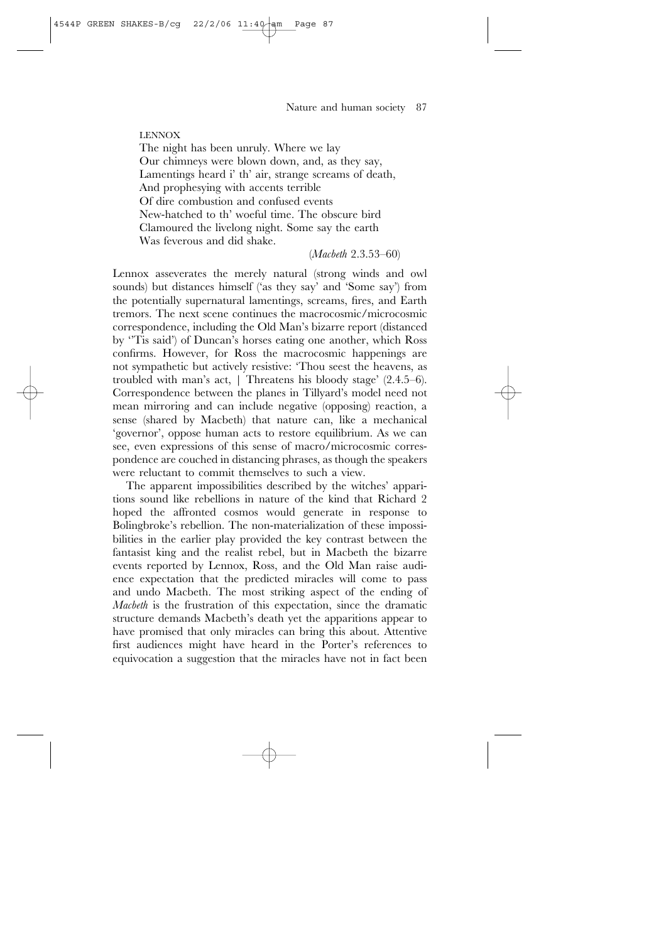LENNOX The night has been unruly. Where we lay Our chimneys were blown down, and, as they say, Lamentings heard i' th' air, strange screams of death, And prophesying with accents terrible Of dire combustion and confused events New-hatched to th' woeful time. The obscure bird Clamoured the livelong night. Some say the earth Was feverous and did shake.

(*Macbeth* 2.3.53–60)

Lennox asseverates the merely natural (strong winds and owl sounds) but distances himself ('as they say' and 'Some say') from the potentially supernatural lamentings, screams, fires, and Earth tremors. The next scene continues the macrocosmic/microcosmic correspondence, including the Old Man's bizarre report (distanced by ''Tis said') of Duncan's horses eating one another, which Ross confirms. However, for Ross the macrocosmic happenings are not sympathetic but actively resistive: 'Thou seest the heavens, as troubled with man's act, | Threatens his bloody stage' (2.4.5–6). Correspondence between the planes in Tillyard's model need not mean mirroring and can include negative (opposing) reaction, a sense (shared by Macbeth) that nature can, like a mechanical 'governor', oppose human acts to restore equilibrium. As we can see, even expressions of this sense of macro/microcosmic correspondence are couched in distancing phrases, as though the speakers were reluctant to commit themselves to such a view.

The apparent impossibilities described by the witches' apparitions sound like rebellions in nature of the kind that Richard 2 hoped the affronted cosmos would generate in response to Bolingbroke's rebellion. The non-materialization of these impossibilities in the earlier play provided the key contrast between the fantasist king and the realist rebel, but in Macbeth the bizarre events reported by Lennox, Ross, and the Old Man raise audience expectation that the predicted miracles will come to pass and undo Macbeth. The most striking aspect of the ending of *Macbeth* is the frustration of this expectation, since the dramatic structure demands Macbeth's death yet the apparitions appear to have promised that only miracles can bring this about. Attentive first audiences might have heard in the Porter's references to equivocation a suggestion that the miracles have not in fact been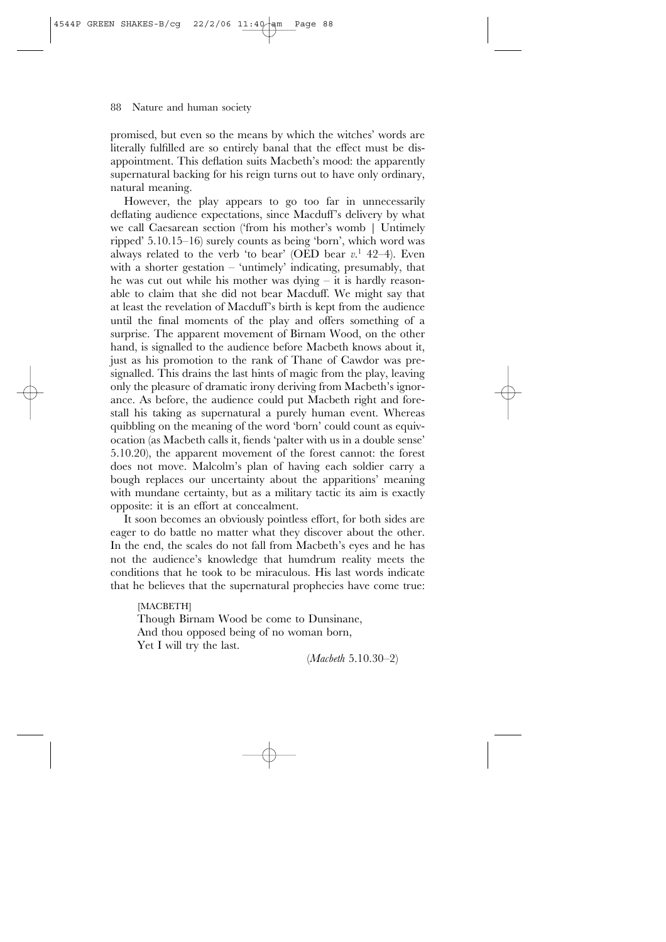promised, but even so the means by which the witches' words are literally fulfilled are so entirely banal that the effect must be disappointment. This deflation suits Macbeth's mood: the apparently supernatural backing for his reign turns out to have only ordinary, natural meaning.

However, the play appears to go too far in unnecessarily deflating audience expectations, since Macduff's delivery by what we call Caesarean section ('from his mother's womb | Untimely ripped' 5.10.15–16) surely counts as being 'born', which word was always related to the verb 'to bear' (OED bear *v*. <sup>1</sup> 42–4). Even with a shorter gestation – 'untimely' indicating, presumably, that he was cut out while his mother was dying – it is hardly reasonable to claim that she did not bear Macduff. We might say that at least the revelation of Macduff's birth is kept from the audience until the final moments of the play and offers something of a surprise. The apparent movement of Birnam Wood, on the other hand, is signalled to the audience before Macbeth knows about it, just as his promotion to the rank of Thane of Cawdor was presignalled. This drains the last hints of magic from the play, leaving only the pleasure of dramatic irony deriving from Macbeth's ignorance. As before, the audience could put Macbeth right and forestall his taking as supernatural a purely human event. Whereas quibbling on the meaning of the word 'born' could count as equivocation (as Macbeth calls it, fiends 'palter with us in a double sense' 5.10.20), the apparent movement of the forest cannot: the forest does not move. Malcolm's plan of having each soldier carry a bough replaces our uncertainty about the apparitions' meaning with mundane certainty, but as a military tactic its aim is exactly opposite: it is an effort at concealment.

It soon becomes an obviously pointless effort, for both sides are eager to do battle no matter what they discover about the other. In the end, the scales do not fall from Macbeth's eyes and he has not the audience's knowledge that humdrum reality meets the conditions that he took to be miraculous. His last words indicate that he believes that the supernatural prophecies have come true:

[MACBETH] Though Birnam Wood be come to Dunsinane, And thou opposed being of no woman born, Yet I will try the last.

(*Macbeth* 5.10.30–2)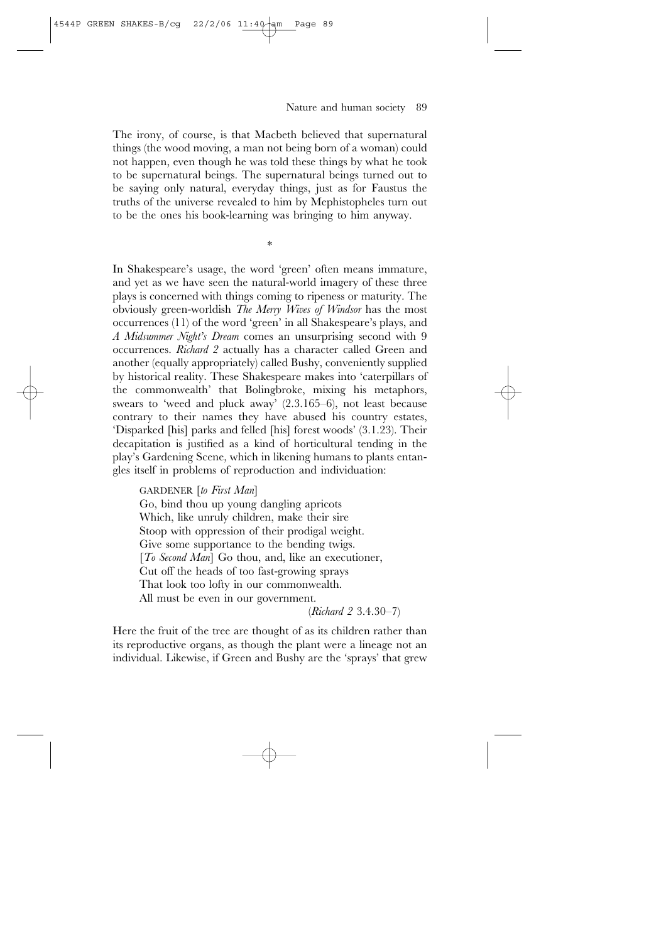The irony, of course, is that Macbeth believed that supernatural things (the wood moving, a man not being born of a woman) could not happen, even though he was told these things by what he took to be supernatural beings. The supernatural beings turned out to be saying only natural, everyday things, just as for Faustus the truths of the universe revealed to him by Mephistopheles turn out to be the ones his book-learning was bringing to him anyway.

\*

In Shakespeare's usage, the word 'green' often means immature, and yet as we have seen the natural-world imagery of these three plays is concerned with things coming to ripeness or maturity. The obviously green-worldish *The Merry Wives of Windsor* has the most occurrences (11) of the word 'green' in all Shakespeare's plays, and *A Midsummer Night's Dream* comes an unsurprising second with 9 occurrences. *Richard 2* actually has a character called Green and another (equally appropriately) called Bushy, conveniently supplied by historical reality. These Shakespeare makes into 'caterpillars of the commonwealth' that Bolingbroke, mixing his metaphors, swears to 'weed and pluck away' (2.3.165–6), not least because contrary to their names they have abused his country estates, 'Disparked [his] parks and felled [his] forest woods' (3.1.23). Their decapitation is justified as a kind of horticultural tending in the play's Gardening Scene, which in likening humans to plants entangles itself in problems of reproduction and individuation:

GARDENER [*to First Man*]

Go, bind thou up young dangling apricots Which, like unruly children, make their sire Stoop with oppression of their prodigal weight. Give some supportance to the bending twigs. [*To Second Man*] Go thou, and, like an executioner, Cut off the heads of too fast-growing sprays That look too lofty in our commonwealth. All must be even in our government.

(*Richard 2* 3.4.30–7)

Here the fruit of the tree are thought of as its children rather than its reproductive organs, as though the plant were a lineage not an individual. Likewise, if Green and Bushy are the 'sprays' that grew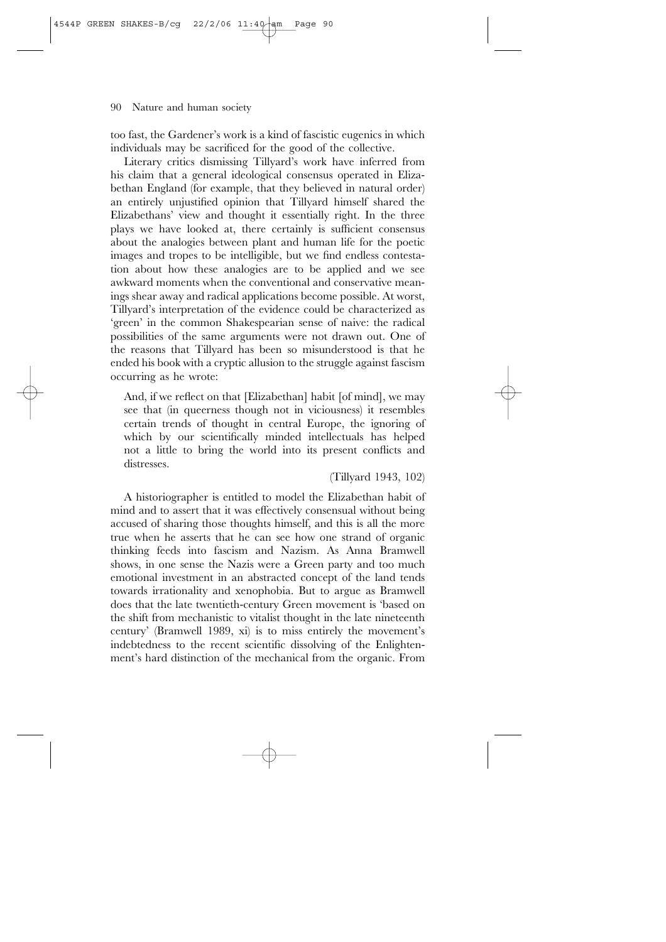too fast, the Gardener's work is a kind of fascistic eugenics in which individuals may be sacrificed for the good of the collective.

Literary critics dismissing Tillyard's work have inferred from his claim that a general ideological consensus operated in Elizabethan England (for example, that they believed in natural order) an entirely unjustified opinion that Tillyard himself shared the Elizabethans' view and thought it essentially right. In the three plays we have looked at, there certainly is sufficient consensus about the analogies between plant and human life for the poetic images and tropes to be intelligible, but we find endless contestation about how these analogies are to be applied and we see awkward moments when the conventional and conservative meanings shear away and radical applications become possible. At worst, Tillyard's interpretation of the evidence could be characterized as 'green' in the common Shakespearian sense of naive: the radical possibilities of the same arguments were not drawn out. One of the reasons that Tillyard has been so misunderstood is that he ended his book with a cryptic allusion to the struggle against fascism occurring as he wrote:

And, if we reflect on that [Elizabethan] habit [of mind], we may see that (in queerness though not in viciousness) it resembles certain trends of thought in central Europe, the ignoring of which by our scientifically minded intellectuals has helped not a little to bring the world into its present conflicts and distresses.

(Tillyard 1943, 102)

A historiographer is entitled to model the Elizabethan habit of mind and to assert that it was effectively consensual without being accused of sharing those thoughts himself, and this is all the more true when he asserts that he can see how one strand of organic thinking feeds into fascism and Nazism. As Anna Bramwell shows, in one sense the Nazis were a Green party and too much emotional investment in an abstracted concept of the land tends towards irrationality and xenophobia. But to argue as Bramwell does that the late twentieth-century Green movement is 'based on the shift from mechanistic to vitalist thought in the late nineteenth century' (Bramwell 1989, xi) is to miss entirely the movement's indebtedness to the recent scientific dissolving of the Enlightenment's hard distinction of the mechanical from the organic. From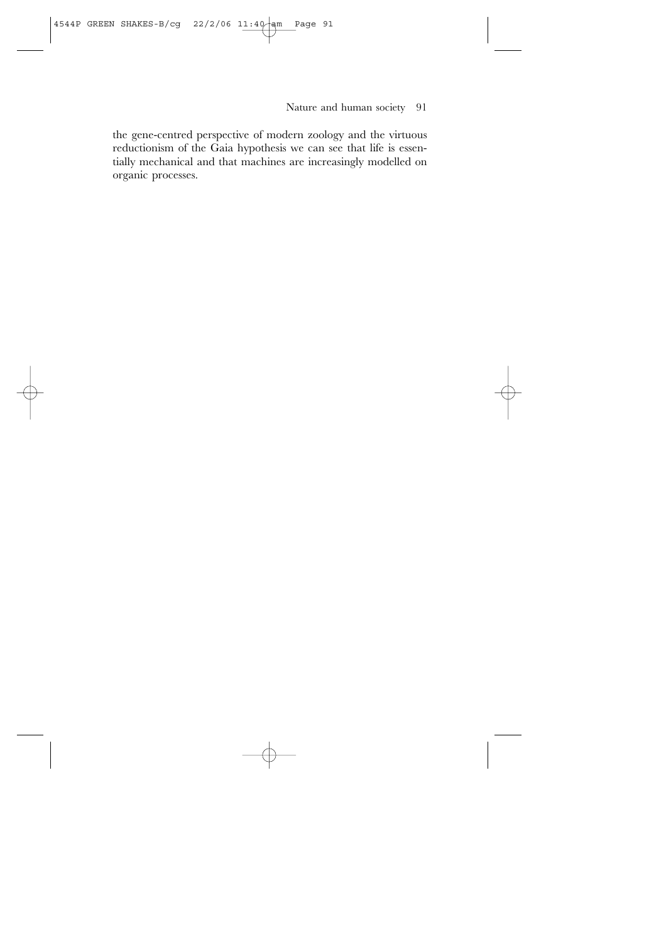the gene-centred perspective of modern zoology and the virtuous reductionism of the Gaia hypothesis we can see that life is essentially mechanical and that machines are increasingly modelled on organic processes.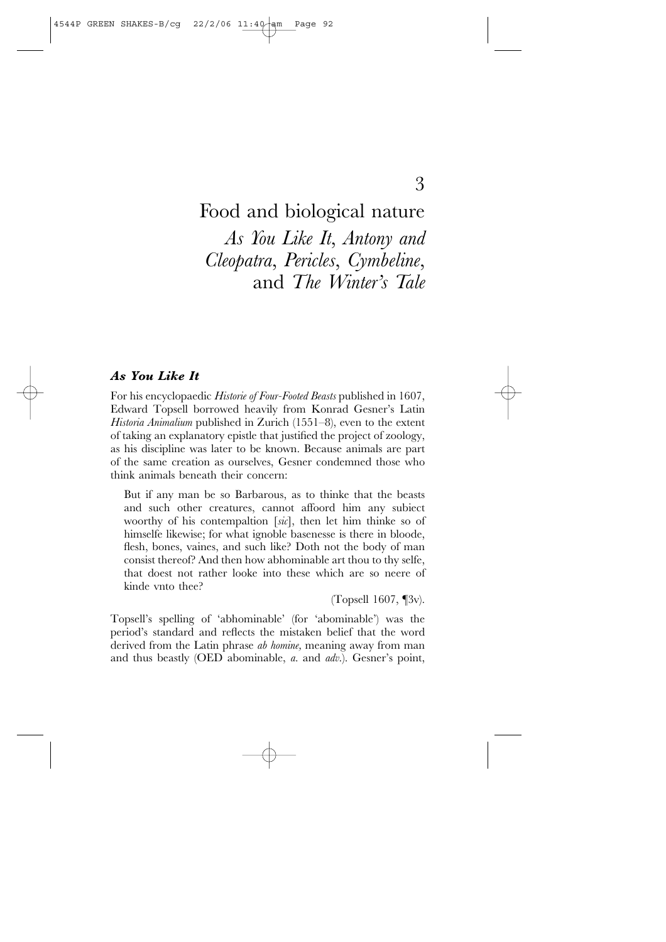# Food and biological nature *As You Like It*, *Antony and Cleopatra*, *Pericles*, *Cymbeline*,

and *The Winter's Tale*

# *As You Like It*

For his encyclopaedic *Historie of Four-Footed Beasts* published in 1607, Edward Topsell borrowed heavily from Konrad Gesner's Latin *Historia Animalium* published in Zurich (1551–8), even to the extent of taking an explanatory epistle that justified the project of zoology, as his discipline was later to be known. Because animals are part of the same creation as ourselves, Gesner condemned those who think animals beneath their concern:

But if any man be so Barbarous, as to thinke that the beasts and such other creatures, cannot affoord him any subiect woorthy of his contempaltion [*sic*], then let him thinke so of himselfe likewise; for what ignoble basenesse is there in bloode, flesh, bones, vaines, and such like? Doth not the body of man consist thereof? And then how abhominable art thou to thy selfe, that doest not rather looke into these which are so neere of kinde vnto thee?

(Topsell 1607, ¶3v).

Topsell's spelling of 'abhominable' (for 'abominable') was the period's standard and reflects the mistaken belief that the word derived from the Latin phrase *ab homine,* meaning away from man and thus beastly (OED abominable, *a.* and *adv*.). Gesner's point,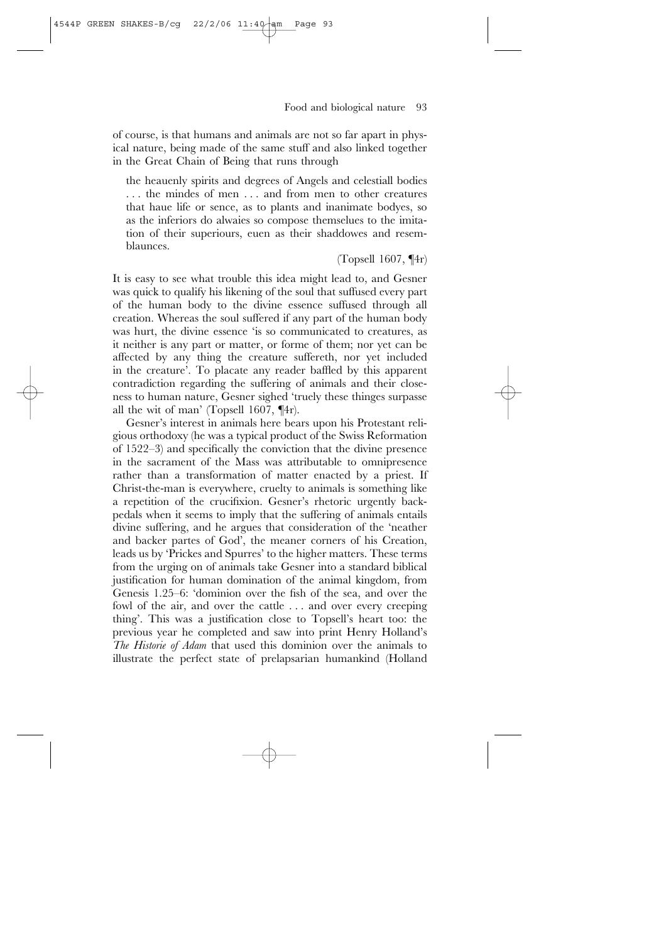of course, is that humans and animals are not so far apart in physical nature, being made of the same stuff and also linked together in the Great Chain of Being that runs through

the heauenly spirits and degrees of Angels and celestiall bodies . . . the mindes of men . . . and from men to other creatures that haue life or sence, as to plants and inanimate bodyes, so as the inferiors do alwaies so compose themselues to the imitation of their superiours, euen as their shaddowes and resemblaunces.

(Topsell 1607, ¶4r)

It is easy to see what trouble this idea might lead to, and Gesner was quick to qualify his likening of the soul that suffused every part of the human body to the divine essence suffused through all creation. Whereas the soul suffered if any part of the human body was hurt, the divine essence 'is so communicated to creatures, as it neither is any part or matter, or forme of them; nor yet can be affected by any thing the creature suffereth, nor yet included in the creature'. To placate any reader baffled by this apparent contradiction regarding the suffering of animals and their closeness to human nature, Gesner sighed 'truely these thinges surpasse all the wit of man' (Topsell 1607, ¶4r).

Gesner's interest in animals here bears upon his Protestant religious orthodoxy (he was a typical product of the Swiss Reformation of 1522–3) and specifically the conviction that the divine presence in the sacrament of the Mass was attributable to omnipresence rather than a transformation of matter enacted by a priest. If Christ-the-man is everywhere, cruelty to animals is something like a repetition of the crucifixion. Gesner's rhetoric urgently backpedals when it seems to imply that the suffering of animals entails divine suffering, and he argues that consideration of the 'neather and backer partes of God', the meaner corners of his Creation, leads us by 'Prickes and Spurres' to the higher matters. These terms from the urging on of animals take Gesner into a standard biblical justification for human domination of the animal kingdom, from Genesis 1.25–6: 'dominion over the fish of the sea, and over the fowl of the air, and over the cattle . . . and over every creeping thing'. This was a justification close to Topsell's heart too: the previous year he completed and saw into print Henry Holland's *The Historie of Adam* that used this dominion over the animals to illustrate the perfect state of prelapsarian humankind (Holland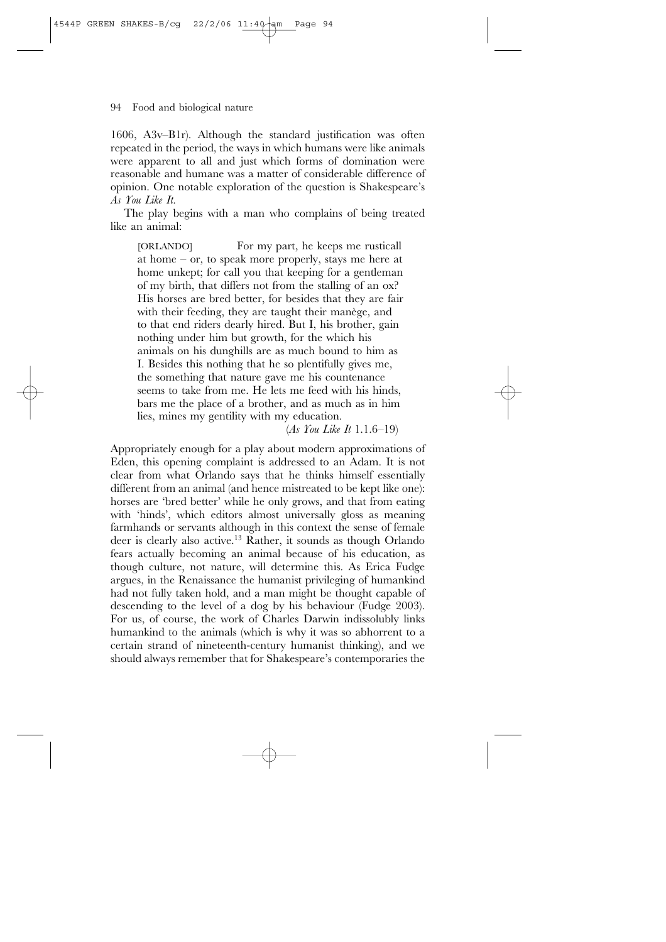1606, A3v–B1r). Although the standard justification was often repeated in the period, the ways in which humans were like animals were apparent to all and just which forms of domination were reasonable and humane was a matter of considerable difference of opinion. One notable exploration of the question is Shakespeare's *As You Like It*.

The play begins with a man who complains of being treated like an animal:

[ORLANDO] For my part, he keeps me rusticall at home – or, to speak more properly, stays me here at home unkept; for call you that keeping for a gentleman of my birth, that differs not from the stalling of an ox? His horses are bred better, for besides that they are fair with their feeding, they are taught their manège, and to that end riders dearly hired. But I, his brother, gain nothing under him but growth, for the which his animals on his dunghills are as much bound to him as I. Besides this nothing that he so plentifully gives me, the something that nature gave me his countenance seems to take from me. He lets me feed with his hinds, bars me the place of a brother, and as much as in him lies, mines my gentility with my education.

(*As You Like It* 1.1.6–19)

Appropriately enough for a play about modern approximations of Eden, this opening complaint is addressed to an Adam. It is not clear from what Orlando says that he thinks himself essentially different from an animal (and hence mistreated to be kept like one): horses are 'bred better' while he only grows, and that from eating with 'hinds', which editors almost universally gloss as meaning farmhands or servants although in this context the sense of female deer is clearly also active.13 Rather, it sounds as though Orlando fears actually becoming an animal because of his education, as though culture, not nature, will determine this. As Erica Fudge argues, in the Renaissance the humanist privileging of humankind had not fully taken hold, and a man might be thought capable of descending to the level of a dog by his behaviour (Fudge 2003). For us, of course, the work of Charles Darwin indissolubly links humankind to the animals (which is why it was so abhorrent to a certain strand of nineteenth-century humanist thinking), and we should always remember that for Shakespeare's contemporaries the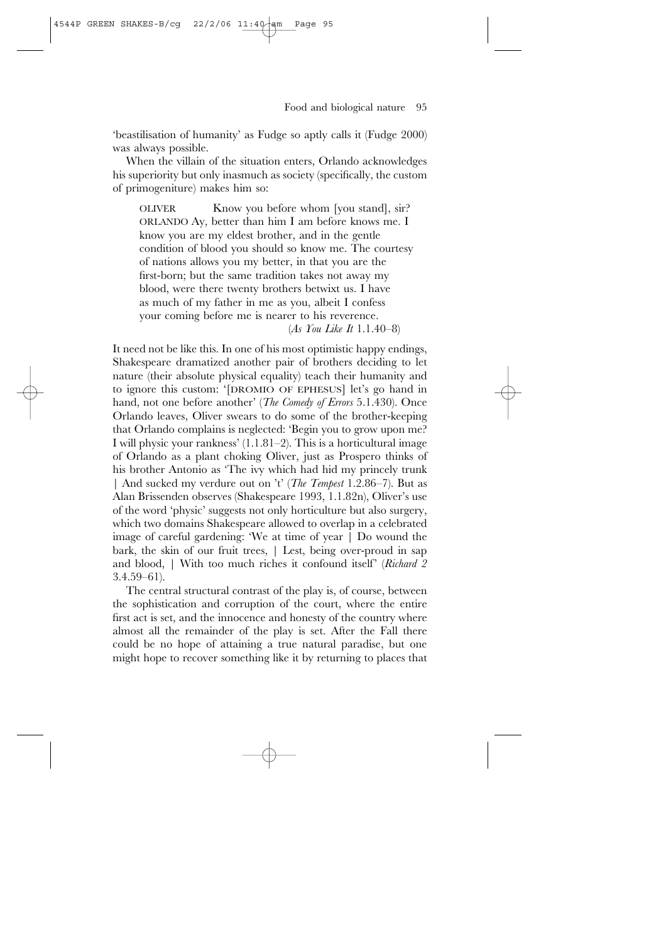'beastilisation of humanity' as Fudge so aptly calls it (Fudge 2000) was always possible.

When the villain of the situation enters, Orlando acknowledges his superiority but only inasmuch as society (specifically, the custom of primogeniture) makes him so:

OLIVER Know you before whom [you stand], sir? ORLANDO Ay, better than him I am before knows me. I know you are my eldest brother, and in the gentle condition of blood you should so know me. The courtesy of nations allows you my better, in that you are the first-born; but the same tradition takes not away my blood, were there twenty brothers betwixt us. I have as much of my father in me as you, albeit I confess your coming before me is nearer to his reverence.

(*As You Like It* 1.1.40–8)

It need not be like this. In one of his most optimistic happy endings, Shakespeare dramatized another pair of brothers deciding to let nature (their absolute physical equality) teach their humanity and to ignore this custom: '[DROMIO OF EPHESUS] let's go hand in hand, not one before another' (*The Comedy of Errors* 5.1.430). Once Orlando leaves, Oliver swears to do some of the brother-keeping that Orlando complains is neglected: 'Begin you to grow upon me? I will physic your rankness' (1.1.81–2). This is a horticultural image of Orlando as a plant choking Oliver, just as Prospero thinks of his brother Antonio as 'The ivy which had hid my princely trunk | And sucked my verdure out on 't' (*The Tempest* 1.2.86–7). But as Alan Brissenden observes (Shakespeare 1993, 1.1.82n), Oliver's use of the word 'physic' suggests not only horticulture but also surgery, which two domains Shakespeare allowed to overlap in a celebrated image of careful gardening: 'We at time of year | Do wound the bark, the skin of our fruit trees, | Lest, being over-proud in sap and blood, | With too much riches it confound itself' (*Richard 2* 3.4.59–61).

The central structural contrast of the play is, of course, between the sophistication and corruption of the court, where the entire first act is set, and the innocence and honesty of the country where almost all the remainder of the play is set. After the Fall there could be no hope of attaining a true natural paradise, but one might hope to recover something like it by returning to places that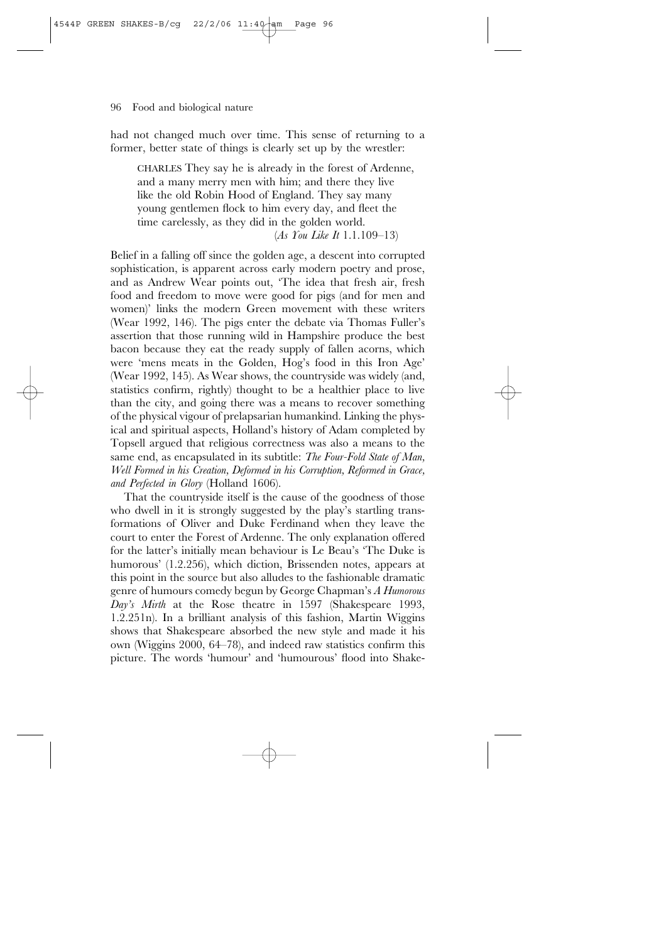had not changed much over time. This sense of returning to a former, better state of things is clearly set up by the wrestler:

CHARLES They say he is already in the forest of Ardenne, and a many merry men with him; and there they live like the old Robin Hood of England. They say many young gentlemen flock to him every day, and fleet the time carelessly, as they did in the golden world.

(*As You Like It* 1.1.109–13)

Belief in a falling off since the golden age, a descent into corrupted sophistication, is apparent across early modern poetry and prose, and as Andrew Wear points out, 'The idea that fresh air, fresh food and freedom to move were good for pigs (and for men and women)' links the modern Green movement with these writers (Wear 1992, 146). The pigs enter the debate via Thomas Fuller's assertion that those running wild in Hampshire produce the best bacon because they eat the ready supply of fallen acorns, which were 'mens meats in the Golden, Hog's food in this Iron Age' (Wear 1992, 145). As Wear shows, the countryside was widely (and, statistics confirm, rightly) thought to be a healthier place to live than the city, and going there was a means to recover something of the physical vigour of prelapsarian humankind. Linking the physical and spiritual aspects, Holland's history of Adam completed by Topsell argued that religious correctness was also a means to the same end, as encapsulated in its subtitle: *The Four-Fold State of Man, Well Formed in his Creation, Deformed in his Corruption, Reformed in Grace, and Perfected in Glory* (Holland 1606).

That the countryside itself is the cause of the goodness of those who dwell in it is strongly suggested by the play's startling transformations of Oliver and Duke Ferdinand when they leave the court to enter the Forest of Ardenne. The only explanation offered for the latter's initially mean behaviour is Le Beau's 'The Duke is humorous' (1.2.256), which diction, Brissenden notes, appears at this point in the source but also alludes to the fashionable dramatic genre of humours comedy begun by George Chapman's *A Humorous Day's Mirth* at the Rose theatre in 1597 (Shakespeare 1993, 1.2.251n). In a brilliant analysis of this fashion, Martin Wiggins shows that Shakespeare absorbed the new style and made it his own (Wiggins 2000, 64–78), and indeed raw statistics confirm this picture. The words 'humour' and 'humourous' flood into Shake-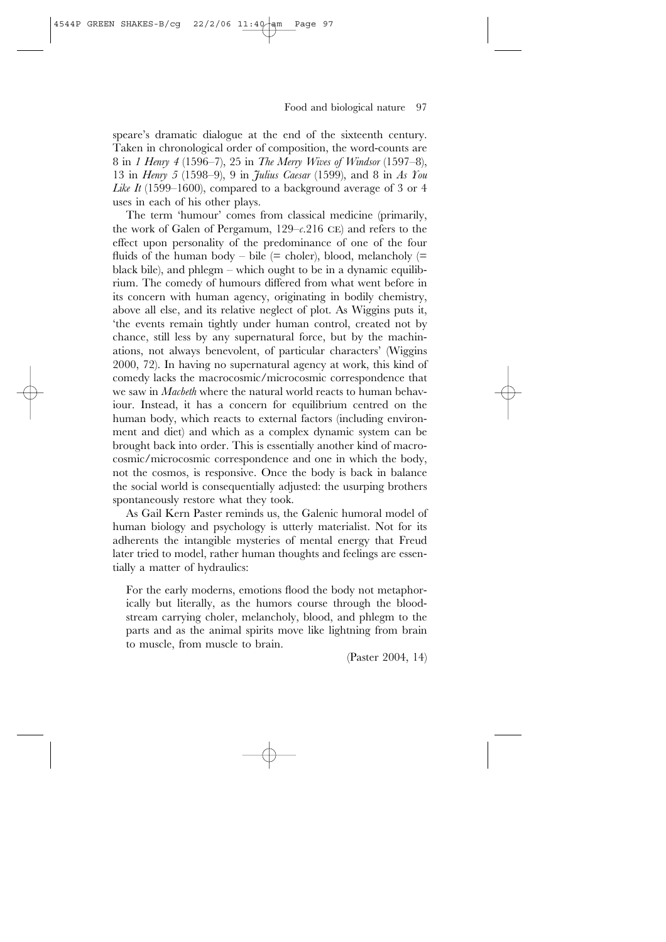speare's dramatic dialogue at the end of the sixteenth century. Taken in chronological order of composition, the word-counts are 8 in *1 Henry 4* (1596–7), 25 in *The Merry Wives of Windsor* (1597–8), 13 in *Henry 5* (1598–9), 9 in *Julius Caesar* (1599), and 8 in *As You Like It* (1599–1600), compared to a background average of 3 or 4 uses in each of his other plays.

The term 'humour' comes from classical medicine (primarily, the work of Galen of Pergamum, 129–*c*.216 CE) and refers to the effect upon personality of the predominance of one of the four fluids of the human body – bile (= choler), blood, melancholy (= black bile), and phlegm – which ought to be in a dynamic equilibrium. The comedy of humours differed from what went before in its concern with human agency, originating in bodily chemistry, above all else, and its relative neglect of plot. As Wiggins puts it, 'the events remain tightly under human control, created not by chance, still less by any supernatural force, but by the machinations, not always benevolent, of particular characters' (Wiggins 2000, 72). In having no supernatural agency at work, this kind of comedy lacks the macrocosmic/microcosmic correspondence that we saw in *Macbeth* where the natural world reacts to human behaviour. Instead, it has a concern for equilibrium centred on the human body, which reacts to external factors (including environment and diet) and which as a complex dynamic system can be brought back into order. This is essentially another kind of macrocosmic/microcosmic correspondence and one in which the body, not the cosmos, is responsive. Once the body is back in balance the social world is consequentially adjusted: the usurping brothers spontaneously restore what they took.

As Gail Kern Paster reminds us, the Galenic humoral model of human biology and psychology is utterly materialist. Not for its adherents the intangible mysteries of mental energy that Freud later tried to model, rather human thoughts and feelings are essentially a matter of hydraulics:

For the early moderns, emotions flood the body not metaphorically but literally, as the humors course through the bloodstream carrying choler, melancholy, blood, and phlegm to the parts and as the animal spirits move like lightning from brain to muscle, from muscle to brain.

(Paster 2004, 14)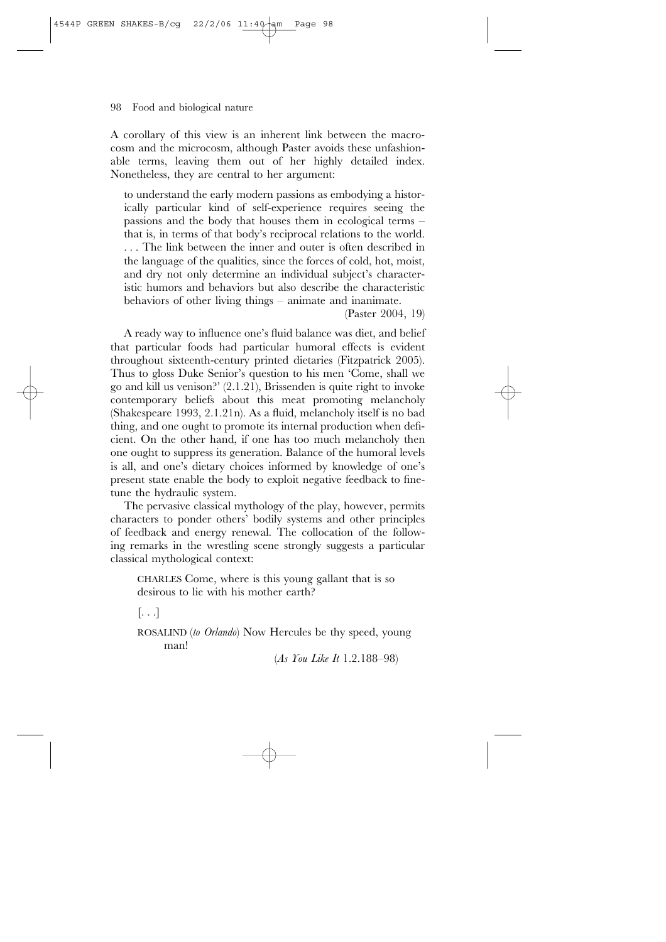A corollary of this view is an inherent link between the macrocosm and the microcosm, although Paster avoids these unfashionable terms, leaving them out of her highly detailed index. Nonetheless, they are central to her argument:

to understand the early modern passions as embodying a historically particular kind of self-experience requires seeing the passions and the body that houses them in ecological terms – that is, in terms of that body's reciprocal relations to the world. . . . The link between the inner and outer is often described in the language of the qualities, since the forces of cold, hot, moist, and dry not only determine an individual subject's characteristic humors and behaviors but also describe the characteristic behaviors of other living things – animate and inanimate.

(Paster 2004, 19)

A ready way to influence one's fluid balance was diet, and belief that particular foods had particular humoral effects is evident throughout sixteenth-century printed dietaries (Fitzpatrick 2005). Thus to gloss Duke Senior's question to his men 'Come, shall we go and kill us venison?' (2.1.21), Brissenden is quite right to invoke contemporary beliefs about this meat promoting melancholy (Shakespeare 1993, 2.1.21n). As a fluid, melancholy itself is no bad thing, and one ought to promote its internal production when deficient. On the other hand, if one has too much melancholy then one ought to suppress its generation. Balance of the humoral levels is all, and one's dietary choices informed by knowledge of one's present state enable the body to exploit negative feedback to finetune the hydraulic system.

The pervasive classical mythology of the play, however, permits characters to ponder others' bodily systems and other principles of feedback and energy renewal. The collocation of the following remarks in the wrestling scene strongly suggests a particular classical mythological context:

CHARLES Come, where is this young gallant that is so desirous to lie with his mother earth?

 $[\ldots]$ 

ROSALIND (*to Orlando*) Now Hercules be thy speed, young man!

(*As You Like It* 1.2.188–98)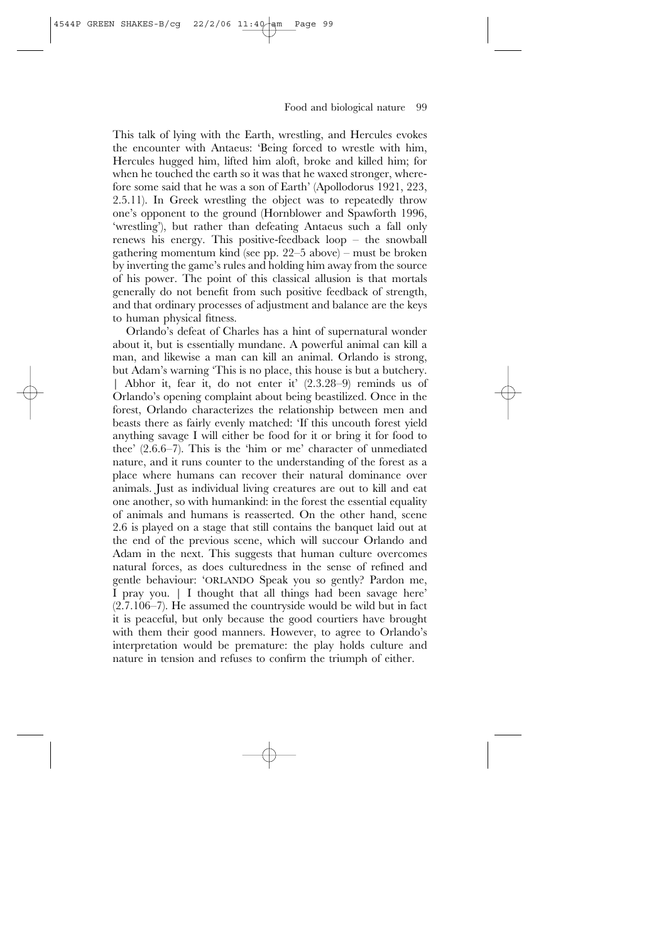This talk of lying with the Earth, wrestling, and Hercules evokes the encounter with Antaeus: 'Being forced to wrestle with him, Hercules hugged him, lifted him aloft, broke and killed him; for when he touched the earth so it was that he waxed stronger, wherefore some said that he was a son of Earth' (Apollodorus 1921, 223, 2.5.11). In Greek wrestling the object was to repeatedly throw one's opponent to the ground (Hornblower and Spawforth 1996, 'wrestling'), but rather than defeating Antaeus such a fall only renews his energy. This positive-feedback loop – the snowball gathering momentum kind (see pp. 22–5 above) – must be broken by inverting the game's rules and holding him away from the source of his power. The point of this classical allusion is that mortals generally do not benefit from such positive feedback of strength, and that ordinary processes of adjustment and balance are the keys to human physical fitness.

Orlando's defeat of Charles has a hint of supernatural wonder about it, but is essentially mundane. A powerful animal can kill a man, and likewise a man can kill an animal. Orlando is strong, but Adam's warning 'This is no place, this house is but a butchery. | Abhor it, fear it, do not enter it' (2.3.28–9) reminds us of Orlando's opening complaint about being beastilized. Once in the forest, Orlando characterizes the relationship between men and beasts there as fairly evenly matched: 'If this uncouth forest yield anything savage I will either be food for it or bring it for food to thee' (2.6.6–7). This is the 'him or me' character of unmediated nature, and it runs counter to the understanding of the forest as a place where humans can recover their natural dominance over animals. Just as individual living creatures are out to kill and eat one another, so with humankind: in the forest the essential equality of animals and humans is reasserted. On the other hand, scene 2.6 is played on a stage that still contains the banquet laid out at the end of the previous scene, which will succour Orlando and Adam in the next. This suggests that human culture overcomes natural forces, as does culturedness in the sense of refined and gentle behaviour: 'ORLANDO Speak you so gently? Pardon me, I pray you. | I thought that all things had been savage here' (2.7.106–7). He assumed the countryside would be wild but in fact it is peaceful, but only because the good courtiers have brought with them their good manners. However, to agree to Orlando's interpretation would be premature: the play holds culture and nature in tension and refuses to confirm the triumph of either.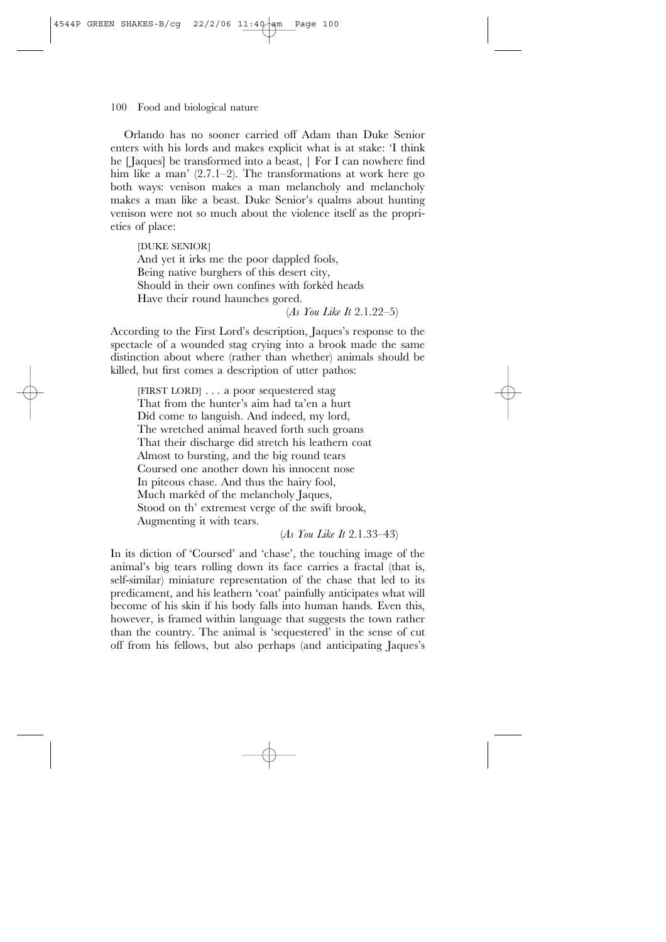Orlando has no sooner carried off Adam than Duke Senior enters with his lords and makes explicit what is at stake: 'I think he [ Jaques] be transformed into a beast, | For I can nowhere find him like a man' (2.7.1–2). The transformations at work here go both ways: venison makes a man melancholy and melancholy makes a man like a beast. Duke Senior's qualms about hunting venison were not so much about the violence itself as the proprieties of place:

[DUKE SENIOR] And yet it irks me the poor dappled fools, Being native burghers of this desert city, Should in their own confines with forkèd heads Have their round haunches gored.

(*As You Like It* 2.1.22–5)

According to the First Lord's description, Jaques's response to the spectacle of a wounded stag crying into a brook made the same distinction about where (rather than whether) animals should be killed, but first comes a description of utter pathos:

[FIRST LORD] . . . a poor sequestered stag That from the hunter's aim had ta'en a hurt Did come to languish. And indeed, my lord, The wretched animal heaved forth such groans That their discharge did stretch his leathern coat Almost to bursting, and the big round tears Coursed one another down his innocent nose In piteous chase. And thus the hairy fool, Much markèd of the melancholy Jaques, Stood on th' extremest verge of the swift brook, Augmenting it with tears.

(*As You Like It* 2.1.33–43)

In its diction of 'Coursed' and 'chase', the touching image of the animal's big tears rolling down its face carries a fractal (that is, self-similar) miniature representation of the chase that led to its predicament, and his leathern 'coat' painfully anticipates what will become of his skin if his body falls into human hands. Even this, however, is framed within language that suggests the town rather than the country. The animal is 'sequestered' in the sense of cut off from his fellows, but also perhaps (and anticipating Jaques's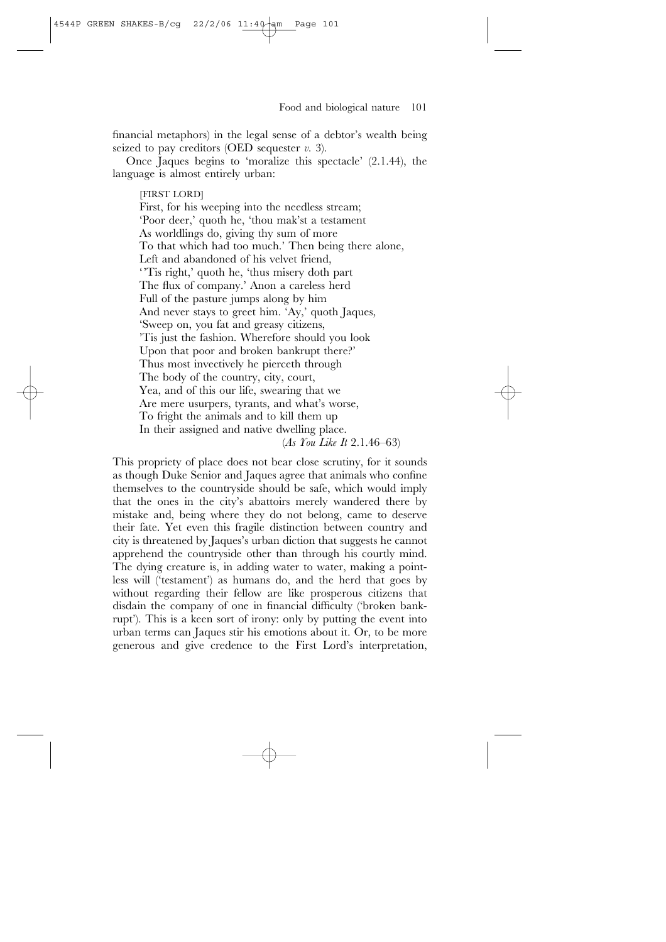financial metaphors) in the legal sense of a debtor's wealth being seized to pay creditors (OED sequester *v*. 3).

Once Jaques begins to 'moralize this spectacle' (2.1.44), the language is almost entirely urban:

### [FIRST LORD]

First, for his weeping into the needless stream; 'Poor deer,' quoth he, 'thou mak'st a testament As worldlings do, giving thy sum of more To that which had too much.' Then being there alone, Left and abandoned of his velvet friend, ''Tis right,' quoth he, 'thus misery doth part The flux of company.' Anon a careless herd Full of the pasture jumps along by him And never stays to greet him. 'Ay,' quoth Jaques, 'Sweep on, you fat and greasy citizens, 'Tis just the fashion. Wherefore should you look Upon that poor and broken bankrupt there?' Thus most invectively he pierceth through The body of the country, city, court, Yea, and of this our life, swearing that we Are mere usurpers, tyrants, and what's worse, To fright the animals and to kill them up In their assigned and native dwelling place.

(*As You Like It* 2.1.46–63)

This propriety of place does not bear close scrutiny, for it sounds as though Duke Senior and Jaques agree that animals who confine themselves to the countryside should be safe, which would imply that the ones in the city's abattoirs merely wandered there by mistake and, being where they do not belong, came to deserve their fate. Yet even this fragile distinction between country and city is threatened by Jaques's urban diction that suggests he cannot apprehend the countryside other than through his courtly mind. The dying creature is, in adding water to water, making a pointless will ('testament') as humans do, and the herd that goes by without regarding their fellow are like prosperous citizens that disdain the company of one in financial difficulty ('broken bankrupt'). This is a keen sort of irony: only by putting the event into urban terms can Jaques stir his emotions about it. Or, to be more generous and give credence to the First Lord's interpretation,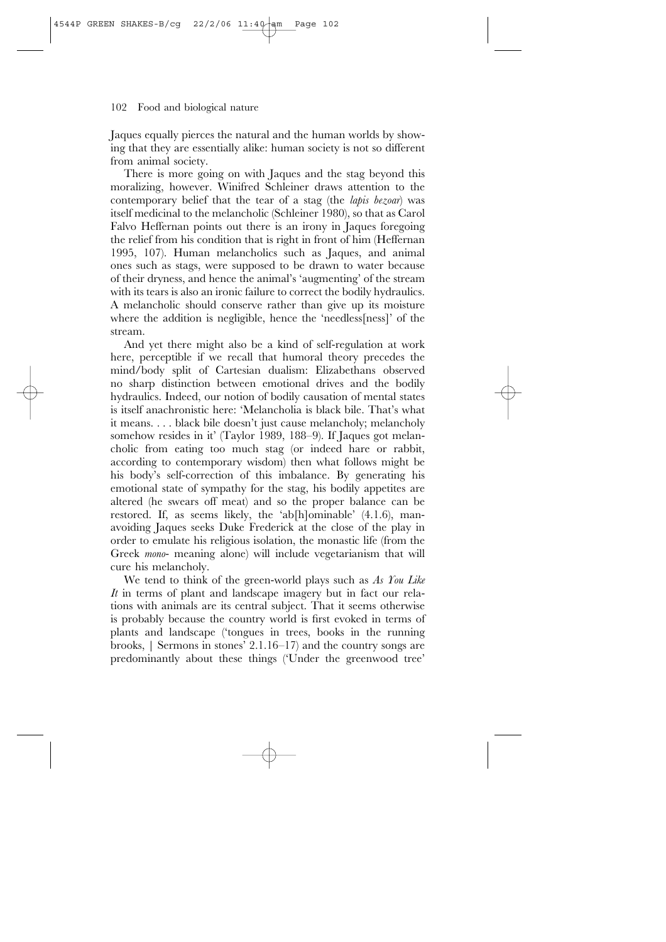Jaques equally pierces the natural and the human worlds by showing that they are essentially alike: human society is not so different from animal society.

There is more going on with Jaques and the stag beyond this moralizing, however. Winifred Schleiner draws attention to the contemporary belief that the tear of a stag (the *lapis bezoar*) was itself medicinal to the melancholic (Schleiner 1980), so that as Carol Falvo Heffernan points out there is an irony in Jaques foregoing the relief from his condition that is right in front of him (Heffernan 1995, 107). Human melancholics such as Jaques, and animal ones such as stags, were supposed to be drawn to water because of their dryness, and hence the animal's 'augmenting' of the stream with its tears is also an ironic failure to correct the bodily hydraulics. A melancholic should conserve rather than give up its moisture where the addition is negligible, hence the 'needless[ness]' of the stream.

And yet there might also be a kind of self-regulation at work here, perceptible if we recall that humoral theory precedes the mind/body split of Cartesian dualism: Elizabethans observed no sharp distinction between emotional drives and the bodily hydraulics. Indeed, our notion of bodily causation of mental states is itself anachronistic here: 'Melancholia is black bile. That's what it means. . . . black bile doesn't just cause melancholy; melancholy somehow resides in it' (Taylor 1989, 188–9). If Jaques got melancholic from eating too much stag (or indeed hare or rabbit, according to contemporary wisdom) then what follows might be his body's self-correction of this imbalance. By generating his emotional state of sympathy for the stag, his bodily appetites are altered (he swears off meat) and so the proper balance can be restored. If, as seems likely, the 'ab[h]ominable' (4.1.6), manavoiding Jaques seeks Duke Frederick at the close of the play in order to emulate his religious isolation, the monastic life (from the Greek *mono*- meaning alone) will include vegetarianism that will cure his melancholy.

We tend to think of the green-world plays such as *As You Like It* in terms of plant and landscape imagery but in fact our relations with animals are its central subject. That it seems otherwise is probably because the country world is first evoked in terms of plants and landscape ('tongues in trees, books in the running brooks, | Sermons in stones' 2.1.16–17) and the country songs are predominantly about these things ('Under the greenwood tree'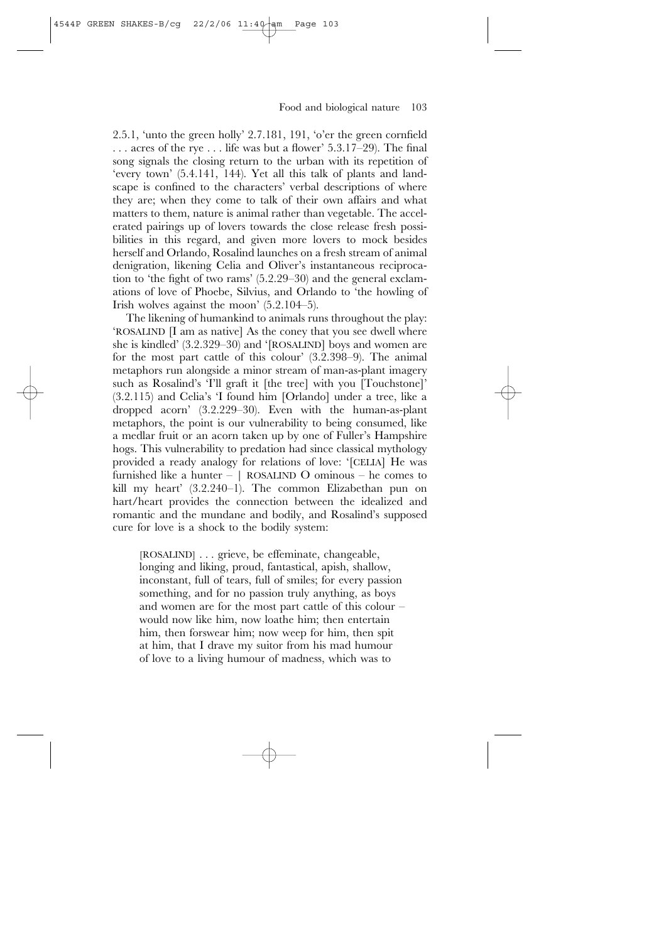2.5.1, 'unto the green holly' 2.7.181, 191, 'o'er the green cornfield . . . acres of the rye . . . life was but a flower' 5.3.17–29). The final song signals the closing return to the urban with its repetition of 'every town' (5.4.141, 144). Yet all this talk of plants and landscape is confined to the characters' verbal descriptions of where they are; when they come to talk of their own affairs and what matters to them, nature is animal rather than vegetable. The accelerated pairings up of lovers towards the close release fresh possibilities in this regard, and given more lovers to mock besides herself and Orlando, Rosalind launches on a fresh stream of animal denigration, likening Celia and Oliver's instantaneous reciprocation to 'the fight of two rams' (5.2.29–30) and the general exclamations of love of Phoebe, Silvius, and Orlando to 'the howling of Irish wolves against the moon' (5.2.104–5).

The likening of humankind to animals runs throughout the play: 'ROSALIND [I am as native] As the coney that you see dwell where she is kindled' (3.2.329–30) and '[ROSALIND] boys and women are for the most part cattle of this colour' (3.2.398–9). The animal metaphors run alongside a minor stream of man-as-plant imagery such as Rosalind's 'I'll graft it [the tree] with you [Touchstone]' (3.2.115) and Celia's 'I found him [Orlando] under a tree, like a dropped acorn' (3.2.229–30). Even with the human-as-plant metaphors, the point is our vulnerability to being consumed, like a medlar fruit or an acorn taken up by one of Fuller's Hampshire hogs. This vulnerability to predation had since classical mythology provided a ready analogy for relations of love: '[CELIA] He was furnished like a hunter –  $\vert$  ROSALIND O ominous – he comes to kill my heart' (3.2.240–1). The common Elizabethan pun on hart/heart provides the connection between the idealized and romantic and the mundane and bodily, and Rosalind's supposed cure for love is a shock to the bodily system:

[ROSALIND] . . . grieve, be effeminate, changeable, longing and liking, proud, fantastical, apish, shallow, inconstant, full of tears, full of smiles; for every passion something, and for no passion truly anything, as boys and women are for the most part cattle of this colour – would now like him, now loathe him; then entertain him, then forswear him; now weep for him, then spit at him, that I drave my suitor from his mad humour of love to a living humour of madness, which was to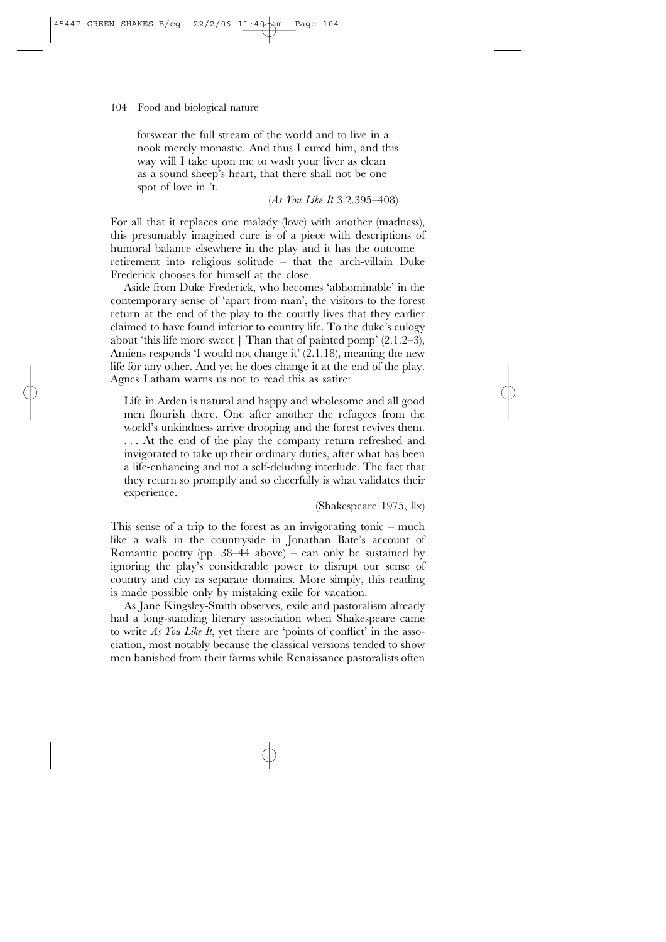forswear the full stream of the world and to live in a nook merely monastic. And thus I cured him, and this way will I take upon me to wash your liver as clean as a sound sheep's heart, that there shall not be one spot of love in 't.

(*As You Like It* 3.2.395–408)

For all that it replaces one malady (love) with another (madness), this presumably imagined cure is of a piece with descriptions of humoral balance elsewhere in the play and it has the outcome – retirement into religious solitude – that the arch-villain Duke Frederick chooses for himself at the close.

Aside from Duke Frederick, who becomes 'abhominable' in the contemporary sense of 'apart from man', the visitors to the forest return at the end of the play to the courtly lives that they earlier claimed to have found inferior to country life. To the duke's eulogy about 'this life more sweet | Than that of painted pomp' (2.1.2–3), Amiens responds 'I would not change it' (2.1.18), meaning the new life for any other. And yet he does change it at the end of the play. Agnes Latham warns us not to read this as satire:

Life in Arden is natural and happy and wholesome and all good men flourish there. One after another the refugees from the world's unkindness arrive drooping and the forest revives them. . . . At the end of the play the company return refreshed and invigorated to take up their ordinary duties, after what has been a life-enhancing and not a self-deluding interlude. The fact that they return so promptly and so cheerfully is what validates their experience.

(Shakespeare 1975, llx)

This sense of a trip to the forest as an invigorating tonic – much like a walk in the countryside in Jonathan Bate's account of Romantic poetry (pp.  $38-44$  above) – can only be sustained by ignoring the play's considerable power to disrupt our sense of country and city as separate domains. More simply, this reading is made possible only by mistaking exile for vacation.

As Jane Kingsley-Smith observes, exile and pastoralism already had a long-standing literary association when Shakespeare came to write *As You Like It*, yet there are 'points of conflict' in the association, most notably because the classical versions tended to show men banished from their farms while Renaissance pastoralists often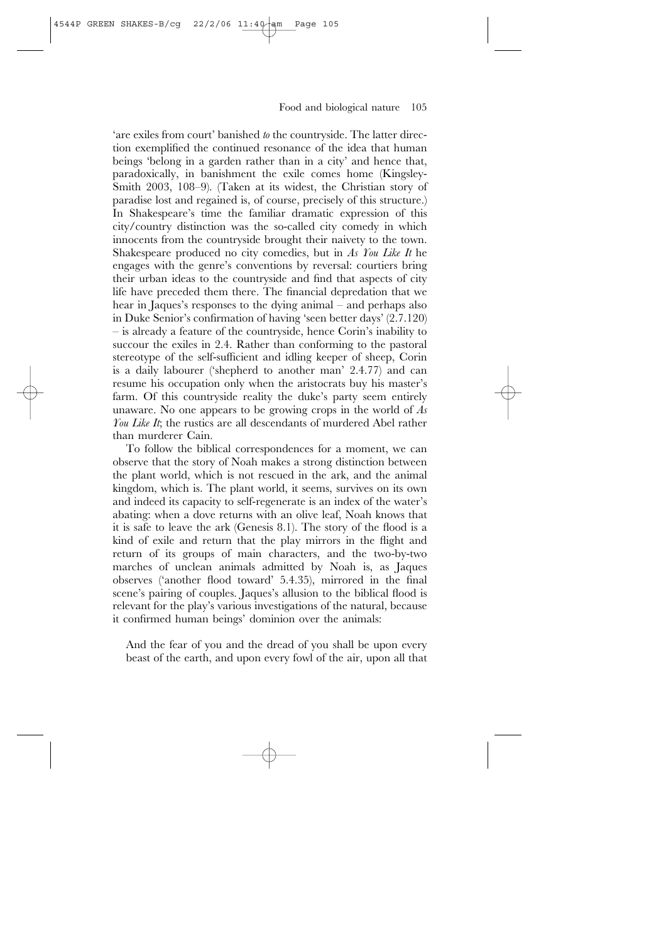'are exiles from court' banished *to* the countryside. The latter direction exemplified the continued resonance of the idea that human beings 'belong in a garden rather than in a city' and hence that, paradoxically, in banishment the exile comes home (Kingsley-Smith 2003, 108–9). (Taken at its widest, the Christian story of paradise lost and regained is, of course, precisely of this structure.) In Shakespeare's time the familiar dramatic expression of this city/country distinction was the so-called city comedy in which innocents from the countryside brought their naivety to the town. Shakespeare produced no city comedies, but in *As You Like It* he engages with the genre's conventions by reversal: courtiers bring their urban ideas to the countryside and find that aspects of city life have preceded them there. The financial depredation that we hear in Jaques's responses to the dying animal – and perhaps also in Duke Senior's confirmation of having 'seen better days' (2.7.120) – is already a feature of the countryside, hence Corin's inability to succour the exiles in 2.4. Rather than conforming to the pastoral stereotype of the self-sufficient and idling keeper of sheep, Corin is a daily labourer ('shepherd to another man' 2.4.77) and can resume his occupation only when the aristocrats buy his master's farm. Of this countryside reality the duke's party seem entirely unaware. No one appears to be growing crops in the world of *As You Like It*; the rustics are all descendants of murdered Abel rather than murderer Cain.

To follow the biblical correspondences for a moment, we can observe that the story of Noah makes a strong distinction between the plant world, which is not rescued in the ark, and the animal kingdom, which is. The plant world, it seems, survives on its own and indeed its capacity to self-regenerate is an index of the water's abating: when a dove returns with an olive leaf, Noah knows that it is safe to leave the ark (Genesis 8.1). The story of the flood is a kind of exile and return that the play mirrors in the flight and return of its groups of main characters, and the two-by-two marches of unclean animals admitted by Noah is, as Jaques observes ('another flood toward' 5.4.35), mirrored in the final scene's pairing of couples. Jaques's allusion to the biblical flood is relevant for the play's various investigations of the natural, because it confirmed human beings' dominion over the animals:

And the fear of you and the dread of you shall be upon every beast of the earth, and upon every fowl of the air, upon all that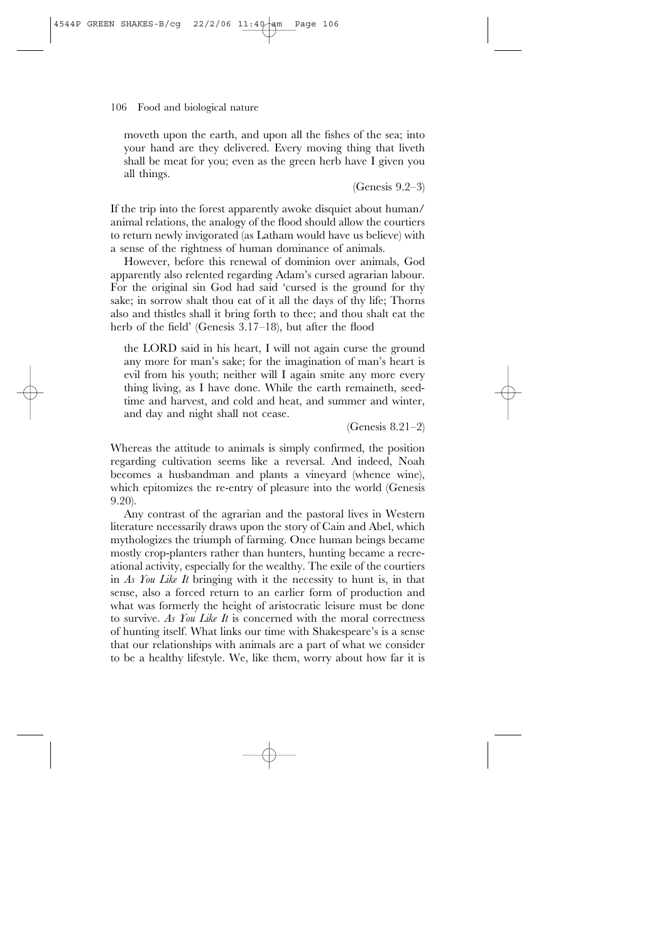moveth upon the earth, and upon all the fishes of the sea; into your hand are they delivered. Every moving thing that liveth shall be meat for you; even as the green herb have I given you all things.

(Genesis 9.2–3)

If the trip into the forest apparently awoke disquiet about human/ animal relations, the analogy of the flood should allow the courtiers to return newly invigorated (as Latham would have us believe) with a sense of the rightness of human dominance of animals.

However, before this renewal of dominion over animals, God apparently also relented regarding Adam's cursed agrarian labour. For the original sin God had said 'cursed is the ground for thy sake; in sorrow shalt thou eat of it all the days of thy life; Thorns also and thistles shall it bring forth to thee; and thou shalt eat the herb of the field' (Genesis 3.17–18), but after the flood

the LORD said in his heart, I will not again curse the ground any more for man's sake; for the imagination of man's heart is evil from his youth; neither will I again smite any more every thing living, as I have done. While the earth remaineth, seedtime and harvest, and cold and heat, and summer and winter, and day and night shall not cease.

(Genesis 8.21–2)

Whereas the attitude to animals is simply confirmed, the position regarding cultivation seems like a reversal. And indeed, Noah becomes a husbandman and plants a vineyard (whence wine), which epitomizes the re-entry of pleasure into the world (Genesis 9.20).

Any contrast of the agrarian and the pastoral lives in Western literature necessarily draws upon the story of Cain and Abel, which mythologizes the triumph of farming. Once human beings became mostly crop-planters rather than hunters, hunting became a recreational activity, especially for the wealthy. The exile of the courtiers in *As You Like It* bringing with it the necessity to hunt is, in that sense, also a forced return to an earlier form of production and what was formerly the height of aristocratic leisure must be done to survive. *As You Like It* is concerned with the moral correctness of hunting itself. What links our time with Shakespeare's is a sense that our relationships with animals are a part of what we consider to be a healthy lifestyle. We, like them, worry about how far it is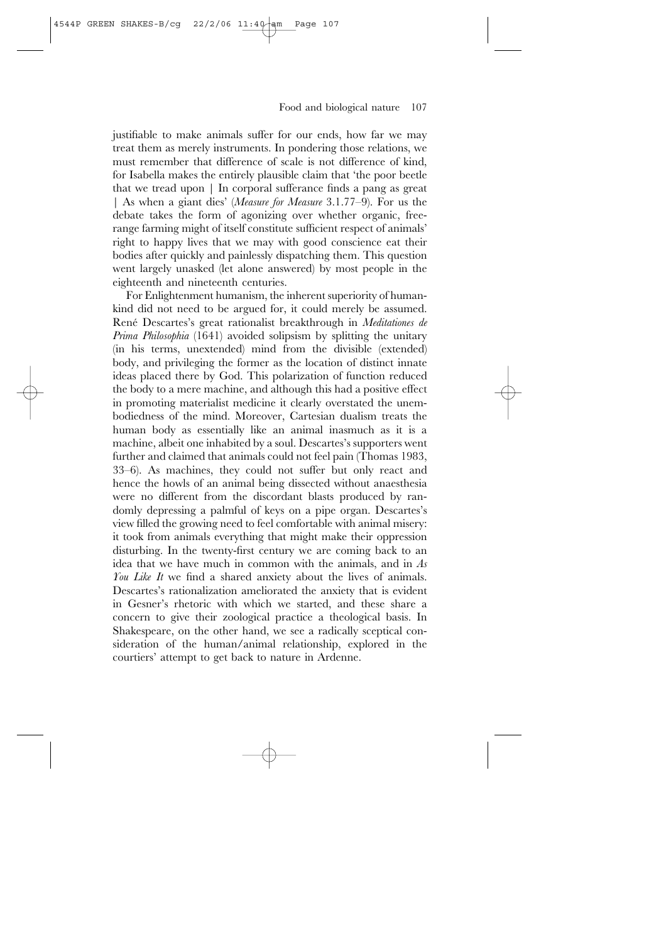justifiable to make animals suffer for our ends, how far we may treat them as merely instruments. In pondering those relations, we must remember that difference of scale is not difference of kind, for Isabella makes the entirely plausible claim that 'the poor beetle that we tread upon | In corporal sufferance finds a pang as great | As when a giant dies' (*Measure for Measure* 3.1.77–9). For us the debate takes the form of agonizing over whether organic, freerange farming might of itself constitute sufficient respect of animals' right to happy lives that we may with good conscience eat their bodies after quickly and painlessly dispatching them. This question went largely unasked (let alone answered) by most people in the eighteenth and nineteenth centuries.

For Enlightenment humanism, the inherent superiority of humankind did not need to be argued for, it could merely be assumed. René Descartes's great rationalist breakthrough in *Meditationes de Prima Philosophia* (1641) avoided solipsism by splitting the unitary (in his terms, unextended) mind from the divisible (extended) body, and privileging the former as the location of distinct innate ideas placed there by God. This polarization of function reduced the body to a mere machine, and although this had a positive effect in promoting materialist medicine it clearly overstated the unembodiedness of the mind. Moreover, Cartesian dualism treats the human body as essentially like an animal inasmuch as it is a machine, albeit one inhabited by a soul. Descartes's supporters went further and claimed that animals could not feel pain (Thomas 1983, 33–6). As machines, they could not suffer but only react and hence the howls of an animal being dissected without anaesthesia were no different from the discordant blasts produced by randomly depressing a palmful of keys on a pipe organ. Descartes's view filled the growing need to feel comfortable with animal misery: it took from animals everything that might make their oppression disturbing. In the twenty-first century we are coming back to an idea that we have much in common with the animals, and in *As You Like It* we find a shared anxiety about the lives of animals. Descartes's rationalization ameliorated the anxiety that is evident in Gesner's rhetoric with which we started, and these share a concern to give their zoological practice a theological basis. In Shakespeare, on the other hand, we see a radically sceptical consideration of the human/animal relationship, explored in the courtiers' attempt to get back to nature in Ardenne.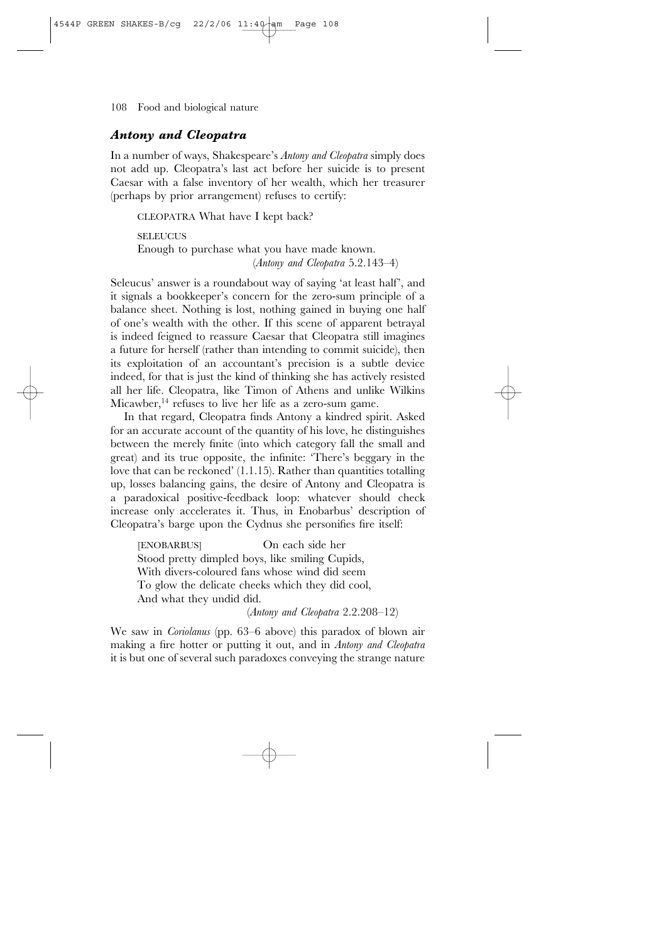## *Antony and Cleopatra*

In a number of ways, Shakespeare's *Antony and Cleopatra* simply does not add up. Cleopatra's last act before her suicide is to present Caesar with a false inventory of her wealth, which her treasurer (perhaps by prior arrangement) refuses to certify:

CLEOPATRA What have I kept back? **SELEUCUS** Enough to purchase what you have made known. (*Antony and Cleopatra* 5.2.143–4)

Seleucus' answer is a roundabout way of saying 'at least half', and it signals a bookkeeper's concern for the zero-sum principle of a balance sheet. Nothing is lost, nothing gained in buying one half of one's wealth with the other. If this scene of apparent betrayal is indeed feigned to reassure Caesar that Cleopatra still imagines a future for herself (rather than intending to commit suicide), then its exploitation of an accountant's precision is a subtle device indeed, for that is just the kind of thinking she has actively resisted all her life. Cleopatra, like Timon of Athens and unlike Wilkins Micawber, $^{14}$  refuses to live her life as a zero-sum game.

In that regard, Cleopatra finds Antony a kindred spirit. Asked for an accurate account of the quantity of his love, he distinguishes between the merely finite (into which category fall the small and great) and its true opposite, the infinite: 'There's beggary in the love that can be reckoned' (1.1.15). Rather than quantities totalling up, losses balancing gains, the desire of Antony and Cleopatra is a paradoxical positive-feedback loop: whatever should check increase only accelerates it. Thus, in Enobarbus' description of Cleopatra's barge upon the Cydnus she personifies fire itself:

[ENOBARBUS] On each side her Stood pretty dimpled boys, like smiling Cupids, With divers-coloured fans whose wind did seem To glow the delicate cheeks which they did cool, And what they undid did.

(*Antony and Cleopatra* 2.2.208–12)

We saw in *Coriolanus* (pp. 63–6 above) this paradox of blown air making a fire hotter or putting it out, and in *Antony and Cleopatra* it is but one of several such paradoxes conveying the strange nature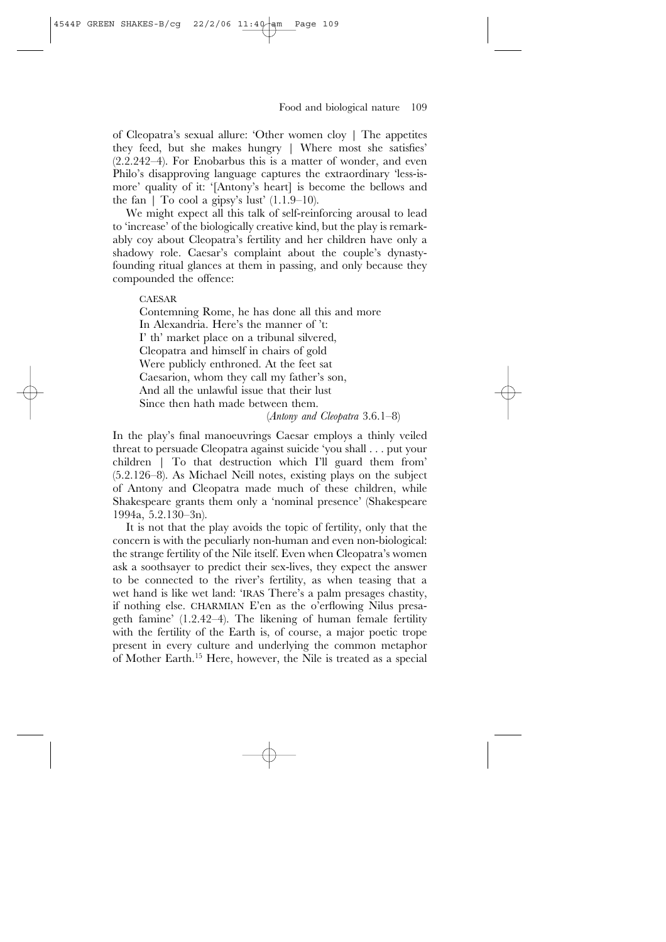of Cleopatra's sexual allure: 'Other women cloy | The appetites they feed, but she makes hungry | Where most she satisfies' (2.2.242–4). For Enobarbus this is a matter of wonder, and even Philo's disapproving language captures the extraordinary 'less-ismore' quality of it: '[Antony's heart] is become the bellows and the fan  $\overline{\phantom{a}}$  To cool a gipsy's lust' (1.1.9–10).

We might expect all this talk of self-reinforcing arousal to lead to 'increase' of the biologically creative kind, but the play is remarkably coy about Cleopatra's fertility and her children have only a shadowy role. Caesar's complaint about the couple's dynastyfounding ritual glances at them in passing, and only because they compounded the offence:

CAESAR

Contemning Rome, he has done all this and more In Alexandria. Here's the manner of 't: I' th' market place on a tribunal silvered, Cleopatra and himself in chairs of gold Were publicly enthroned. At the feet sat Caesarion, whom they call my father's son, And all the unlawful issue that their lust Since then hath made between them.

(*Antony and Cleopatra* 3.6.1–8)

In the play's final manoeuvrings Caesar employs a thinly veiled threat to persuade Cleopatra against suicide 'you shall . . . put your children | To that destruction which I'll guard them from' (5.2.126–8). As Michael Neill notes, existing plays on the subject of Antony and Cleopatra made much of these children, while Shakespeare grants them only a 'nominal presence' (Shakespeare 1994a, 5.2.130–3n).

It is not that the play avoids the topic of fertility, only that the concern is with the peculiarly non-human and even non-biological: the strange fertility of the Nile itself. Even when Cleopatra's women ask a soothsayer to predict their sex-lives, they expect the answer to be connected to the river's fertility, as when teasing that a wet hand is like wet land: 'IRAS There's a palm presages chastity, if nothing else. CHARMIAN E'en as the o'erflowing Nilus presageth famine' (1.2.42–4). The likening of human female fertility with the fertility of the Earth is, of course, a major poetic trope present in every culture and underlying the common metaphor of Mother Earth.15 Here, however, the Nile is treated as a special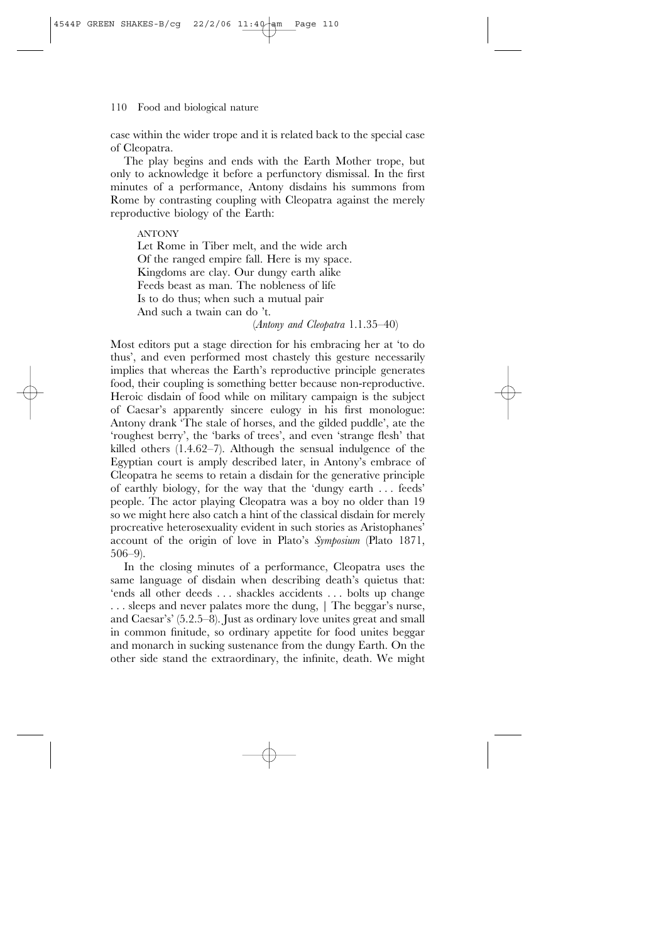case within the wider trope and it is related back to the special case of Cleopatra.

The play begins and ends with the Earth Mother trope, but only to acknowledge it before a perfunctory dismissal. In the first minutes of a performance, Antony disdains his summons from Rome by contrasting coupling with Cleopatra against the merely reproductive biology of the Earth:

ANTONY Let Rome in Tiber melt, and the wide arch Of the ranged empire fall. Here is my space. Kingdoms are clay. Our dungy earth alike Feeds beast as man. The nobleness of life Is to do thus; when such a mutual pair And such a twain can do 't.

(*Antony and Cleopatra* 1.1.35–40)

Most editors put a stage direction for his embracing her at 'to do thus', and even performed most chastely this gesture necessarily implies that whereas the Earth's reproductive principle generates food, their coupling is something better because non-reproductive. Heroic disdain of food while on military campaign is the subject of Caesar's apparently sincere eulogy in his first monologue: Antony drank 'The stale of horses, and the gilded puddle', ate the 'roughest berry', the 'barks of trees', and even 'strange flesh' that killed others (1.4.62–7). Although the sensual indulgence of the Egyptian court is amply described later, in Antony's embrace of Cleopatra he seems to retain a disdain for the generative principle of earthly biology, for the way that the 'dungy earth . . . feeds' people. The actor playing Cleopatra was a boy no older than 19 so we might here also catch a hint of the classical disdain for merely procreative heterosexuality evident in such stories as Aristophanes' account of the origin of love in Plato's *Symposium* (Plato 1871, 506–9).

In the closing minutes of a performance, Cleopatra uses the same language of disdain when describing death's quietus that: 'ends all other deeds . . . shackles accidents . . . bolts up change . . . sleeps and never palates more the dung, | The beggar's nurse, and Caesar's' (5.2.5–8). Just as ordinary love unites great and small in common finitude, so ordinary appetite for food unites beggar and monarch in sucking sustenance from the dungy Earth. On the other side stand the extraordinary, the infinite, death. We might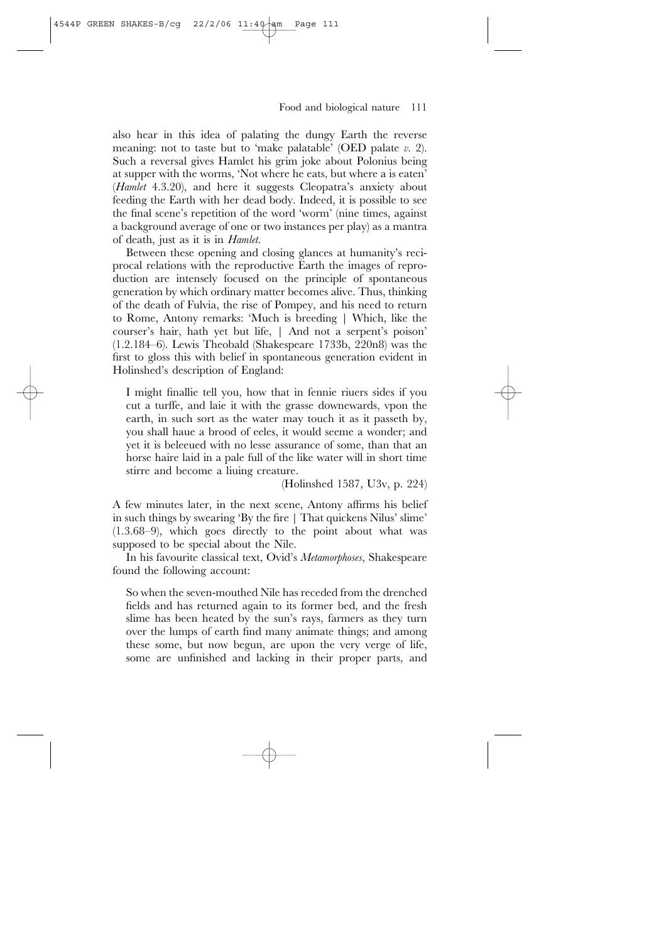also hear in this idea of palating the dungy Earth the reverse meaning: not to taste but to 'make palatable' (OED palate *v*. 2). Such a reversal gives Hamlet his grim joke about Polonius being at supper with the worms, 'Not where he eats, but where a is eaten' (*Hamlet* 4.3.20), and here it suggests Cleopatra's anxiety about feeding the Earth with her dead body. Indeed, it is possible to see the final scene's repetition of the word 'worm' (nine times, against a background average of one or two instances per play) as a mantra of death, just as it is in *Hamlet*.

Between these opening and closing glances at humanity's reciprocal relations with the reproductive Earth the images of reproduction are intensely focused on the principle of spontaneous generation by which ordinary matter becomes alive. Thus, thinking of the death of Fulvia, the rise of Pompey, and his need to return to Rome, Antony remarks: 'Much is breeding | Which, like the courser's hair, hath yet but life, | And not a serpent's poison' (1.2.184–6). Lewis Theobald (Shakespeare 1733b, 220n8) was the first to gloss this with belief in spontaneous generation evident in Holinshed's description of England:

I might finallie tell you, how that in fennie riuers sides if you cut a turffe, and laie it with the grasse downewards, vpon the earth, in such sort as the water may touch it as it passeth by, you shall haue a brood of eeles, it would seeme a wonder; and yet it is beleeued with no lesse assurance of some, than that an horse haire laid in a pale full of the like water will in short time stirre and become a liuing creature.

(Holinshed 1587, U3v, p. 224)

A few minutes later, in the next scene, Antony affirms his belief in such things by swearing 'By the fire | That quickens Nilus' slime' (1.3.68–9), which goes directly to the point about what was supposed to be special about the Nile.

In his favourite classical text, Ovid's *Metamorphoses*, Shakespeare found the following account:

So when the seven-mouthed Nile has receded from the drenched fields and has returned again to its former bed, and the fresh slime has been heated by the sun's rays, farmers as they turn over the lumps of earth find many animate things; and among these some, but now begun, are upon the very verge of life, some are unfinished and lacking in their proper parts, and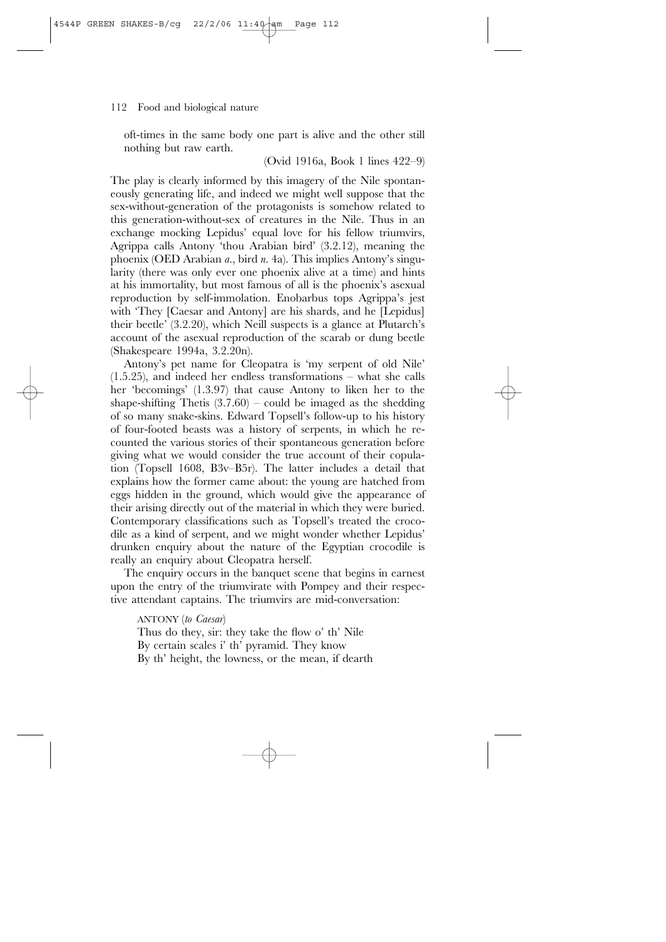oft-times in the same body one part is alive and the other still nothing but raw earth.

(Ovid 1916a, Book 1 lines 422–9)

The play is clearly informed by this imagery of the Nile spontaneously generating life, and indeed we might well suppose that the sex-without-generation of the protagonists is somehow related to this generation-without-sex of creatures in the Nile. Thus in an exchange mocking Lepidus' equal love for his fellow triumvirs, Agrippa calls Antony 'thou Arabian bird' (3.2.12), meaning the phoenix (OED Arabian *a*., bird *n*. 4a). This implies Antony's singularity (there was only ever one phoenix alive at a time) and hints at his immortality, but most famous of all is the phoenix's asexual reproduction by self-immolation. Enobarbus tops Agrippa's jest with 'They [Caesar and Antony] are his shards, and he [Lepidus] their beetle' (3.2.20), which Neill suspects is a glance at Plutarch's account of the asexual reproduction of the scarab or dung beetle (Shakespeare 1994a, 3.2.20n).

Antony's pet name for Cleopatra is 'my serpent of old Nile' (1.5.25), and indeed her endless transformations – what she calls her 'becomings' (1.3.97) that cause Antony to liken her to the shape-shifting Thetis  $(3.7.60)$  – could be imaged as the shedding of so many snake-skins. Edward Topsell's follow-up to his history of four-footed beasts was a history of serpents, in which he recounted the various stories of their spontaneous generation before giving what we would consider the true account of their copulation (Topsell 1608, B3v–B5r). The latter includes a detail that explains how the former came about: the young are hatched from eggs hidden in the ground, which would give the appearance of their arising directly out of the material in which they were buried. Contemporary classifications such as Topsell's treated the crocodile as a kind of serpent, and we might wonder whether Lepidus' drunken enquiry about the nature of the Egyptian crocodile is really an enquiry about Cleopatra herself.

The enquiry occurs in the banquet scene that begins in earnest upon the entry of the triumvirate with Pompey and their respective attendant captains. The triumvirs are mid-conversation:

ANTONY (*to Caesar*)

Thus do they, sir: they take the flow o' th' Nile By certain scales i' th' pyramid. They know By th' height, the lowness, or the mean, if dearth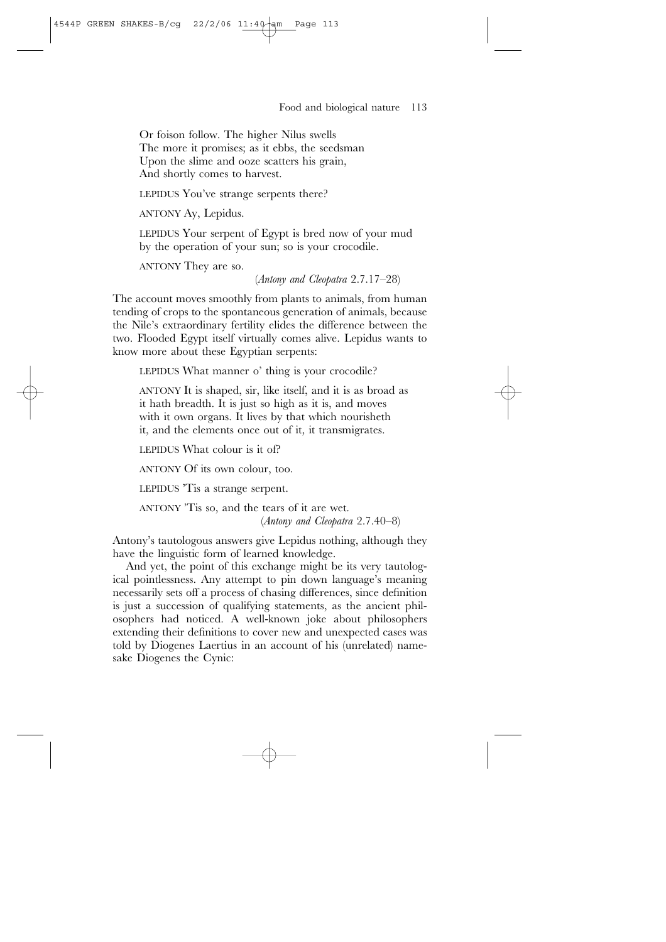Or foison follow. The higher Nilus swells The more it promises; as it ebbs, the seedsman Upon the slime and ooze scatters his grain, And shortly comes to harvest.

LEPIDUS You've strange serpents there?

ANTONY Ay, Lepidus.

LEPIDUS Your serpent of Egypt is bred now of your mud by the operation of your sun; so is your crocodile.

ANTONY They are so.

(*Antony and Cleopatra* 2.7.17–28)

The account moves smoothly from plants to animals, from human tending of crops to the spontaneous generation of animals, because the Nile's extraordinary fertility elides the difference between the two. Flooded Egypt itself virtually comes alive. Lepidus wants to know more about these Egyptian serpents:

LEPIDUS What manner o' thing is your crocodile?

ANTONY It is shaped, sir, like itself, and it is as broad as it hath breadth. It is just so high as it is, and moves with it own organs. It lives by that which nourisheth it, and the elements once out of it, it transmigrates.

LEPIDUS What colour is it of?

ANTONY Of its own colour, too.

LEPIDUS 'Tis a strange serpent.

ANTONY 'Tis so, and the tears of it are wet. (*Antony and Cleopatra* 2.7.40–8)

Antony's tautologous answers give Lepidus nothing, although they have the linguistic form of learned knowledge.

And yet, the point of this exchange might be its very tautological pointlessness. Any attempt to pin down language's meaning necessarily sets off a process of chasing differences, since definition is just a succession of qualifying statements, as the ancient philosophers had noticed. A well-known joke about philosophers extending their definitions to cover new and unexpected cases was told by Diogenes Laertius in an account of his (unrelated) namesake Diogenes the Cynic: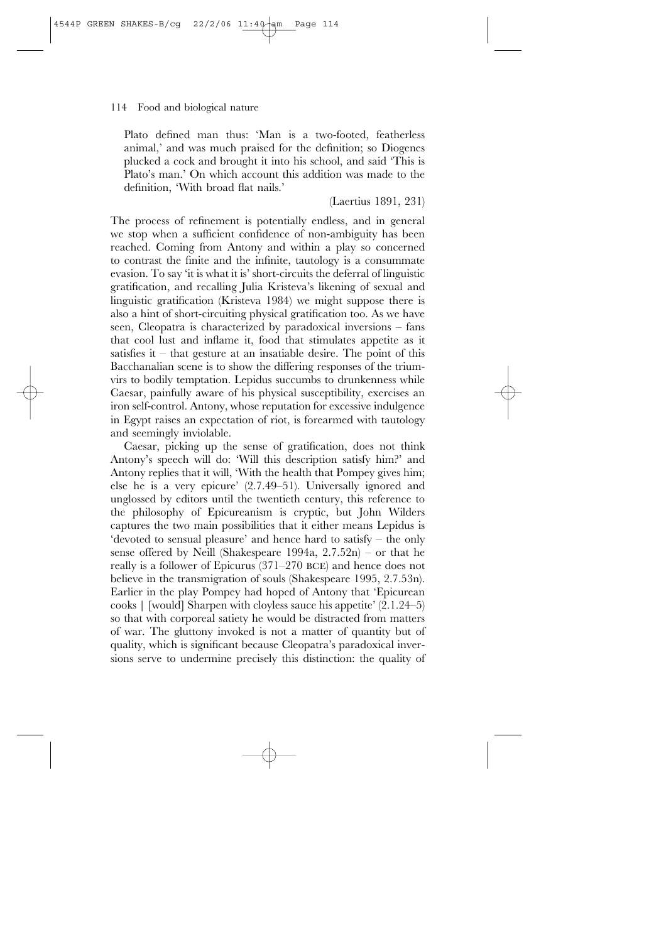Plato defined man thus: 'Man is a two-footed, featherless animal,' and was much praised for the definition; so Diogenes plucked a cock and brought it into his school, and said 'This is Plato's man.' On which account this addition was made to the definition, 'With broad flat nails.'

(Laertius 1891, 231)

The process of refinement is potentially endless, and in general we stop when a sufficient confidence of non-ambiguity has been reached. Coming from Antony and within a play so concerned to contrast the finite and the infinite, tautology is a consummate evasion. To say 'it is what it is' short-circuits the deferral of linguistic gratification, and recalling Julia Kristeva's likening of sexual and linguistic gratification (Kristeva 1984) we might suppose there is also a hint of short-circuiting physical gratification too. As we have seen, Cleopatra is characterized by paradoxical inversions – fans that cool lust and inflame it, food that stimulates appetite as it satisfies it – that gesture at an insatiable desire. The point of this Bacchanalian scene is to show the differing responses of the triumvirs to bodily temptation. Lepidus succumbs to drunkenness while Caesar, painfully aware of his physical susceptibility, exercises an iron self-control. Antony, whose reputation for excessive indulgence in Egypt raises an expectation of riot, is forearmed with tautology and seemingly inviolable.

Caesar, picking up the sense of gratification, does not think Antony's speech will do: 'Will this description satisfy him?' and Antony replies that it will, 'With the health that Pompey gives him; else he is a very epicure' (2.7.49–51). Universally ignored and unglossed by editors until the twentieth century, this reference to the philosophy of Epicureanism is cryptic, but John Wilders captures the two main possibilities that it either means Lepidus is 'devoted to sensual pleasure' and hence hard to satisfy – the only sense offered by Neill (Shakespeare 1994a, 2.7.52n) – or that he really is a follower of Epicurus (371–270 BCE) and hence does not believe in the transmigration of souls (Shakespeare 1995, 2.7.53n). Earlier in the play Pompey had hoped of Antony that 'Epicurean cooks | [would] Sharpen with cloyless sauce his appetite' (2.1.24–5) so that with corporeal satiety he would be distracted from matters of war. The gluttony invoked is not a matter of quantity but of quality, which is significant because Cleopatra's paradoxical inversions serve to undermine precisely this distinction: the quality of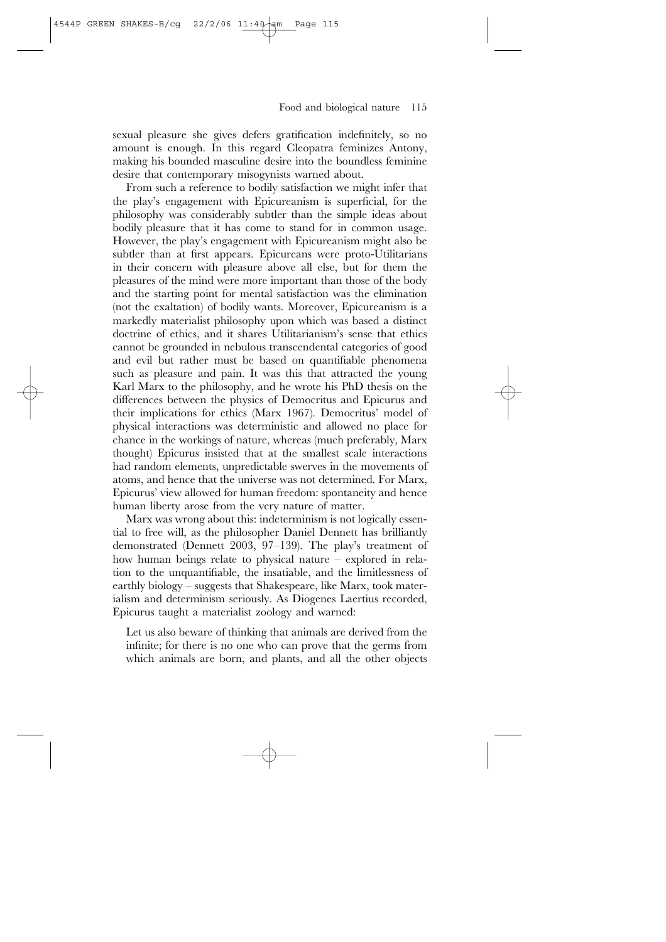sexual pleasure she gives defers gratification indefinitely, so no amount is enough. In this regard Cleopatra feminizes Antony, making his bounded masculine desire into the boundless feminine desire that contemporary misogynists warned about.

From such a reference to bodily satisfaction we might infer that the play's engagement with Epicureanism is superficial, for the philosophy was considerably subtler than the simple ideas about bodily pleasure that it has come to stand for in common usage. However, the play's engagement with Epicureanism might also be subtler than at first appears. Epicureans were proto-Utilitarians in their concern with pleasure above all else, but for them the pleasures of the mind were more important than those of the body and the starting point for mental satisfaction was the elimination (not the exaltation) of bodily wants. Moreover, Epicureanism is a markedly materialist philosophy upon which was based a distinct doctrine of ethics, and it shares Utilitarianism's sense that ethics cannot be grounded in nebulous transcendental categories of good and evil but rather must be based on quantifiable phenomena such as pleasure and pain. It was this that attracted the young Karl Marx to the philosophy, and he wrote his PhD thesis on the differences between the physics of Democritus and Epicurus and their implications for ethics (Marx 1967). Democritus' model of physical interactions was deterministic and allowed no place for chance in the workings of nature, whereas (much preferably, Marx thought) Epicurus insisted that at the smallest scale interactions had random elements, unpredictable swerves in the movements of atoms, and hence that the universe was not determined. For Marx, Epicurus' view allowed for human freedom: spontaneity and hence human liberty arose from the very nature of matter.

Marx was wrong about this: indeterminism is not logically essential to free will, as the philosopher Daniel Dennett has brilliantly demonstrated (Dennett 2003, 97–139). The play's treatment of how human beings relate to physical nature – explored in relation to the unquantifiable, the insatiable, and the limitlessness of earthly biology – suggests that Shakespeare, like Marx, took materialism and determinism seriously. As Diogenes Laertius recorded, Epicurus taught a materialist zoology and warned:

Let us also beware of thinking that animals are derived from the infinite; for there is no one who can prove that the germs from which animals are born, and plants, and all the other objects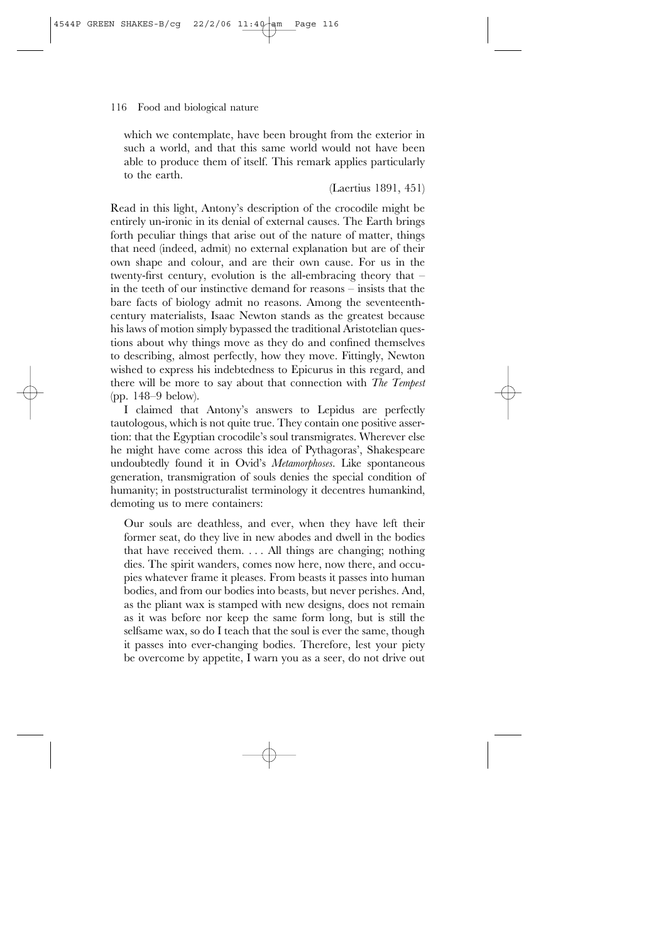which we contemplate, have been brought from the exterior in such a world, and that this same world would not have been able to produce them of itself. This remark applies particularly to the earth.

(Laertius 1891, 451)

Read in this light, Antony's description of the crocodile might be entirely un-ironic in its denial of external causes. The Earth brings forth peculiar things that arise out of the nature of matter, things that need (indeed, admit) no external explanation but are of their own shape and colour, and are their own cause. For us in the twenty-first century, evolution is the all-embracing theory that – in the teeth of our instinctive demand for reasons – insists that the bare facts of biology admit no reasons. Among the seventeenthcentury materialists, Isaac Newton stands as the greatest because his laws of motion simply bypassed the traditional Aristotelian questions about why things move as they do and confined themselves to describing, almost perfectly, how they move. Fittingly, Newton wished to express his indebtedness to Epicurus in this regard, and there will be more to say about that connection with *The Tempest* (pp. 148–9 below).

I claimed that Antony's answers to Lepidus are perfectly tautologous, which is not quite true. They contain one positive assertion: that the Egyptian crocodile's soul transmigrates. Wherever else he might have come across this idea of Pythagoras', Shakespeare undoubtedly found it in Ovid's *Metamorphoses*. Like spontaneous generation, transmigration of souls denies the special condition of humanity; in poststructuralist terminology it decentres humankind, demoting us to mere containers:

Our souls are deathless, and ever, when they have left their former seat, do they live in new abodes and dwell in the bodies that have received them. . . . All things are changing; nothing dies. The spirit wanders, comes now here, now there, and occupies whatever frame it pleases. From beasts it passes into human bodies, and from our bodies into beasts, but never perishes. And, as the pliant wax is stamped with new designs, does not remain as it was before nor keep the same form long, but is still the selfsame wax, so do I teach that the soul is ever the same, though it passes into ever-changing bodies. Therefore, lest your piety be overcome by appetite, I warn you as a seer, do not drive out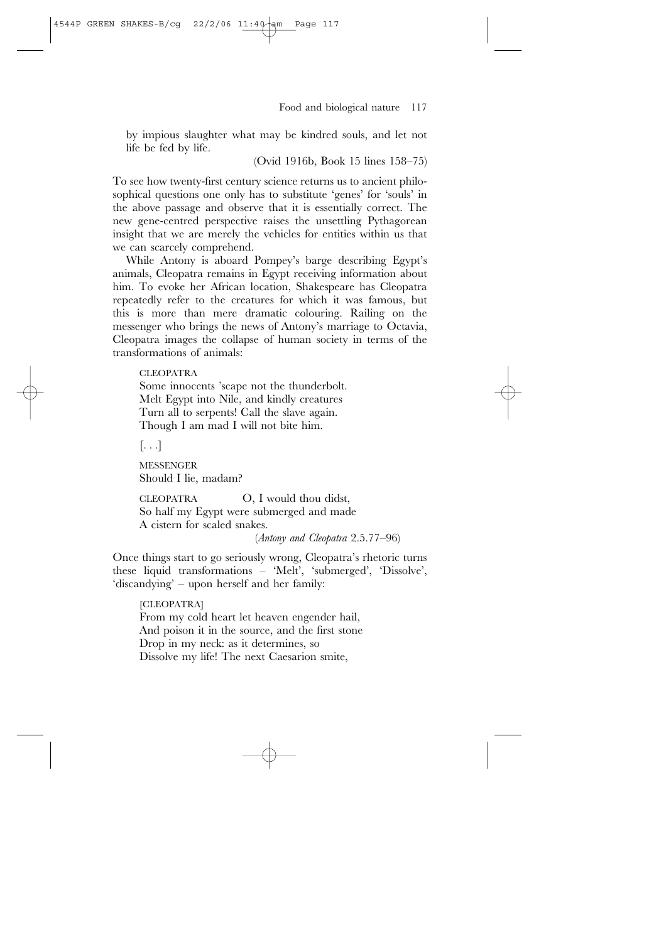by impious slaughter what may be kindred souls, and let not life be fed by life.

(Ovid 1916b, Book 15 lines 158–75)

To see how twenty-first century science returns us to ancient philosophical questions one only has to substitute 'genes' for 'souls' in the above passage and observe that it is essentially correct. The new gene-centred perspective raises the unsettling Pythagorean insight that we are merely the vehicles for entities within us that we can scarcely comprehend.

While Antony is aboard Pompey's barge describing Egypt's animals, Cleopatra remains in Egypt receiving information about him. To evoke her African location, Shakespeare has Cleopatra repeatedly refer to the creatures for which it was famous, but this is more than mere dramatic colouring. Railing on the messenger who brings the news of Antony's marriage to Octavia, Cleopatra images the collapse of human society in terms of the transformations of animals:

#### CLEOPATRA

Some innocents 'scape not the thunderbolt. Melt Egypt into Nile, and kindly creatures Turn all to serpents! Call the slave again. Though I am mad I will not bite him.

 $[\ldots]$ 

**MESSENGER** Should I lie, madam?

CLEOPATRA O, I would thou didst, So half my Egypt were submerged and made A cistern for scaled snakes.

(*Antony and Cleopatra* 2.5.77–96)

Once things start to go seriously wrong, Cleopatra's rhetoric turns these liquid transformations – 'Melt', 'submerged', 'Dissolve', 'discandying' – upon herself and her family:

[CLEOPATRA] From my cold heart let heaven engender hail, And poison it in the source, and the first stone Drop in my neck: as it determines, so Dissolve my life! The next Caesarion smite,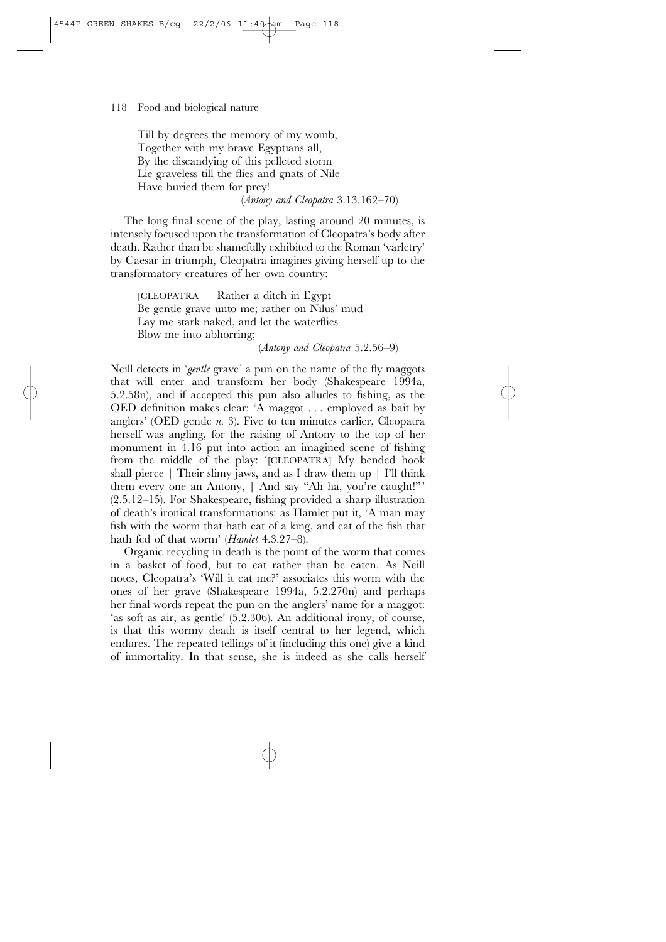Till by degrees the memory of my womb, Together with my brave Egyptians all, By the discandying of this pelleted storm Lie graveless till the flies and gnats of Nile Have buried them for prey!

(*Antony and Cleopatra* 3.13.162–70)

The long final scene of the play, lasting around 20 minutes, is intensely focused upon the transformation of Cleopatra's body after death. Rather than be shamefully exhibited to the Roman 'varletry' by Caesar in triumph, Cleopatra imagines giving herself up to the transformatory creatures of her own country:

[CLEOPATRA] Rather a ditch in Egypt Be gentle grave unto me; rather on Nilus' mud Lay me stark naked, and let the waterflies Blow me into abhorring;

(*Antony and Cleopatra* 5.2.56–9)

Neill detects in '*gentle* grave' a pun on the name of the fly maggots that will enter and transform her body (Shakespeare 1994a, 5.2.58n), and if accepted this pun also alludes to fishing, as the OED definition makes clear: 'A maggot . . . employed as bait by anglers' (OED gentle *n*. 3). Five to ten minutes earlier, Cleopatra herself was angling, for the raising of Antony to the top of her monument in 4.16 put into action an imagined scene of fishing from the middle of the play: '[CLEOPATRA] My bended hook shall pierce  $\parallel$  Their slimy jaws, and as I draw them up  $\parallel$  I'll think them every one an Antony, | And say "Ah ha, you're caught!"' (2.5.12–15). For Shakespeare, fishing provided a sharp illustration of death's ironical transformations: as Hamlet put it, 'A man may fish with the worm that hath eat of a king, and eat of the fish that hath fed of that worm' (*Hamlet* 4.3.27–8).

Organic recycling in death is the point of the worm that comes in a basket of food, but to eat rather than be eaten. As Neill notes, Cleopatra's 'Will it eat me?' associates this worm with the ones of her grave (Shakespeare 1994a, 5.2.270n) and perhaps her final words repeat the pun on the anglers' name for a maggot: 'as soft as air, as gentle' (5.2.306). An additional irony, of course, is that this wormy death is itself central to her legend, which endures. The repeated tellings of it (including this one) give a kind of immortality. In that sense, she is indeed as she calls herself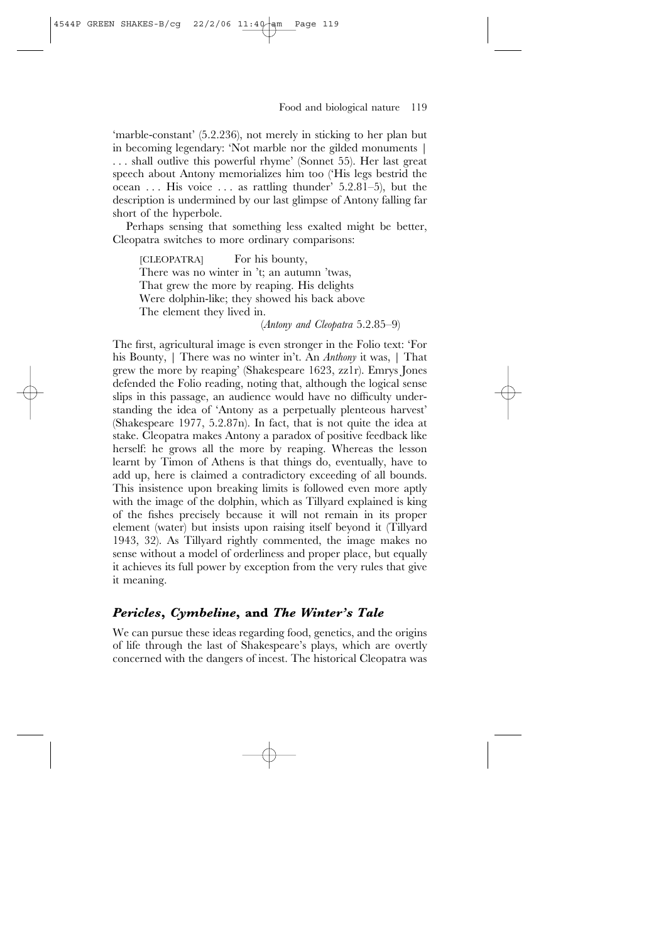'marble-constant' (5.2.236), not merely in sticking to her plan but in becoming legendary: 'Not marble nor the gilded monuments | . . . shall outlive this powerful rhyme' (Sonnet 55). Her last great speech about Antony memorializes him too ('His legs bestrid the ocean  $\dots$  His voice  $\dots$  as rattling thunder' 5.2.81–5), but the description is undermined by our last glimpse of Antony falling far short of the hyperbole.

Perhaps sensing that something less exalted might be better, Cleopatra switches to more ordinary comparisons:

[CLEOPATRA] For his bounty, There was no winter in 't; an autumn 'twas, That grew the more by reaping. His delights Were dolphin-like; they showed his back above The element they lived in.

(*Antony and Cleopatra* 5.2.85–9)

The first, agricultural image is even stronger in the Folio text: 'For his Bounty, | There was no winter in't. An *Anthony* it was, | That grew the more by reaping' (Shakespeare 1623, zz1r). Emrys Jones defended the Folio reading, noting that, although the logical sense slips in this passage, an audience would have no difficulty understanding the idea of 'Antony as a perpetually plenteous harvest' (Shakespeare 1977, 5.2.87n). In fact, that is not quite the idea at stake. Cleopatra makes Antony a paradox of positive feedback like herself: he grows all the more by reaping. Whereas the lesson learnt by Timon of Athens is that things do, eventually, have to add up, here is claimed a contradictory exceeding of all bounds. This insistence upon breaking limits is followed even more aptly with the image of the dolphin, which as Tillyard explained is king of the fishes precisely because it will not remain in its proper element (water) but insists upon raising itself beyond it (Tillyard 1943, 32). As Tillyard rightly commented, the image makes no sense without a model of orderliness and proper place, but equally it achieves its full power by exception from the very rules that give it meaning.

## *Pericles***,** *Cymbeline***, and** *The Winter's Tale*

We can pursue these ideas regarding food, genetics, and the origins of life through the last of Shakespeare's plays, which are overtly concerned with the dangers of incest. The historical Cleopatra was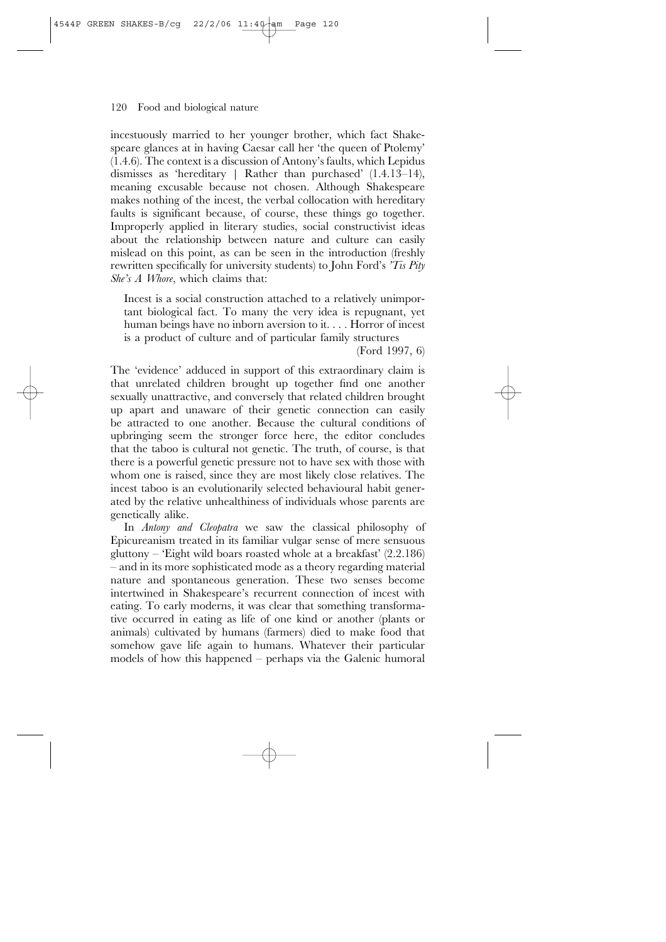incestuously married to her younger brother, which fact Shakespeare glances at in having Caesar call her 'the queen of Ptolemy' (1.4.6). The context is a discussion of Antony's faults, which Lepidus dismisses as 'hereditary | Rather than purchased' (1.4.13–14), meaning excusable because not chosen. Although Shakespeare makes nothing of the incest, the verbal collocation with hereditary faults is significant because, of course, these things go together. Improperly applied in literary studies, social constructivist ideas about the relationship between nature and culture can easily mislead on this point, as can be seen in the introduction (freshly rewritten specifically for university students) to John Ford's *'Tis Pity She's A Whore*, which claims that:

Incest is a social construction attached to a relatively unimportant biological fact. To many the very idea is repugnant, yet human beings have no inborn aversion to it. . . . Horror of incest is a product of culture and of particular family structures

(Ford 1997, 6)

The 'evidence' adduced in support of this extraordinary claim is that unrelated children brought up together find one another sexually unattractive, and conversely that related children brought up apart and unaware of their genetic connection can easily be attracted to one another. Because the cultural conditions of upbringing seem the stronger force here, the editor concludes that the taboo is cultural not genetic. The truth, of course, is that there is a powerful genetic pressure not to have sex with those with whom one is raised, since they are most likely close relatives. The incest taboo is an evolutionarily selected behavioural habit generated by the relative unhealthiness of individuals whose parents are genetically alike.

In *Antony and Cleopatra* we saw the classical philosophy of Epicureanism treated in its familiar vulgar sense of mere sensuous gluttony – 'Eight wild boars roasted whole at a breakfast' (2.2.186) – and in its more sophisticated mode as a theory regarding material nature and spontaneous generation. These two senses become intertwined in Shakespeare's recurrent connection of incest with eating. To early moderns, it was clear that something transformative occurred in eating as life of one kind or another (plants or animals) cultivated by humans (farmers) died to make food that somehow gave life again to humans. Whatever their particular models of how this happened – perhaps via the Galenic humoral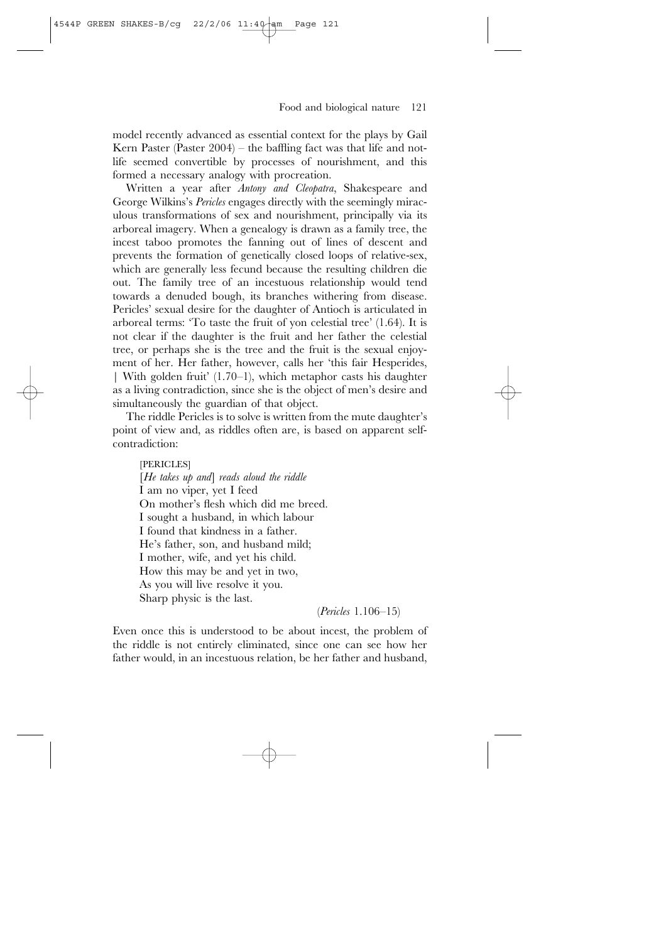model recently advanced as essential context for the plays by Gail Kern Paster (Paster 2004) – the baffling fact was that life and notlife seemed convertible by processes of nourishment, and this formed a necessary analogy with procreation.

Written a year after *Antony and Cleopatra*, Shakespeare and George Wilkins's *Pericles* engages directly with the seemingly miraculous transformations of sex and nourishment, principally via its arboreal imagery. When a genealogy is drawn as a family tree, the incest taboo promotes the fanning out of lines of descent and prevents the formation of genetically closed loops of relative-sex, which are generally less fecund because the resulting children die out. The family tree of an incestuous relationship would tend towards a denuded bough, its branches withering from disease. Pericles' sexual desire for the daughter of Antioch is articulated in arboreal terms: 'To taste the fruit of yon celestial tree' (1.64). It is not clear if the daughter is the fruit and her father the celestial tree, or perhaps she is the tree and the fruit is the sexual enjoyment of her. Her father, however, calls her 'this fair Hesperides, | With golden fruit' (1.70–1), which metaphor casts his daughter as a living contradiction, since she is the object of men's desire and simultaneously the guardian of that object.

The riddle Pericles is to solve is written from the mute daughter's point of view and, as riddles often are, is based on apparent selfcontradiction:

[PERICLES] [*He takes up and*] *reads aloud the riddle* I am no viper, yet I feed On mother's flesh which did me breed. I sought a husband, in which labour I found that kindness in a father. He's father, son, and husband mild; I mother, wife, and yet his child. How this may be and yet in two, As you will live resolve it you. Sharp physic is the last.

(*Pericles* 1.106–15)

Even once this is understood to be about incest, the problem of the riddle is not entirely eliminated, since one can see how her father would, in an incestuous relation, be her father and husband,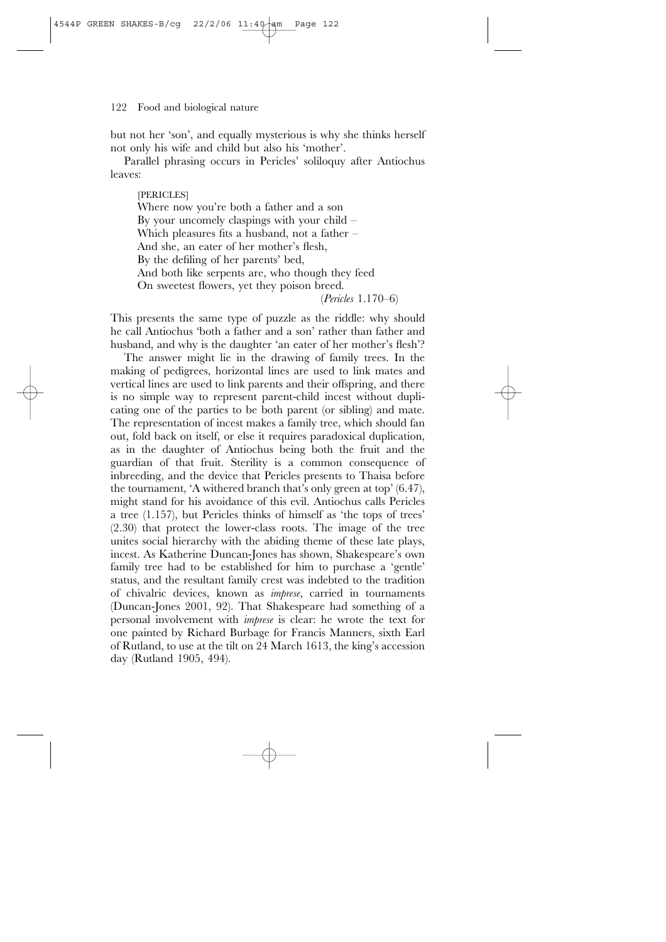but not her 'son', and equally mysterious is why she thinks herself not only his wife and child but also his 'mother'.

Parallel phrasing occurs in Pericles' soliloquy after Antiochus leaves:

### [PERICLES]

Where now you're both a father and a son By your uncomely claspings with your child – Which pleasures fits a husband, not a father – And she, an eater of her mother's flesh, By the defiling of her parents' bed, And both like serpents are, who though they feed On sweetest flowers, yet they poison breed. (*Pericles* 1.170–6)

This presents the same type of puzzle as the riddle: why should he call Antiochus 'both a father and a son' rather than father and husband, and why is the daughter 'an eater of her mother's flesh'?

The answer might lie in the drawing of family trees. In the making of pedigrees, horizontal lines are used to link mates and vertical lines are used to link parents and their offspring, and there is no simple way to represent parent-child incest without duplicating one of the parties to be both parent (or sibling) and mate. The representation of incest makes a family tree, which should fan out, fold back on itself, or else it requires paradoxical duplication, as in the daughter of Antiochus being both the fruit and the guardian of that fruit. Sterility is a common consequence of inbreeding, and the device that Pericles presents to Thaisa before the tournament, 'A withered branch that's only green at top' (6.47), might stand for his avoidance of this evil. Antiochus calls Pericles a tree (1.157), but Pericles thinks of himself as 'the tops of trees' (2.30) that protect the lower-class roots. The image of the tree unites social hierarchy with the abiding theme of these late plays, incest. As Katherine Duncan-Jones has shown, Shakespeare's own family tree had to be established for him to purchase a 'gentle' status, and the resultant family crest was indebted to the tradition of chivalric devices, known as *imprese*, carried in tournaments (Duncan-Jones 2001, 92). That Shakespeare had something of a personal involvement with *imprese* is clear: he wrote the text for one painted by Richard Burbage for Francis Manners, sixth Earl of Rutland, to use at the tilt on 24 March 1613, the king's accession day (Rutland 1905, 494).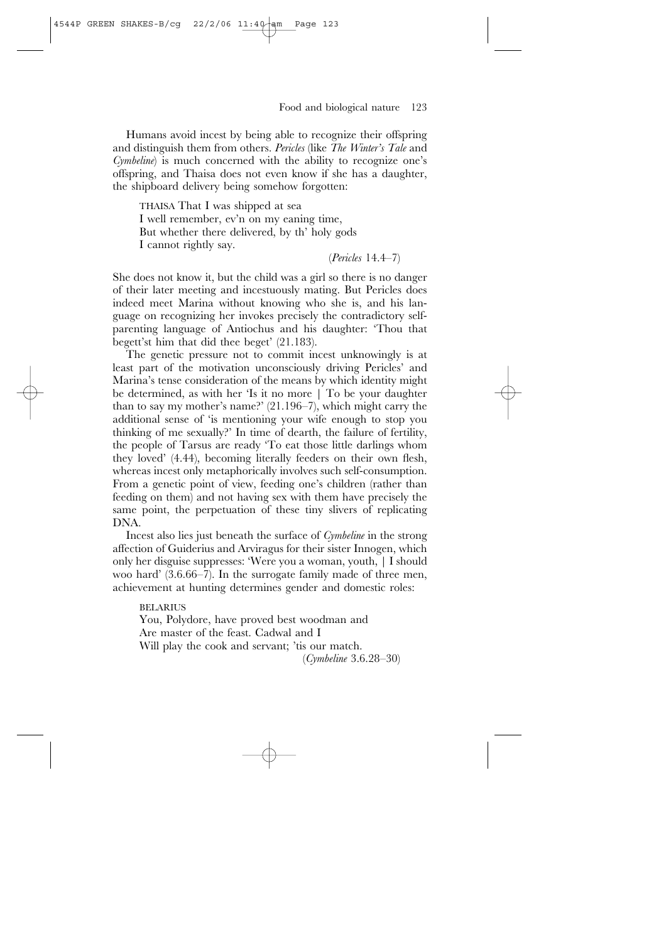Humans avoid incest by being able to recognize their offspring and distinguish them from others. *Pericles* (like *The Winter's Tale* and *Cymbeline*) is much concerned with the ability to recognize one's offspring, and Thaisa does not even know if she has a daughter, the shipboard delivery being somehow forgotten:

THAISA That I was shipped at sea I well remember, ev'n on my eaning time, But whether there delivered, by th' holy gods I cannot rightly say.

(*Pericles* 14.4–7)

She does not know it, but the child was a girl so there is no danger of their later meeting and incestuously mating. But Pericles does indeed meet Marina without knowing who she is, and his language on recognizing her invokes precisely the contradictory selfparenting language of Antiochus and his daughter: 'Thou that begett'st him that did thee beget' (21.183).

The genetic pressure not to commit incest unknowingly is at least part of the motivation unconsciously driving Pericles' and Marina's tense consideration of the means by which identity might be determined, as with her 'Is it no more | To be your daughter than to say my mother's name?' (21.196–7), which might carry the additional sense of 'is mentioning your wife enough to stop you thinking of me sexually?' In time of dearth, the failure of fertility, the people of Tarsus are ready 'To eat those little darlings whom they loved' (4.44), becoming literally feeders on their own flesh, whereas incest only metaphorically involves such self-consumption. From a genetic point of view, feeding one's children (rather than feeding on them) and not having sex with them have precisely the same point, the perpetuation of these tiny slivers of replicating DNA.

Incest also lies just beneath the surface of *Cymbeline* in the strong affection of Guiderius and Arviragus for their sister Innogen, which only her disguise suppresses: 'Were you a woman, youth, | I should woo hard' (3.6.66–7). In the surrogate family made of three men, achievement at hunting determines gender and domestic roles:

BELARIUS You, Polydore, have proved best woodman and Are master of the feast. Cadwal and I Will play the cook and servant; 'tis our match. (*Cymbeline* 3.6.28–30)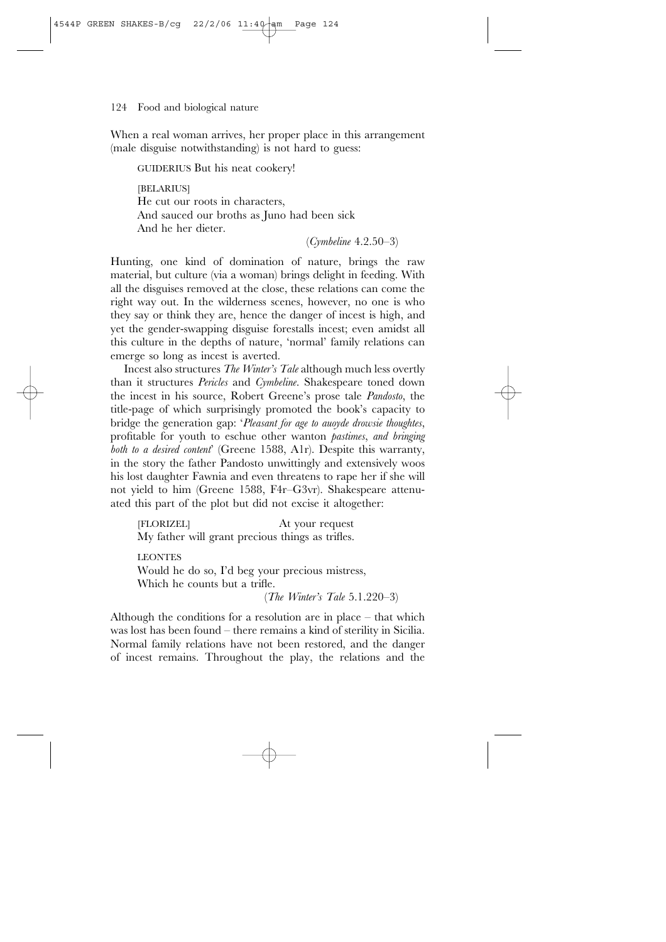When a real woman arrives, her proper place in this arrangement (male disguise notwithstanding) is not hard to guess:

GUIDERIUS But his neat cookery! [BELARIUS] He cut our roots in characters, And sauced our broths as Juno had been sick And he her dieter.

(*Cymbeline* 4.2.50–3)

Hunting, one kind of domination of nature, brings the raw material, but culture (via a woman) brings delight in feeding. With all the disguises removed at the close, these relations can come the right way out. In the wilderness scenes, however, no one is who they say or think they are, hence the danger of incest is high, and yet the gender-swapping disguise forestalls incest; even amidst all this culture in the depths of nature, 'normal' family relations can emerge so long as incest is averted.

Incest also structures *The Winter's Tale* although much less overtly than it structures *Pericles* and *Cymbeline*. Shakespeare toned down the incest in his source, Robert Greene's prose tale *Pandosto*, the title-page of which surprisingly promoted the book's capacity to bridge the generation gap: '*Pleasant for age to auoyde drowsie thoughtes*, profitable for youth to eschue other wanton *pastimes*, *and bringing both to a desired content*' (Greene 1588, A1r). Despite this warranty, in the story the father Pandosto unwittingly and extensively woos his lost daughter Fawnia and even threatens to rape her if she will not yield to him (Greene 1588, F4r–G3vr). Shakespeare attenuated this part of the plot but did not excise it altogether:

[FLORIZEL] At your request My father will grant precious things as trifles. LEONTES Would he do so, I'd beg your precious mistress, Which he counts but a trifle.

(*The Winter's Tale* 5.1.220–3)

Although the conditions for a resolution are in place – that which was lost has been found – there remains a kind of sterility in Sicilia. Normal family relations have not been restored, and the danger of incest remains. Throughout the play, the relations and the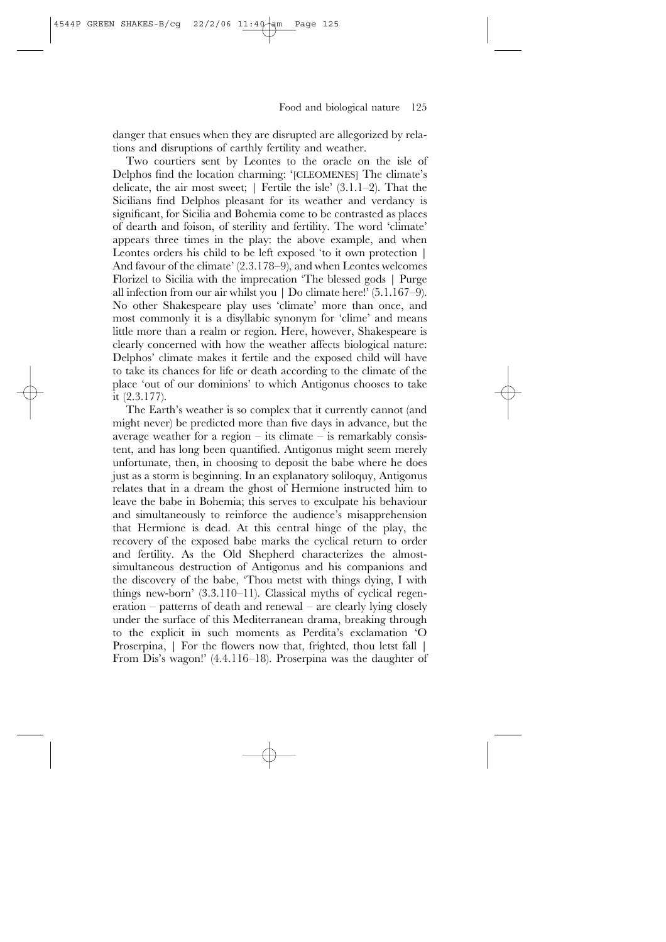danger that ensues when they are disrupted are allegorized by relations and disruptions of earthly fertility and weather.

Two courtiers sent by Leontes to the oracle on the isle of Delphos find the location charming: '[CLEOMENES] The climate's delicate, the air most sweet; | Fertile the isle' (3.1.1–2). That the Sicilians find Delphos pleasant for its weather and verdancy is significant, for Sicilia and Bohemia come to be contrasted as places of dearth and foison, of sterility and fertility. The word 'climate' appears three times in the play: the above example, and when Leontes orders his child to be left exposed 'to it own protection | And favour of the climate' (2.3.178–9), and when Leontes welcomes Florizel to Sicilia with the imprecation 'The blessed gods | Purge all infection from our air whilst you | Do climate here!' (5.1.167–9). No other Shakespeare play uses 'climate' more than once, and most commonly it is a disyllabic synonym for 'clime' and means little more than a realm or region. Here, however, Shakespeare is clearly concerned with how the weather affects biological nature: Delphos' climate makes it fertile and the exposed child will have to take its chances for life or death according to the climate of the place 'out of our dominions' to which Antigonus chooses to take it (2.3.177).

The Earth's weather is so complex that it currently cannot (and might never) be predicted more than five days in advance, but the average weather for a region  $-$  its climate  $-$  is remarkably consistent, and has long been quantified. Antigonus might seem merely unfortunate, then, in choosing to deposit the babe where he does just as a storm is beginning. In an explanatory soliloquy, Antigonus relates that in a dream the ghost of Hermione instructed him to leave the babe in Bohemia; this serves to exculpate his behaviour and simultaneously to reinforce the audience's misapprehension that Hermione is dead. At this central hinge of the play, the recovery of the exposed babe marks the cyclical return to order and fertility. As the Old Shepherd characterizes the almostsimultaneous destruction of Antigonus and his companions and the discovery of the babe, 'Thou metst with things dying, I with things new-born' (3.3.110–11). Classical myths of cyclical regeneration – patterns of death and renewal – are clearly lying closely under the surface of this Mediterranean drama, breaking through to the explicit in such moments as Perdita's exclamation 'O Proserpina, | For the flowers now that, frighted, thou letst fall | From Dis's wagon!' (4.4.116–18). Proserpina was the daughter of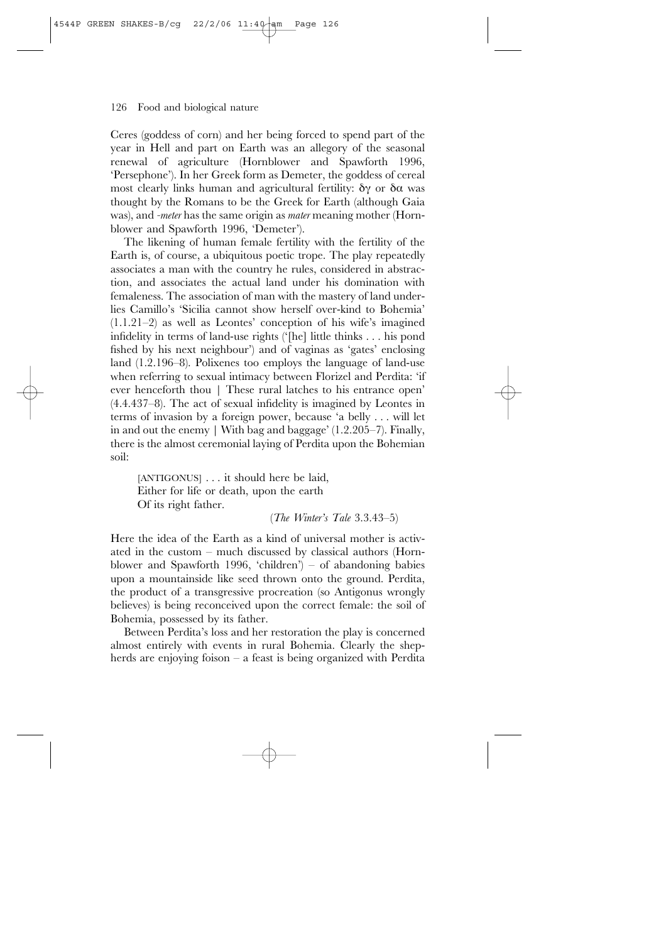Ceres (goddess of corn) and her being forced to spend part of the year in Hell and part on Earth was an allegory of the seasonal renewal of agriculture (Hornblower and Spawforth 1996, 'Persephone'). In her Greek form as Demeter, the goddess of cereal most clearly links human and agricultural fertility:  $δγ$  or  $δα$  was thought by the Romans to be the Greek for Earth (although Gaia was), and *-meter* has the same origin as *mater* meaning mother (Hornblower and Spawforth 1996, 'Demeter').

The likening of human female fertility with the fertility of the Earth is, of course, a ubiquitous poetic trope. The play repeatedly associates a man with the country he rules, considered in abstraction, and associates the actual land under his domination with femaleness. The association of man with the mastery of land underlies Camillo's 'Sicilia cannot show herself over-kind to Bohemia' (1.1.21–2) as well as Leontes' conception of his wife's imagined infidelity in terms of land-use rights ('[he] little thinks . . . his pond fished by his next neighbour') and of vaginas as 'gates' enclosing land (1.2.196–8). Polixenes too employs the language of land-use when referring to sexual intimacy between Florizel and Perdita: 'if ever henceforth thou | These rural latches to his entrance open' (4.4.437–8). The act of sexual infidelity is imagined by Leontes in terms of invasion by a foreign power, because 'a belly . . . will let in and out the enemy | With bag and baggage' (1.2.205–7). Finally, there is the almost ceremonial laying of Perdita upon the Bohemian soil:

[ANTIGONUS] . . . it should here be laid, Either for life or death, upon the earth Of its right father.

(*The Winter's Tale* 3.3.43–5)

Here the idea of the Earth as a kind of universal mother is activated in the custom – much discussed by classical authors (Hornblower and Spawforth 1996, 'children') – of abandoning babies upon a mountainside like seed thrown onto the ground. Perdita, the product of a transgressive procreation (so Antigonus wrongly believes) is being reconceived upon the correct female: the soil of Bohemia, possessed by its father.

Between Perdita's loss and her restoration the play is concerned almost entirely with events in rural Bohemia. Clearly the shepherds are enjoying foison – a feast is being organized with Perdita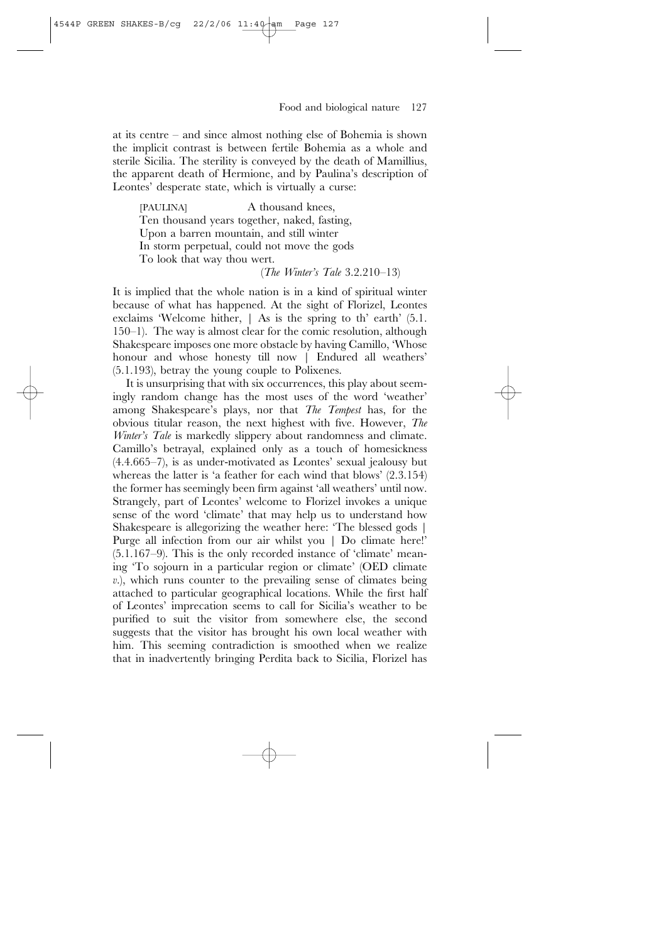at its centre – and since almost nothing else of Bohemia is shown the implicit contrast is between fertile Bohemia as a whole and sterile Sicilia. The sterility is conveyed by the death of Mamillius, the apparent death of Hermione, and by Paulina's description of Leontes' desperate state, which is virtually a curse:

[PAULINA] A thousand knees, Ten thousand years together, naked, fasting, Upon a barren mountain, and still winter In storm perpetual, could not move the gods To look that way thou wert.

(*The Winter's Tale* 3.2.210–13)

It is implied that the whole nation is in a kind of spiritual winter because of what has happened. At the sight of Florizel, Leontes exclaims 'Welcome hither, | As is the spring to th' earth' (5.1. 150–1). The way is almost clear for the comic resolution, although Shakespeare imposes one more obstacle by having Camillo, 'Whose honour and whose honesty till now | Endured all weathers' (5.1.193), betray the young couple to Polixenes.

It is unsurprising that with six occurrences, this play about seemingly random change has the most uses of the word 'weather' among Shakespeare's plays, nor that *The Tempest* has, for the obvious titular reason, the next highest with five. However, *The Winter's Tale* is markedly slippery about randomness and climate. Camillo's betrayal, explained only as a touch of homesickness (4.4.665–7), is as under-motivated as Leontes' sexual jealousy but whereas the latter is 'a feather for each wind that blows' (2.3.154) the former has seemingly been firm against 'all weathers' until now. Strangely, part of Leontes' welcome to Florizel invokes a unique sense of the word 'climate' that may help us to understand how Shakespeare is allegorizing the weather here: 'The blessed gods | Purge all infection from our air whilst you | Do climate here!' (5.1.167–9). This is the only recorded instance of 'climate' meaning 'To sojourn in a particular region or climate' (OED climate *v*.), which runs counter to the prevailing sense of climates being attached to particular geographical locations. While the first half of Leontes' imprecation seems to call for Sicilia's weather to be purified to suit the visitor from somewhere else, the second suggests that the visitor has brought his own local weather with him. This seeming contradiction is smoothed when we realize that in inadvertently bringing Perdita back to Sicilia, Florizel has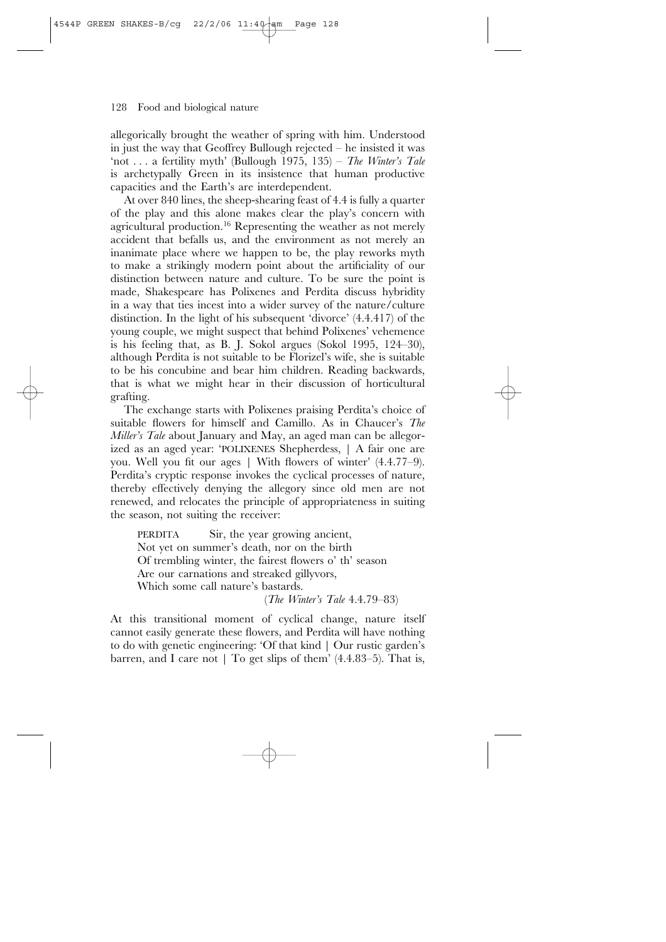allegorically brought the weather of spring with him. Understood in just the way that Geoffrey Bullough rejected – he insisted it was 'not . . . a fertility myth' (Bullough 1975, 135) – *The Winter's Tale* is archetypally Green in its insistence that human productive capacities and the Earth's are interdependent.

At over 840 lines, the sheep-shearing feast of 4.4 is fully a quarter of the play and this alone makes clear the play's concern with agricultural production.16 Representing the weather as not merely accident that befalls us, and the environment as not merely an inanimate place where we happen to be, the play reworks myth to make a strikingly modern point about the artificiality of our distinction between nature and culture. To be sure the point is made, Shakespeare has Polixenes and Perdita discuss hybridity in a way that ties incest into a wider survey of the nature/culture distinction. In the light of his subsequent 'divorce' (4.4.417) of the young couple, we might suspect that behind Polixenes' vehemence is his feeling that, as B. J. Sokol argues (Sokol 1995, 124–30), although Perdita is not suitable to be Florizel's wife, she is suitable to be his concubine and bear him children. Reading backwards, that is what we might hear in their discussion of horticultural grafting.

The exchange starts with Polixenes praising Perdita's choice of suitable flowers for himself and Camillo. As in Chaucer's *The Miller's Tale* about January and May, an aged man can be allegorized as an aged year: 'POLIXENES Shepherdess, | A fair one are you. Well you fit our ages | With flowers of winter' (4.4.77–9). Perdita's cryptic response invokes the cyclical processes of nature, thereby effectively denying the allegory since old men are not renewed, and relocates the principle of appropriateness in suiting the season, not suiting the receiver:

PERDITA Sir, the year growing ancient, Not yet on summer's death, nor on the birth Of trembling winter, the fairest flowers o' th' season Are our carnations and streaked gillyvors, Which some call nature's bastards.

(*The Winter's Tale* 4.4.79–83)

At this transitional moment of cyclical change, nature itself cannot easily generate these flowers, and Perdita will have nothing to do with genetic engineering: 'Of that kind | Our rustic garden's barren, and I care not  $\vert$  To get slips of them'  $(4.4.83-5)$ . That is,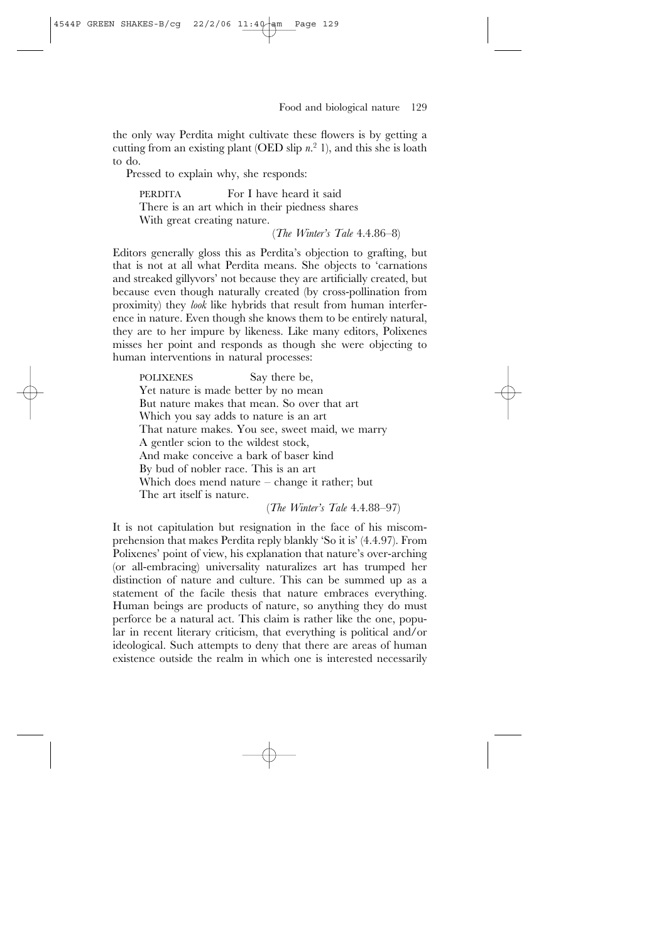the only way Perdita might cultivate these flowers is by getting a cutting from an existing plant (OED slip *n*. <sup>2</sup> 1), and this she is loath to do.

Pressed to explain why, she responds:

PERDITA For I have heard it said There is an art which in their piedness shares With great creating nature.

(*The Winter's Tale* 4.4.86–8)

Editors generally gloss this as Perdita's objection to grafting, but that is not at all what Perdita means. She objects to 'carnations and streaked gillyvors' not because they are artificially created, but because even though naturally created (by cross-pollination from proximity) they *look* like hybrids that result from human interference in nature. Even though she knows them to be entirely natural, they are to her impure by likeness. Like many editors, Polixenes misses her point and responds as though she were objecting to human interventions in natural processes:

POLIXENES Say there be, Yet nature is made better by no mean But nature makes that mean. So over that art Which you say adds to nature is an art That nature makes. You see, sweet maid, we marry A gentler scion to the wildest stock, And make conceive a bark of baser kind By bud of nobler race. This is an art Which does mend nature – change it rather; but The art itself is nature.

(*The Winter's Tale* 4.4.88–97)

It is not capitulation but resignation in the face of his miscomprehension that makes Perdita reply blankly 'So it is' (4.4.97). From Polixenes' point of view, his explanation that nature's over-arching (or all-embracing) universality naturalizes art has trumped her distinction of nature and culture. This can be summed up as a statement of the facile thesis that nature embraces everything. Human beings are products of nature, so anything they do must perforce be a natural act. This claim is rather like the one, popular in recent literary criticism, that everything is political and/or ideological. Such attempts to deny that there are areas of human existence outside the realm in which one is interested necessarily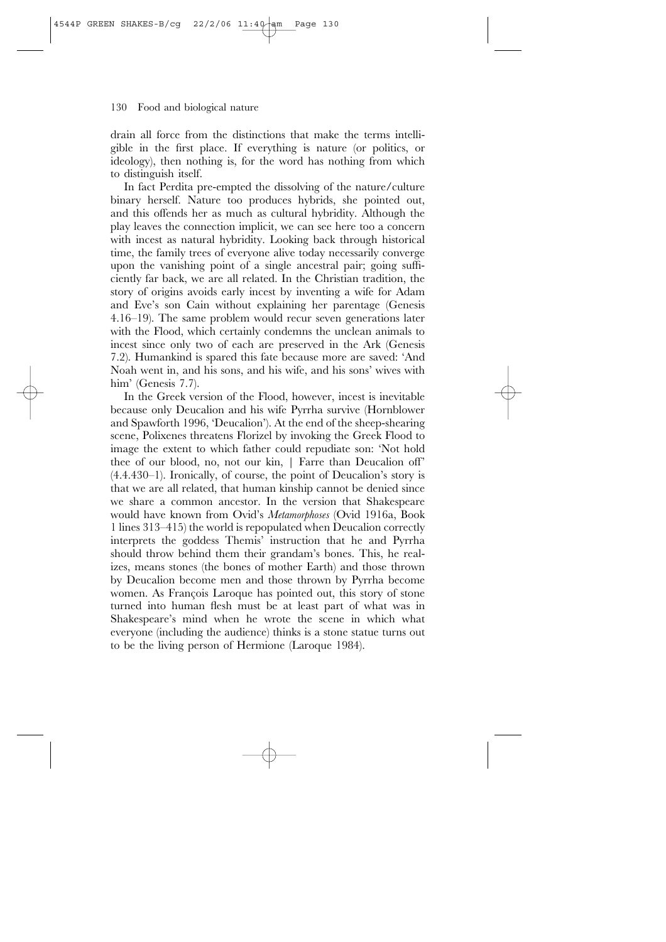drain all force from the distinctions that make the terms intelligible in the first place. If everything is nature (or politics, or ideology), then nothing is, for the word has nothing from which to distinguish itself.

In fact Perdita pre-empted the dissolving of the nature/culture binary herself. Nature too produces hybrids, she pointed out, and this offends her as much as cultural hybridity. Although the play leaves the connection implicit, we can see here too a concern with incest as natural hybridity. Looking back through historical time, the family trees of everyone alive today necessarily converge upon the vanishing point of a single ancestral pair; going sufficiently far back, we are all related. In the Christian tradition, the story of origins avoids early incest by inventing a wife for Adam and Eve's son Cain without explaining her parentage (Genesis 4.16–19). The same problem would recur seven generations later with the Flood, which certainly condemns the unclean animals to incest since only two of each are preserved in the Ark (Genesis 7.2). Humankind is spared this fate because more are saved: 'And Noah went in, and his sons, and his wife, and his sons' wives with him' (Genesis 7.7).

In the Greek version of the Flood, however, incest is inevitable because only Deucalion and his wife Pyrrha survive (Hornblower and Spawforth 1996, 'Deucalion'). At the end of the sheep-shearing scene, Polixenes threatens Florizel by invoking the Greek Flood to image the extent to which father could repudiate son: 'Not hold thee of our blood, no, not our kin, | Farre than Deucalion off' (4.4.430–1). Ironically, of course, the point of Deucalion's story is that we are all related, that human kinship cannot be denied since we share a common ancestor. In the version that Shakespeare would have known from Ovid's *Metamorphoses* (Ovid 1916a, Book 1 lines 313–415) the world is repopulated when Deucalion correctly interprets the goddess Themis' instruction that he and Pyrrha should throw behind them their grandam's bones. This, he realizes, means stones (the bones of mother Earth) and those thrown by Deucalion become men and those thrown by Pyrrha become women. As François Laroque has pointed out, this story of stone turned into human flesh must be at least part of what was in Shakespeare's mind when he wrote the scene in which what everyone (including the audience) thinks is a stone statue turns out to be the living person of Hermione (Laroque 1984).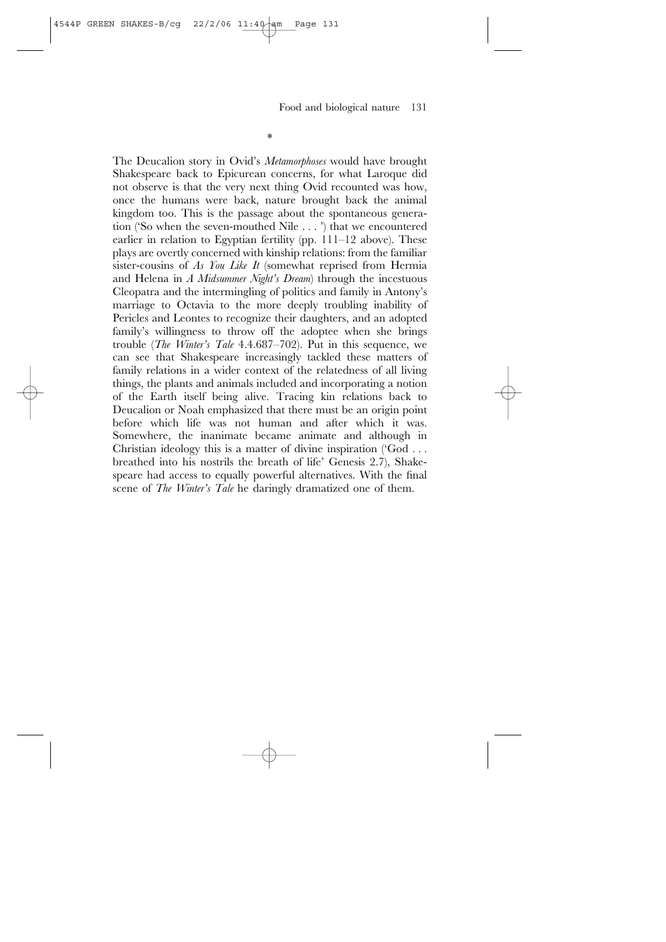\*

The Deucalion story in Ovid's *Metamorphoses* would have brought Shakespeare back to Epicurean concerns, for what Laroque did not observe is that the very next thing Ovid recounted was how, once the humans were back, nature brought back the animal kingdom too. This is the passage about the spontaneous generation ('So when the seven-mouthed Nile . . . ') that we encountered earlier in relation to Egyptian fertility (pp. 111–12 above). These plays are overtly concerned with kinship relations: from the familiar sister-cousins of *As You Like It* (somewhat reprised from Hermia and Helena in *A Midsummer Night's Dream*) through the incestuous Cleopatra and the intermingling of politics and family in Antony's marriage to Octavia to the more deeply troubling inability of Pericles and Leontes to recognize their daughters, and an adopted family's willingness to throw off the adoptee when she brings trouble (*The Winter's Tale* 4.4.687–702). Put in this sequence, we can see that Shakespeare increasingly tackled these matters of family relations in a wider context of the relatedness of all living things, the plants and animals included and incorporating a notion of the Earth itself being alive. Tracing kin relations back to Deucalion or Noah emphasized that there must be an origin point before which life was not human and after which it was. Somewhere, the inanimate became animate and although in Christian ideology this is a matter of divine inspiration ('God . . . breathed into his nostrils the breath of life' Genesis 2.7), Shakespeare had access to equally powerful alternatives. With the final scene of *The Winter's Tale* he daringly dramatized one of them.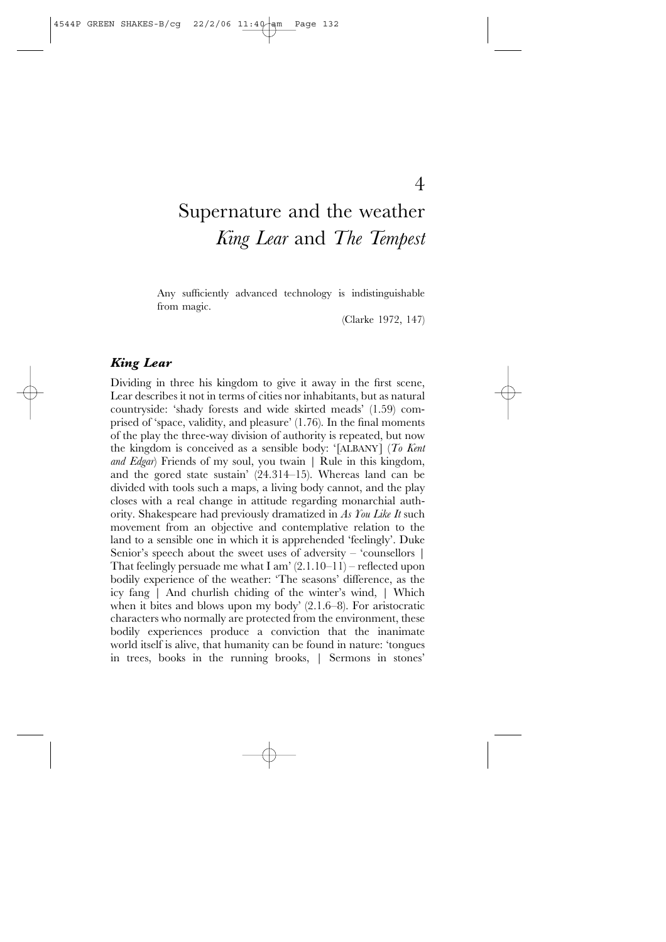# Supernature and the weather *King Lear* and *The Tempest*

Any sufficiently advanced technology is indistinguishable from magic.

(Clarke 1972, 147)

## *King Lear*

Dividing in three his kingdom to give it away in the first scene, Lear describes it not in terms of cities nor inhabitants, but as natural countryside: 'shady forests and wide skirted meads' (1.59) comprised of 'space, validity, and pleasure' (1.76). In the final moments of the play the three-way division of authority is repeated, but now the kingdom is conceived as a sensible body: '[ALBANY] (*To Kent and Edgar*) Friends of my soul, you twain | Rule in this kingdom, and the gored state sustain' (24.314–15). Whereas land can be divided with tools such a maps, a living body cannot, and the play closes with a real change in attitude regarding monarchial authority. Shakespeare had previously dramatized in *As You Like It* such movement from an objective and contemplative relation to the land to a sensible one in which it is apprehended 'feelingly'. Duke Senior's speech about the sweet uses of adversity – 'counsellors | That feelingly persuade me what I am'  $(2.1.10-11)$  – reflected upon bodily experience of the weather: 'The seasons' difference, as the icy fang | And churlish chiding of the winter's wind, | Which when it bites and blows upon my body' (2.1.6–8). For aristocratic characters who normally are protected from the environment, these bodily experiences produce a conviction that the inanimate world itself is alive, that humanity can be found in nature: 'tongues in trees, books in the running brooks, | Sermons in stones'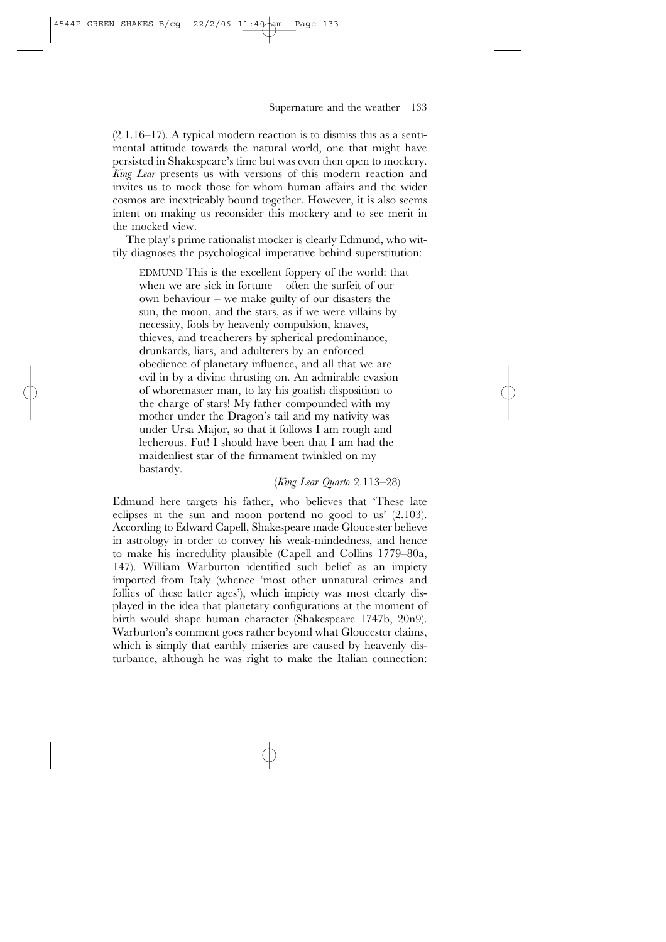(2.1.16–17). A typical modern reaction is to dismiss this as a sentimental attitude towards the natural world, one that might have persisted in Shakespeare's time but was even then open to mockery. *King Lear* presents us with versions of this modern reaction and invites us to mock those for whom human affairs and the wider cosmos are inextricably bound together. However, it is also seems intent on making us reconsider this mockery and to see merit in the mocked view.

The play's prime rationalist mocker is clearly Edmund, who wittily diagnoses the psychological imperative behind superstitution:

EDMUND This is the excellent foppery of the world: that when we are sick in fortune – often the surfeit of our own behaviour – we make guilty of our disasters the sun, the moon, and the stars, as if we were villains by necessity, fools by heavenly compulsion, knaves, thieves, and treacherers by spherical predominance, drunkards, liars, and adulterers by an enforced obedience of planetary influence, and all that we are evil in by a divine thrusting on. An admirable evasion of whoremaster man, to lay his goatish disposition to the charge of stars! My father compounded with my mother under the Dragon's tail and my nativity was under Ursa Major, so that it follows I am rough and lecherous. Fut! I should have been that I am had the maidenliest star of the firmament twinkled on my bastardy.

## (*King Lear Quarto* 2.113–28)

Edmund here targets his father, who believes that 'These late eclipses in the sun and moon portend no good to us' (2.103). According to Edward Capell, Shakespeare made Gloucester believe in astrology in order to convey his weak-mindedness, and hence to make his incredulity plausible (Capell and Collins 1779–80a, 147). William Warburton identified such belief as an impiety imported from Italy (whence 'most other unnatural crimes and follies of these latter ages'), which impiety was most clearly displayed in the idea that planetary configurations at the moment of birth would shape human character (Shakespeare 1747b, 20n9). Warburton's comment goes rather beyond what Gloucester claims, which is simply that earthly miseries are caused by heavenly disturbance, although he was right to make the Italian connection: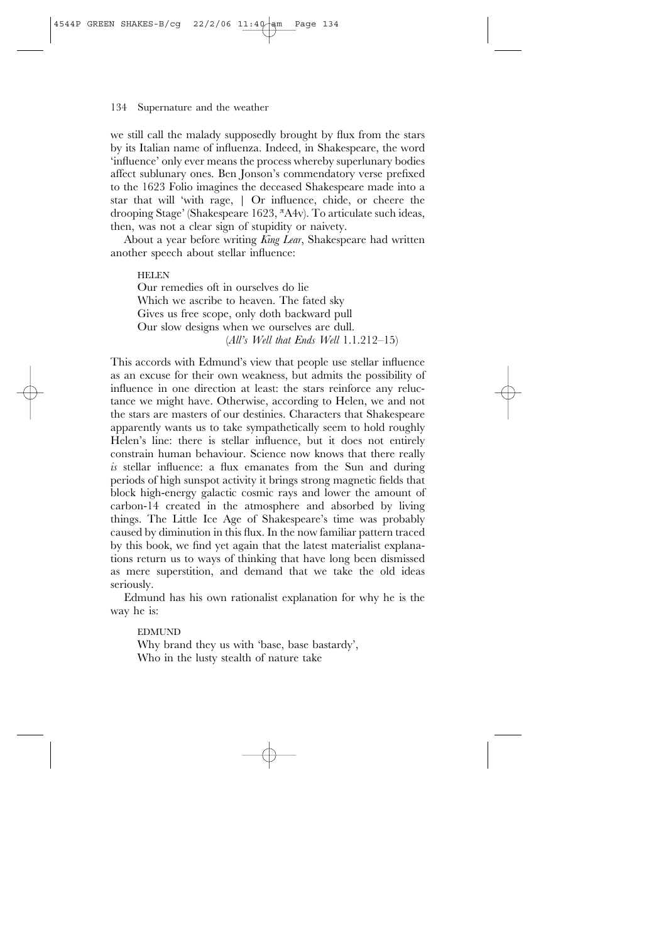we still call the malady supposedly brought by flux from the stars by its Italian name of influenza. Indeed, in Shakespeare, the word 'influence' only ever means the process whereby superlunary bodies affect sublunary ones. Ben Jonson's commendatory verse prefixed to the 1623 Folio imagines the deceased Shakespeare made into a star that will 'with rage, | Or influence, chide, or cheere the drooping Stage' (Shakespeare 1623, <sup>π</sup>A4v). To articulate such ideas, then, was not a clear sign of stupidity or naivety.

About a year before writing *King Lear*, Shakespeare had written another speech about stellar influence:

HELEN Our remedies oft in ourselves do lie Which we ascribe to heaven. The fated sky Gives us free scope, only doth backward pull Our slow designs when we ourselves are dull. (*All's Well that Ends Well* 1.1.212–15)

This accords with Edmund's view that people use stellar influence as an excuse for their own weakness, but admits the possibility of influence in one direction at least: the stars reinforce any reluctance we might have. Otherwise, according to Helen, we and not the stars are masters of our destinies. Characters that Shakespeare apparently wants us to take sympathetically seem to hold roughly Helen's line: there is stellar influence, but it does not entirely constrain human behaviour. Science now knows that there really *is* stellar influence: a flux emanates from the Sun and during periods of high sunspot activity it brings strong magnetic fields that block high-energy galactic cosmic rays and lower the amount of carbon-14 created in the atmosphere and absorbed by living things. The Little Ice Age of Shakespeare's time was probably caused by diminution in this flux. In the now familiar pattern traced by this book, we find yet again that the latest materialist explanations return us to ways of thinking that have long been dismissed as mere superstition, and demand that we take the old ideas seriously.

Edmund has his own rationalist explanation for why he is the way he is:

EDMUND Why brand they us with 'base, base bastardy', Who in the lusty stealth of nature take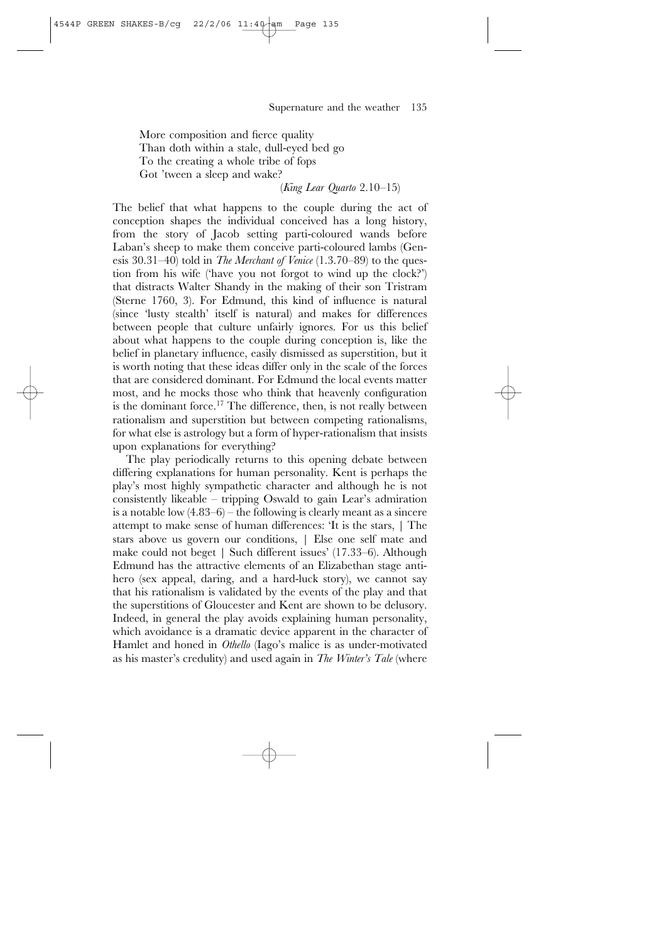More composition and fierce quality Than doth within a stale, dull-eyed bed go To the creating a whole tribe of fops Got 'tween a sleep and wake?

(*King Lear Quarto* 2.10–15)

The belief that what happens to the couple during the act of conception shapes the individual conceived has a long history, from the story of Jacob setting parti-coloured wands before Laban's sheep to make them conceive parti-coloured lambs (Genesis 30.31–40) told in *The Merchant of Venice* (1.3.70–89) to the question from his wife ('have you not forgot to wind up the clock?') that distracts Walter Shandy in the making of their son Tristram (Sterne 1760, 3). For Edmund, this kind of influence is natural (since 'lusty stealth' itself is natural) and makes for differences between people that culture unfairly ignores. For us this belief about what happens to the couple during conception is, like the belief in planetary influence, easily dismissed as superstition, but it is worth noting that these ideas differ only in the scale of the forces that are considered dominant. For Edmund the local events matter most, and he mocks those who think that heavenly configuration is the dominant force.<sup>17</sup> The difference, then, is not really between rationalism and superstition but between competing rationalisms, for what else is astrology but a form of hyper-rationalism that insists upon explanations for everything?

The play periodically returns to this opening debate between differing explanations for human personality. Kent is perhaps the play's most highly sympathetic character and although he is not consistently likeable – tripping Oswald to gain Lear's admiration is a notable low (4.83–6) – the following is clearly meant as a sincere attempt to make sense of human differences: 'It is the stars, | The stars above us govern our conditions, | Else one self mate and make could not beget | Such different issues' (17.33–6). Although Edmund has the attractive elements of an Elizabethan stage antihero (sex appeal, daring, and a hard-luck story), we cannot say that his rationalism is validated by the events of the play and that the superstitions of Gloucester and Kent are shown to be delusory. Indeed, in general the play avoids explaining human personality, which avoidance is a dramatic device apparent in the character of Hamlet and honed in *Othello* (Iago's malice is as under-motivated as his master's credulity) and used again in *The Winter's Tale* (where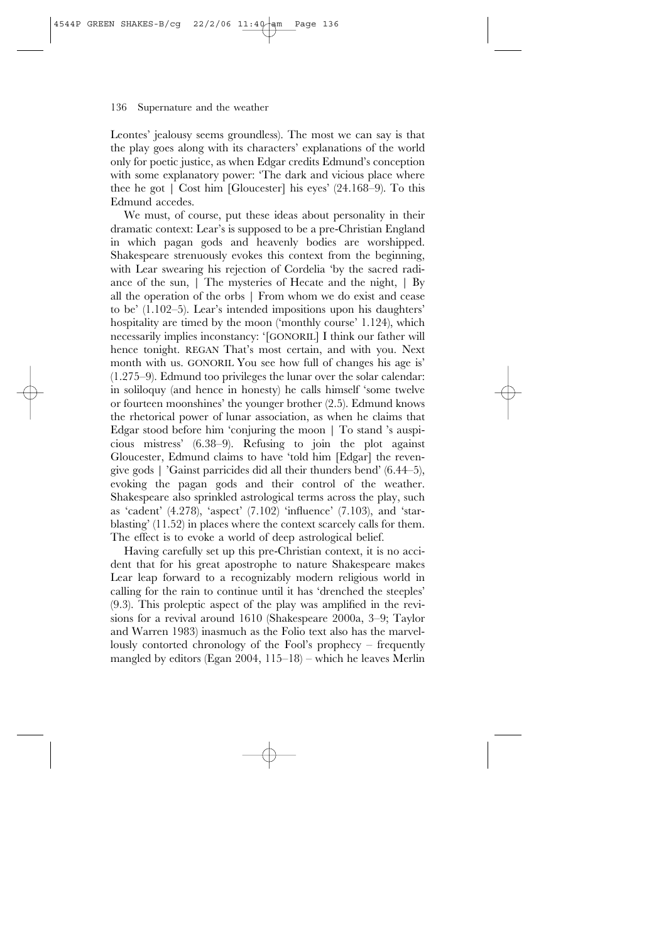Leontes' jealousy seems groundless). The most we can say is that the play goes along with its characters' explanations of the world only for poetic justice, as when Edgar credits Edmund's conception with some explanatory power: 'The dark and vicious place where thee he got | Cost him [Gloucester] his eyes' (24.168–9). To this Edmund accedes.

We must, of course, put these ideas about personality in their dramatic context: Lear's is supposed to be a pre-Christian England in which pagan gods and heavenly bodies are worshipped. Shakespeare strenuously evokes this context from the beginning, with Lear swearing his rejection of Cordelia 'by the sacred radiance of the sun, | The mysteries of Hecate and the night, | By all the operation of the orbs | From whom we do exist and cease to be' (1.102–5). Lear's intended impositions upon his daughters' hospitality are timed by the moon ('monthly course' 1.124), which necessarily implies inconstancy: '[GONORIL] I think our father will hence tonight. REGAN That's most certain, and with you. Next month with us. GONORIL You see how full of changes his age is' (1.275–9). Edmund too privileges the lunar over the solar calendar: in soliloquy (and hence in honesty) he calls himself 'some twelve or fourteen moonshines' the younger brother (2.5). Edmund knows the rhetorical power of lunar association, as when he claims that Edgar stood before him 'conjuring the moon | To stand 's auspicious mistress' (6.38–9). Refusing to join the plot against Gloucester, Edmund claims to have 'told him [Edgar] the revengive gods | 'Gainst parricides did all their thunders bend' (6.44–5), evoking the pagan gods and their control of the weather. Shakespeare also sprinkled astrological terms across the play, such as 'cadent' (4.278), 'aspect' (7.102) 'influence' (7.103), and 'starblasting' (11.52) in places where the context scarcely calls for them. The effect is to evoke a world of deep astrological belief.

Having carefully set up this pre-Christian context, it is no accident that for his great apostrophe to nature Shakespeare makes Lear leap forward to a recognizably modern religious world in calling for the rain to continue until it has 'drenched the steeples' (9.3). This proleptic aspect of the play was amplified in the revisions for a revival around 1610 (Shakespeare 2000a, 3–9; Taylor and Warren 1983) inasmuch as the Folio text also has the marvellously contorted chronology of the Fool's prophecy – frequently mangled by editors (Egan 2004, 115–18) – which he leaves Merlin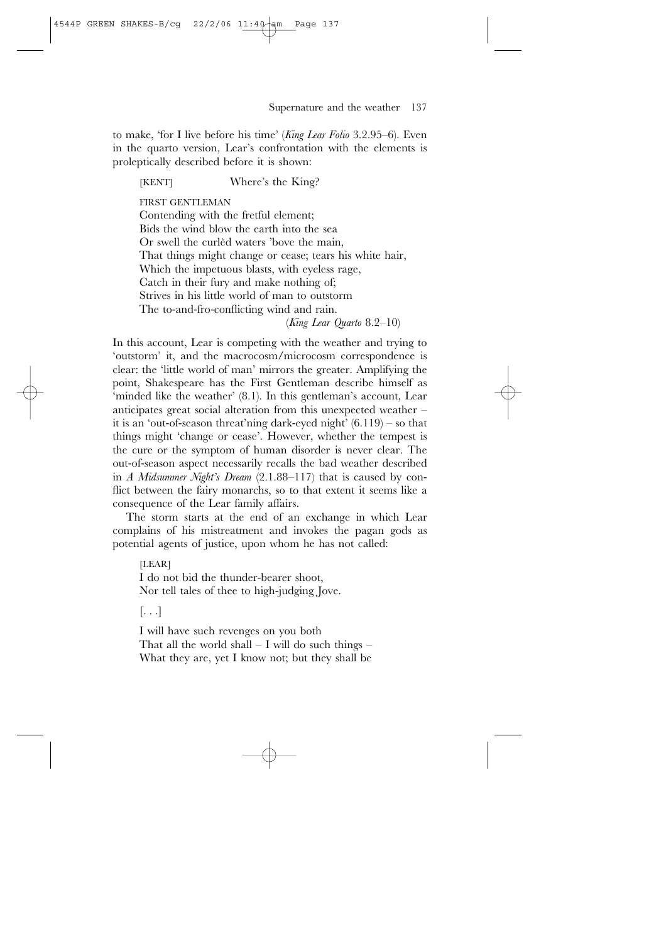to make, 'for I live before his time' (*King Lear Folio* 3.2.95–6). Even in the quarto version, Lear's confrontation with the elements is proleptically described before it is shown:

[KENT] Where's the King? FIRST GENTLEMAN Contending with the fretful element; Bids the wind blow the earth into the sea Or swell the curlèd waters 'bove the main, That things might change or cease; tears his white hair, Which the impetuous blasts, with eyeless rage, Catch in their fury and make nothing of; Strives in his little world of man to outstorm The to-and-fro-conflicting wind and rain.

(*King Lear Quarto* 8.2–10)

In this account, Lear is competing with the weather and trying to 'outstorm' it, and the macrocosm/microcosm correspondence is clear: the 'little world of man' mirrors the greater. Amplifying the point, Shakespeare has the First Gentleman describe himself as 'minded like the weather' (8.1). In this gentleman's account, Lear anticipates great social alteration from this unexpected weather – it is an 'out-of-season threat'ning dark-eyed night' (6.119) – so that things might 'change or cease'. However, whether the tempest is the cure or the symptom of human disorder is never clear. The out-of-season aspect necessarily recalls the bad weather described in *A Midsummer Night's Dream* (2.1.88–117) that is caused by conflict between the fairy monarchs, so to that extent it seems like a consequence of the Lear family affairs.

The storm starts at the end of an exchange in which Lear complains of his mistreatment and invokes the pagan gods as potential agents of justice, upon whom he has not called:

[LEAR] I do not bid the thunder-bearer shoot, Nor tell tales of thee to high-judging Jove.  $\lceil \ldots \rceil$ I will have such revenges on you both That all the world shall  $-$  I will do such things  $-$ What they are, yet I know not; but they shall be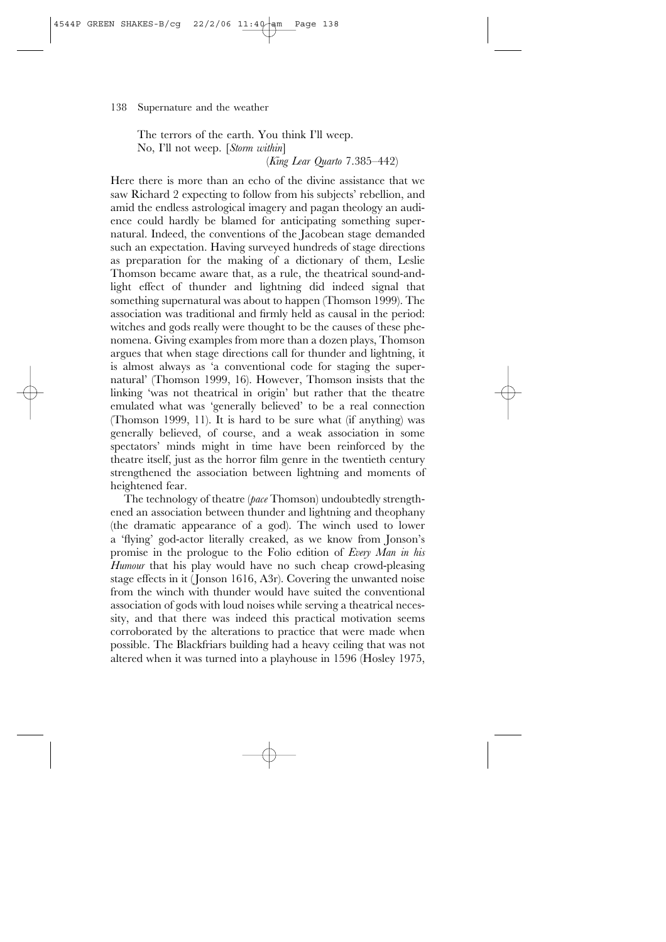The terrors of the earth. You think I'll weep. No, I'll not weep. [*Storm within*] (*King Lear Quarto* 7.385–442)

Here there is more than an echo of the divine assistance that we saw Richard 2 expecting to follow from his subjects' rebellion, and amid the endless astrological imagery and pagan theology an audience could hardly be blamed for anticipating something supernatural. Indeed, the conventions of the Jacobean stage demanded such an expectation. Having surveyed hundreds of stage directions as preparation for the making of a dictionary of them, Leslie Thomson became aware that, as a rule, the theatrical sound-andlight effect of thunder and lightning did indeed signal that something supernatural was about to happen (Thomson 1999). The association was traditional and firmly held as causal in the period: witches and gods really were thought to be the causes of these phenomena. Giving examples from more than a dozen plays, Thomson argues that when stage directions call for thunder and lightning, it is almost always as 'a conventional code for staging the supernatural' (Thomson 1999, 16). However, Thomson insists that the linking 'was not theatrical in origin' but rather that the theatre emulated what was 'generally believed' to be a real connection (Thomson 1999, 11). It is hard to be sure what (if anything) was generally believed, of course, and a weak association in some spectators' minds might in time have been reinforced by the theatre itself, just as the horror film genre in the twentieth century strengthened the association between lightning and moments of heightened fear.

The technology of theatre (*pace* Thomson) undoubtedly strengthened an association between thunder and lightning and theophany (the dramatic appearance of a god). The winch used to lower a 'flying' god-actor literally creaked, as we know from Jonson's promise in the prologue to the Folio edition of *Every Man in his Humour* that his play would have no such cheap crowd-pleasing stage effects in it ( Jonson 1616, A3r). Covering the unwanted noise from the winch with thunder would have suited the conventional association of gods with loud noises while serving a theatrical necessity, and that there was indeed this practical motivation seems corroborated by the alterations to practice that were made when possible. The Blackfriars building had a heavy ceiling that was not altered when it was turned into a playhouse in 1596 (Hosley 1975,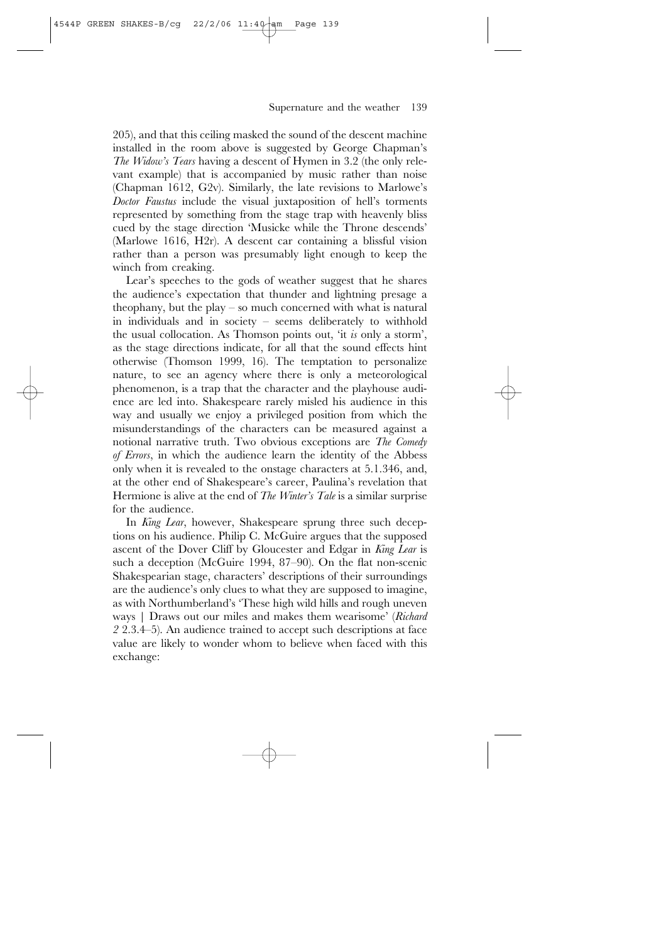205), and that this ceiling masked the sound of the descent machine installed in the room above is suggested by George Chapman's *The Widow's Tears* having a descent of Hymen in 3.2 (the only relevant example) that is accompanied by music rather than noise (Chapman 1612, G2v). Similarly, the late revisions to Marlowe's *Doctor Faustus* include the visual juxtaposition of hell's torments represented by something from the stage trap with heavenly bliss cued by the stage direction 'Musicke while the Throne descends' (Marlowe 1616, H2r). A descent car containing a blissful vision rather than a person was presumably light enough to keep the winch from creaking.

Lear's speeches to the gods of weather suggest that he shares the audience's expectation that thunder and lightning presage a theophany, but the play – so much concerned with what is natural in individuals and in society – seems deliberately to withhold the usual collocation. As Thomson points out, 'it *is* only a storm', as the stage directions indicate, for all that the sound effects hint otherwise (Thomson 1999, 16). The temptation to personalize nature, to see an agency where there is only a meteorological phenomenon, is a trap that the character and the playhouse audience are led into. Shakespeare rarely misled his audience in this way and usually we enjoy a privileged position from which the misunderstandings of the characters can be measured against a notional narrative truth. Two obvious exceptions are *The Comedy of Errors*, in which the audience learn the identity of the Abbess only when it is revealed to the onstage characters at 5.1.346, and, at the other end of Shakespeare's career, Paulina's revelation that Hermione is alive at the end of *The Winter's Tale* is a similar surprise for the audience.

In *King Lear*, however, Shakespeare sprung three such deceptions on his audience. Philip C. McGuire argues that the supposed ascent of the Dover Cliff by Gloucester and Edgar in *King Lear* is such a deception (McGuire 1994, 87–90). On the flat non-scenic Shakespearian stage, characters' descriptions of their surroundings are the audience's only clues to what they are supposed to imagine, as with Northumberland's 'These high wild hills and rough uneven ways | Draws out our miles and makes them wearisome' (*Richard 2* 2.3.4–5). An audience trained to accept such descriptions at face value are likely to wonder whom to believe when faced with this exchange: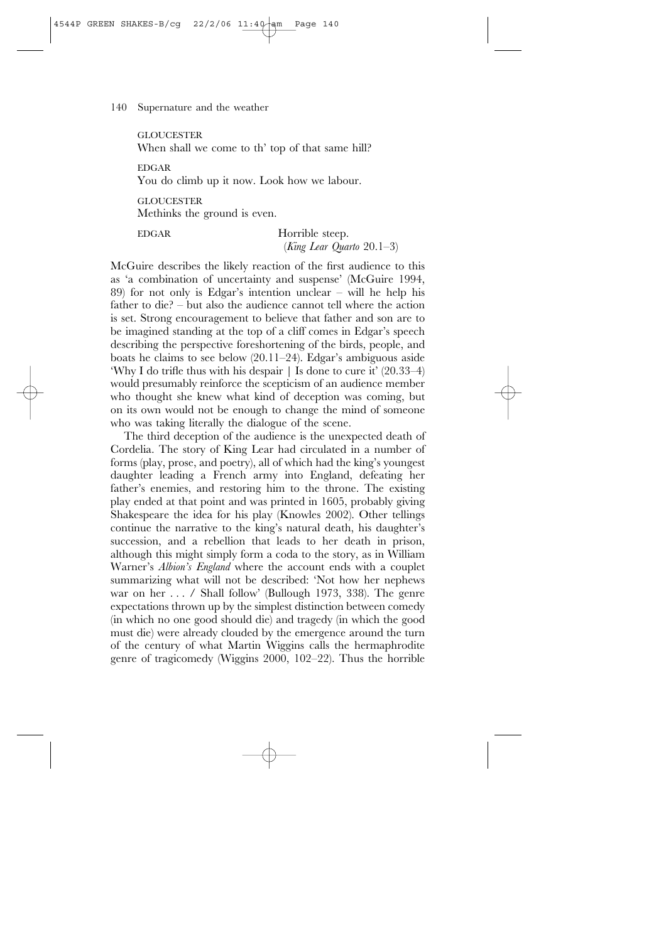**GLOUCESTER** When shall we come to th' top of that same hill?

EDGAR You do climb up it now. Look how we labour.

GLOUCESTER Methinks the ground is even.

EDGAR Horrible steep. (*King Lear Quarto* 20.1–3)

McGuire describes the likely reaction of the first audience to this as 'a combination of uncertainty and suspense' (McGuire 1994, 89) for not only is Edgar's intention unclear – will he help his father to die? – but also the audience cannot tell where the action is set. Strong encouragement to believe that father and son are to be imagined standing at the top of a cliff comes in Edgar's speech describing the perspective foreshortening of the birds, people, and boats he claims to see below (20.11–24). Edgar's ambiguous aside 'Why I do trifle thus with his despair | Is done to cure it' (20.33–4) would presumably reinforce the scepticism of an audience member who thought she knew what kind of deception was coming, but on its own would not be enough to change the mind of someone who was taking literally the dialogue of the scene.

The third deception of the audience is the unexpected death of Cordelia. The story of King Lear had circulated in a number of forms (play, prose, and poetry), all of which had the king's youngest daughter leading a French army into England, defeating her father's enemies, and restoring him to the throne. The existing play ended at that point and was printed in 1605, probably giving Shakespeare the idea for his play (Knowles 2002). Other tellings continue the narrative to the king's natural death, his daughter's succession, and a rebellion that leads to her death in prison, although this might simply form a coda to the story, as in William Warner's *Albion's England* where the account ends with a couplet summarizing what will not be described: 'Not how her nephews war on her . . . / Shall follow' (Bullough 1973, 338). The genre expectations thrown up by the simplest distinction between comedy (in which no one good should die) and tragedy (in which the good must die) were already clouded by the emergence around the turn of the century of what Martin Wiggins calls the hermaphrodite genre of tragicomedy (Wiggins 2000, 102–22). Thus the horrible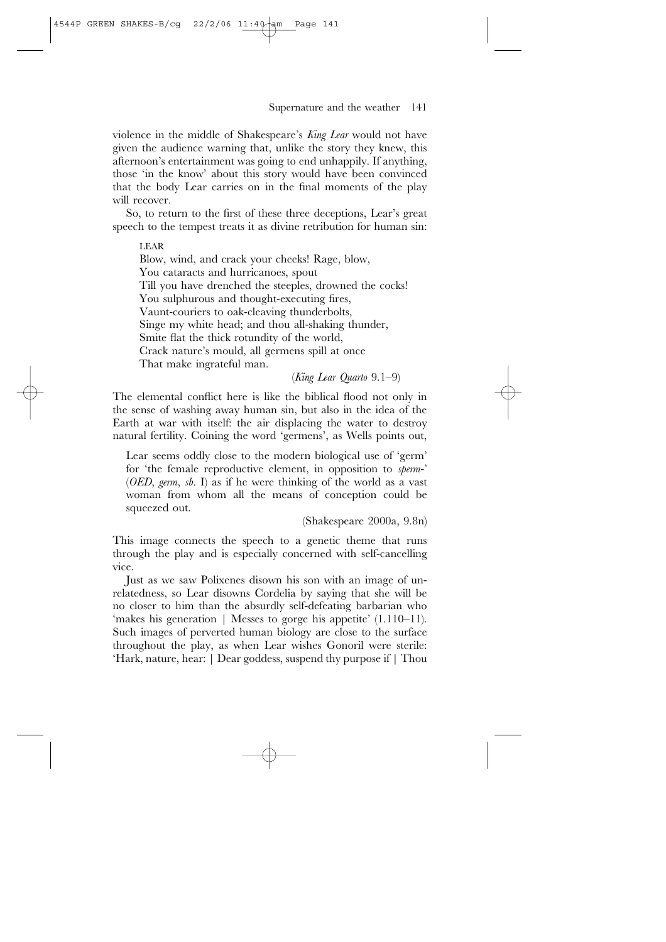violence in the middle of Shakespeare's *King Lear* would not have given the audience warning that, unlike the story they knew, this afternoon's entertainment was going to end unhappily. If anything, those 'in the know' about this story would have been convinced that the body Lear carries on in the final moments of the play will recover.

So, to return to the first of these three deceptions, Lear's great speech to the tempest treats it as divine retribution for human sin:

LEAR

Blow, wind, and crack your cheeks! Rage, blow, You cataracts and hurricanoes, spout Till you have drenched the steeples, drowned the cocks! You sulphurous and thought-executing fires, Vaunt-couriers to oak-cleaving thunderbolts, Singe my white head; and thou all-shaking thunder, Smite flat the thick rotundity of the world, Crack nature's mould, all germens spill at once That make ingrateful man.

(*King Lear Quarto* 9.1–9)

The elemental conflict here is like the biblical flood not only in the sense of washing away human sin, but also in the idea of the Earth at war with itself: the air displacing the water to destroy natural fertility. Coining the word 'germens', as Wells points out,

Lear seems oddly close to the modern biological use of 'germ' for 'the female reproductive element, in opposition to *sperm*-' (*OED*, *germ*, *sb*. I) as if he were thinking of the world as a vast woman from whom all the means of conception could be squeezed out.

(Shakespeare 2000a, 9.8n)

This image connects the speech to a genetic theme that runs through the play and is especially concerned with self-cancelling vice.

Just as we saw Polixenes disown his son with an image of unrelatedness, so Lear disowns Cordelia by saying that she will be no closer to him than the absurdly self-defeating barbarian who 'makes his generation | Messes to gorge his appetite' (1.110–11). Such images of perverted human biology are close to the surface throughout the play, as when Lear wishes Gonoril were sterile: 'Hark, nature, hear: | Dear goddess, suspend thy purpose if | Thou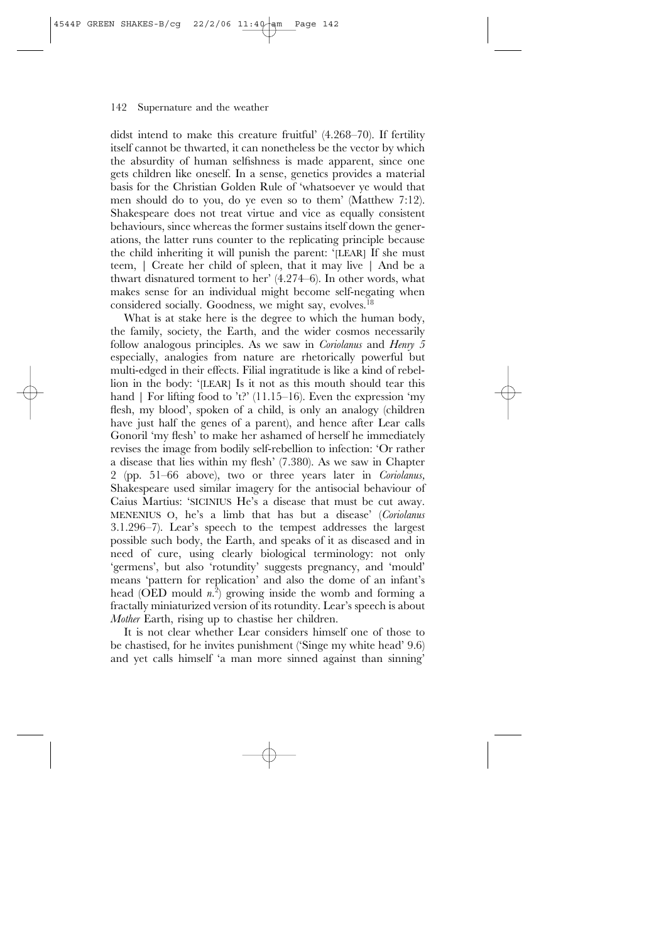didst intend to make this creature fruitful' (4.268–70). If fertility itself cannot be thwarted, it can nonetheless be the vector by which the absurdity of human selfishness is made apparent, since one gets children like oneself. In a sense, genetics provides a material basis for the Christian Golden Rule of 'whatsoever ye would that men should do to you, do ye even so to them' (Matthew 7:12). Shakespeare does not treat virtue and vice as equally consistent behaviours, since whereas the former sustains itself down the generations, the latter runs counter to the replicating principle because the child inheriting it will punish the parent: '[LEAR] If she must teem, | Create her child of spleen, that it may live | And be a thwart disnatured torment to her' (4.274–6). In other words, what makes sense for an individual might become self-negating when considered socially. Goodness, we might say, evolves.<sup>18</sup>

What is at stake here is the degree to which the human body, the family, society, the Earth, and the wider cosmos necessarily follow analogous principles. As we saw in *Coriolanus* and *Henry 5* especially, analogies from nature are rhetorically powerful but multi-edged in their effects. Filial ingratitude is like a kind of rebellion in the body: '[LEAR] Is it not as this mouth should tear this hand  $\vert$  For lifting food to 't?' (11.15–16). Even the expression 'my flesh, my blood', spoken of a child, is only an analogy (children have just half the genes of a parent), and hence after Lear calls Gonoril 'my flesh' to make her ashamed of herself he immediately revises the image from bodily self-rebellion to infection: 'Or rather a disease that lies within my flesh' (7.380). As we saw in Chapter 2 (pp. 51–66 above), two or three years later in *Coriolanus,* Shakespeare used similar imagery for the antisocial behaviour of Caius Martius: 'SICINIUS He's a disease that must be cut away. MENENIUS O, he's a limb that has but a disease' (*Coriolanus* 3.1.296–7). Lear's speech to the tempest addresses the largest possible such body, the Earth, and speaks of it as diseased and in need of cure, using clearly biological terminology: not only 'germens', but also 'rotundity' suggests pregnancy, and 'mould' means 'pattern for replication' and also the dome of an infant's head (OED mould *n*. 2 ) growing inside the womb and forming a fractally miniaturized version of its rotundity. Lear's speech is about *Mother* Earth, rising up to chastise her children.

It is not clear whether Lear considers himself one of those to be chastised, for he invites punishment ('Singe my white head' 9.6) and yet calls himself 'a man more sinned against than sinning'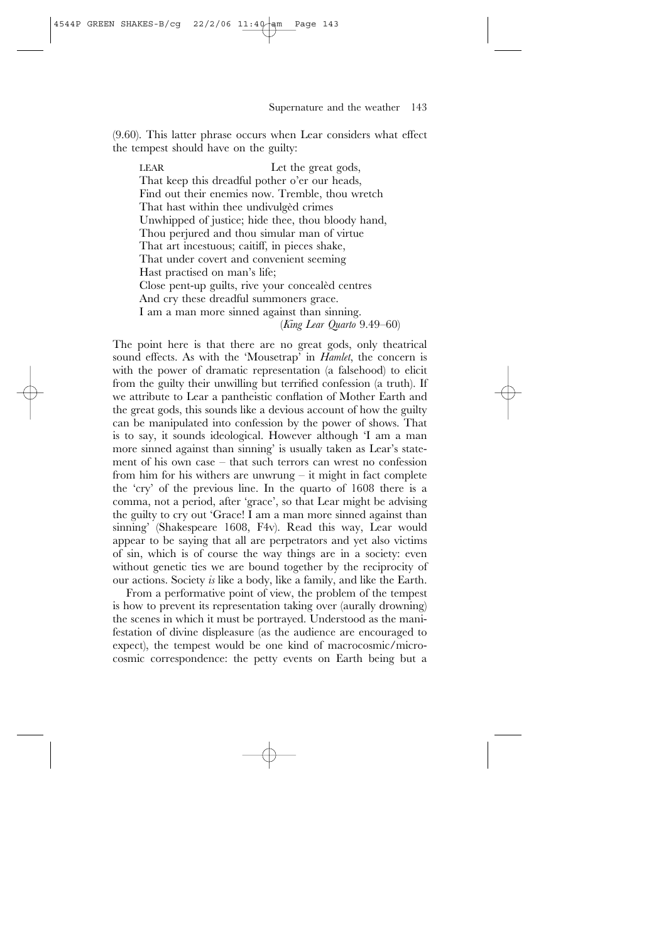(9.60). This latter phrase occurs when Lear considers what effect the tempest should have on the guilty:

LEAR Let the great gods, That keep this dreadful pother o'er our heads, Find out their enemies now. Tremble, thou wretch That hast within thee undivulgèd crimes Unwhipped of justice; hide thee, thou bloody hand, Thou perjured and thou simular man of virtue That art incestuous; caitiff, in pieces shake, That under covert and convenient seeming Hast practised on man's life; Close pent-up guilts, rive your concealèd centres And cry these dreadful summoners grace. I am a man more sinned against than sinning. (*King Lear Quarto* 9.49–60)

The point here is that there are no great gods, only theatrical sound effects. As with the 'Mousetrap' in *Hamlet*, the concern is with the power of dramatic representation (a falsehood) to elicit from the guilty their unwilling but terrified confession (a truth). If we attribute to Lear a pantheistic conflation of Mother Earth and the great gods, this sounds like a devious account of how the guilty can be manipulated into confession by the power of shows. That is to say, it sounds ideological. However although 'I am a man more sinned against than sinning' is usually taken as Lear's statement of his own case – that such terrors can wrest no confession from him for his withers are unwrung – it might in fact complete the 'cry' of the previous line. In the quarto of 1608 there is a comma, not a period, after 'grace', so that Lear might be advising the guilty to cry out 'Grace! I am a man more sinned against than sinning' (Shakespeare 1608, F4v). Read this way, Lear would appear to be saying that all are perpetrators and yet also victims of sin, which is of course the way things are in a society: even without genetic ties we are bound together by the reciprocity of our actions. Society *is* like a body, like a family, and like the Earth.

From a performative point of view, the problem of the tempest is how to prevent its representation taking over (aurally drowning) the scenes in which it must be portrayed. Understood as the manifestation of divine displeasure (as the audience are encouraged to expect), the tempest would be one kind of macrocosmic/microcosmic correspondence: the petty events on Earth being but a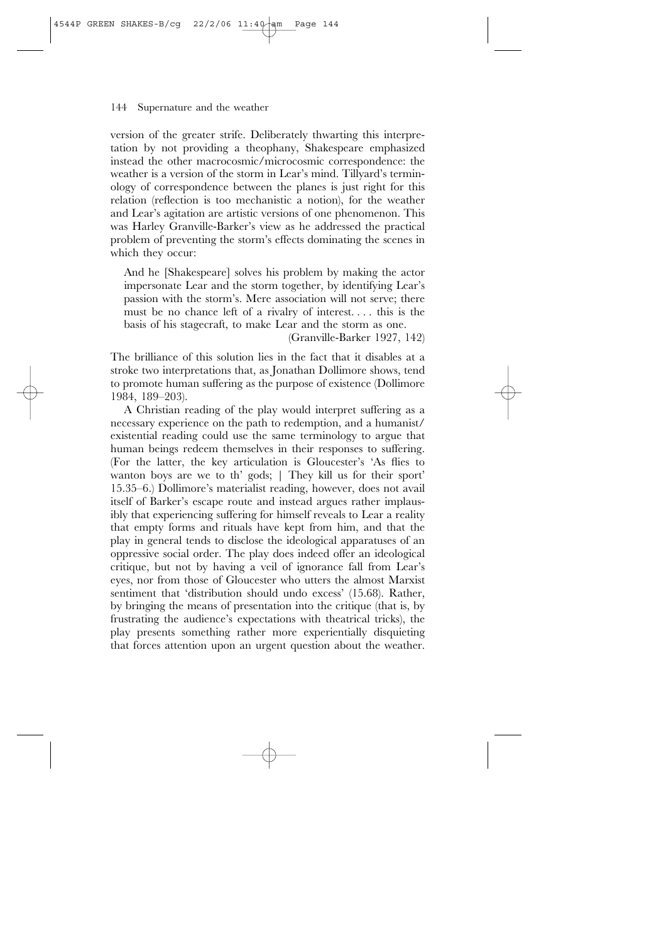version of the greater strife. Deliberately thwarting this interpretation by not providing a theophany, Shakespeare emphasized instead the other macrocosmic/microcosmic correspondence: the weather is a version of the storm in Lear's mind. Tillyard's terminology of correspondence between the planes is just right for this relation (reflection is too mechanistic a notion), for the weather and Lear's agitation are artistic versions of one phenomenon. This was Harley Granville-Barker's view as he addressed the practical problem of preventing the storm's effects dominating the scenes in which they occur:

And he [Shakespeare] solves his problem by making the actor impersonate Lear and the storm together, by identifying Lear's passion with the storm's. Mere association will not serve; there must be no chance left of a rivalry of interest. . . . this is the basis of his stagecraft, to make Lear and the storm as one.

(Granville-Barker 1927, 142)

The brilliance of this solution lies in the fact that it disables at a stroke two interpretations that, as Jonathan Dollimore shows, tend to promote human suffering as the purpose of existence (Dollimore 1984, 189–203).

A Christian reading of the play would interpret suffering as a necessary experience on the path to redemption, and a humanist/ existential reading could use the same terminology to argue that human beings redeem themselves in their responses to suffering. (For the latter, the key articulation is Gloucester's 'As flies to wanton boys are we to th' gods; | They kill us for their sport' 15.35–6.) Dollimore's materialist reading, however, does not avail itself of Barker's escape route and instead argues rather implausibly that experiencing suffering for himself reveals to Lear a reality that empty forms and rituals have kept from him, and that the play in general tends to disclose the ideological apparatuses of an oppressive social order. The play does indeed offer an ideological critique, but not by having a veil of ignorance fall from Lear's eyes, nor from those of Gloucester who utters the almost Marxist sentiment that 'distribution should undo excess' (15.68). Rather, by bringing the means of presentation into the critique (that is, by frustrating the audience's expectations with theatrical tricks), the play presents something rather more experientially disquieting that forces attention upon an urgent question about the weather.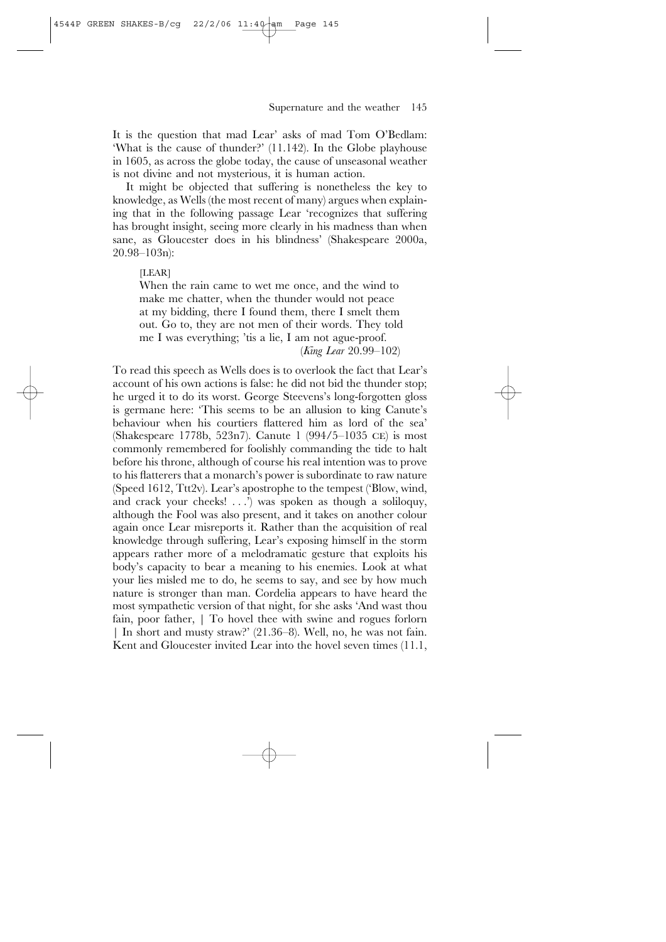It is the question that mad Lear' asks of mad Tom O'Bedlam: 'What is the cause of thunder?' (11.142). In the Globe playhouse in 1605, as across the globe today, the cause of unseasonal weather is not divine and not mysterious, it is human action.

It might be objected that suffering is nonetheless the key to knowledge, as Wells (the most recent of many) argues when explaining that in the following passage Lear 'recognizes that suffering has brought insight, seeing more clearly in his madness than when sane, as Gloucester does in his blindness' (Shakespeare 2000a, 20.98–103n):

[LEAR]

When the rain came to wet me once, and the wind to make me chatter, when the thunder would not peace at my bidding, there I found them, there I smelt them out. Go to, they are not men of their words. They told me I was everything; 'tis a lie, I am not ague-proof.

(*King Lear* 20.99–102)

To read this speech as Wells does is to overlook the fact that Lear's account of his own actions is false: he did not bid the thunder stop; he urged it to do its worst. George Steevens's long-forgotten gloss is germane here: 'This seems to be an allusion to king Canute's behaviour when his courtiers flattered him as lord of the sea' (Shakespeare 1778b, 523n7). Canute 1 (994/5–1035 CE) is most commonly remembered for foolishly commanding the tide to halt before his throne, although of course his real intention was to prove to his flatterers that a monarch's power is subordinate to raw nature (Speed 1612, Ttt2v). Lear's apostrophe to the tempest ('Blow, wind, and crack your cheeks! . . .') was spoken as though a soliloquy, although the Fool was also present, and it takes on another colour again once Lear misreports it. Rather than the acquisition of real knowledge through suffering, Lear's exposing himself in the storm appears rather more of a melodramatic gesture that exploits his body's capacity to bear a meaning to his enemies. Look at what your lies misled me to do, he seems to say, and see by how much nature is stronger than man. Cordelia appears to have heard the most sympathetic version of that night, for she asks 'And wast thou fain, poor father, | To hovel thee with swine and rogues forlorn | In short and musty straw?' (21.36–8). Well, no, he was not fain. Kent and Gloucester invited Lear into the hovel seven times (11.1,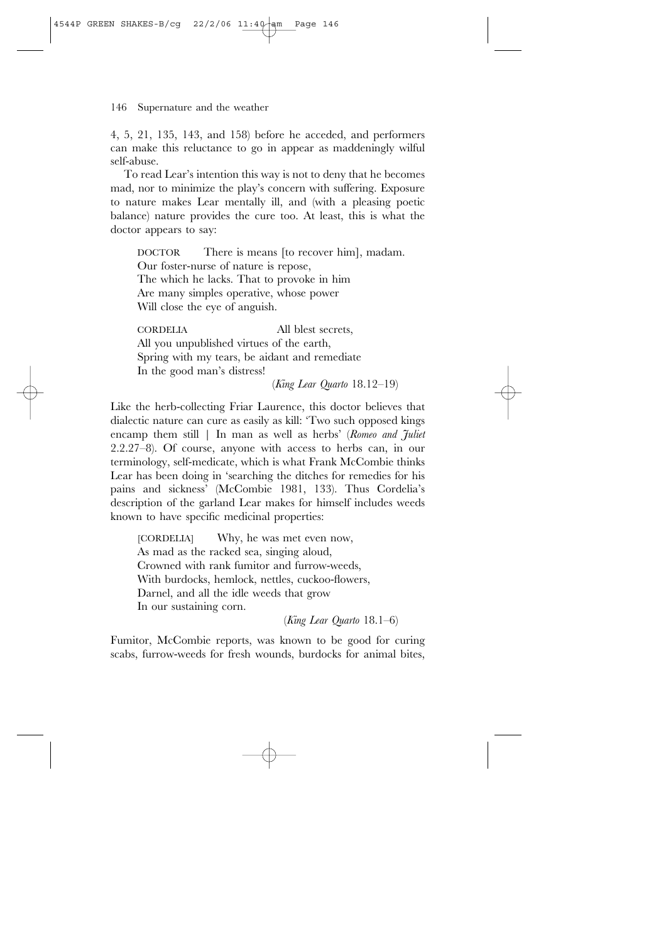4, 5, 21, 135, 143, and 158) before he acceded, and performers can make this reluctance to go in appear as maddeningly wilful self-abuse.

To read Lear's intention this way is not to deny that he becomes mad, nor to minimize the play's concern with suffering. Exposure to nature makes Lear mentally ill, and (with a pleasing poetic balance) nature provides the cure too. At least, this is what the doctor appears to say:

DOCTOR There is means [to recover him], madam. Our foster-nurse of nature is repose, The which he lacks. That to provoke in him Are many simples operative, whose power Will close the eye of anguish.

CORDELIA All blest secrets, All you unpublished virtues of the earth, Spring with my tears, be aidant and remediate In the good man's distress!

(*King Lear Quarto* 18.12–19)

Like the herb-collecting Friar Laurence, this doctor believes that dialectic nature can cure as easily as kill: 'Two such opposed kings encamp them still | In man as well as herbs' (*Romeo and Juliet* 2.2.27–8). Of course, anyone with access to herbs can, in our terminology, self-medicate, which is what Frank McCombie thinks Lear has been doing in 'searching the ditches for remedies for his pains and sickness' (McCombie 1981, 133). Thus Cordelia's description of the garland Lear makes for himself includes weeds known to have specific medicinal properties:

[CORDELIA] Why, he was met even now, As mad as the racked sea, singing aloud, Crowned with rank fumitor and furrow-weeds, With burdocks, hemlock, nettles, cuckoo-flowers, Darnel, and all the idle weeds that grow In our sustaining corn.

(*King Lear Quarto* 18.1–6)

Fumitor, McCombie reports, was known to be good for curing scabs, furrow-weeds for fresh wounds, burdocks for animal bites,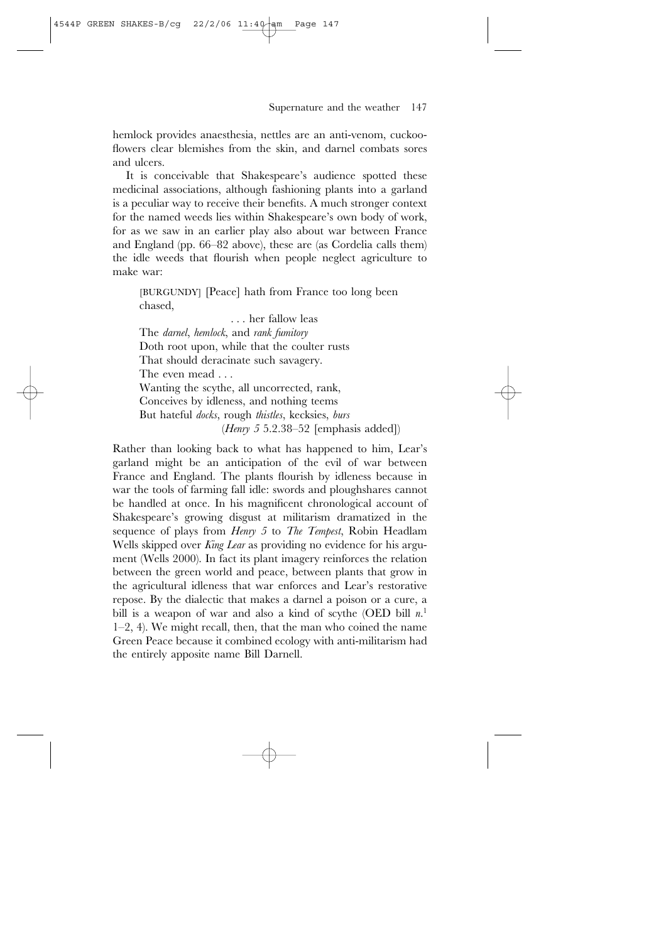hemlock provides anaesthesia, nettles are an anti-venom, cuckooflowers clear blemishes from the skin, and darnel combats sores and ulcers.

It is conceivable that Shakespeare's audience spotted these medicinal associations, although fashioning plants into a garland is a peculiar way to receive their benefits. A much stronger context for the named weeds lies within Shakespeare's own body of work, for as we saw in an earlier play also about war between France and England (pp. 66–82 above), these are (as Cordelia calls them) the idle weeds that flourish when people neglect agriculture to make war:

[BURGUNDY] [Peace] hath from France too long been chased,

. . . her fallow leas The *darnel*, *hemlock*, and *rank fumitory* Doth root upon, while that the coulter rusts That should deracinate such savagery. The even mead . . . Wanting the scythe, all uncorrected, rank, Conceives by idleness, and nothing teems But hateful *docks*, rough *thistles*, kecksies, *burs* (*Henry 5* 5.2.38–52 [emphasis added])

Rather than looking back to what has happened to him, Lear's garland might be an anticipation of the evil of war between France and England. The plants flourish by idleness because in war the tools of farming fall idle: swords and ploughshares cannot be handled at once. In his magnificent chronological account of Shakespeare's growing disgust at militarism dramatized in the sequence of plays from *Henry 5* to *The Tempest*, Robin Headlam Wells skipped over *King Lear* as providing no evidence for his argument (Wells 2000). In fact its plant imagery reinforces the relation between the green world and peace, between plants that grow in the agricultural idleness that war enforces and Lear's restorative repose. By the dialectic that makes a darnel a poison or a cure, a bill is a weapon of war and also a kind of scythe (OED bill *n*. 1 1–2, 4). We might recall, then, that the man who coined the name Green Peace because it combined ecology with anti-militarism had the entirely apposite name Bill Darnell.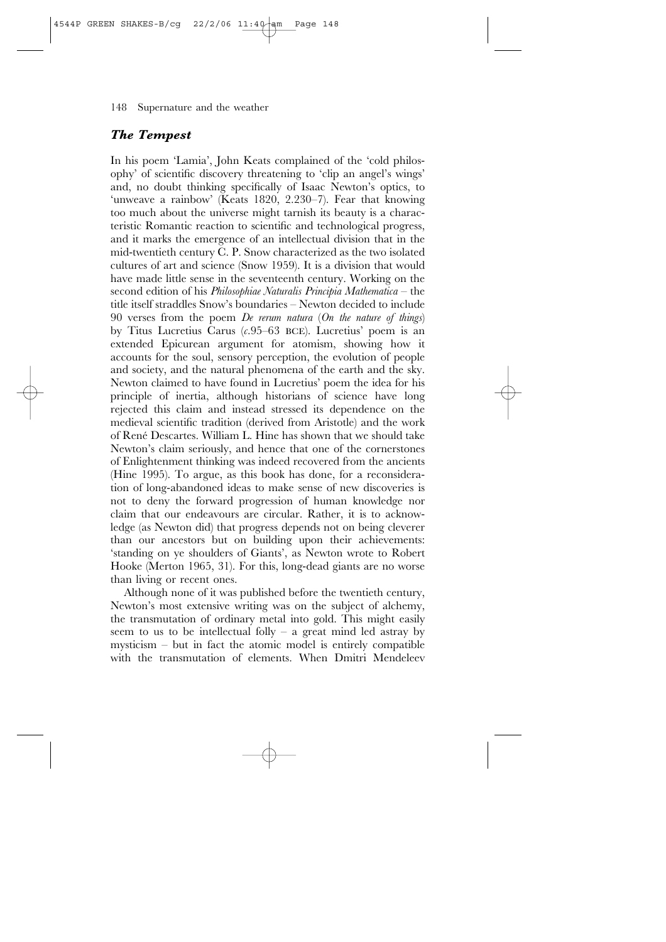## *The Tempest*

In his poem 'Lamia', John Keats complained of the 'cold philosophy' of scientific discovery threatening to 'clip an angel's wings' and, no doubt thinking specifically of Isaac Newton's optics, to 'unweave a rainbow' (Keats 1820, 2.230–7). Fear that knowing too much about the universe might tarnish its beauty is a characteristic Romantic reaction to scientific and technological progress, and it marks the emergence of an intellectual division that in the mid-twentieth century C. P. Snow characterized as the two isolated cultures of art and science (Snow 1959). It is a division that would have made little sense in the seventeenth century. Working on the second edition of his *Philosophiae Naturalis Principia Mathematica* – the title itself straddles Snow's boundaries – Newton decided to include 90 verses from the poem *De rerum natura* (*On the nature of things*) by Titus Lucretius Carus (*c*.95–63 BCE). Lucretius' poem is an extended Epicurean argument for atomism, showing how it accounts for the soul, sensory perception, the evolution of people and society, and the natural phenomena of the earth and the sky. Newton claimed to have found in Lucretius' poem the idea for his principle of inertia, although historians of science have long rejected this claim and instead stressed its dependence on the medieval scientific tradition (derived from Aristotle) and the work of René Descartes. William L. Hine has shown that we should take Newton's claim seriously, and hence that one of the cornerstones of Enlightenment thinking was indeed recovered from the ancients (Hine 1995). To argue, as this book has done, for a reconsideration of long-abandoned ideas to make sense of new discoveries is not to deny the forward progression of human knowledge nor claim that our endeavours are circular. Rather, it is to acknowledge (as Newton did) that progress depends not on being cleverer than our ancestors but on building upon their achievements: 'standing on ye shoulders of Giants', as Newton wrote to Robert Hooke (Merton 1965, 31). For this, long-dead giants are no worse than living or recent ones.

Although none of it was published before the twentieth century, Newton's most extensive writing was on the subject of alchemy, the transmutation of ordinary metal into gold. This might easily seem to us to be intellectual folly – a great mind led astray by mysticism – but in fact the atomic model is entirely compatible with the transmutation of elements. When Dmitri Mendeleev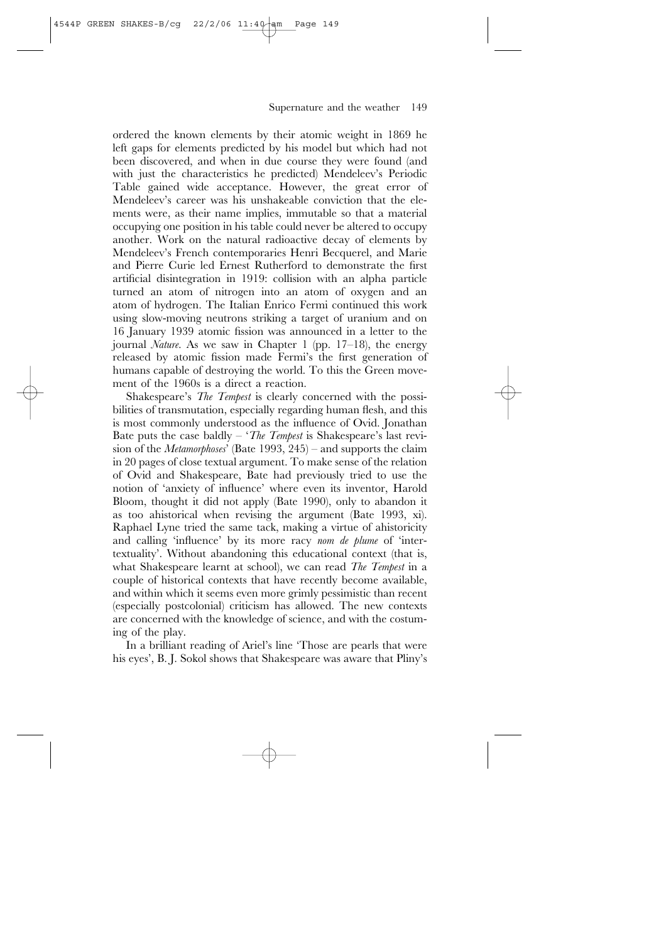ordered the known elements by their atomic weight in 1869 he left gaps for elements predicted by his model but which had not been discovered, and when in due course they were found (and with just the characteristics he predicted) Mendeleev's Periodic Table gained wide acceptance. However, the great error of Mendeleev's career was his unshakeable conviction that the elements were, as their name implies, immutable so that a material occupying one position in his table could never be altered to occupy another. Work on the natural radioactive decay of elements by Mendeleev's French contemporaries Henri Becquerel, and Marie and Pierre Curie led Ernest Rutherford to demonstrate the first artificial disintegration in 1919: collision with an alpha particle turned an atom of nitrogen into an atom of oxygen and an atom of hydrogen. The Italian Enrico Fermi continued this work using slow-moving neutrons striking a target of uranium and on 16 January 1939 atomic fission was announced in a letter to the journal *Nature*. As we saw in Chapter 1 (pp. 17–18), the energy released by atomic fission made Fermi's the first generation of humans capable of destroying the world. To this the Green movement of the 1960s is a direct a reaction.

Shakespeare's *The Tempest* is clearly concerned with the possibilities of transmutation, especially regarding human flesh, and this is most commonly understood as the influence of Ovid. Jonathan Bate puts the case baldly – '*The Tempest* is Shakespeare's last revision of the *Metamorphoses*' (Bate 1993, 245) – and supports the claim in 20 pages of close textual argument. To make sense of the relation of Ovid and Shakespeare, Bate had previously tried to use the notion of 'anxiety of influence' where even its inventor, Harold Bloom, thought it did not apply (Bate 1990), only to abandon it as too ahistorical when revising the argument (Bate 1993, xi). Raphael Lyne tried the same tack, making a virtue of ahistoricity and calling 'influence' by its more racy *nom de plume* of 'intertextuality'. Without abandoning this educational context (that is, what Shakespeare learnt at school), we can read *The Tempest* in a couple of historical contexts that have recently become available, and within which it seems even more grimly pessimistic than recent (especially postcolonial) criticism has allowed. The new contexts are concerned with the knowledge of science, and with the costuming of the play.

In a brilliant reading of Ariel's line 'Those are pearls that were his eyes', B. J. Sokol shows that Shakespeare was aware that Pliny's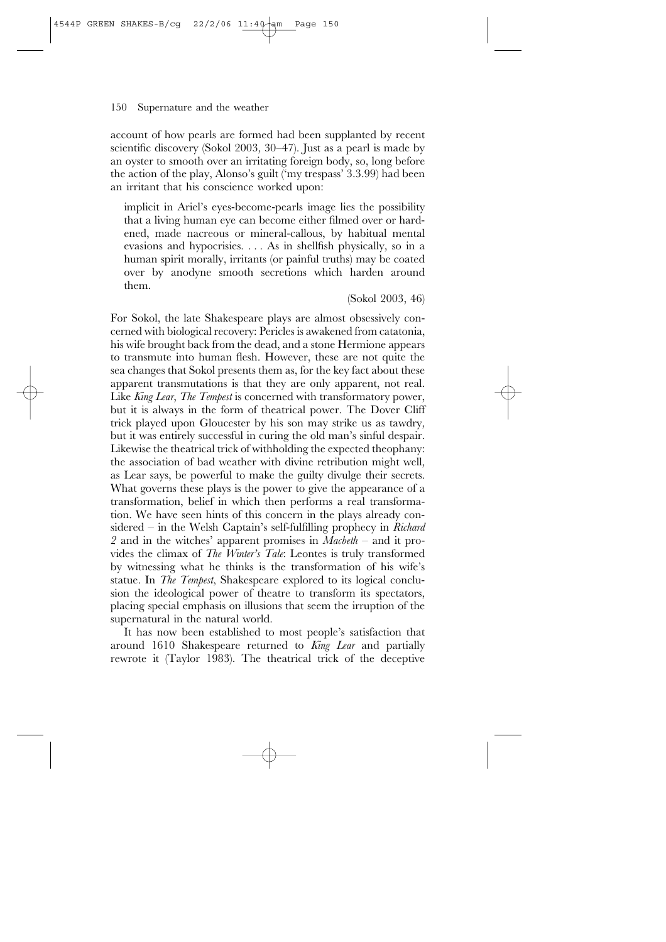account of how pearls are formed had been supplanted by recent scientific discovery (Sokol 2003, 30–47). Just as a pearl is made by an oyster to smooth over an irritating foreign body, so, long before the action of the play, Alonso's guilt ('my trespass' 3.3.99) had been an irritant that his conscience worked upon:

implicit in Ariel's eyes-become-pearls image lies the possibility that a living human eye can become either filmed over or hardened, made nacreous or mineral-callous, by habitual mental evasions and hypocrisies. . . . As in shellfish physically, so in a human spirit morally, irritants (or painful truths) may be coated over by anodyne smooth secretions which harden around them.

(Sokol 2003, 46)

For Sokol, the late Shakespeare plays are almost obsessively concerned with biological recovery: Pericles is awakened from catatonia, his wife brought back from the dead, and a stone Hermione appears to transmute into human flesh. However, these are not quite the sea changes that Sokol presents them as, for the key fact about these apparent transmutations is that they are only apparent, not real. Like *King Lear*, *The Tempest* is concerned with transformatory power, but it is always in the form of theatrical power. The Dover Cliff trick played upon Gloucester by his son may strike us as tawdry, but it was entirely successful in curing the old man's sinful despair. Likewise the theatrical trick of withholding the expected theophany: the association of bad weather with divine retribution might well, as Lear says, be powerful to make the guilty divulge their secrets. What governs these plays is the power to give the appearance of a transformation, belief in which then performs a real transformation. We have seen hints of this concern in the plays already considered – in the Welsh Captain's self-fulfilling prophecy in *Richard 2* and in the witches' apparent promises in *Macbeth* – and it provides the climax of *The Winter's Tale*: Leontes is truly transformed by witnessing what he thinks is the transformation of his wife's statue. In *The Tempest*, Shakespeare explored to its logical conclusion the ideological power of theatre to transform its spectators, placing special emphasis on illusions that seem the irruption of the supernatural in the natural world.

It has now been established to most people's satisfaction that around 1610 Shakespeare returned to *King Lear* and partially rewrote it (Taylor 1983). The theatrical trick of the deceptive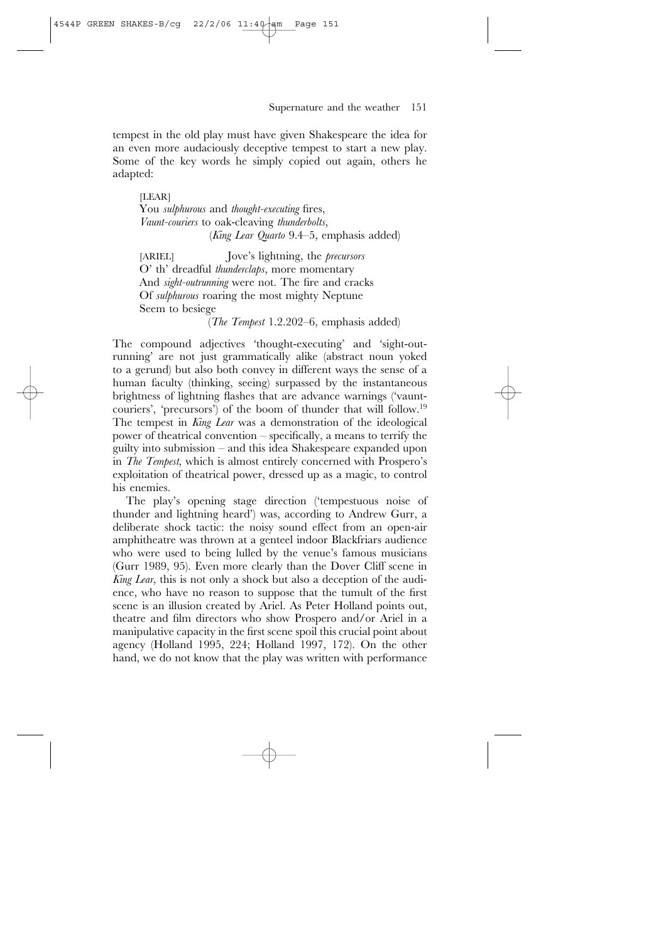tempest in the old play must have given Shakespeare the idea for an even more audaciously deceptive tempest to start a new play. Some of the key words he simply copied out again, others he adapted:

[LEAR] You *sulphurous* and *thought-executing* fires, *Vaunt-couriers* to oak-cleaving *thunderbolts*, (*King Lear Quarto* 9.4–5, emphasis added)

[ARIEL] Jove's lightning, the *precursors* O' th' dreadful *thunderclaps*, more momentary And *sight-outrunning* were not. The fire and cracks Of *sulphurous* roaring the most mighty Neptune Seem to besiege

(*The Tempest* 1.2.202–6, emphasis added)

The compound adjectives 'thought-executing' and 'sight-outrunning' are not just grammatically alike (abstract noun yoked to a gerund) but also both convey in different ways the sense of a human faculty (thinking, seeing) surpassed by the instantaneous brightness of lightning flashes that are advance warnings ('vauntcouriers', 'precursors') of the boom of thunder that will follow.19 The tempest in *King Lear* was a demonstration of the ideological power of theatrical convention – specifically, a means to terrify the guilty into submission – and this idea Shakespeare expanded upon in *The Tempest*, which is almost entirely concerned with Prospero's exploitation of theatrical power, dressed up as a magic, to control his enemies.

The play's opening stage direction ('tempestuous noise of thunder and lightning heard') was, according to Andrew Gurr, a deliberate shock tactic: the noisy sound effect from an open-air amphitheatre was thrown at a genteel indoor Blackfriars audience who were used to being lulled by the venue's famous musicians (Gurr 1989, 95). Even more clearly than the Dover Cliff scene in *King Lear*, this is not only a shock but also a deception of the audience, who have no reason to suppose that the tumult of the first scene is an illusion created by Ariel. As Peter Holland points out, theatre and film directors who show Prospero and/or Ariel in a manipulative capacity in the first scene spoil this crucial point about agency (Holland 1995, 224; Holland 1997, 172). On the other hand, we do not know that the play was written with performance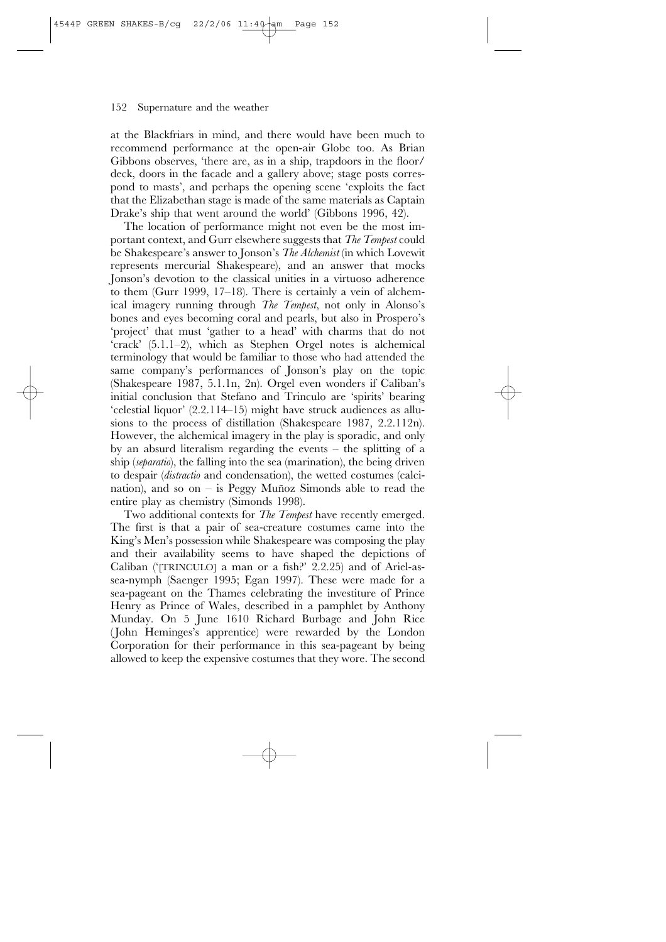at the Blackfriars in mind, and there would have been much to recommend performance at the open-air Globe too. As Brian Gibbons observes, 'there are, as in a ship, trapdoors in the floor/ deck, doors in the facade and a gallery above; stage posts correspond to masts', and perhaps the opening scene 'exploits the fact that the Elizabethan stage is made of the same materials as Captain Drake's ship that went around the world' (Gibbons 1996, 42).

The location of performance might not even be the most important context, and Gurr elsewhere suggests that *The Tempest* could be Shakespeare's answer to Jonson's *The Alchemist* (in which Lovewit represents mercurial Shakespeare), and an answer that mocks Jonson's devotion to the classical unities in a virtuoso adherence to them (Gurr 1999, 17–18). There is certainly a vein of alchemical imagery running through *The Tempest*, not only in Alonso's bones and eyes becoming coral and pearls, but also in Prospero's 'project' that must 'gather to a head' with charms that do not 'crack' (5.1.1–2), which as Stephen Orgel notes is alchemical terminology that would be familiar to those who had attended the same company's performances of Jonson's play on the topic (Shakespeare 1987, 5.1.1n, 2n). Orgel even wonders if Caliban's initial conclusion that Stefano and Trinculo are 'spirits' bearing 'celestial liquor' (2.2.114–15) might have struck audiences as allusions to the process of distillation (Shakespeare 1987, 2.2.112n). However, the alchemical imagery in the play is sporadic, and only by an absurd literalism regarding the events – the splitting of a ship (*separatio*), the falling into the sea (marination), the being driven to despair (*distractio* and condensation), the wetted costumes (calcination), and so on – is Peggy Muñoz Simonds able to read the entire play as chemistry (Simonds 1998).

Two additional contexts for *The Tempest* have recently emerged. The first is that a pair of sea-creature costumes came into the King's Men's possession while Shakespeare was composing the play and their availability seems to have shaped the depictions of Caliban ('[TRINCULO] a man or a fish?' 2.2.25) and of Ariel-assea-nymph (Saenger 1995; Egan 1997). These were made for a sea-pageant on the Thames celebrating the investiture of Prince Henry as Prince of Wales, described in a pamphlet by Anthony Munday. On 5 June 1610 Richard Burbage and John Rice ( John Heminges's apprentice) were rewarded by the London Corporation for their performance in this sea-pageant by being allowed to keep the expensive costumes that they wore. The second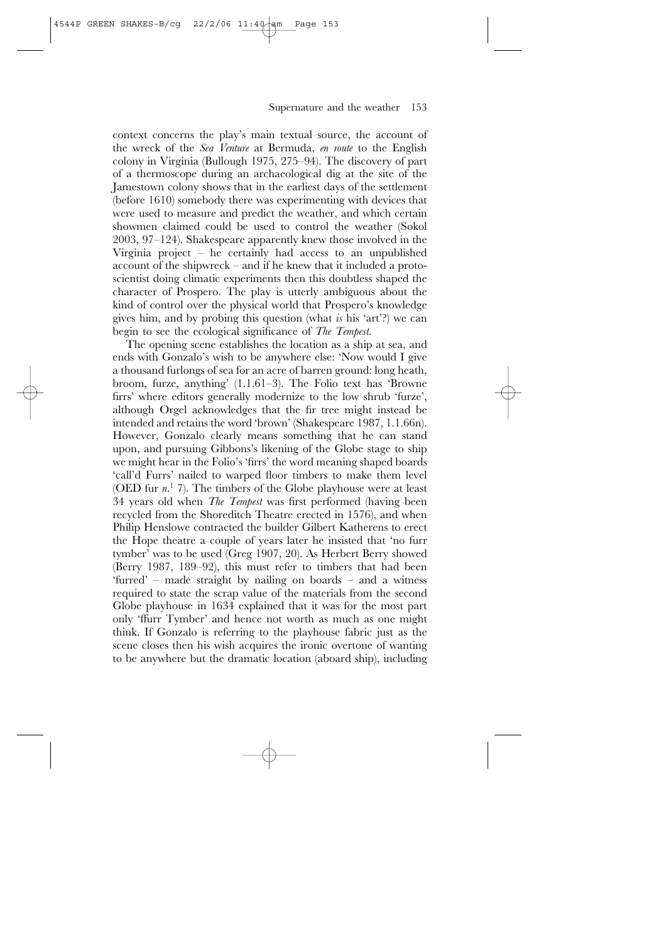context concerns the play's main textual source, the account of the wreck of the *Sea Venture* at Bermuda, *en route* to the English colony in Virginia (Bullough 1975, 275–94). The discovery of part of a thermoscope during an archaeological dig at the site of the Jamestown colony shows that in the earliest days of the settlement (before 1610) somebody there was experimenting with devices that were used to measure and predict the weather, and which certain showmen claimed could be used to control the weather (Sokol 2003, 97–124). Shakespeare apparently knew those involved in the Virginia project – he certainly had access to an unpublished account of the shipwreck – and if he knew that it included a protoscientist doing climatic experiments then this doubtless shaped the character of Prospero. The play is utterly ambiguous about the kind of control over the physical world that Prospero's knowledge gives him, and by probing this question (what *is* his 'art'?) we can begin to see the ecological significance of *The Tempest*.

The opening scene establishes the location as a ship at sea, and ends with Gonzalo's wish to be anywhere else: 'Now would I give a thousand furlongs of sea for an acre of barren ground: long heath, broom, furze, anything' (1.1.61–3). The Folio text has 'Browne firrs' where editors generally modernize to the low shrub 'furze', although Orgel acknowledges that the fir tree might instead be intended and retains the word 'brown' (Shakespeare 1987, 1.1.66n). However, Gonzalo clearly means something that he can stand upon, and pursuing Gibbons's likening of the Globe stage to ship we might hear in the Folio's 'firrs' the word meaning shaped boards 'call'd Furrs' nailed to warped floor timbers to make them level (OED fur *n*. <sup>1</sup> 7). The timbers of the Globe playhouse were at least 34 years old when *The Tempest* was first performed (having been recycled from the Shoreditch Theatre erected in 1576), and when Philip Henslowe contracted the builder Gilbert Katherens to erect the Hope theatre a couple of years later he insisted that 'no furr tymber' was to be used (Greg 1907, 20). As Herbert Berry showed (Berry 1987, 189–92), this must refer to timbers that had been 'furred' – made straight by nailing on boards – and a witness required to state the scrap value of the materials from the second Globe playhouse in 1634 explained that it was for the most part only 'ffurr Tymber' and hence not worth as much as one might think. If Gonzalo is referring to the playhouse fabric just as the scene closes then his wish acquires the ironic overtone of wanting to be anywhere but the dramatic location (aboard ship), including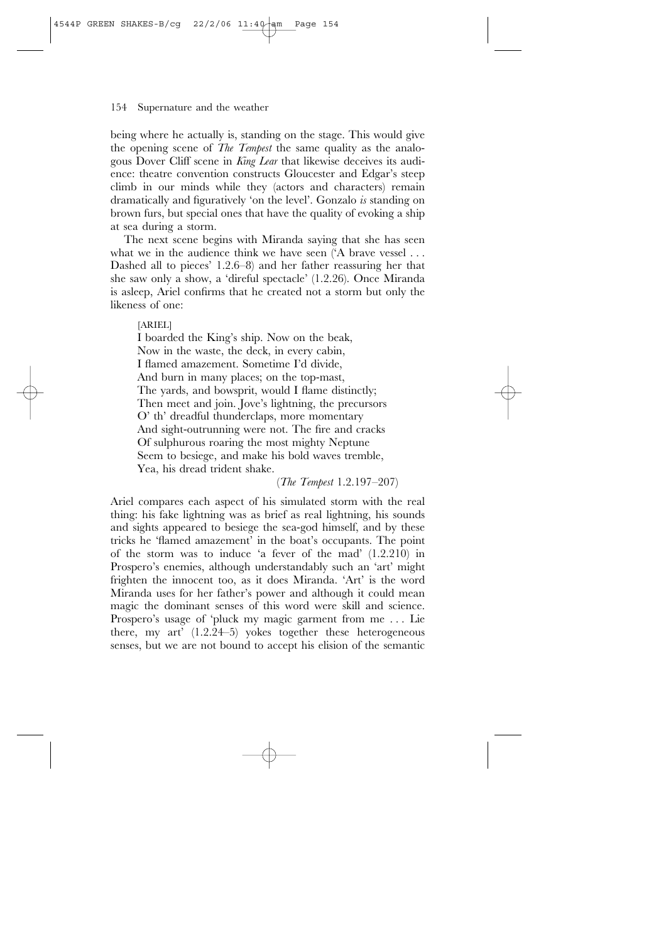being where he actually is, standing on the stage. This would give the opening scene of *The Tempest* the same quality as the analogous Dover Cliff scene in *King Lear* that likewise deceives its audience: theatre convention constructs Gloucester and Edgar's steep climb in our minds while they (actors and characters) remain dramatically and figuratively 'on the level'. Gonzalo *is* standing on brown furs, but special ones that have the quality of evoking a ship at sea during a storm.

The next scene begins with Miranda saying that she has seen what we in the audience think we have seen ('A brave vessel . . . Dashed all to pieces' 1.2.6–8) and her father reassuring her that she saw only a show, a 'direful spectacle' (1.2.26). Once Miranda is asleep, Ariel confirms that he created not a storm but only the likeness of one:

[ARIEL]

I boarded the King's ship. Now on the beak, Now in the waste, the deck, in every cabin, I flamed amazement. Sometime I'd divide, And burn in many places; on the top-mast, The yards, and bowsprit, would I flame distinctly; Then meet and join. Jove's lightning, the precursors O' th' dreadful thunderclaps, more momentary And sight-outrunning were not. The fire and cracks Of sulphurous roaring the most mighty Neptune Seem to besiege, and make his bold waves tremble, Yea, his dread trident shake.

(*The Tempest* 1.2.197–207)

Ariel compares each aspect of his simulated storm with the real thing: his fake lightning was as brief as real lightning, his sounds and sights appeared to besiege the sea-god himself, and by these tricks he 'flamed amazement' in the boat's occupants. The point of the storm was to induce 'a fever of the mad' (1.2.210) in Prospero's enemies, although understandably such an 'art' might frighten the innocent too, as it does Miranda. 'Art' is the word Miranda uses for her father's power and although it could mean magic the dominant senses of this word were skill and science. Prospero's usage of 'pluck my magic garment from me . . . Lie there, my art' (1.2.24–5) yokes together these heterogeneous senses, but we are not bound to accept his elision of the semantic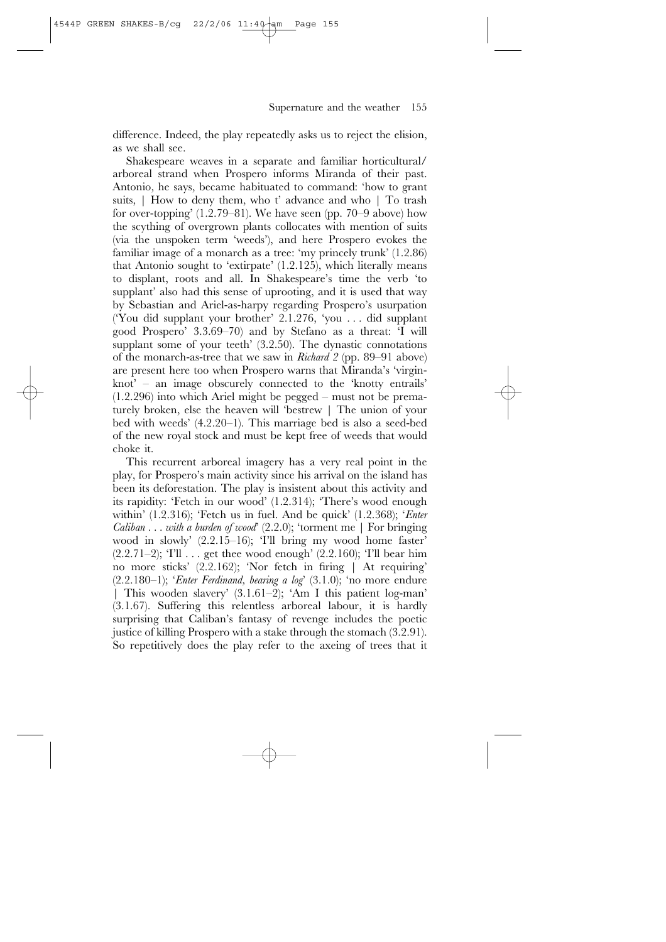difference. Indeed, the play repeatedly asks us to reject the elision, as we shall see.

Shakespeare weaves in a separate and familiar horticultural/ arboreal strand when Prospero informs Miranda of their past. Antonio, he says, became habituated to command: 'how to grant suits, | How to deny them, who t' advance and who | To trash for over-topping' (1.2.79–81). We have seen (pp. 70–9 above) how the scything of overgrown plants collocates with mention of suits (via the unspoken term 'weeds'), and here Prospero evokes the familiar image of a monarch as a tree: 'my princely trunk' (1.2.86) that Antonio sought to 'extirpate' (1.2.125), which literally means to displant, roots and all. In Shakespeare's time the verb 'to supplant' also had this sense of uprooting, and it is used that way by Sebastian and Ariel-as-harpy regarding Prospero's usurpation ('You did supplant your brother' 2.1.276, 'you . . . did supplant good Prospero' 3.3.69–70) and by Stefano as a threat: 'I will supplant some of your teeth' (3.2.50). The dynastic connotations of the monarch-as-tree that we saw in *Richard 2* (pp. 89–91 above) are present here too when Prospero warns that Miranda's 'virginknot' – an image obscurely connected to the 'knotty entrails' (1.2.296) into which Ariel might be pegged – must not be prematurely broken, else the heaven will 'bestrew | The union of your bed with weeds' (4.2.20–1). This marriage bed is also a seed-bed of the new royal stock and must be kept free of weeds that would choke it.

This recurrent arboreal imagery has a very real point in the play, for Prospero's main activity since his arrival on the island has been its deforestation. The play is insistent about this activity and its rapidity: 'Fetch in our wood' (1.2.314); 'There's wood enough within' (1.2.316); 'Fetch us in fuel. And be quick' (1.2.368); '*Enter Caliban . . . with a burden of wood*' (2.2.0); 'torment me | For bringing wood in slowly' (2.2.15–16); 'I'll bring my wood home faster'  $(2.2.71-2)$ ; 'I'll ... get thee wood enough'  $(2.2.160)$ ; 'I'll bear him no more sticks' (2.2.162); 'Nor fetch in firing | At requiring' (2.2.180–1); '*Enter Ferdinand, bearing a log*' (3.1.0); 'no more endure | This wooden slavery' (3.1.61–2); 'Am I this patient log-man' (3.1.67). Suffering this relentless arboreal labour, it is hardly surprising that Caliban's fantasy of revenge includes the poetic justice of killing Prospero with a stake through the stomach (3.2.91). So repetitively does the play refer to the axeing of trees that it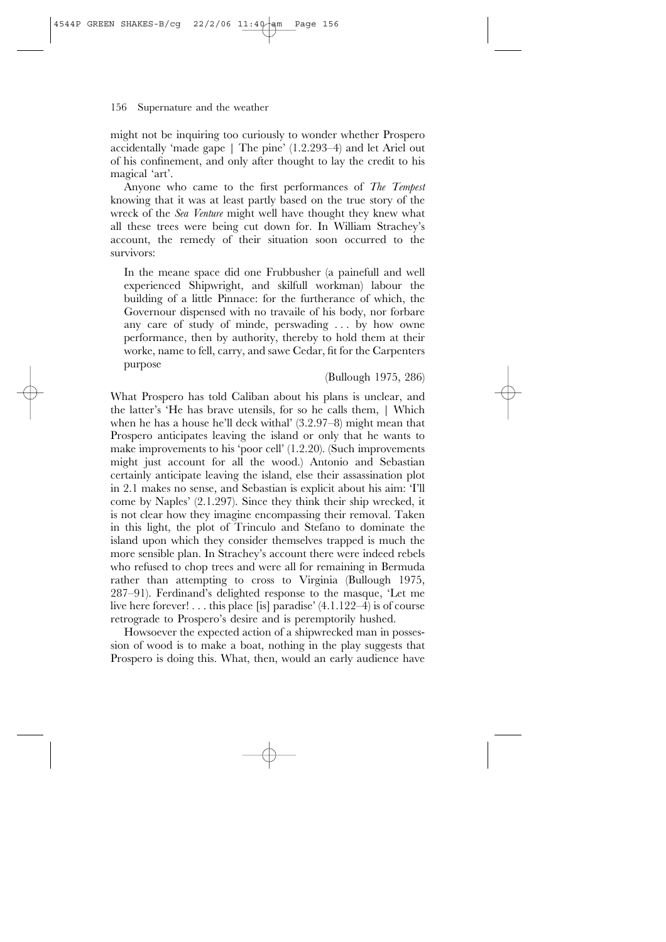might not be inquiring too curiously to wonder whether Prospero accidentally 'made gape | The pine' (1.2.293–4) and let Ariel out of his confinement, and only after thought to lay the credit to his magical 'art'.

Anyone who came to the first performances of *The Tempest* knowing that it was at least partly based on the true story of the wreck of the *Sea Venture* might well have thought they knew what all these trees were being cut down for. In William Strachey's account, the remedy of their situation soon occurred to the survivors:

In the meane space did one Frubbusher (a painefull and well experienced Shipwright, and skilfull workman) labour the building of a little Pinnace: for the furtherance of which, the Governour dispensed with no travaile of his body, nor forbare any care of study of minde, perswading . . . by how owne performance, then by authority, thereby to hold them at their worke, name to fell, carry, and sawe Cedar, fit for the Carpenters purpose

(Bullough 1975, 286)

What Prospero has told Caliban about his plans is unclear, and the latter's 'He has brave utensils, for so he calls them, | Which when he has a house he'll deck withal' (3.2.97–8) might mean that Prospero anticipates leaving the island or only that he wants to make improvements to his 'poor cell' (1.2.20). (Such improvements might just account for all the wood.) Antonio and Sebastian certainly anticipate leaving the island, else their assassination plot in 2.1 makes no sense, and Sebastian is explicit about his aim: 'I'll come by Naples' (2.1.297). Since they think their ship wrecked, it is not clear how they imagine encompassing their removal. Taken in this light, the plot of Trinculo and Stefano to dominate the island upon which they consider themselves trapped is much the more sensible plan. In Strachey's account there were indeed rebels who refused to chop trees and were all for remaining in Bermuda rather than attempting to cross to Virginia (Bullough 1975, 287–91). Ferdinand's delighted response to the masque, 'Let me live here forever! . . . this place [is] paradise'  $(4.1.122-4)$  is of course retrograde to Prospero's desire and is peremptorily hushed.

Howsoever the expected action of a shipwrecked man in possession of wood is to make a boat, nothing in the play suggests that Prospero is doing this. What, then, would an early audience have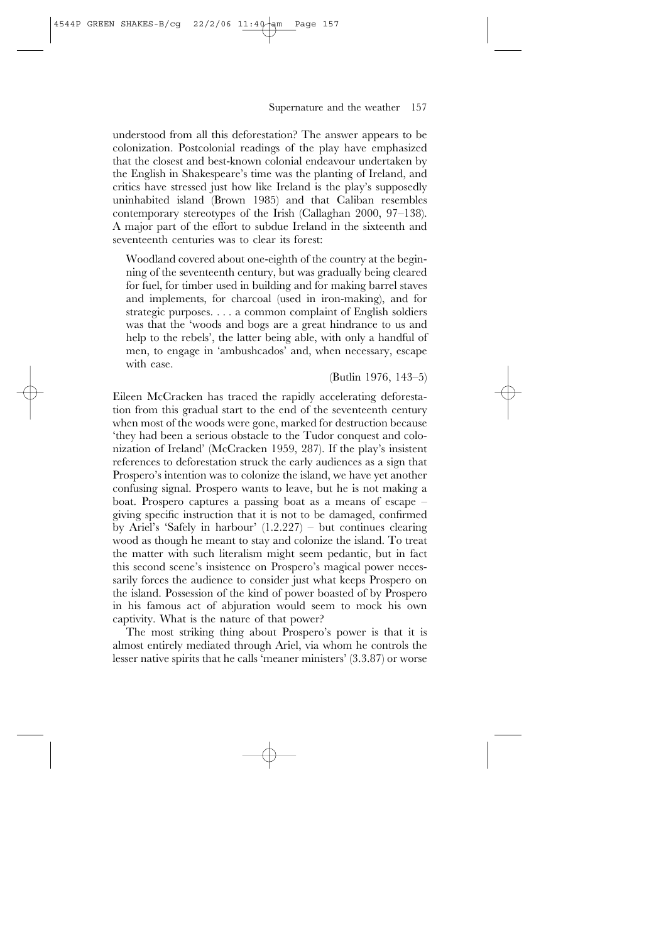understood from all this deforestation? The answer appears to be colonization. Postcolonial readings of the play have emphasized that the closest and best-known colonial endeavour undertaken by the English in Shakespeare's time was the planting of Ireland, and critics have stressed just how like Ireland is the play's supposedly uninhabited island (Brown 1985) and that Caliban resembles contemporary stereotypes of the Irish (Callaghan 2000, 97–138). A major part of the effort to subdue Ireland in the sixteenth and seventeenth centuries was to clear its forest:

Woodland covered about one-eighth of the country at the beginning of the seventeenth century, but was gradually being cleared for fuel, for timber used in building and for making barrel staves and implements, for charcoal (used in iron-making), and for strategic purposes. . . . a common complaint of English soldiers was that the 'woods and bogs are a great hindrance to us and help to the rebels', the latter being able, with only a handful of men, to engage in 'ambushcados' and, when necessary, escape with ease.

(Butlin 1976, 143–5)

Eileen McCracken has traced the rapidly accelerating deforestation from this gradual start to the end of the seventeenth century when most of the woods were gone, marked for destruction because 'they had been a serious obstacle to the Tudor conquest and colonization of Ireland' (McCracken 1959, 287). If the play's insistent references to deforestation struck the early audiences as a sign that Prospero's intention was to colonize the island, we have yet another confusing signal. Prospero wants to leave, but he is not making a boat. Prospero captures a passing boat as a means of escape – giving specific instruction that it is not to be damaged, confirmed by Ariel's 'Safely in harbour'  $(1.2.227)$  – but continues clearing wood as though he meant to stay and colonize the island. To treat the matter with such literalism might seem pedantic, but in fact this second scene's insistence on Prospero's magical power necessarily forces the audience to consider just what keeps Prospero on the island. Possession of the kind of power boasted of by Prospero in his famous act of abjuration would seem to mock his own captivity. What is the nature of that power?

The most striking thing about Prospero's power is that it is almost entirely mediated through Ariel, via whom he controls the lesser native spirits that he calls 'meaner ministers' (3.3.87) or worse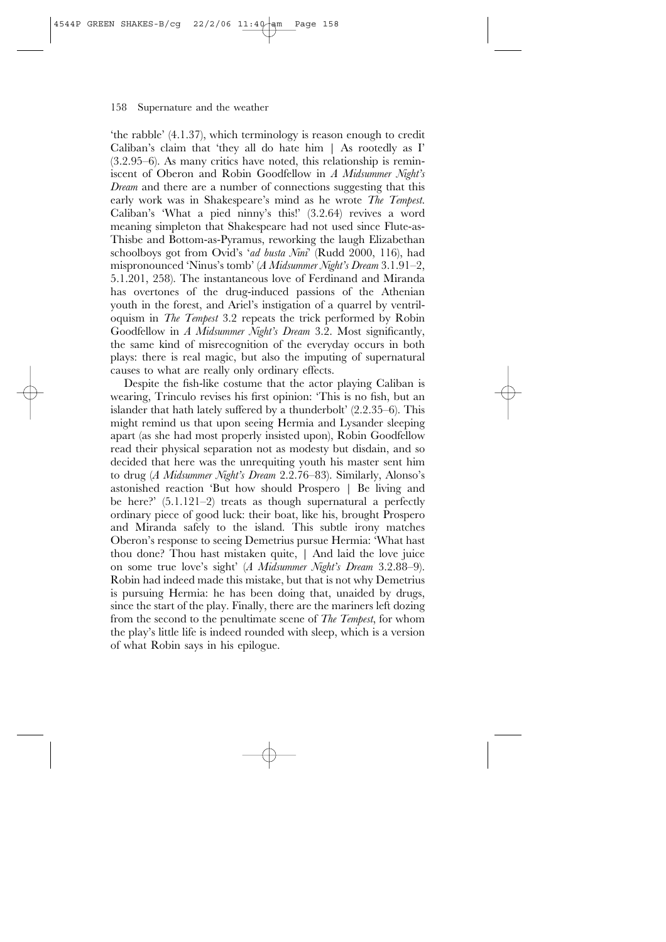'the rabble' (4.1.37), which terminology is reason enough to credit Caliban's claim that 'they all do hate him | As rootedly as I' (3.2.95–6). As many critics have noted, this relationship is reminiscent of Oberon and Robin Goodfellow in *A Midsummer Night's Dream* and there are a number of connections suggesting that this early work was in Shakespeare's mind as he wrote *The Tempest*. Caliban's 'What a pied ninny's this!' (3.2.64) revives a word meaning simpleton that Shakespeare had not used since Flute-as-Thisbe and Bottom-as-Pyramus, reworking the laugh Elizabethan schoolboys got from Ovid's '*ad busta Nini*' (Rudd 2000, 116), had mispronounced 'Ninus's tomb' (*A Midsummer Night's Dream* 3.1.91–2, 5.1.201, 258). The instantaneous love of Ferdinand and Miranda has overtones of the drug-induced passions of the Athenian youth in the forest, and Ariel's instigation of a quarrel by ventriloquism in *The Tempest* 3.2 repeats the trick performed by Robin Goodfellow in *A Midsummer Night's Dream* 3.2. Most significantly, the same kind of misrecognition of the everyday occurs in both plays: there is real magic, but also the imputing of supernatural causes to what are really only ordinary effects.

Despite the fish-like costume that the actor playing Caliban is wearing, Trinculo revises his first opinion: 'This is no fish, but an islander that hath lately suffered by a thunderbolt' (2.2.35–6). This might remind us that upon seeing Hermia and Lysander sleeping apart (as she had most properly insisted upon), Robin Goodfellow read their physical separation not as modesty but disdain, and so decided that here was the unrequiting youth his master sent him to drug (*A Midsummer Night's Dream* 2.2.76–83). Similarly, Alonso's astonished reaction 'But how should Prospero | Be living and be here?'  $(5.1.121-2)$  treats as though supernatural a perfectly ordinary piece of good luck: their boat, like his, brought Prospero and Miranda safely to the island. This subtle irony matches Oberon's response to seeing Demetrius pursue Hermia: 'What hast thou done? Thou hast mistaken quite, | And laid the love juice on some true love's sight' (*A Midsummer Night's Dream* 3.2.88–9). Robin had indeed made this mistake, but that is not why Demetrius is pursuing Hermia: he has been doing that, unaided by drugs, since the start of the play. Finally, there are the mariners left dozing from the second to the penultimate scene of *The Tempest*, for whom the play's little life is indeed rounded with sleep, which is a version of what Robin says in his epilogue.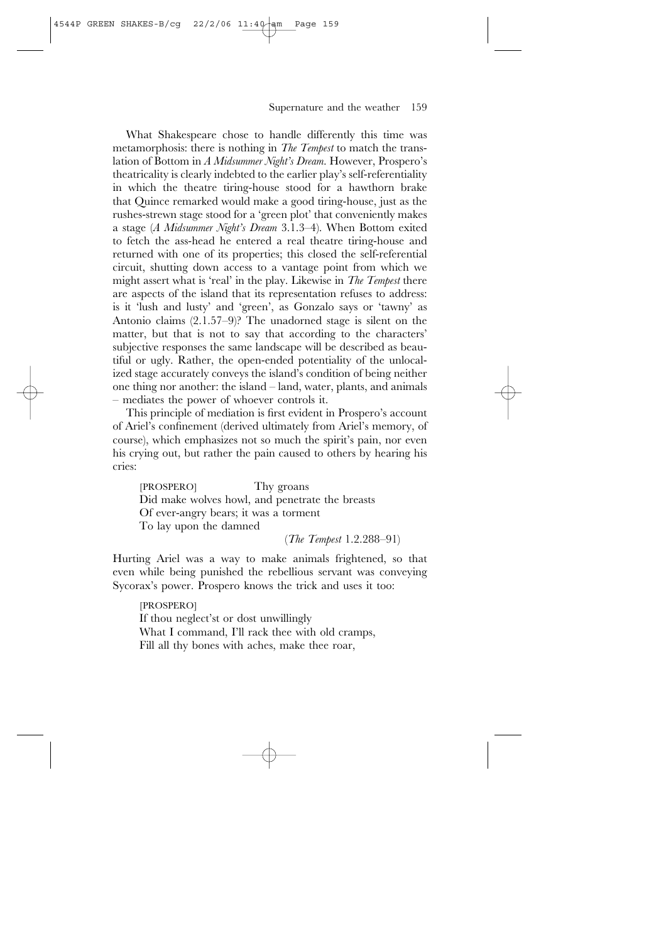What Shakespeare chose to handle differently this time was metamorphosis: there is nothing in *The Tempest* to match the translation of Bottom in *A Midsummer Night's Dream*. However, Prospero's theatricality is clearly indebted to the earlier play's self-referentiality in which the theatre tiring-house stood for a hawthorn brake that Quince remarked would make a good tiring-house, just as the rushes-strewn stage stood for a 'green plot' that conveniently makes a stage (*A Midsummer Night's Dream* 3.1.3–4). When Bottom exited to fetch the ass-head he entered a real theatre tiring-house and returned with one of its properties; this closed the self-referential circuit, shutting down access to a vantage point from which we might assert what is 'real' in the play. Likewise in *The Tempest* there are aspects of the island that its representation refuses to address: is it 'lush and lusty' and 'green', as Gonzalo says or 'tawny' as Antonio claims (2.1.57–9)? The unadorned stage is silent on the matter, but that is not to say that according to the characters' subjective responses the same landscape will be described as beautiful or ugly. Rather, the open-ended potentiality of the unlocalized stage accurately conveys the island's condition of being neither one thing nor another: the island – land, water, plants, and animals – mediates the power of whoever controls it.

This principle of mediation is first evident in Prospero's account of Ariel's confinement (derived ultimately from Ariel's memory, of course), which emphasizes not so much the spirit's pain, nor even his crying out, but rather the pain caused to others by hearing his cries:

[PROSPERO] Thy groans Did make wolves howl, and penetrate the breasts Of ever-angry bears; it was a torment To lay upon the damned

(*The Tempest* 1.2.288–91)

Hurting Ariel was a way to make animals frightened, so that even while being punished the rebellious servant was conveying Sycorax's power. Prospero knows the trick and uses it too:

[PROSPERO] If thou neglect'st or dost unwillingly What I command, I'll rack thee with old cramps, Fill all thy bones with aches, make thee roar,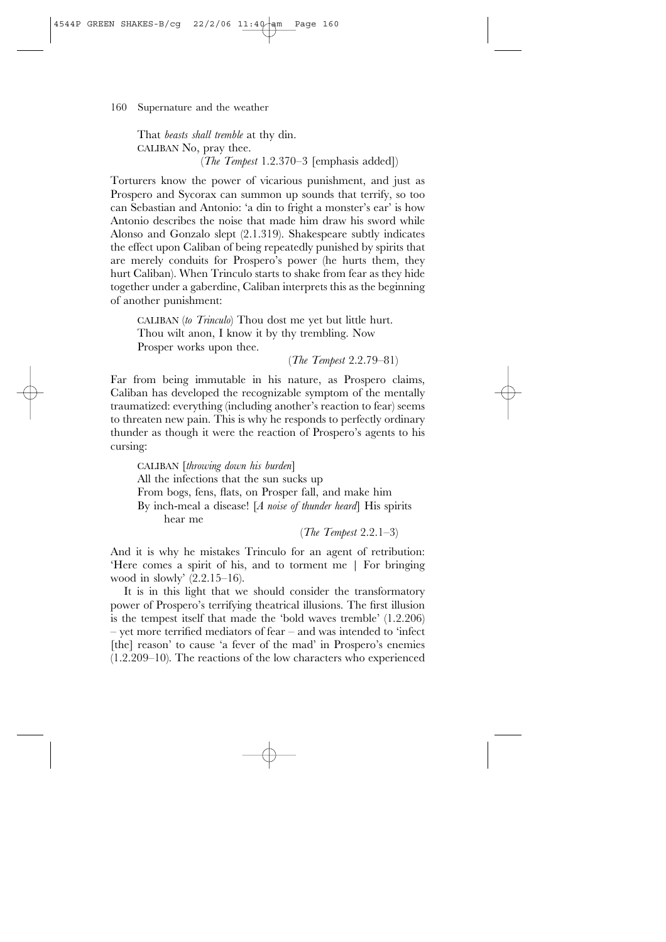That *beasts shall tremble* at thy din. CALIBAN No, pray thee. (*The Tempest* 1.2.370–3 [emphasis added])

Torturers know the power of vicarious punishment, and just as Prospero and Sycorax can summon up sounds that terrify, so too can Sebastian and Antonio: 'a din to fright a monster's ear' is how Antonio describes the noise that made him draw his sword while Alonso and Gonzalo slept (2.1.319). Shakespeare subtly indicates the effect upon Caliban of being repeatedly punished by spirits that are merely conduits for Prospero's power (he hurts them, they hurt Caliban). When Trinculo starts to shake from fear as they hide together under a gaberdine, Caliban interprets this as the beginning of another punishment:

CALIBAN (*to Trinculo*) Thou dost me yet but little hurt. Thou wilt anon, I know it by thy trembling. Now Prosper works upon thee.

(*The Tempest* 2.2.79–81)

Far from being immutable in his nature, as Prospero claims, Caliban has developed the recognizable symptom of the mentally traumatized: everything (including another's reaction to fear) seems to threaten new pain. This is why he responds to perfectly ordinary thunder as though it were the reaction of Prospero's agents to his cursing:

CALIBAN [*throwing down his burden*] All the infections that the sun sucks up From bogs, fens, flats, on Prosper fall, and make him By inch-meal a disease! [*A noise of thunder heard*] His spirits hear me

(*The Tempest* 2.2.1–3)

And it is why he mistakes Trinculo for an agent of retribution: 'Here comes a spirit of his, and to torment me | For bringing wood in slowly' (2.2.15–16).

It is in this light that we should consider the transformatory power of Prospero's terrifying theatrical illusions. The first illusion is the tempest itself that made the 'bold waves tremble' (1.2.206) – yet more terrified mediators of fear – and was intended to 'infect [the] reason' to cause 'a fever of the mad' in Prospero's enemies (1.2.209–10). The reactions of the low characters who experienced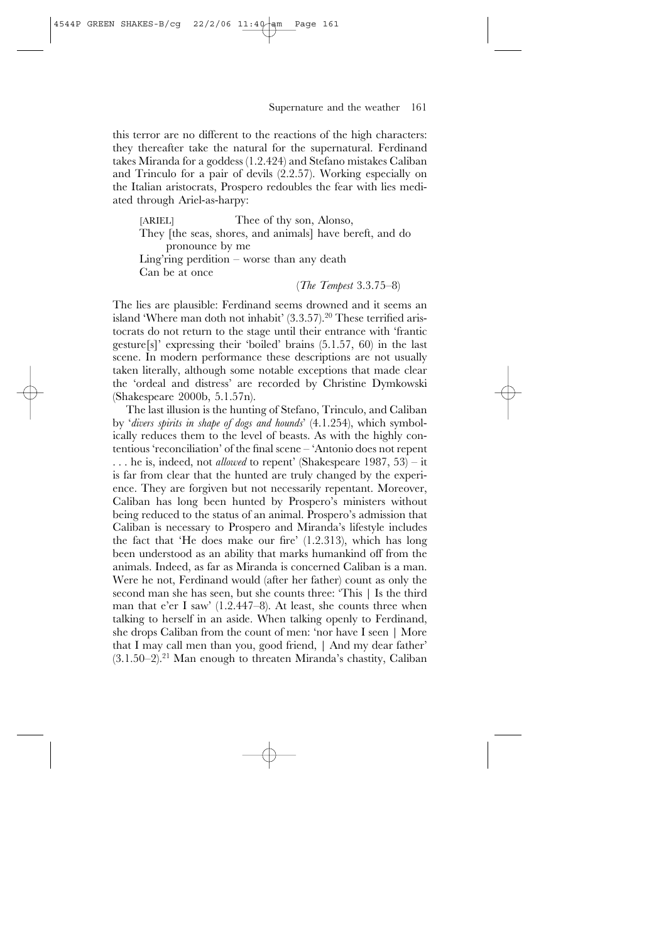this terror are no different to the reactions of the high characters: they thereafter take the natural for the supernatural. Ferdinand takes Miranda for a goddess (1.2.424) and Stefano mistakes Caliban and Trinculo for a pair of devils (2.2.57). Working especially on the Italian aristocrats, Prospero redoubles the fear with lies mediated through Ariel-as-harpy:

[ARIEL] Thee of thy son, Alonso, They [the seas, shores, and animals] have bereft, and do pronounce by me Ling'ring perdition – worse than any death Can be at once

(*The Tempest* 3.3.75–8)

The lies are plausible: Ferdinand seems drowned and it seems an island 'Where man doth not inhabit'  $(3.3.57)$ <sup>20</sup> These terrified aristocrats do not return to the stage until their entrance with 'frantic gesture[s]' expressing their 'boiled' brains (5.1.57, 60) in the last scene. In modern performance these descriptions are not usually taken literally, although some notable exceptions that made clear the 'ordeal and distress' are recorded by Christine Dymkowski (Shakespeare 2000b, 5.1.57n).

The last illusion is the hunting of Stefano, Trinculo, and Caliban by '*divers spirits in shape of dogs and hounds*' (4.1.254), which symbolically reduces them to the level of beasts. As with the highly contentious 'reconciliation' of the final scene – 'Antonio does not repent . . . he is, indeed, not *allowed* to repent' (Shakespeare 1987, 53) – it is far from clear that the hunted are truly changed by the experience. They are forgiven but not necessarily repentant. Moreover, Caliban has long been hunted by Prospero's ministers without being reduced to the status of an animal. Prospero's admission that Caliban is necessary to Prospero and Miranda's lifestyle includes the fact that 'He does make our fire' (1.2.313), which has long been understood as an ability that marks humankind off from the animals. Indeed, as far as Miranda is concerned Caliban is a man. Were he not, Ferdinand would (after her father) count as only the second man she has seen, but she counts three: 'This | Is the third man that e'er I saw' (1.2.447–8). At least, she counts three when talking to herself in an aside. When talking openly to Ferdinand, she drops Caliban from the count of men: 'nor have I seen | More that I may call men than you, good friend, | And my dear father'  $(3.1.50-2).$ <sup>21</sup> Man enough to threaten Miranda's chastity, Caliban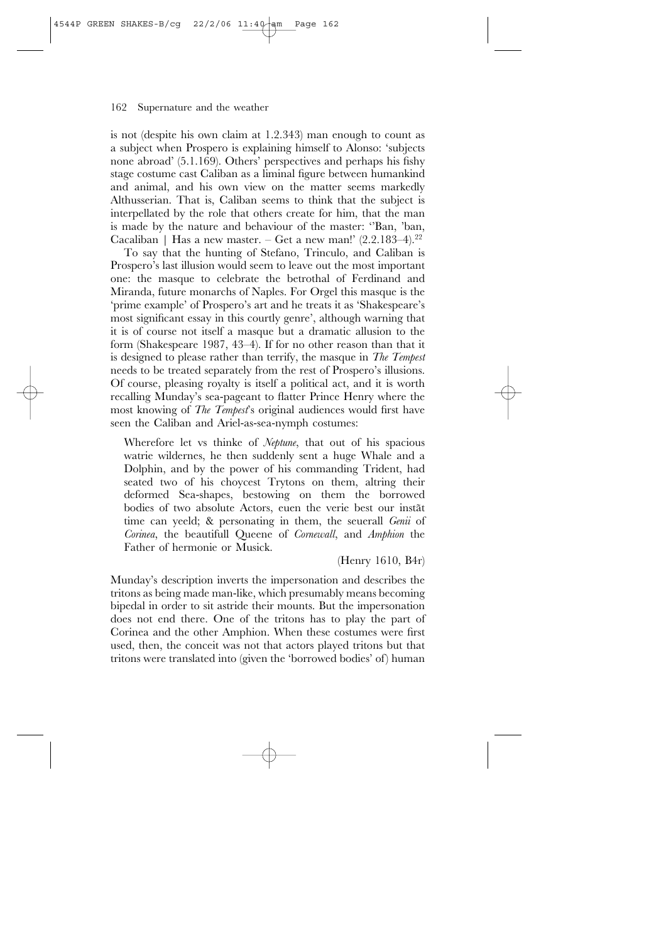is not (despite his own claim at 1.2.343) man enough to count as a subject when Prospero is explaining himself to Alonso: 'subjects none abroad' (5.1.169). Others' perspectives and perhaps his fishy stage costume cast Caliban as a liminal figure between humankind and animal, and his own view on the matter seems markedly Althusserian. That is, Caliban seems to think that the subject is interpellated by the role that others create for him, that the man is made by the nature and behaviour of the master: ''Ban, 'ban, Cacaliban | Has a new master. – Get a new man!'  $(2.2.183-4).^{22}$ 

To say that the hunting of Stefano, Trinculo, and Caliban is Prospero's last illusion would seem to leave out the most important one: the masque to celebrate the betrothal of Ferdinand and Miranda, future monarchs of Naples. For Orgel this masque is the 'prime example' of Prospero's art and he treats it as 'Shakespeare's most significant essay in this courtly genre', although warning that it is of course not itself a masque but a dramatic allusion to the form (Shakespeare 1987, 43–4). If for no other reason than that it is designed to please rather than terrify, the masque in *The Tempest* needs to be treated separately from the rest of Prospero's illusions. Of course, pleasing royalty is itself a political act, and it is worth recalling Munday's sea-pageant to flatter Prince Henry where the most knowing of *The Tempest*'s original audiences would first have seen the Caliban and Ariel-as-sea-nymph costumes:

Wherefore let vs thinke of *Neptune*, that out of his spacious watrie wildernes, he then suddenly sent a huge Whale and a Dolphin, and by the power of his commanding Trident, had seated two of his choycest Trytons on them, altring their deformed Sea-shapes, bestowing on them the borrowed bodies of two absolute Actors, euen the verie best our instãt time can yeeld; & personating in them, the seuerall *Genii* of *Corinea*, the beautifull Queene of *Cornewall*, and *Amphion* the Father of hermonie or Musick.

(Henry 1610, B4r)

Munday's description inverts the impersonation and describes the tritons as being made man-like, which presumably means becoming bipedal in order to sit astride their mounts. But the impersonation does not end there. One of the tritons has to play the part of Corinea and the other Amphion. When these costumes were first used, then, the conceit was not that actors played tritons but that tritons were translated into (given the 'borrowed bodies' of) human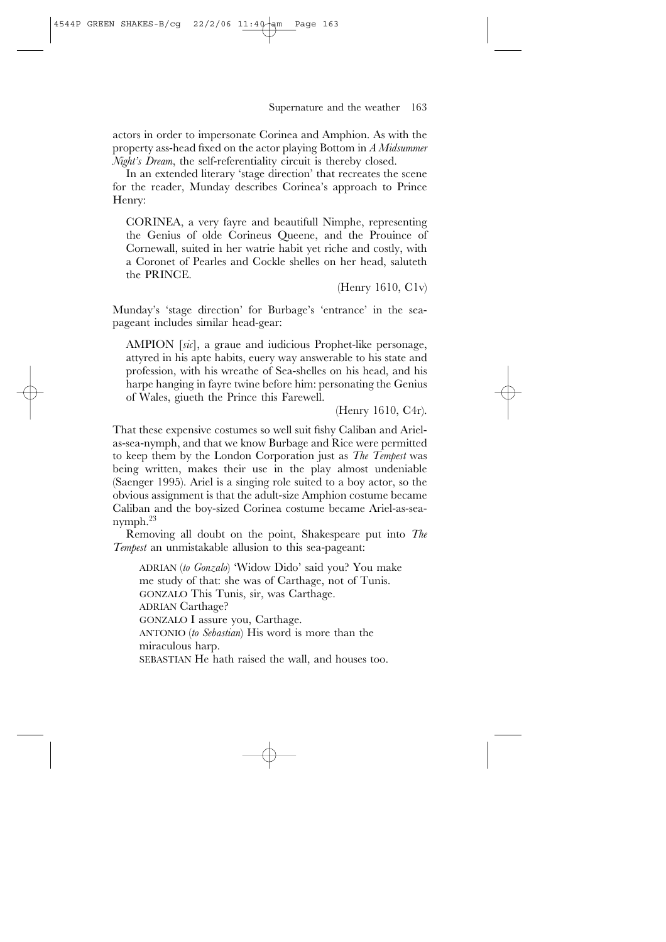actors in order to impersonate Corinea and Amphion. As with the property ass-head fixed on the actor playing Bottom in *A Midsummer Night's Dream*, the self-referentiality circuit is thereby closed.

In an extended literary 'stage direction' that recreates the scene for the reader, Munday describes Corinea's approach to Prince Henry:

CORINEA, a very fayre and beautifull Nimphe, representing the Genius of olde Corineus Queene, and the Prouince of Cornewall, suited in her watrie habit yet riche and costly, with a Coronet of Pearles and Cockle shelles on her head, saluteth the PRINCE.

(Henry 1610, C1v)

Munday's 'stage direction' for Burbage's 'entrance' in the seapageant includes similar head-gear:

AMPION [*sic*], a graue and iudicious Prophet-like personage, attyred in his apte habits, euery way answerable to his state and profession, with his wreathe of Sea-shelles on his head, and his harpe hanging in fayre twine before him: personating the Genius of Wales, giueth the Prince this Farewell.

(Henry 1610, C4r).

That these expensive costumes so well suit fishy Caliban and Arielas-sea-nymph, and that we know Burbage and Rice were permitted to keep them by the London Corporation just as *The Tempest* was being written, makes their use in the play almost undeniable (Saenger 1995). Ariel is a singing role suited to a boy actor, so the obvious assignment is that the adult-size Amphion costume became Caliban and the boy-sized Corinea costume became Ariel-as-seanymph.23

Removing all doubt on the point, Shakespeare put into *The Tempest* an unmistakable allusion to this sea-pageant:

ADRIAN (*to Gonzalo*) 'Widow Dido' said you? You make me study of that: she was of Carthage, not of Tunis. GONZALO This Tunis, sir, was Carthage. ADRIAN Carthage? GONZALO I assure you, Carthage. ANTONIO (*to Sebastian*) His word is more than the miraculous harp. SEBASTIAN He hath raised the wall, and houses too.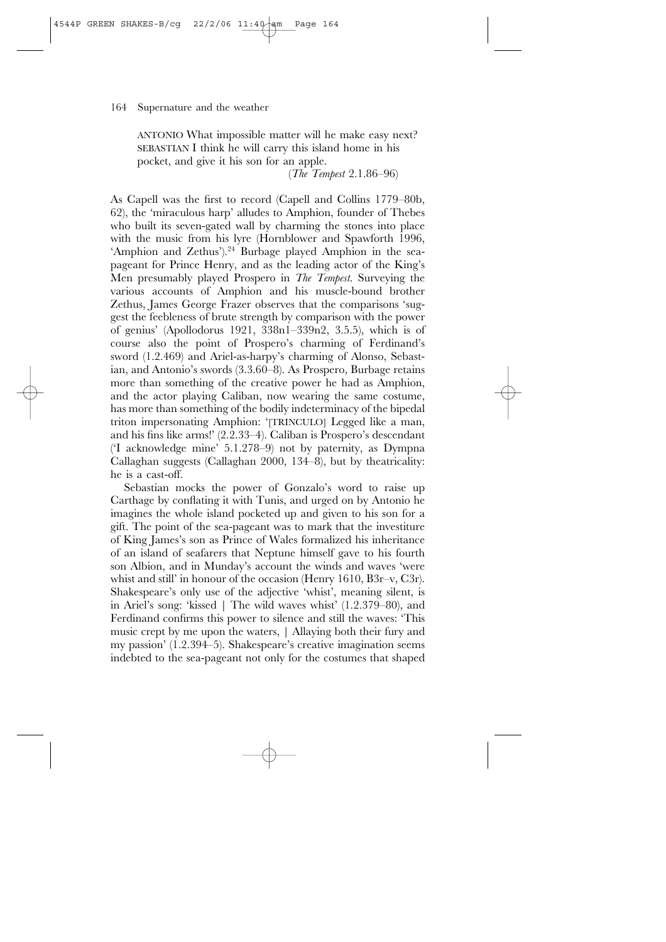ANTONIO What impossible matter will he make easy next? SEBASTIAN I think he will carry this island home in his pocket, and give it his son for an apple.

(*The Tempest* 2.1.86–96)

As Capell was the first to record (Capell and Collins 1779–80b, 62), the 'miraculous harp' alludes to Amphion, founder of Thebes who built its seven-gated wall by charming the stones into place with the music from his lyre (Hornblower and Spawforth 1996, 'Amphion and Zethus'). $24$  Burbage played Amphion in the seapageant for Prince Henry, and as the leading actor of the King's Men presumably played Prospero in *The Tempest*. Surveying the various accounts of Amphion and his muscle-bound brother Zethus, James George Frazer observes that the comparisons 'suggest the feebleness of brute strength by comparison with the power of genius' (Apollodorus 1921, 338n1–339n2, 3.5.5), which is of course also the point of Prospero's charming of Ferdinand's sword (1.2.469) and Ariel-as-harpy's charming of Alonso, Sebastian, and Antonio's swords (3.3.60–8). As Prospero, Burbage retains more than something of the creative power he had as Amphion, and the actor playing Caliban, now wearing the same costume, has more than something of the bodily indeterminacy of the bipedal triton impersonating Amphion: '[TRINCULO] Legged like a man, and his fins like arms!' (2.2.33–4). Caliban is Prospero's descendant ('I acknowledge mine' 5.1.278–9) not by paternity, as Dympna Callaghan suggests (Callaghan 2000, 134–8), but by theatricality: he is a cast-off.

Sebastian mocks the power of Gonzalo's word to raise up Carthage by conflating it with Tunis, and urged on by Antonio he imagines the whole island pocketed up and given to his son for a gift. The point of the sea-pageant was to mark that the investiture of King James's son as Prince of Wales formalized his inheritance of an island of seafarers that Neptune himself gave to his fourth son Albion, and in Munday's account the winds and waves 'were whist and still' in honour of the occasion (Henry 1610, B3r–v, C3r). Shakespeare's only use of the adjective 'whist', meaning silent, is in Ariel's song: 'kissed | The wild waves whist' (1.2.379–80), and Ferdinand confirms this power to silence and still the waves: 'This music crept by me upon the waters, | Allaying both their fury and my passion' (1.2.394–5). Shakespeare's creative imagination seems indebted to the sea-pageant not only for the costumes that shaped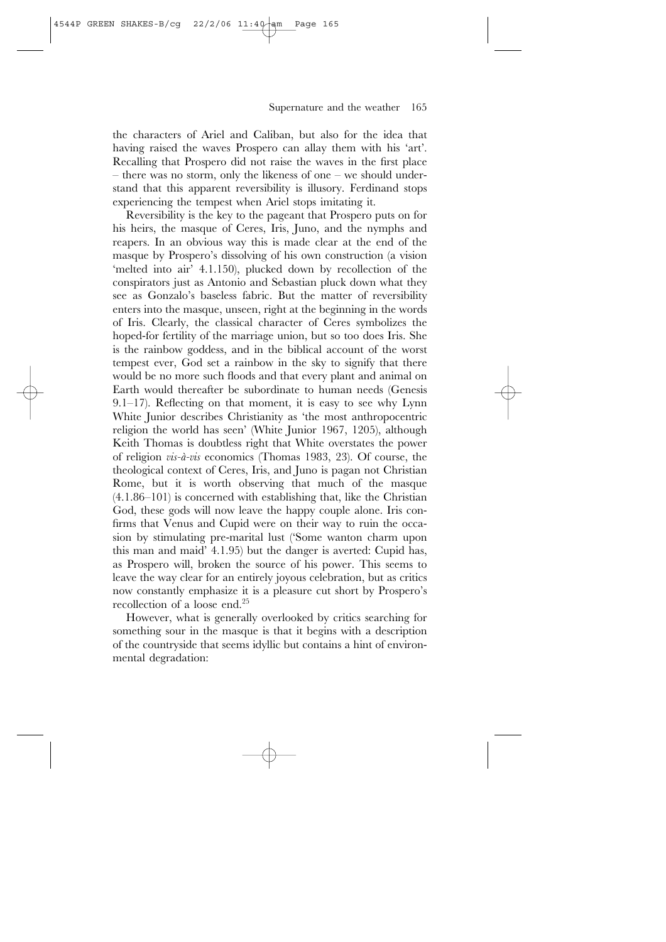the characters of Ariel and Caliban, but also for the idea that having raised the waves Prospero can allay them with his 'art'. Recalling that Prospero did not raise the waves in the first place – there was no storm, only the likeness of one – we should understand that this apparent reversibility is illusory. Ferdinand stops experiencing the tempest when Ariel stops imitating it.

Reversibility is the key to the pageant that Prospero puts on for his heirs, the masque of Ceres, Iris, Juno, and the nymphs and reapers. In an obvious way this is made clear at the end of the masque by Prospero's dissolving of his own construction (a vision 'melted into air' 4.1.150), plucked down by recollection of the conspirators just as Antonio and Sebastian pluck down what they see as Gonzalo's baseless fabric. But the matter of reversibility enters into the masque, unseen, right at the beginning in the words of Iris. Clearly, the classical character of Ceres symbolizes the hoped-for fertility of the marriage union, but so too does Iris. She is the rainbow goddess, and in the biblical account of the worst tempest ever, God set a rainbow in the sky to signify that there would be no more such floods and that every plant and animal on Earth would thereafter be subordinate to human needs (Genesis 9.1–17). Reflecting on that moment, it is easy to see why Lynn White Junior describes Christianity as 'the most anthropocentric religion the world has seen' (White Junior 1967, 1205), although Keith Thomas is doubtless right that White overstates the power of religion *vis-à-vis* economics (Thomas 1983, 23). Of course, the theological context of Ceres, Iris, and Juno is pagan not Christian Rome, but it is worth observing that much of the masque (4.1.86–101) is concerned with establishing that, like the Christian God, these gods will now leave the happy couple alone. Iris confirms that Venus and Cupid were on their way to ruin the occasion by stimulating pre-marital lust ('Some wanton charm upon this man and maid' 4.1.95) but the danger is averted: Cupid has, as Prospero will, broken the source of his power. This seems to leave the way clear for an entirely joyous celebration, but as critics now constantly emphasize it is a pleasure cut short by Prospero's recollection of a loose end.25

However, what is generally overlooked by critics searching for something sour in the masque is that it begins with a description of the countryside that seems idyllic but contains a hint of environmental degradation: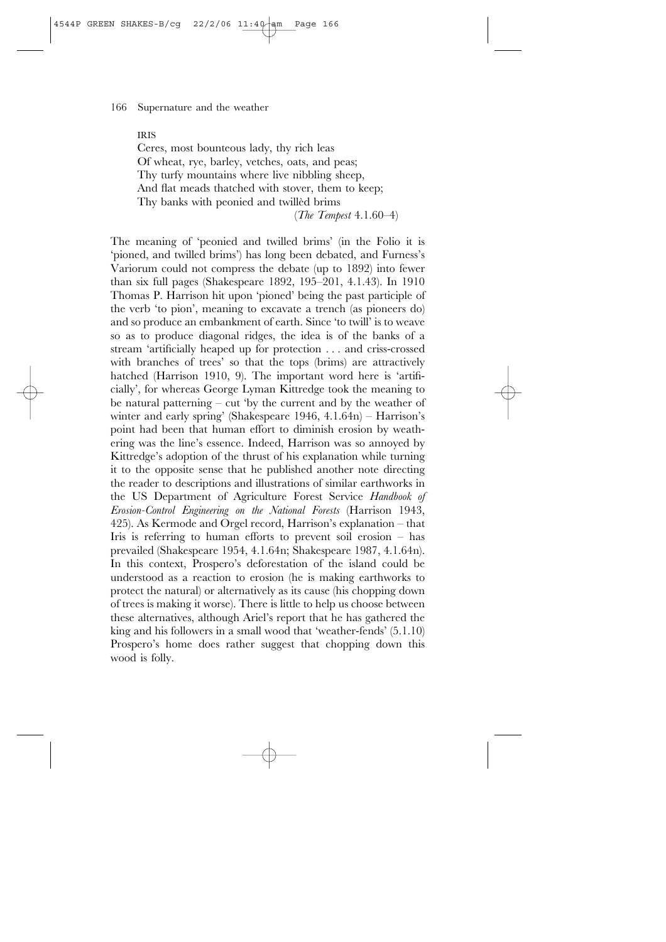IRIS Ceres, most bounteous lady, thy rich leas Of wheat, rye, barley, vetches, oats, and peas; Thy turfy mountains where live nibbling sheep, And flat meads thatched with stover, them to keep; Thy banks with peonied and twillèd brims (*The Tempest* 4.1.60–4)

The meaning of 'peonied and twilled brims' (in the Folio it is 'pioned, and twilled brims') has long been debated, and Furness's Variorum could not compress the debate (up to 1892) into fewer than six full pages (Shakespeare 1892, 195–201, 4.1.43). In 1910 Thomas P. Harrison hit upon 'pioned' being the past participle of the verb 'to pion', meaning to excavate a trench (as pioneers do) and so produce an embankment of earth. Since 'to twill' is to weave so as to produce diagonal ridges, the idea is of the banks of a stream 'artificially heaped up for protection . . . and criss-crossed with branches of trees' so that the tops (brims) are attractively hatched (Harrison 1910, 9). The important word here is 'artificially', for whereas George Lyman Kittredge took the meaning to be natural patterning – cut 'by the current and by the weather of winter and early spring' (Shakespeare 1946, 4.1.64n) – Harrison's point had been that human effort to diminish erosion by weathering was the line's essence. Indeed, Harrison was so annoyed by Kittredge's adoption of the thrust of his explanation while turning it to the opposite sense that he published another note directing the reader to descriptions and illustrations of similar earthworks in the US Department of Agriculture Forest Service *Handbook of Erosion-Control Engineering on the National Forests* (Harrison 1943, 425). As Kermode and Orgel record, Harrison's explanation – that Iris is referring to human efforts to prevent soil erosion – has

prevailed (Shakespeare 1954, 4.1.64n; Shakespeare 1987, 4.1.64n). In this context, Prospero's deforestation of the island could be understood as a reaction to erosion (he is making earthworks to protect the natural) or alternatively as its cause (his chopping down of trees is making it worse). There is little to help us choose between these alternatives, although Ariel's report that he has gathered the king and his followers in a small wood that 'weather-fends' (5.1.10) Prospero's home does rather suggest that chopping down this wood is folly.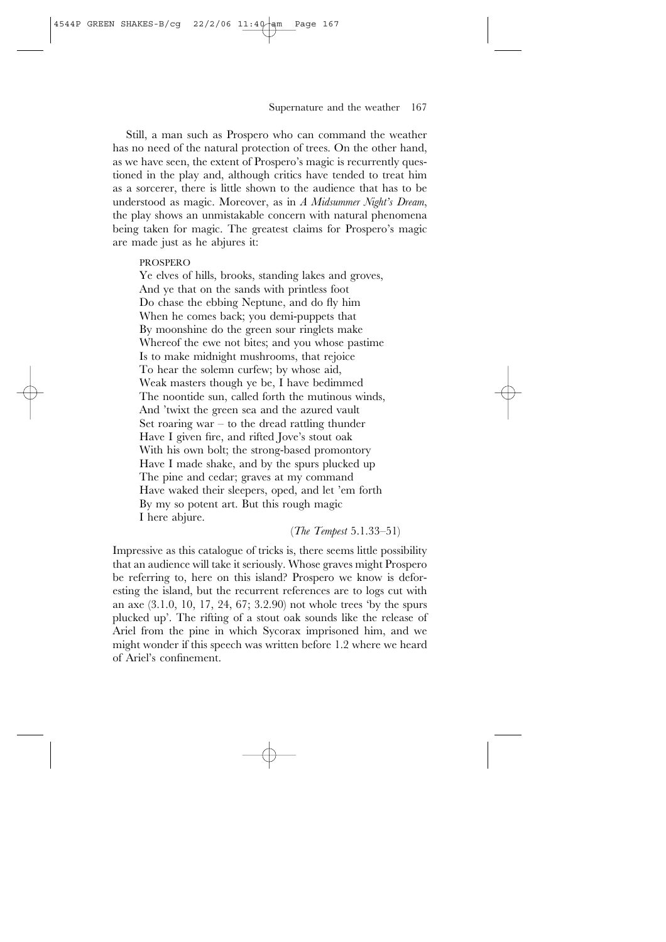Still, a man such as Prospero who can command the weather has no need of the natural protection of trees. On the other hand, as we have seen, the extent of Prospero's magic is recurrently questioned in the play and, although critics have tended to treat him as a sorcerer, there is little shown to the audience that has to be understood as magic. Moreover, as in *A Midsummer Night's Dream*, the play shows an unmistakable concern with natural phenomena being taken for magic. The greatest claims for Prospero's magic are made just as he abjures it:

## PROSPERO

Ye elves of hills, brooks, standing lakes and groves, And ye that on the sands with printless foot Do chase the ebbing Neptune, and do fly him When he comes back; you demi-puppets that By moonshine do the green sour ringlets make Whereof the ewe not bites; and you whose pastime Is to make midnight mushrooms, that rejoice To hear the solemn curfew; by whose aid, Weak masters though ye be, I have bedimmed The noontide sun, called forth the mutinous winds, And 'twixt the green sea and the azured vault Set roaring war – to the dread rattling thunder Have I given fire, and rifted Jove's stout oak With his own bolt; the strong-based promontory Have I made shake, and by the spurs plucked up The pine and cedar; graves at my command Have waked their sleepers, oped, and let 'em forth By my so potent art. But this rough magic I here abjure.

(*The Tempest* 5.1.33–51)

Impressive as this catalogue of tricks is, there seems little possibility that an audience will take it seriously. Whose graves might Prospero be referring to, here on this island? Prospero we know is deforesting the island, but the recurrent references are to logs cut with an axe (3.1.0, 10, 17, 24, 67; 3.2.90) not whole trees 'by the spurs plucked up'. The rifting of a stout oak sounds like the release of Ariel from the pine in which Sycorax imprisoned him, and we might wonder if this speech was written before 1.2 where we heard of Ariel's confinement.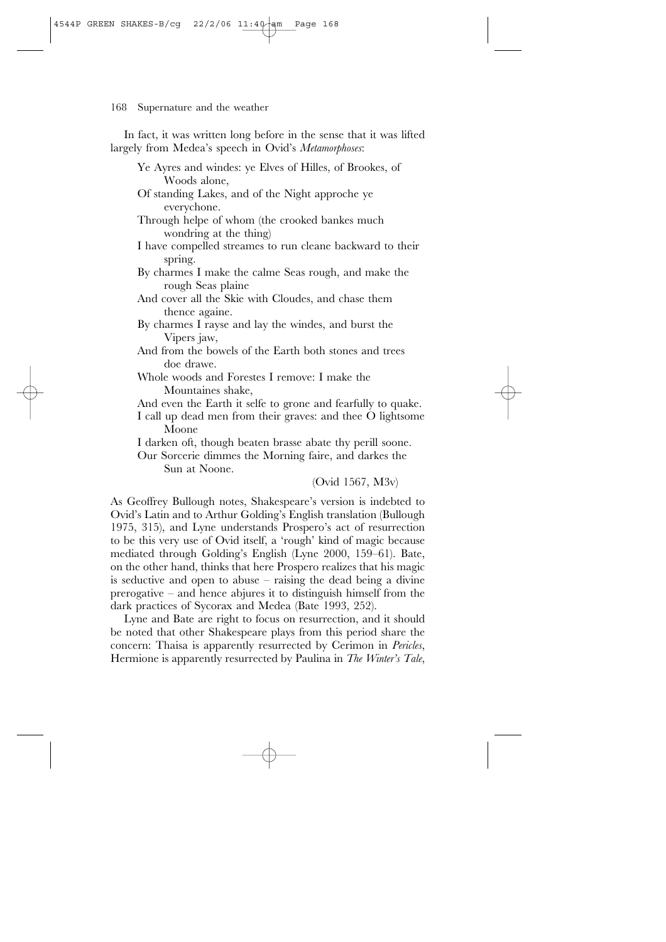In fact, it was written long before in the sense that it was lifted largely from Medea's speech in Ovid's *Metamorphoses*:

Ye Ayres and windes: ye Elves of Hilles, of Brookes, of Woods alone, Of standing Lakes, and of the Night approche ye everychone. Through helpe of whom (the crooked bankes much wondring at the thing) I have compelled streames to run cleane backward to their spring. By charmes I make the calme Seas rough, and make the rough Seas plaine And cover all the Skie with Cloudes, and chase them thence againe. By charmes I rayse and lay the windes, and burst the Vipers jaw, And from the bowels of the Earth both stones and trees doe drawe. Whole woods and Forestes I remove: I make the Mountaines shake, And even the Earth it selfe to grone and fearfully to quake. I call up dead men from their graves: and thee O lightsome Moone I darken oft, though beaten brasse abate thy perill soone. Our Sorcerie dimmes the Morning faire, and darkes the Sun at Noone. (Ovid 1567, M3v) As Geoffrey Bullough notes, Shakespeare's version is indebted to

Ovid's Latin and to Arthur Golding's English translation (Bullough 1975, 315), and Lyne understands Prospero's act of resurrection to be this very use of Ovid itself, a 'rough' kind of magic because mediated through Golding's English (Lyne 2000, 159–61). Bate, on the other hand, thinks that here Prospero realizes that his magic is seductive and open to abuse – raising the dead being a divine prerogative – and hence abjures it to distinguish himself from the dark practices of Sycorax and Medea (Bate 1993, 252).

Lyne and Bate are right to focus on resurrection, and it should be noted that other Shakespeare plays from this period share the concern: Thaisa is apparently resurrected by Cerimon in *Pericles*, Hermione is apparently resurrected by Paulina in *The Winter's Tale*,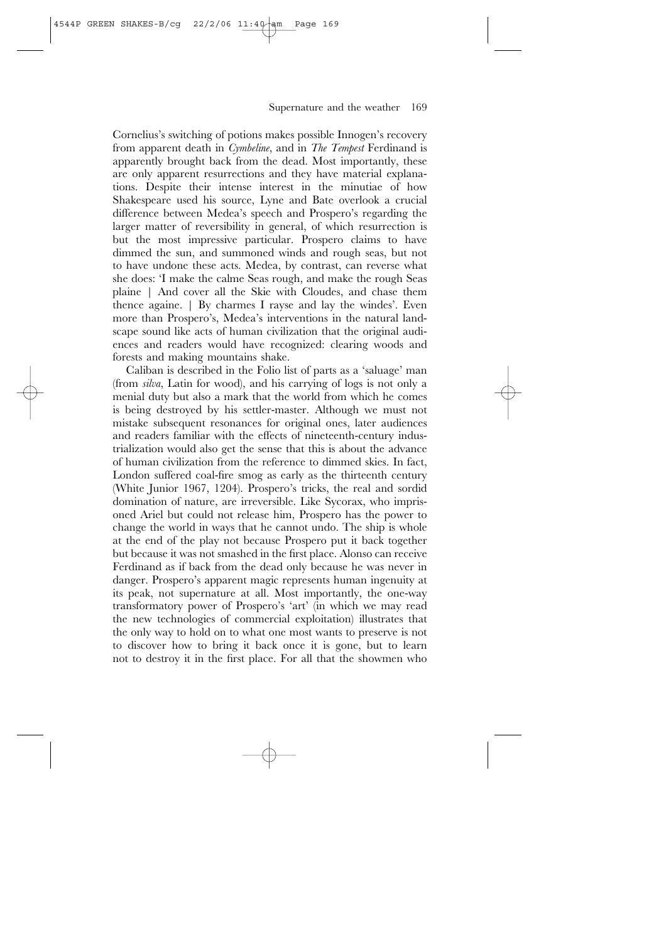Cornelius's switching of potions makes possible Innogen's recovery from apparent death in *Cymbeline*, and in *The Tempest* Ferdinand is apparently brought back from the dead. Most importantly, these are only apparent resurrections and they have material explanations. Despite their intense interest in the minutiae of how Shakespeare used his source, Lyne and Bate overlook a crucial difference between Medea's speech and Prospero's regarding the larger matter of reversibility in general, of which resurrection is but the most impressive particular. Prospero claims to have dimmed the sun, and summoned winds and rough seas, but not to have undone these acts. Medea, by contrast, can reverse what she does: 'I make the calme Seas rough, and make the rough Seas plaine | And cover all the Skie with Cloudes, and chase them thence againe. | By charmes I rayse and lay the windes'. Even more than Prospero's, Medea's interventions in the natural landscape sound like acts of human civilization that the original audiences and readers would have recognized: clearing woods and forests and making mountains shake.

Caliban is described in the Folio list of parts as a 'saluage' man (from *silva*, Latin for wood), and his carrying of logs is not only a menial duty but also a mark that the world from which he comes is being destroyed by his settler-master. Although we must not mistake subsequent resonances for original ones, later audiences and readers familiar with the effects of nineteenth-century industrialization would also get the sense that this is about the advance of human civilization from the reference to dimmed skies. In fact, London suffered coal-fire smog as early as the thirteenth century (White Junior 1967, 1204). Prospero's tricks, the real and sordid domination of nature, are irreversible. Like Sycorax, who imprisoned Ariel but could not release him, Prospero has the power to change the world in ways that he cannot undo. The ship is whole at the end of the play not because Prospero put it back together but because it was not smashed in the first place. Alonso can receive Ferdinand as if back from the dead only because he was never in danger. Prospero's apparent magic represents human ingenuity at its peak, not supernature at all. Most importantly, the one-way transformatory power of Prospero's 'art' (in which we may read the new technologies of commercial exploitation) illustrates that the only way to hold on to what one most wants to preserve is not to discover how to bring it back once it is gone, but to learn not to destroy it in the first place. For all that the showmen who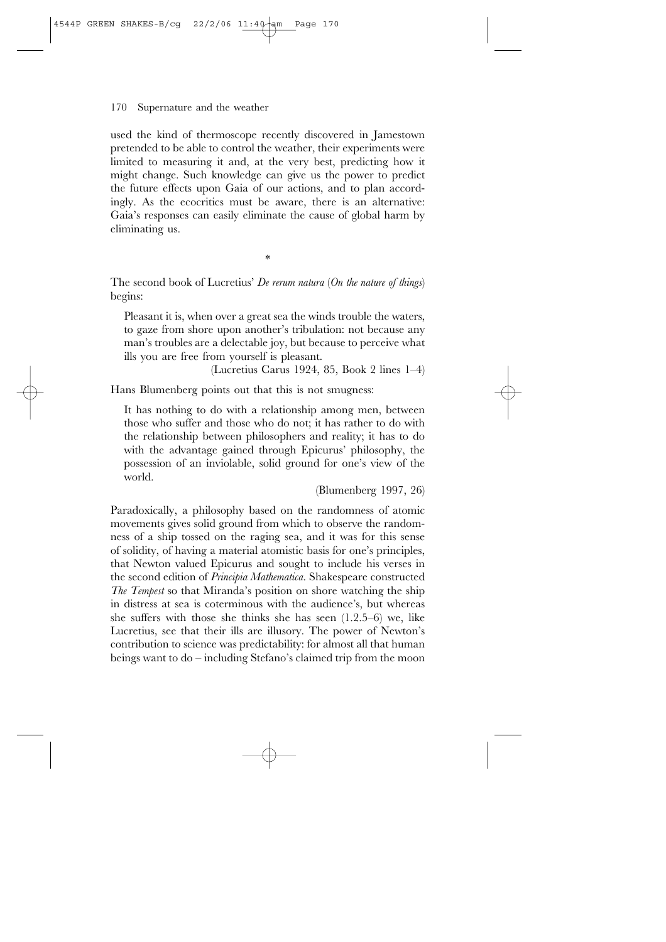used the kind of thermoscope recently discovered in Jamestown pretended to be able to control the weather, their experiments were limited to measuring it and, at the very best, predicting how it might change. Such knowledge can give us the power to predict the future effects upon Gaia of our actions, and to plan accordingly. As the ecocritics must be aware, there is an alternative: Gaia's responses can easily eliminate the cause of global harm by eliminating us.

\*

The second book of Lucretius' *De rerum natura* (*On the nature of things*) begins:

Pleasant it is, when over a great sea the winds trouble the waters, to gaze from shore upon another's tribulation: not because any man's troubles are a delectable joy, but because to perceive what ills you are free from yourself is pleasant.

(Lucretius Carus 1924, 85, Book 2 lines 1–4)

Hans Blumenberg points out that this is not smugness:

It has nothing to do with a relationship among men, between those who suffer and those who do not; it has rather to do with the relationship between philosophers and reality; it has to do with the advantage gained through Epicurus' philosophy, the possession of an inviolable, solid ground for one's view of the world.

(Blumenberg 1997, 26)

Paradoxically, a philosophy based on the randomness of atomic movements gives solid ground from which to observe the randomness of a ship tossed on the raging sea, and it was for this sense of solidity, of having a material atomistic basis for one's principles, that Newton valued Epicurus and sought to include his verses in the second edition of *Principia Mathematica*. Shakespeare constructed *The Tempest* so that Miranda's position on shore watching the ship in distress at sea is coterminous with the audience's, but whereas she suffers with those she thinks she has seen (1.2.5–6) we, like Lucretius, see that their ills are illusory. The power of Newton's contribution to science was predictability: for almost all that human beings want to do – including Stefano's claimed trip from the moon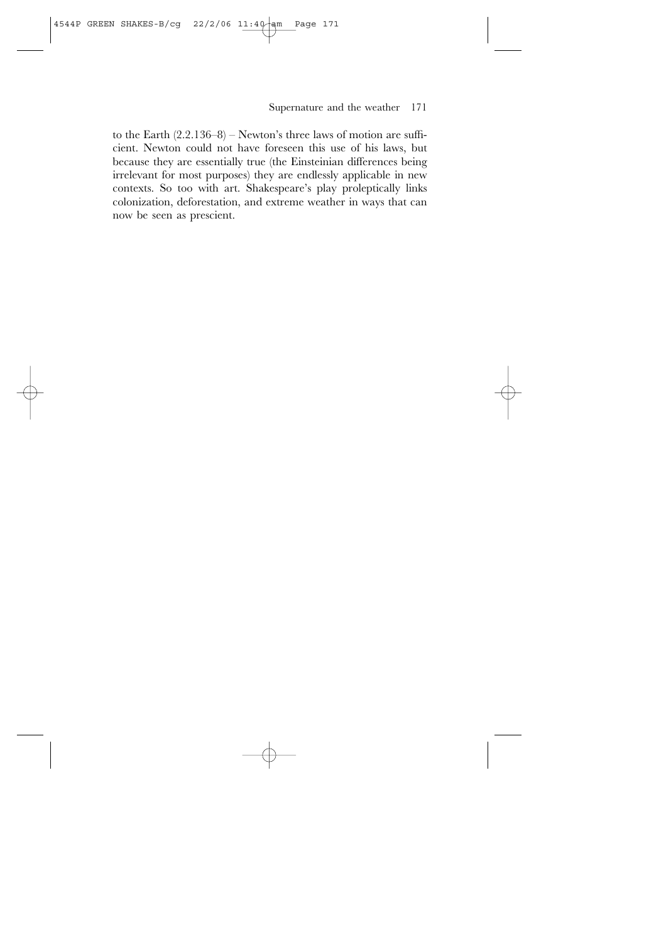to the Earth  $(2.2.136-8)$  – Newton's three laws of motion are sufficient. Newton could not have foreseen this use of his laws, but because they are essentially true (the Einsteinian differences being irrelevant for most purposes) they are endlessly applicable in new contexts. So too with art. Shakespeare's play proleptically links colonization, deforestation, and extreme weather in ways that can now be seen as prescient.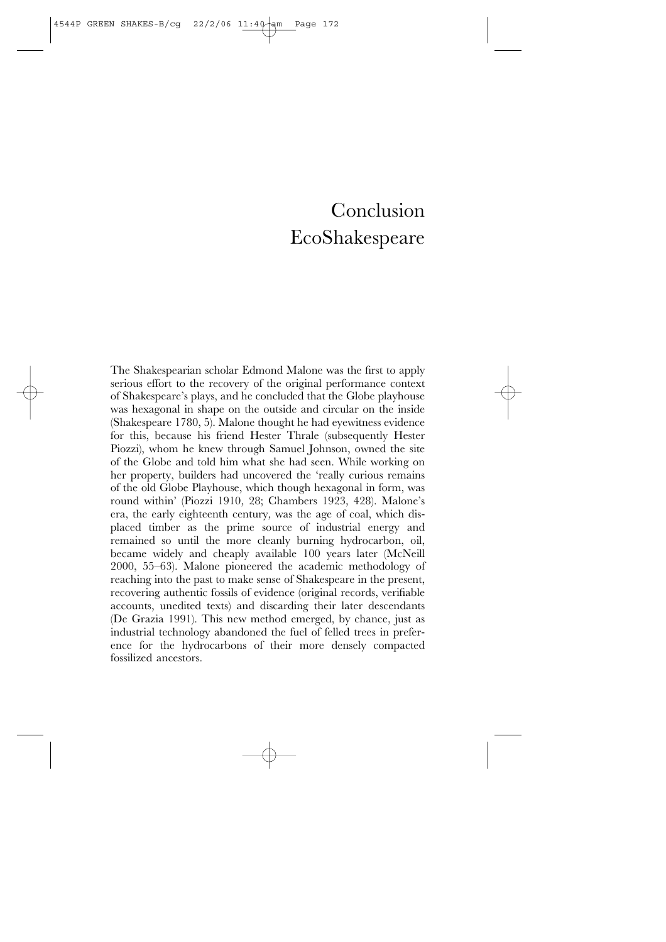## Conclusion EcoShakespeare

The Shakespearian scholar Edmond Malone was the first to apply serious effort to the recovery of the original performance context of Shakespeare's plays, and he concluded that the Globe playhouse was hexagonal in shape on the outside and circular on the inside (Shakespeare 1780, 5). Malone thought he had eyewitness evidence for this, because his friend Hester Thrale (subsequently Hester Piozzi), whom he knew through Samuel Johnson, owned the site of the Globe and told him what she had seen. While working on her property, builders had uncovered the 'really curious remains of the old Globe Playhouse, which though hexagonal in form, was round within' (Piozzi 1910, 28; Chambers 1923, 428). Malone's era, the early eighteenth century, was the age of coal, which displaced timber as the prime source of industrial energy and remained so until the more cleanly burning hydrocarbon, oil, became widely and cheaply available 100 years later (McNeill 2000, 55–63). Malone pioneered the academic methodology of reaching into the past to make sense of Shakespeare in the present, recovering authentic fossils of evidence (original records, verifiable accounts, unedited texts) and discarding their later descendants (De Grazia 1991). This new method emerged, by chance, just as industrial technology abandoned the fuel of felled trees in preference for the hydrocarbons of their more densely compacted fossilized ancestors.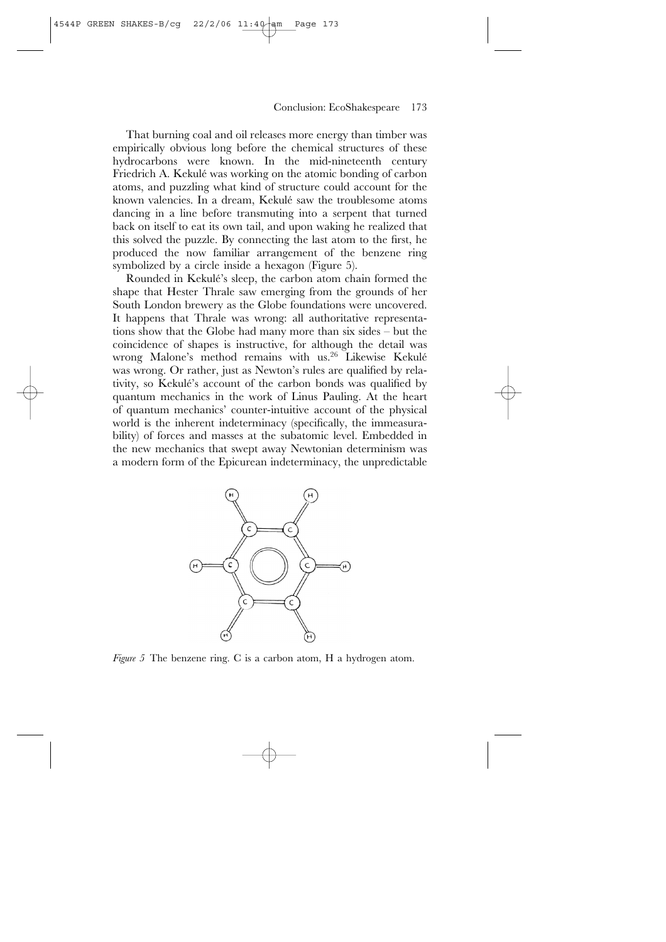That burning coal and oil releases more energy than timber was empirically obvious long before the chemical structures of these hydrocarbons were known. In the mid-nineteenth century Friedrich A. Kekulé was working on the atomic bonding of carbon atoms, and puzzling what kind of structure could account for the known valencies. In a dream, Kekulé saw the troublesome atoms dancing in a line before transmuting into a serpent that turned back on itself to eat its own tail, and upon waking he realized that this solved the puzzle. By connecting the last atom to the first, he produced the now familiar arrangement of the benzene ring symbolized by a circle inside a hexagon (Figure 5).

Rounded in Kekulé's sleep, the carbon atom chain formed the shape that Hester Thrale saw emerging from the grounds of her South London brewery as the Globe foundations were uncovered. It happens that Thrale was wrong: all authoritative representations show that the Globe had many more than six sides – but the coincidence of shapes is instructive, for although the detail was wrong Malone's method remains with us.26 Likewise Kekulé was wrong. Or rather, just as Newton's rules are qualified by relativity, so Kekulé's account of the carbon bonds was qualified by quantum mechanics in the work of Linus Pauling. At the heart of quantum mechanics' counter-intuitive account of the physical world is the inherent indeterminacy (specifically, the immeasurability) of forces and masses at the subatomic level. Embedded in the new mechanics that swept away Newtonian determinism was a modern form of the Epicurean indeterminacy, the unpredictable



*Figure 5* The benzene ring. C is a carbon atom, H a hydrogen atom.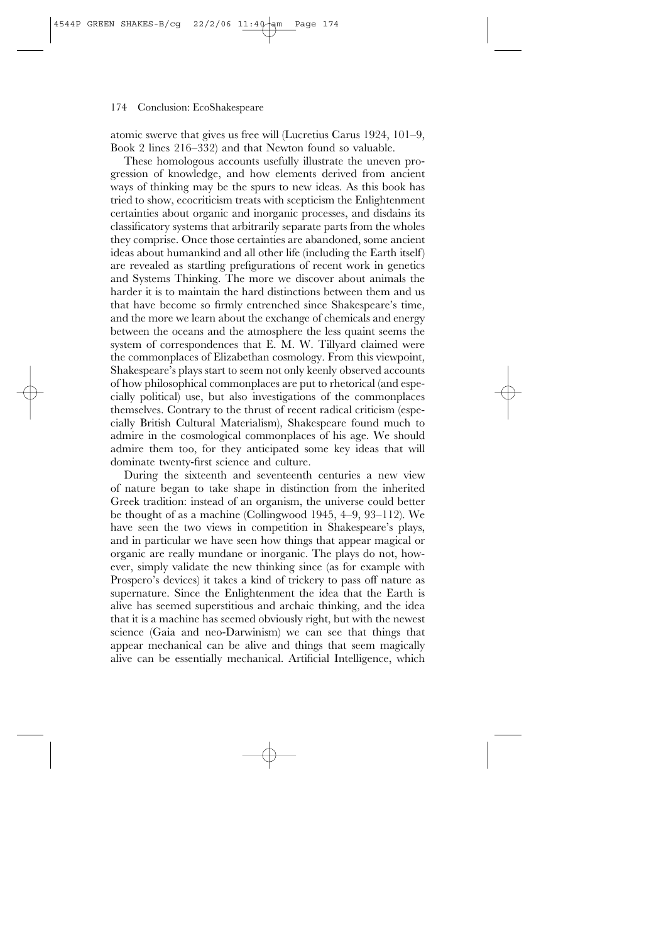atomic swerve that gives us free will (Lucretius Carus 1924, 101–9, Book 2 lines 216–332) and that Newton found so valuable.

These homologous accounts usefully illustrate the uneven progression of knowledge, and how elements derived from ancient ways of thinking may be the spurs to new ideas. As this book has tried to show, ecocriticism treats with scepticism the Enlightenment certainties about organic and inorganic processes, and disdains its classificatory systems that arbitrarily separate parts from the wholes they comprise. Once those certainties are abandoned, some ancient ideas about humankind and all other life (including the Earth itself) are revealed as startling prefigurations of recent work in genetics and Systems Thinking. The more we discover about animals the harder it is to maintain the hard distinctions between them and us that have become so firmly entrenched since Shakespeare's time, and the more we learn about the exchange of chemicals and energy between the oceans and the atmosphere the less quaint seems the system of correspondences that E. M. W. Tillyard claimed were the commonplaces of Elizabethan cosmology. From this viewpoint, Shakespeare's plays start to seem not only keenly observed accounts of how philosophical commonplaces are put to rhetorical (and especially political) use, but also investigations of the commonplaces themselves. Contrary to the thrust of recent radical criticism (especially British Cultural Materialism), Shakespeare found much to admire in the cosmological commonplaces of his age. We should admire them too, for they anticipated some key ideas that will dominate twenty-first science and culture.

During the sixteenth and seventeenth centuries a new view of nature began to take shape in distinction from the inherited Greek tradition: instead of an organism, the universe could better be thought of as a machine (Collingwood 1945, 4–9, 93–112). We have seen the two views in competition in Shakespeare's plays, and in particular we have seen how things that appear magical or organic are really mundane or inorganic. The plays do not, however, simply validate the new thinking since (as for example with Prospero's devices) it takes a kind of trickery to pass off nature as supernature. Since the Enlightenment the idea that the Earth is alive has seemed superstitious and archaic thinking, and the idea that it is a machine has seemed obviously right, but with the newest science (Gaia and neo-Darwinism) we can see that things that appear mechanical can be alive and things that seem magically alive can be essentially mechanical. Artificial Intelligence, which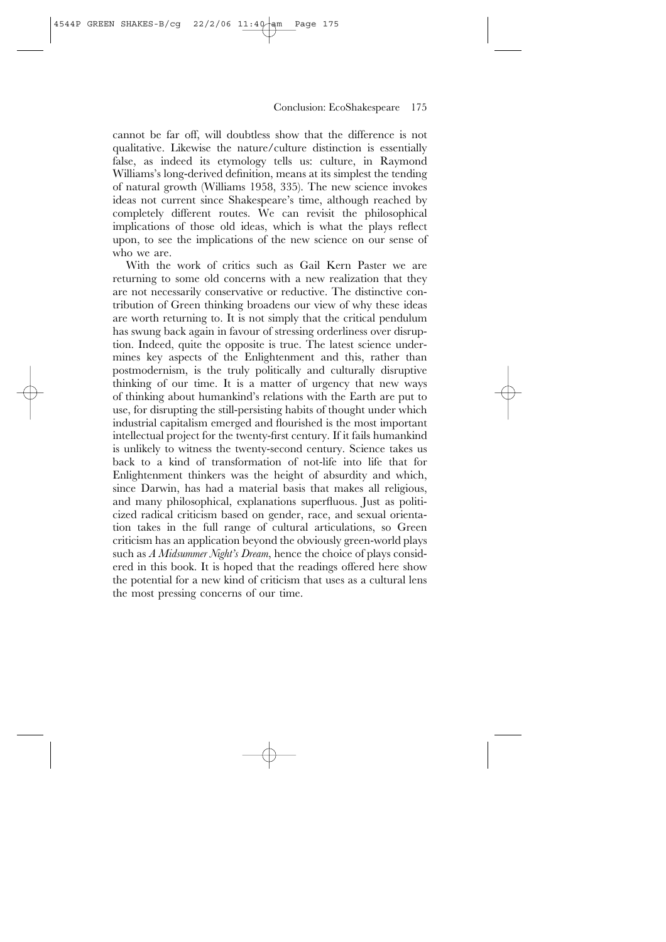cannot be far off, will doubtless show that the difference is not qualitative. Likewise the nature/culture distinction is essentially false, as indeed its etymology tells us: culture, in Raymond Williams's long-derived definition, means at its simplest the tending of natural growth (Williams 1958, 335). The new science invokes ideas not current since Shakespeare's time, although reached by completely different routes. We can revisit the philosophical implications of those old ideas, which is what the plays reflect upon, to see the implications of the new science on our sense of who we are.

With the work of critics such as Gail Kern Paster we are returning to some old concerns with a new realization that they are not necessarily conservative or reductive. The distinctive contribution of Green thinking broadens our view of why these ideas are worth returning to. It is not simply that the critical pendulum has swung back again in favour of stressing orderliness over disruption. Indeed, quite the opposite is true. The latest science undermines key aspects of the Enlightenment and this, rather than postmodernism, is the truly politically and culturally disruptive thinking of our time. It is a matter of urgency that new ways of thinking about humankind's relations with the Earth are put to use, for disrupting the still-persisting habits of thought under which industrial capitalism emerged and flourished is the most important intellectual project for the twenty-first century. If it fails humankind is unlikely to witness the twenty-second century. Science takes us back to a kind of transformation of not-life into life that for Enlightenment thinkers was the height of absurdity and which, since Darwin, has had a material basis that makes all religious, and many philosophical, explanations superfluous. Just as politicized radical criticism based on gender, race, and sexual orientation takes in the full range of cultural articulations, so Green criticism has an application beyond the obviously green-world plays such as *A Midsummer Night's Dream*, hence the choice of plays considered in this book. It is hoped that the readings offered here show the potential for a new kind of criticism that uses as a cultural lens the most pressing concerns of our time.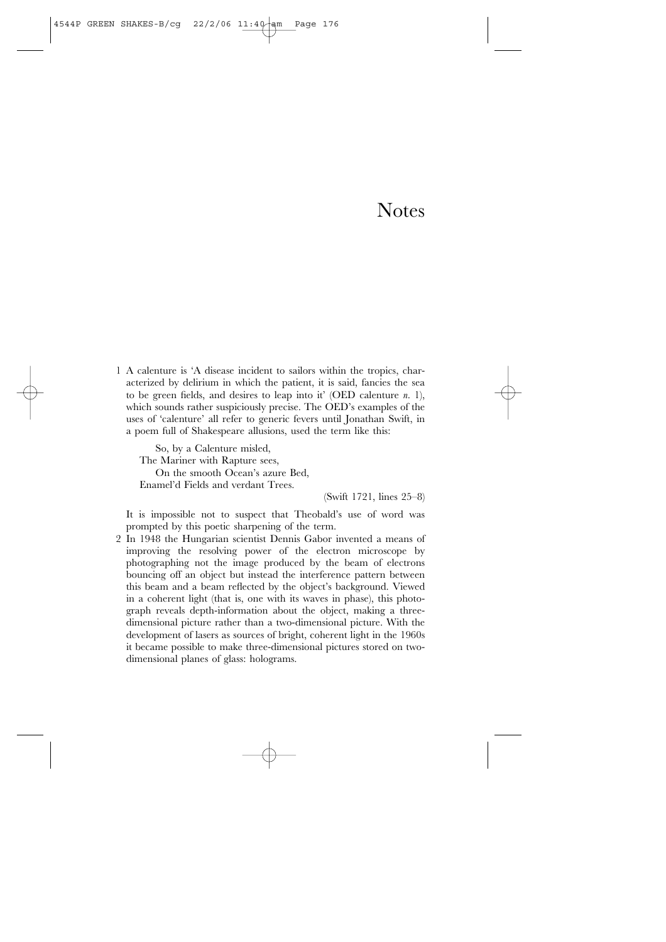## Notes

1 A calenture is 'A disease incident to sailors within the tropics, characterized by delirium in which the patient, it is said, fancies the sea to be green fields, and desires to leap into it' (OED calenture *n*. 1), which sounds rather suspiciously precise. The OED's examples of the uses of 'calenture' all refer to generic fevers until Jonathan Swift, in a poem full of Shakespeare allusions, used the term like this:

So, by a Calenture misled, The Mariner with Rapture sees, On the smooth Ocean's azure Bed, Enamel'd Fields and verdant Trees.

(Swift 1721, lines 25–8)

It is impossible not to suspect that Theobald's use of word was prompted by this poetic sharpening of the term.

2 In 1948 the Hungarian scientist Dennis Gabor invented a means of improving the resolving power of the electron microscope by photographing not the image produced by the beam of electrons bouncing off an object but instead the interference pattern between this beam and a beam reflected by the object's background. Viewed in a coherent light (that is, one with its waves in phase), this photograph reveals depth-information about the object, making a threedimensional picture rather than a two-dimensional picture. With the development of lasers as sources of bright, coherent light in the 1960s it became possible to make three-dimensional pictures stored on twodimensional planes of glass: holograms.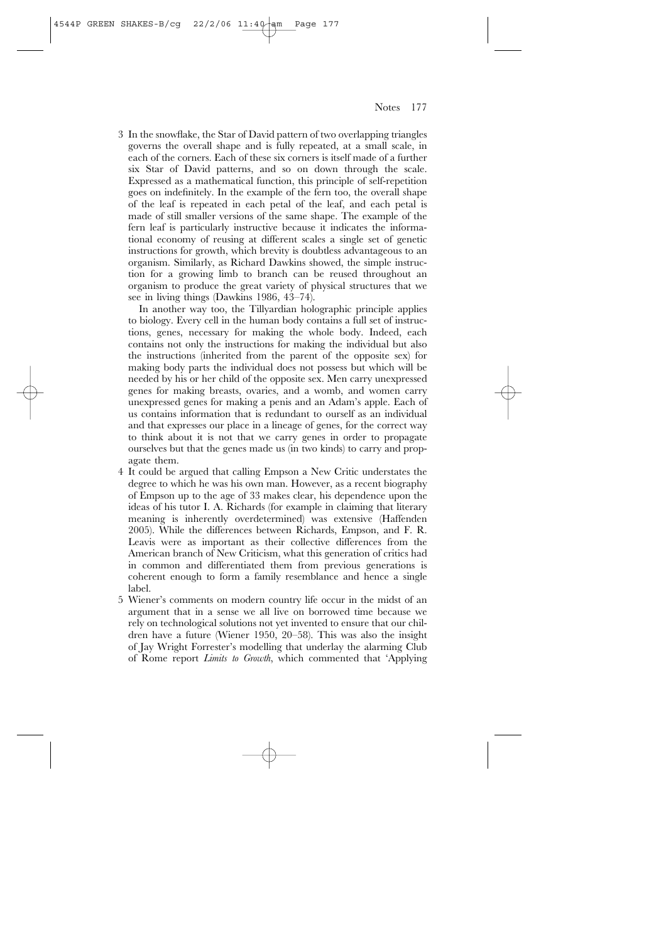3 In the snowflake, the Star of David pattern of two overlapping triangles governs the overall shape and is fully repeated, at a small scale, in each of the corners. Each of these six corners is itself made of a further six Star of David patterns, and so on down through the scale. Expressed as a mathematical function, this principle of self-repetition goes on indefinitely. In the example of the fern too, the overall shape of the leaf is repeated in each petal of the leaf, and each petal is made of still smaller versions of the same shape. The example of the fern leaf is particularly instructive because it indicates the informational economy of reusing at different scales a single set of genetic instructions for growth, which brevity is doubtless advantageous to an organism. Similarly, as Richard Dawkins showed, the simple instruction for a growing limb to branch can be reused throughout an organism to produce the great variety of physical structures that we see in living things (Dawkins 1986, 43–74).

In another way too, the Tillyardian holographic principle applies to biology. Every cell in the human body contains a full set of instructions, genes, necessary for making the whole body. Indeed, each contains not only the instructions for making the individual but also the instructions (inherited from the parent of the opposite sex) for making body parts the individual does not possess but which will be needed by his or her child of the opposite sex. Men carry unexpressed genes for making breasts, ovaries, and a womb, and women carry unexpressed genes for making a penis and an Adam's apple. Each of us contains information that is redundant to ourself as an individual and that expresses our place in a lineage of genes, for the correct way to think about it is not that we carry genes in order to propagate ourselves but that the genes made us (in two kinds) to carry and propagate them.

- 4 It could be argued that calling Empson a New Critic understates the degree to which he was his own man. However, as a recent biography of Empson up to the age of 33 makes clear, his dependence upon the ideas of his tutor I. A. Richards (for example in claiming that literary meaning is inherently overdetermined) was extensive (Haffenden 2005). While the differences between Richards, Empson, and F. R. Leavis were as important as their collective differences from the American branch of New Criticism, what this generation of critics had in common and differentiated them from previous generations is coherent enough to form a family resemblance and hence a single label.
- 5 Wiener's comments on modern country life occur in the midst of an argument that in a sense we all live on borrowed time because we rely on technological solutions not yet invented to ensure that our children have a future (Wiener 1950, 20–58). This was also the insight of Jay Wright Forrester's modelling that underlay the alarming Club of Rome report *Limits to Growth*, which commented that 'Applying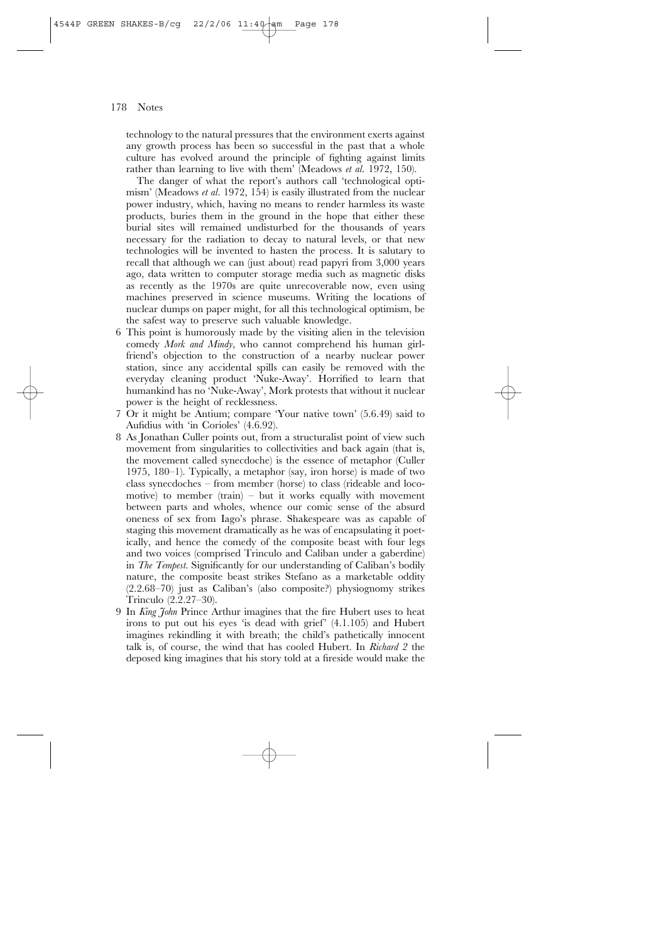technology to the natural pressures that the environment exerts against any growth process has been so successful in the past that a whole culture has evolved around the principle of fighting against limits rather than learning to live with them' (Meadows *et al*. 1972, 150).

The danger of what the report's authors call 'technological optimism' (Meadows *et al*. 1972, 154) is easily illustrated from the nuclear power industry, which, having no means to render harmless its waste products, buries them in the ground in the hope that either these burial sites will remained undisturbed for the thousands of years necessary for the radiation to decay to natural levels, or that new technologies will be invented to hasten the process. It is salutary to recall that although we can (just about) read papyri from 3,000 years ago, data written to computer storage media such as magnetic disks as recently as the 1970s are quite unrecoverable now, even using machines preserved in science museums. Writing the locations of nuclear dumps on paper might, for all this technological optimism, be the safest way to preserve such valuable knowledge.

- 6 This point is humorously made by the visiting alien in the television comedy *Mork and Mindy*, who cannot comprehend his human girlfriend's objection to the construction of a nearby nuclear power station, since any accidental spills can easily be removed with the everyday cleaning product 'Nuke-Away'. Horrified to learn that humankind has no 'Nuke-Away', Mork protests that without it nuclear power is the height of recklessness.
- 7 Or it might be Antium; compare 'Your native town' (5.6.49) said to Aufidius with 'in Corioles' (4.6.92).
- 8 As Jonathan Culler points out, from a structuralist point of view such movement from singularities to collectivities and back again (that is, the movement called synecdoche) is the essence of metaphor (Culler 1975, 180–1). Typically, a metaphor (say, iron horse) is made of two class synecdoches – from member (horse) to class (rideable and locomotive) to member (train) – but it works equally with movement between parts and wholes, whence our comic sense of the absurd oneness of sex from Iago's phrase. Shakespeare was as capable of staging this movement dramatically as he was of encapsulating it poetically, and hence the comedy of the composite beast with four legs and two voices (comprised Trinculo and Caliban under a gaberdine) in *The Tempest*. Significantly for our understanding of Caliban's bodily nature, the composite beast strikes Stefano as a marketable oddity (2.2.68–70) just as Caliban's (also composite?) physiognomy strikes Trinculo (2.2.27–30).
- 9 In *King John* Prince Arthur imagines that the fire Hubert uses to heat irons to put out his eyes 'is dead with grief' (4.1.105) and Hubert imagines rekindling it with breath; the child's pathetically innocent talk is, of course, the wind that has cooled Hubert. In *Richard 2* the deposed king imagines that his story told at a fireside would make the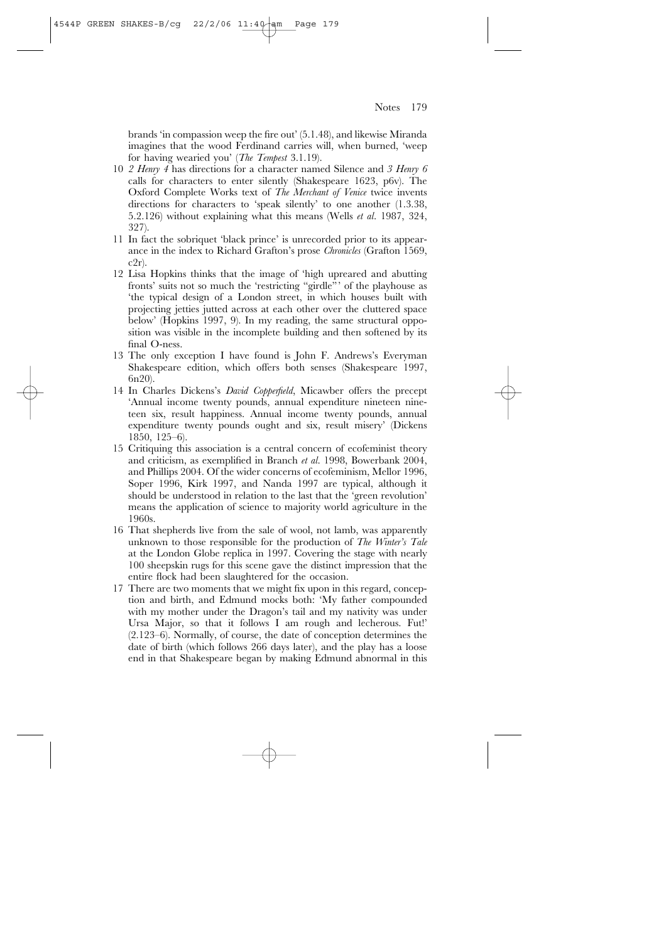brands 'in compassion weep the fire out' (5.1.48), and likewise Miranda imagines that the wood Ferdinand carries will, when burned, 'weep for having wearied you' (*The Tempest* 3.1.19).

- 10 *2 Henry 4* has directions for a character named Silence and *3 Henry 6* calls for characters to enter silently (Shakespeare 1623, p6v). The Oxford Complete Works text of *The Merchant of Venice* twice invents directions for characters to 'speak silently' to one another (1.3.38, 5.2.126) without explaining what this means (Wells *et al*. 1987, 324, 327).
- 11 In fact the sobriquet 'black prince' is unrecorded prior to its appearance in the index to Richard Grafton's prose *Chronicles* (Grafton 1569, c2r).
- 12 Lisa Hopkins thinks that the image of 'high upreared and abutting fronts' suits not so much the 'restricting "girdle"' of the playhouse as 'the typical design of a London street, in which houses built with projecting jetties jutted across at each other over the cluttered space below' (Hopkins 1997, 9). In my reading, the same structural opposition was visible in the incomplete building and then softened by its final O-ness.
- 13 The only exception I have found is John F. Andrews's Everyman Shakespeare edition, which offers both senses (Shakespeare 1997, 6n20).
- 14 In Charles Dickens's *David Copperfield*, Micawber offers the precept 'Annual income twenty pounds, annual expenditure nineteen nineteen six, result happiness. Annual income twenty pounds, annual expenditure twenty pounds ought and six, result misery' (Dickens 1850, 125–6).
- 15 Critiquing this association is a central concern of ecofeminist theory and criticism, as exemplified in Branch *et al*. 1998, Bowerbank 2004, and Phillips 2004. Of the wider concerns of ecofeminism, Mellor 1996, Soper 1996, Kirk 1997, and Nanda 1997 are typical, although it should be understood in relation to the last that the 'green revolution' means the application of science to majority world agriculture in the 1960s.
- 16 That shepherds live from the sale of wool, not lamb, was apparently unknown to those responsible for the production of *The Winter's Tale* at the London Globe replica in 1997. Covering the stage with nearly 100 sheepskin rugs for this scene gave the distinct impression that the entire flock had been slaughtered for the occasion.
- 17 There are two moments that we might fix upon in this regard, conception and birth, and Edmund mocks both: 'My father compounded with my mother under the Dragon's tail and my nativity was under Ursa Major, so that it follows I am rough and lecherous. Fut!' (2.123–6). Normally, of course, the date of conception determines the date of birth (which follows 266 days later), and the play has a loose end in that Shakespeare began by making Edmund abnormal in this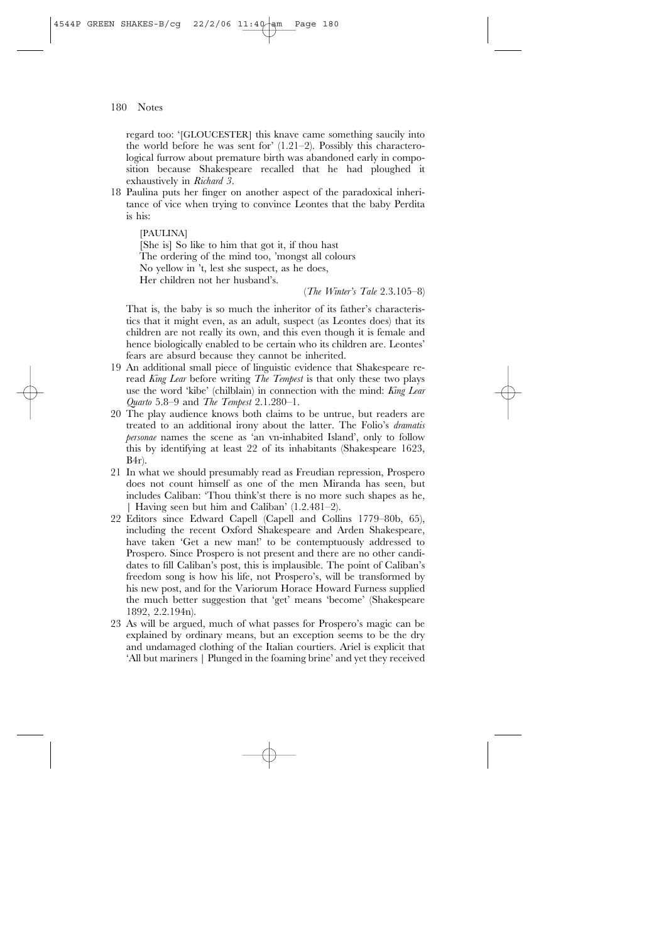regard too: '[GLOUCESTER] this knave came something saucily into the world before he was sent for' (1.21–2). Possibly this characterological furrow about premature birth was abandoned early in composition because Shakespeare recalled that he had ploughed it exhaustively in *Richard 3*.

18 Paulina puts her finger on another aspect of the paradoxical inheritance of vice when trying to convince Leontes that the baby Perdita is his:

[PAULINA] [She is] So like to him that got it, if thou hast The ordering of the mind too, 'mongst all colours No yellow in 't, lest she suspect, as he does, Her children not her husband's.

(*The Winter's Tale* 2.3.105–8)

That is, the baby is so much the inheritor of its father's characteristics that it might even, as an adult, suspect (as Leontes does) that its children are not really its own, and this even though it is female and hence biologically enabled to be certain who its children are. Leontes' fears are absurd because they cannot be inherited.

- 19 An additional small piece of linguistic evidence that Shakespeare reread *King Lear* before writing *The Tempest* is that only these two plays use the word 'kibe' (chilblain) in connection with the mind: *King Lear Quarto* 5.8–9 and *The Tempest* 2.1.280–1.
- 20 The play audience knows both claims to be untrue, but readers are treated to an additional irony about the latter. The Folio's *dramatis personae* names the scene as 'an vn-inhabited Island', only to follow this by identifying at least 22 of its inhabitants (Shakespeare 1623, B4r).
- 21 In what we should presumably read as Freudian repression, Prospero does not count himself as one of the men Miranda has seen, but includes Caliban: 'Thou think'st there is no more such shapes as he, | Having seen but him and Caliban' (1.2.481–2).
- 22 Editors since Edward Capell (Capell and Collins 1779–80b, 65), including the recent Oxford Shakespeare and Arden Shakespeare, have taken 'Get a new man!' to be contemptuously addressed to Prospero. Since Prospero is not present and there are no other candidates to fill Caliban's post, this is implausible. The point of Caliban's freedom song is how his life, not Prospero's, will be transformed by his new post, and for the Variorum Horace Howard Furness supplied the much better suggestion that 'get' means 'become' (Shakespeare 1892, 2.2.194n).
- 23 As will be argued, much of what passes for Prospero's magic can be explained by ordinary means, but an exception seems to be the dry and undamaged clothing of the Italian courtiers. Ariel is explicit that 'All but mariners | Plunged in the foaming brine' and yet they received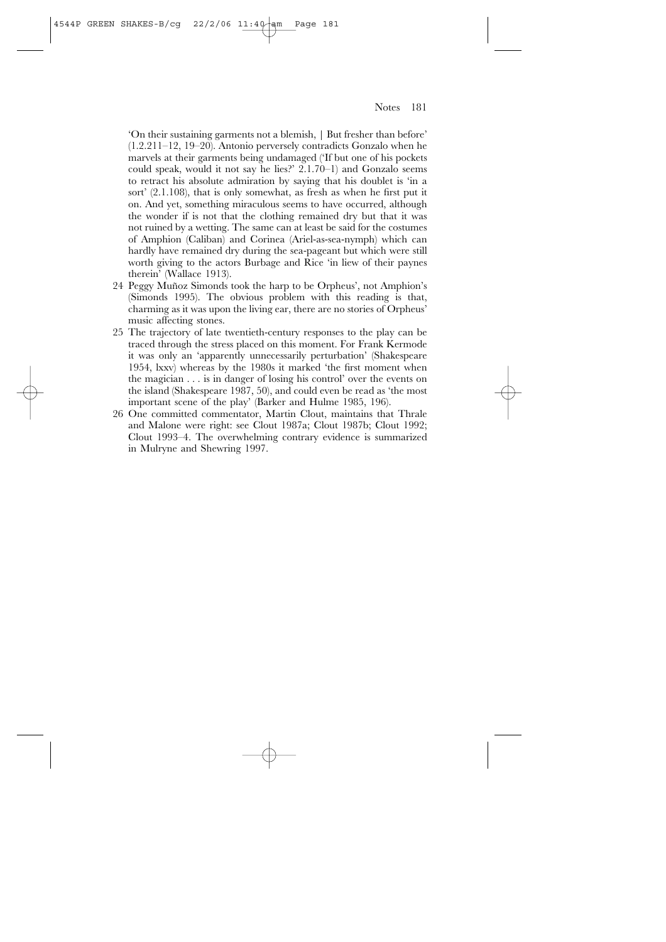'On their sustaining garments not a blemish, | But fresher than before' (1.2.211–12, 19–20). Antonio perversely contradicts Gonzalo when he marvels at their garments being undamaged ('If but one of his pockets could speak, would it not say he lies?' 2.1.70–1) and Gonzalo seems to retract his absolute admiration by saying that his doublet is 'in a sort' (2.1.108), that is only somewhat, as fresh as when he first put it on. And yet, something miraculous seems to have occurred, although the wonder if is not that the clothing remained dry but that it was not ruined by a wetting. The same can at least be said for the costumes of Amphion (Caliban) and Corinea (Ariel-as-sea-nymph) which can hardly have remained dry during the sea-pageant but which were still worth giving to the actors Burbage and Rice 'in liew of their paynes therein' (Wallace 1913).

- 24 Peggy Muñoz Simonds took the harp to be Orpheus', not Amphion's (Simonds 1995). The obvious problem with this reading is that, charming as it was upon the living ear, there are no stories of Orpheus' music affecting stones.
- 25 The trajectory of late twentieth-century responses to the play can be traced through the stress placed on this moment. For Frank Kermode it was only an 'apparently unnecessarily perturbation' (Shakespeare 1954, lxxv) whereas by the 1980s it marked 'the first moment when the magician . . . is in danger of losing his control' over the events on the island (Shakespeare 1987, 50), and could even be read as 'the most important scene of the play' (Barker and Hulme 1985, 196).
- 26 One committed commentator, Martin Clout, maintains that Thrale and Malone were right: see Clout 1987a; Clout 1987b; Clout 1992; Clout 1993–4. The overwhelming contrary evidence is summarized in Mulryne and Shewring 1997.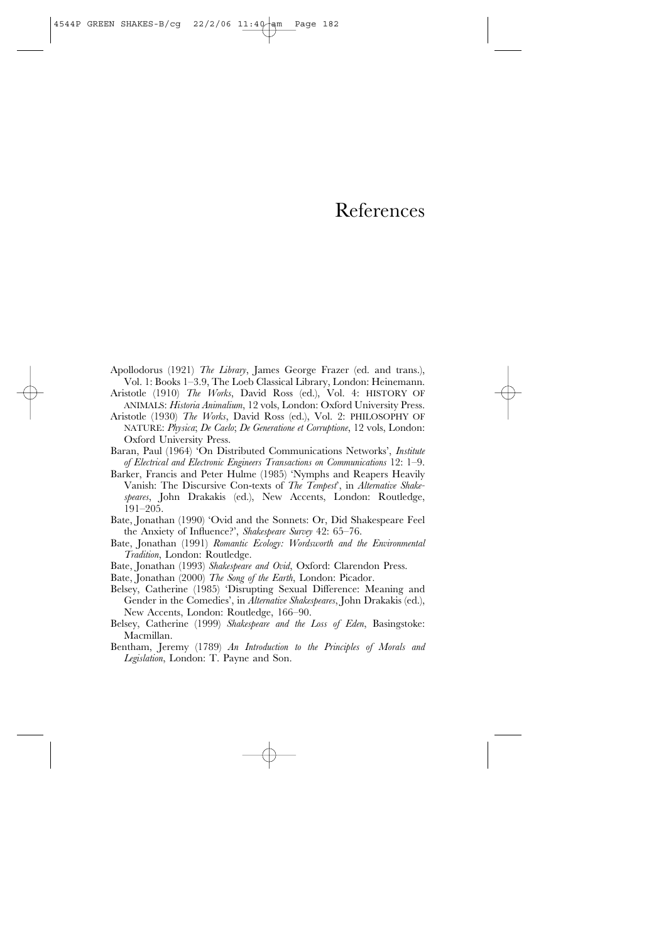## References

Apollodorus (1921) *The Library*, James George Frazer (ed. and trans.), Vol. 1: Books 1–3.9, The Loeb Classical Library, London: Heinemann.

Aristotle (1910) *The Works*, David Ross (ed.), Vol. 4: HISTORY OF ANIMALS: *Historia Animalium*, 12 vols, London: Oxford University Press.

- Aristotle (1930) *The Works*, David Ross (ed.), Vol. 2: PHILOSOPHY OF NATURE: *Physica*; *De Caelo*; *De Generatione et Corruptione*, 12 vols, London: Oxford University Press.
- Baran, Paul (1964) 'On Distributed Communications Networks', *Institute of Electrical and Electronic Engineers Transactions on Communications* 12: 1–9.
- Barker, Francis and Peter Hulme (1985) 'Nymphs and Reapers Heavily Vanish: The Discursive Con-texts of *The Tempest*', in *Alternative Shakespeares*, John Drakakis (ed.), New Accents, London: Routledge, 191–205.
- Bate, Jonathan (1990) 'Ovid and the Sonnets: Or, Did Shakespeare Feel the Anxiety of Influence?', *Shakespeare Survey* 42: 65–76.
- Bate, Jonathan (1991) *Romantic Ecology: Wordsworth and the Environmental Tradition*, London: Routledge.
- Bate, Jonathan (1993) *Shakespeare and Ovid*, Oxford: Clarendon Press.
- Bate, Jonathan (2000) *The Song of the Earth*, London: Picador.
- Belsey, Catherine (1985) 'Disrupting Sexual Difference: Meaning and Gender in the Comedies', in *Alternative Shakespeares*, John Drakakis (ed.), New Accents, London: Routledge, 166–90.
- Belsey, Catherine (1999) *Shakespeare and the Loss of Eden*, Basingstoke: Macmillan.
- Bentham, Jeremy (1789) *An Introduction to the Principles of Morals and Legislation*, London: T. Payne and Son.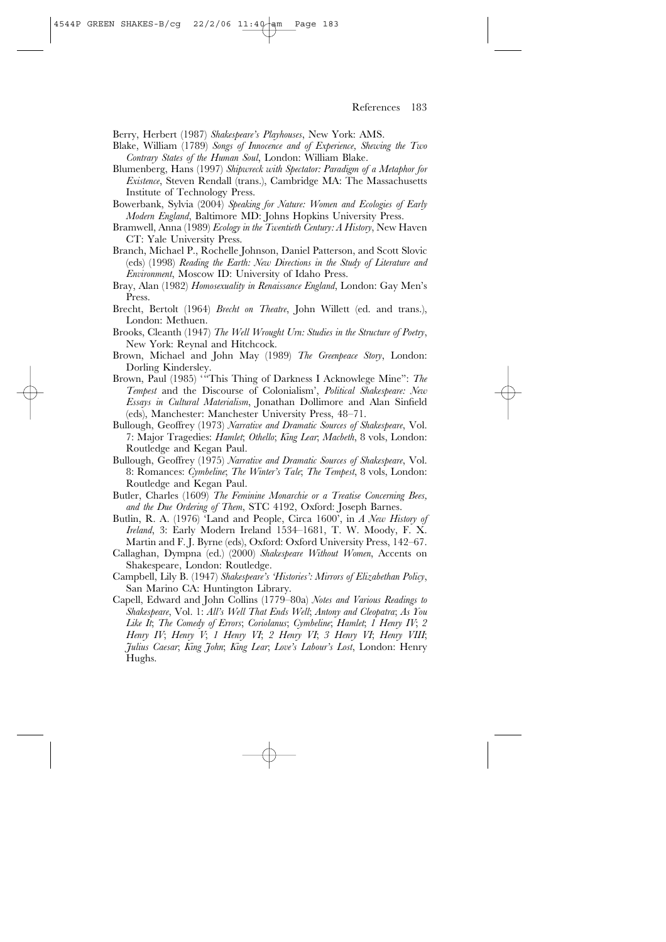Berry, Herbert (1987) *Shakespeare's Playhouses*, New York: AMS.

- Blake, William (1789) *Songs of Innocence and of Experience, Shewing the Two Contrary States of the Human Soul*, London: William Blake.
- Blumenberg, Hans (1997) *Shipwreck with Spectator: Paradigm of a Metaphor for Existence*, Steven Rendall (trans.), Cambridge MA: The Massachusetts Institute of Technology Press.
- Bowerbank, Sylvia (2004) *Speaking for Nature: Women and Ecologies of Early Modern England*, Baltimore MD: Johns Hopkins University Press.
- Bramwell, Anna (1989) *Ecology in the Twentieth Century: A History*, New Haven CT: Yale University Press.
- Branch, Michael P., Rochelle Johnson, Daniel Patterson, and Scott Slovic (eds) (1998) *Reading the Earth: New Directions in the Study of Literature and Environment*, Moscow ID: University of Idaho Press.
- Bray, Alan (1982) *Homosexuality in Renaissance England*, London: Gay Men's Press.
- Brecht, Bertolt (1964) *Brecht on Theatre*, John Willett (ed. and trans.), London: Methuen.
- Brooks, Cleanth (1947) *The Well Wrought Urn: Studies in the Structure of Poetry*, New York: Reynal and Hitchcock.
- Brown, Michael and John May (1989) *The Greenpeace Story*, London: Dorling Kindersley.
- Brown, Paul (1985) '"This Thing of Darkness I Acknowlege Mine": *The Tempest* and the Discourse of Colonialism', *Political Shakespeare: New Essays in Cultural Materialism*, Jonathan Dollimore and Alan Sinfield (eds), Manchester: Manchester University Press, 48–71.
- Bullough, Geoffrey (1973) *Narrative and Dramatic Sources of Shakespeare*, Vol. 7: Major Tragedies: *Hamlet*; *Othello*; *King Lear*; *Macbeth*, 8 vols, London: Routledge and Kegan Paul.
- Bullough, Geoffrey (1975) *Narrative and Dramatic Sources of Shakespeare*, Vol. 8: Romances: *Cymbeline*; *The Winter's Tale*; *The Tempest*, 8 vols, London: Routledge and Kegan Paul.
- Butler, Charles (1609) *The Feminine Monarchie or a Treatise Concerning Bees, and the Due Ordering of Them*, STC 4192, Oxford: Joseph Barnes.
- Butlin, R. A. (1976) 'Land and People, Circa 1600', in *A New History of Ireland*, 3: Early Modern Ireland 1534–1681, T. W. Moody, F. X. Martin and F. J. Byrne (eds), Oxford: Oxford University Press, 142–67.
- Callaghan, Dympna (ed.) (2000) *Shakespeare Without Women*, Accents on Shakespeare, London: Routledge.
- Campbell, Lily B. (1947) *Shakespeare's 'Histories': Mirrors of Elizabethan Policy*, San Marino CA: Huntington Library.
- Capell, Edward and John Collins (1779–80a) *Notes and Various Readings to Shakespeare*, Vol. 1: *All's Well That Ends Well*; *Antony and Cleopatra*; *As You Like It*; *The Comedy of Errors*; *Coriolanus*; *Cymbeline*; *Hamlet*; *1 Henry IV*; *2 Henry IV*; *Henry V*; *1 Henry VI*; *2 Henry VI*; *3 Henry VI*; *Henry VIII*; *Julius Caesar*; *King John*; *King Lear*; *Love's Labour's Lost*, London: Henry Hughs.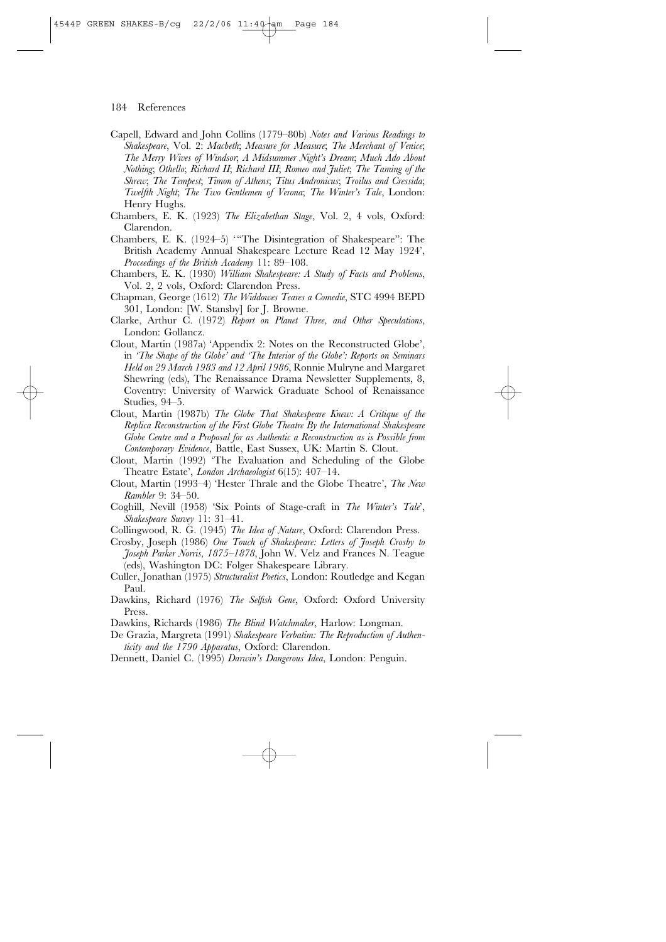- Capell, Edward and John Collins (1779–80b) *Notes and Various Readings to Shakespeare*, Vol. 2: *Macbeth*; *Measure for Measure*; *The Merchant of Venice*; *The Merry Wives of Windsor*; *A Midsummer Night's Dream*; *Much Ado About Nothing*; *Othello*; *Richard II*; *Richard III*; *Romeo and Juliet*; *The Taming of the Shrew*; *The Tempest*; *Timon of Athens*; *Titus Andronicus*; *Troilus and Cressida*; *Twelfth Night*; *The Two Gentlemen of Verona*; *The Winter's Tale*, London: Henry Hughs.
- Chambers, E. K. (1923) *The Elizabethan Stage*, Vol. 2, 4 vols, Oxford: Clarendon.
- Chambers, E. K. (1924–5) '"The Disintegration of Shakespeare": The British Academy Annual Shakespeare Lecture Read 12 May 1924', *Proceedings of the British Academy* 11: 89–108.
- Chambers, E. K. (1930) *William Shakespeare: A Study of Facts and Problems*, Vol. 2, 2 vols, Oxford: Clarendon Press.
- Chapman, George (1612) *The Widdowes Teares a Comedie*, STC 4994 BEPD 301, London: [W. Stansby] for J. Browne.
- Clarke, Arthur C. (1972) *Report on Planet Three, and Other Speculations*, London: Gollancz.
- Clout, Martin (1987a) 'Appendix 2: Notes on the Reconstructed Globe', in *'The Shape of the Globe' and 'The Interior of the Globe': Reports on Seminars Held on 29 March 1983 and 12 April 1986*, Ronnie Mulryne and Margaret Shewring (eds), The Renaissance Drama Newsletter Supplements, 8, Coventry: University of Warwick Graduate School of Renaissance Studies, 94–5.
- Clout, Martin (1987b) *The Globe That Shakespeare Knew: A Critique of the Replica Reconstruction of the First Globe Theatre By the International Shakespeare Globe Centre and a Proposal for as Authentic a Reconstruction as is Possible from Contemporary Evidence*, Battle, East Sussex, UK: Martin S. Clout.
- Clout, Martin (1992) 'The Evaluation and Scheduling of the Globe Theatre Estate', *London Archaeologist* 6(15): 407–14.
- Clout, Martin (1993–4) 'Hester Thrale and the Globe Theatre', *The New Rambler* 9: 34–50.
- Coghill, Nevill (1958) 'Six Points of Stage-craft in *The Winter's Tale*', *Shakespeare Survey* 11: 31–41.
- Collingwood, R. G. (1945) *The Idea of Nature*, Oxford: Clarendon Press.
- Crosby, Joseph (1986) *One Touch of Shakespeare: Letters of Joseph Crosby to Joseph Parker Norris, 1875–1878*, John W. Velz and Frances N. Teague (eds), Washington DC: Folger Shakespeare Library.
- Culler, Jonathan (1975) *Structuralist Poetics*, London: Routledge and Kegan Paul.
- Dawkins, Richard (1976) *The Selfish Gene*, Oxford: Oxford University Press.
- Dawkins, Richards (1986) *The Blind Watchmaker*, Harlow: Longman.
- De Grazia, Margreta (1991) *Shakespeare Verbatim: The Reproduction of Authenticity and the 1790 Apparatus*, Oxford: Clarendon.
- Dennett, Daniel C. (1995) *Darwin's Dangerous Idea*, London: Penguin.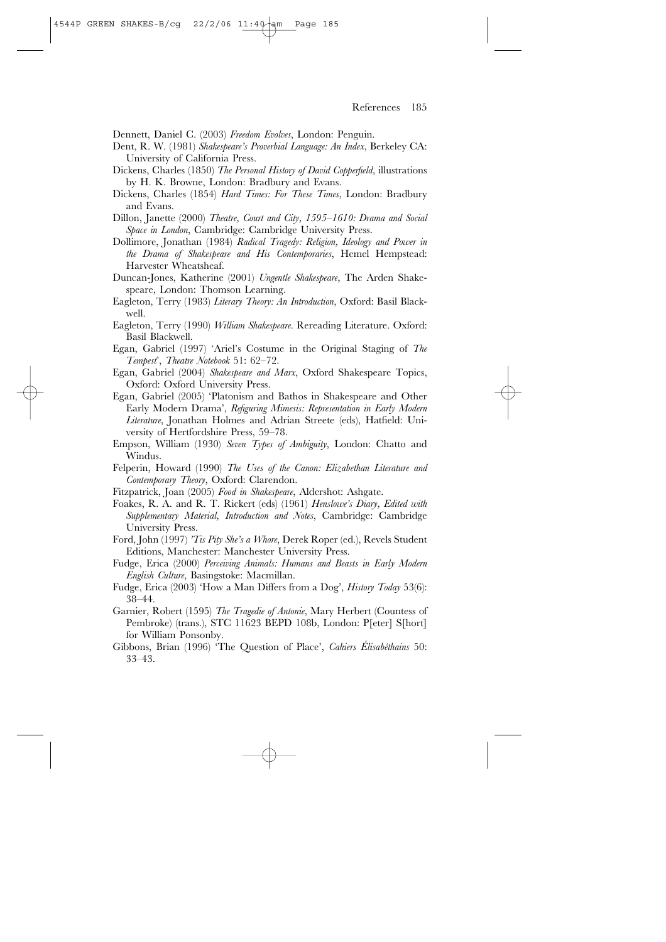Dennett, Daniel C. (2003) *Freedom Evolves*, London: Penguin.

- Dent, R. W. (1981) *Shakespeare's Proverbial Language: An Index*, Berkeley CA: University of California Press.
- Dickens, Charles (1850) *The Personal History of David Copperfield*, illustrations by H. K. Browne, London: Bradbury and Evans.
- Dickens, Charles (1854) *Hard Times: For These Times*, London: Bradbury and Evans.
- Dillon, Janette (2000) *Theatre, Court and City, 1595–1610: Drama and Social Space in London*, Cambridge: Cambridge University Press.
- Dollimore, Jonathan (1984) *Radical Tragedy: Religion, Ideology and Power in the Drama of Shakespeare and His Contemporaries*, Hemel Hempstead: Harvester Wheatsheaf.
- Duncan-Jones, Katherine (2001) *Ungentle Shakespeare*, The Arden Shakespeare, London: Thomson Learning.
- Eagleton, Terry (1983) *Literary Theory: An Introduction*, Oxford: Basil Blackwell.
- Eagleton, Terry (1990) *William Shakespeare*. Rereading Literature. Oxford: Basil Blackwell.
- Egan, Gabriel (1997) 'Ariel's Costume in the Original Staging of *The Tempest*', *Theatre Notebook* 51: 62–72.
- Egan, Gabriel (2004) *Shakespeare and Marx*, Oxford Shakespeare Topics, Oxford: Oxford University Press.
- Egan, Gabriel (2005) 'Platonism and Bathos in Shakespeare and Other Early Modern Drama', *Refiguring Mimesis: Representation in Early Modern Literature*, Jonathan Holmes and Adrian Streete (eds), Hatfield: University of Hertfordshire Press, 59–78.
- Empson, William (1930) *Seven Types of Ambiguity*, London: Chatto and Windus.
- Felperin, Howard (1990) *The Uses of the Canon: Elizabethan Literature and Contemporary Theory*, Oxford: Clarendon.
- Fitzpatrick, Joan (2005) *Food in Shakespeare*, Aldershot: Ashgate.
- Foakes, R. A. and R. T. Rickert (eds) (1961) *Henslowe's Diary, Edited with Supplementary Material, Introduction and Notes*, Cambridge: Cambridge University Press.
- Ford, John (1997) *'Tis Pity She's a Whore*, Derek Roper (ed.), Revels Student Editions, Manchester: Manchester University Press.
- Fudge, Erica (2000) *Perceiving Animals: Humans and Beasts in Early Modern English Culture*, Basingstoke: Macmillan.
- Fudge, Erica (2003) 'How a Man Differs from a Dog', *History Today* 53(6): 38–44.
- Garnier, Robert (1595) *The Tragedie of Antonie*, Mary Herbert (Countess of Pembroke) (trans.), STC 11623 BEPD 108b, London: P[eter] S[hort] for William Ponsonby.
- Gibbons, Brian (1996) 'The Question of Place', *Cahiers Élisabéthains* 50: 33–43.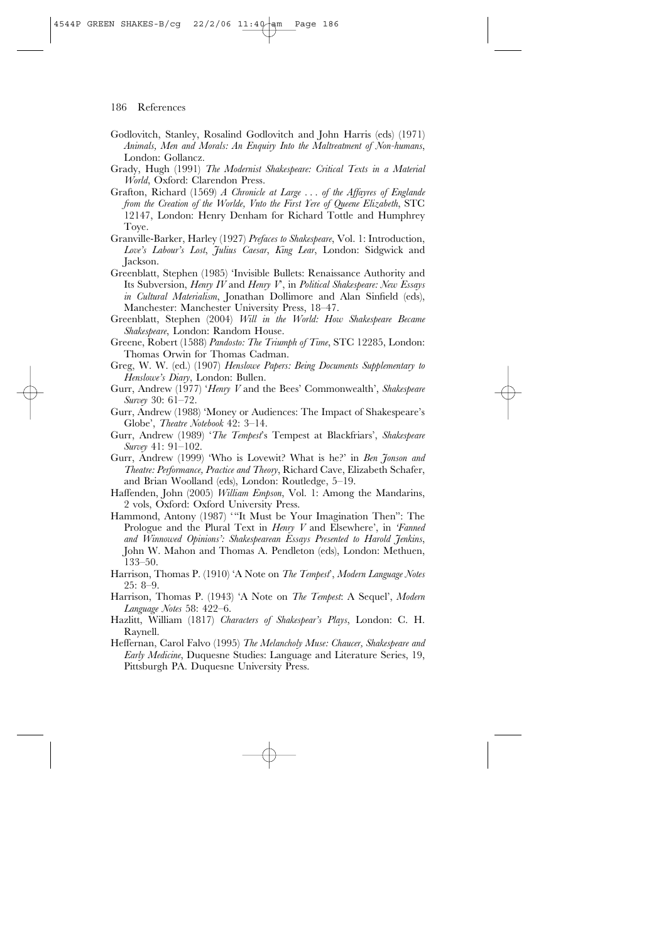- Godlovitch, Stanley, Rosalind Godlovitch and John Harris (eds) (1971) *Animals, Men and Morals: An Enquiry Into the Maltreatment of Non-humans*, London: Gollancz.
- Grady, Hugh (1991) *The Modernist Shakespeare: Critical Texts in a Material World*, Oxford: Clarendon Press.
- Grafton, Richard (1569) *A Chronicle at Large . . . of the Affayres of Englande from the Creation of the Worlde, Vnto the First Yere of Queene Elizabeth*, STC 12147, London: Henry Denham for Richard Tottle and Humphrey Toye.
- Granville-Barker, Harley (1927) *Prefaces to Shakespeare*, Vol. 1: Introduction, *Love's Labour's Lost*, *Julius Caesar*, *King Lear*, London: Sidgwick and Jackson.
- Greenblatt, Stephen (1985) 'Invisible Bullets: Renaissance Authority and Its Subversion, *Henry IV* and *Henry V*', in *Political Shakespeare: New Essays in Cultural Materialism*, Jonathan Dollimore and Alan Sinfield (eds), Manchester: Manchester University Press, 18–47.
- Greenblatt, Stephen (2004) *Will in the World: How Shakespeare Became Shakespeare*, London: Random House.
- Greene, Robert (1588) *Pandosto: The Triumph of Time*, STC 12285, London: Thomas Orwin for Thomas Cadman.
- Greg, W. W. (ed.) (1907) *Henslowe Papers: Being Documents Supplementary to Henslowe's Diary*, London: Bullen.
- Gurr, Andrew (1977) '*Henry V* and the Bees' Commonwealth', *Shakespeare Survey* 30: 61–72.
- Gurr, Andrew (1988) 'Money or Audiences: The Impact of Shakespeare's Globe', *Theatre Notebook* 42: 3–14.
- Gurr, Andrew (1989) '*The Tempest*'s Tempest at Blackfriars', *Shakespeare Survey* 41: 91–102.
- Gurr, Andrew (1999) 'Who is Lovewit? What is he?' in *Ben Jonson and Theatre: Performance, Practice and Theory*, Richard Cave, Elizabeth Schafer, and Brian Woolland (eds), London: Routledge, 5–19.
- Haffenden, John (2005) *William Empson*, Vol. 1: Among the Mandarins, 2 vols, Oxford: Oxford University Press.
- Hammond, Antony (1987) '"It Must be Your Imagination Then": The Prologue and the Plural Text in *Henry V* and Elsewhere', in *'Fanned and Winnowed Opinions': Shakespearean Essays Presented to Harold Jenkins*, John W. Mahon and Thomas A. Pendleton (eds), London: Methuen, 133–50.
- Harrison, Thomas P. (1910) 'A Note on *The Tempest*', *Modern Language Notes* 25: 8–9.
- Harrison, Thomas P. (1943) 'A Note on *The Tempest*: A Sequel', *Modern Language Notes* 58: 422–6.
- Hazlitt, William (1817) *Characters of Shakespear's Plays*, London: C. H. Raynell.
- Heffernan, Carol Falvo (1995) *The Melancholy Muse: Chaucer, Shakespeare and Early Medicine*, Duquesne Studies: Language and Literature Series, 19, Pittsburgh PA. Duquesne University Press.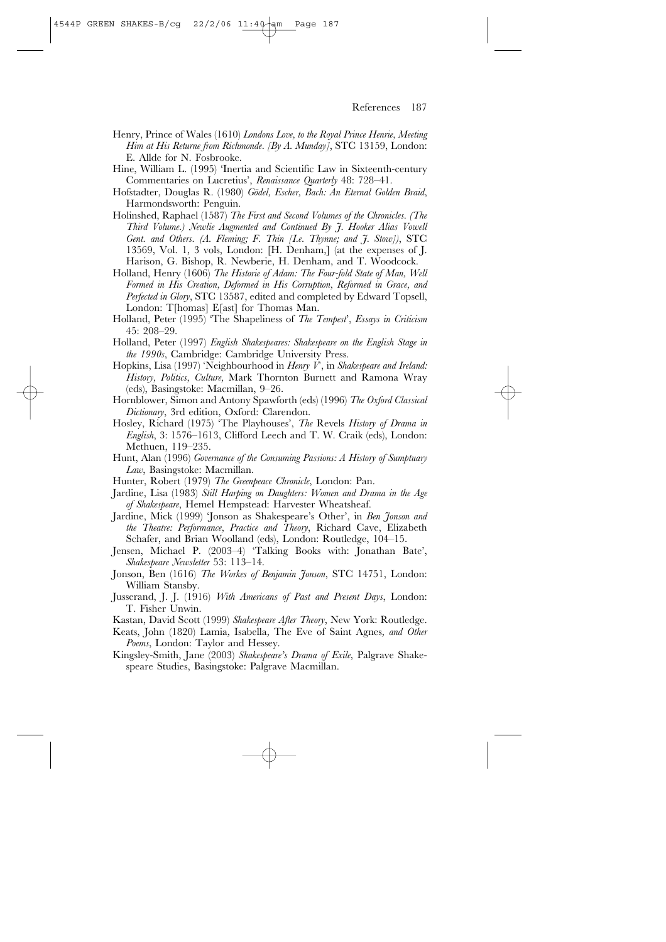- Henry, Prince of Wales (1610) *Londons Love, to the Royal Prince Henrie, Meeting Him at His Returne from Richmonde. [By A. Munday]*, STC 13159, London: E. Allde for N. Fosbrooke.
- Hine, William L. (1995) 'Inertia and Scientific Law in Sixteenth-century Commentaries on Lucretius', *Renaissance Quarterly* 48: 728–41.
- Hofstadter, Douglas R. (1980) *Gödel, Escher, Bach: An Eternal Golden Braid*, Harmondsworth: Penguin.
- Holinshed, Raphael (1587) *The First and Second Volumes of the Chronicles. (The Third Volume.) Newlie Augmented and Continued By J. Hooker Alias Vowell Gent. and Others. (A. Fleming; F. Thin [I.e. Thynne; and J. Stow])*, STC 13569, Vol. 1, 3 vols, London: [H. Denham,] (at the expenses of J. Harison, G. Bishop, R. Newberie, H. Denham, and T. Woodcock.
- Holland, Henry (1606) *The Historie of Adam: The Four-fold State of Man, Well Formed in His Creation, Deformed in His Corruption, Reformed in Grace, and Perfected in Glory*, STC 13587, edited and completed by Edward Topsell, London: T[homas] E[ast] for Thomas Man.
- Holland, Peter (1995) 'The Shapeliness of *The Tempest*', *Essays in Criticism* 45: 208–29.
- Holland, Peter (1997) *English Shakespeares: Shakespeare on the English Stage in the 1990s*, Cambridge: Cambridge University Press.
- Hopkins, Lisa (1997) 'Neighbourhood in *Henry V*', in *Shakespeare and Ireland: History, Politics, Culture,* Mark Thornton Burnett and Ramona Wray (eds), Basingstoke: Macmillan, 9–26.
- Hornblower, Simon and Antony Spawforth (eds) (1996) *The Oxford Classical Dictionary*, 3rd edition, Oxford: Clarendon.
- Hosley, Richard (1975) 'The Playhouses', *The* Revels *History of Drama in English*, 3: 1576–1613, Clifford Leech and T. W. Craik (eds), London: Methuen, 119–235.
- Hunt, Alan (1996) *Governance of the Consuming Passions: A History of Sumptuary Law*, Basingstoke: Macmillan.
- Hunter, Robert (1979) *The Greenpeace Chronicle*, London: Pan.
- Jardine, Lisa (1983) *Still Harping on Daughters: Women and Drama in the Age of Shakespeare*, Hemel Hempstead: Harvester Wheatsheaf.
- Jardine, Mick (1999) 'Jonson as Shakespeare's Other', in *Ben Jonson and the Theatre: Performance, Practice and Theory*, Richard Cave, Elizabeth Schafer, and Brian Woolland (eds), London: Routledge, 104–15.
- Jensen, Michael P. (2003–4) 'Talking Books with: Jonathan Bate', *Shakespeare Newsletter* 53: 113–14.
- Jonson, Ben (1616) *The Workes of Benjamin Jonson*, STC 14751, London: William Stansby.
- Jusserand, J. J. (1916) *With Americans of Past and Present Days*, London: T. Fisher Unwin.
- Kastan, David Scott (1999) *Shakespeare After Theory*, New York: Routledge.
- Keats, John (1820) Lamia*,* Isabella*,* The Eve of Saint Agnes*, and Other Poems*, London: Taylor and Hessey.
- Kingsley-Smith, Jane (2003) *Shakespeare's Drama of Exile*, Palgrave Shakespeare Studies, Basingstoke: Palgrave Macmillan.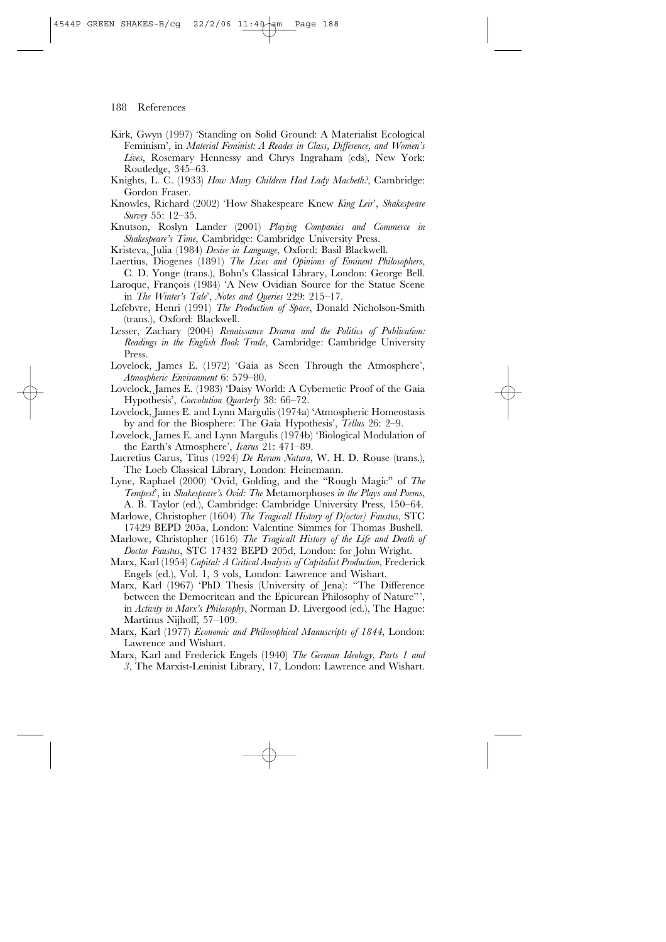- Kirk, Gwyn (1997) 'Standing on Solid Ground: A Materialist Ecological Feminism', in *Material Feminist: A Reader in Class, Difference, and Women's Lives*, Rosemary Hennessy and Chrys Ingraham (eds), New York: Routledge, 345–63.
- Knights, L. C. (1933) *How Many Children Had Lady Macbeth?*, Cambridge: Gordon Fraser.
- Knowles, Richard (2002) 'How Shakespeare Knew *King Leir*', *Shakespeare Survey* 55: 12–35.
- Knutson, Roslyn Lander (2001) *Playing Companies and Commerce in Shakespeare's Time*, Cambridge: Cambridge University Press.
- Kristeva, Julia (1984) *Desire in Language*, Oxford: Basil Blackwell.
- Laertius, Diogenes (1891) *The Lives and Opinions of Eminent Philosophers*, C. D. Yonge (trans.), Bohn's Classical Library, London: George Bell.
- Laroque, François (1984) 'A New Ovidian Source for the Statue Scene in *The Winter's Tale*', *Notes and Queries* 229: 215–17.
- Lefebvre, Henri (1991) *The Production of Space*, Donald Nicholson-Smith (trans.), Oxford: Blackwell.
- Lesser, Zachary (2004) *Renaissance Drama and the Politics of Publication: Readings in the English Book Trade*, Cambridge: Cambridge University Press.
- Lovelock, James E. (1972) 'Gaia as Seen Through the Atmosphere', *Atmospheric Environment* 6: 579–80.
- Lovelock, James E. (1983) 'Daisy World: A Cybernetic Proof of the Gaia Hypothesis', *Coevolution Quarterly* 38: 66–72.
- Lovelock, James E. and Lynn Margulis (1974a) 'Atmospheric Homeostasis by and for the Biosphere: The Gaia Hypothesis', *Tellus* 26: 2–9.
- Lovelock, James E. and Lynn Margulis (1974b) 'Biological Modulation of the Earth's Atmosphere', *Icarus* 21: 471–89.
- Lucretius Carus, Titus (1924) *De Rerum Natura*, W. H. D. Rouse (trans.), The Loeb Classical Library, London: Heinemann.
- Lyne, Raphael (2000) 'Ovid, Golding, and the "Rough Magic" of *The Tempest*', in *Shakespeare's Ovid: The* Metamorphoses *in the Plays and Poems*, A. B. Taylor (ed.), Cambridge: Cambridge University Press, 150–64.
- Marlowe, Christopher (1604) *The Tragicall History of D[octor] Faustus*, STC 17429 BEPD 205a, London: Valentine Simmes for Thomas Bushell.
- Marlowe, Christopher (1616) *The Tragicall History of the Life and Death of Doctor Faustus*, STC 17432 BEPD 205d, London: for John Wright.
- Marx, Karl (1954) *Capital: A Critical Analysis of Capitalist Production*, Frederick Engels (ed.), Vol. 1, 3 vols, London: Lawrence and Wishart.
- Marx, Karl (1967) 'PhD Thesis (University of Jena): "The Difference between the Democritean and the Epicurean Philosophy of Nature"', in *Activity in Marx's Philosophy*, Norman D. Livergood (ed.), The Hague: Martinus Nijhoff, 57–109.
- Marx, Karl (1977) *Economic and Philosophical Manuscripts of 1844*, London: Lawrence and Wishart.
- Marx, Karl and Frederick Engels (1940) *The German Ideology, Parts 1 and 3*, The Marxist-Leninist Library, 17, London: Lawrence and Wishart.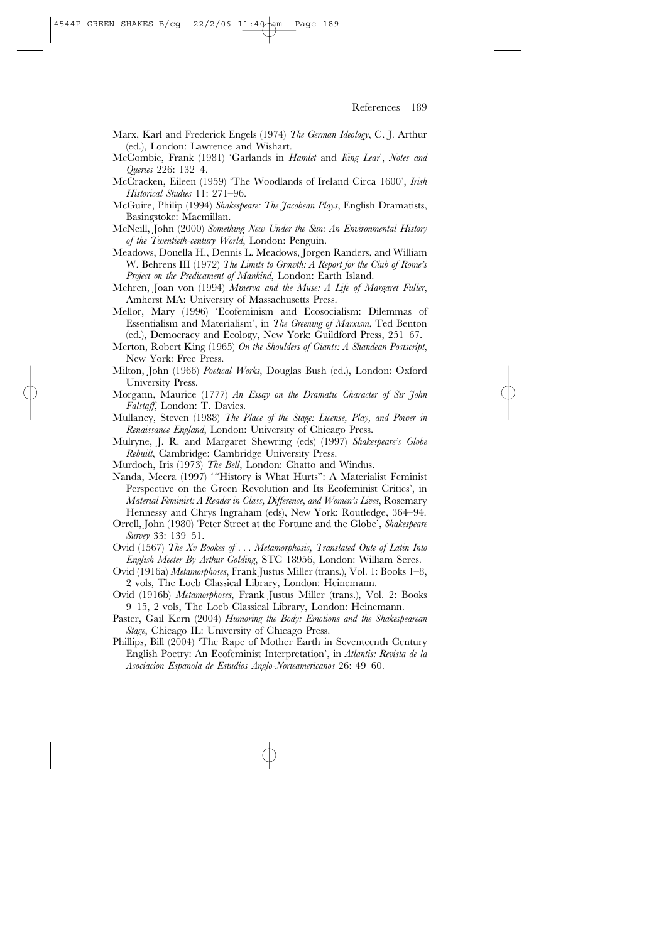- Marx, Karl and Frederick Engels (1974) *The German Ideology*, C. J. Arthur (ed.), London: Lawrence and Wishart.
- McCombie, Frank (1981) 'Garlands in *Hamlet* and *King Lear*', *Notes and Queries* 226: 132–4.
- McCracken, Eileen (1959) 'The Woodlands of Ireland Circa 1600', *Irish Historical Studies* 11: 271–96.
- McGuire, Philip (1994) *Shakespeare: The Jacobean Plays*, English Dramatists, Basingstoke: Macmillan.
- McNeill, John (2000) *Something New Under the Sun: An Environmental History of the Twentieth-century World*, London: Penguin.
- Meadows, Donella H., Dennis L. Meadows, Jorgen Randers, and William W. Behrens III (1972) *The Limits to Growth: A Report for the Club of Rome's Project on the Predicament of Mankind*, London: Earth Island.
- Mehren, Joan von (1994) *Minerva and the Muse: A Life of Margaret Fuller*, Amherst MA: University of Massachusetts Press.
- Mellor, Mary (1996) 'Ecofeminism and Ecosocialism: Dilemmas of Essentialism and Materialism', in *The Greening of Marxism*, Ted Benton (ed.), Democracy and Ecology, New York: Guildford Press, 251–67.
- Merton, Robert King (1965) *On the Shoulders of Giants: A Shandean Postscript*, New York: Free Press.
- Milton, John (1966) *Poetical Works*, Douglas Bush (ed.), London: Oxford University Press.
- Morgann, Maurice (1777) *An Essay on the Dramatic Character of Sir John Falstaff*, London: T. Davies.
- Mullaney, Steven (1988) *The Place of the Stage: License, Play, and Power in Renaissance England*, London: University of Chicago Press.
- Mulryne, J. R. and Margaret Shewring (eds) (1997) *Shakespeare's Globe Rebuilt*, Cambridge: Cambridge University Press.
- Murdoch, Iris (1973) *The Bell*, London: Chatto and Windus.
- Nanda, Meera (1997) '"History is What Hurts": A Materialist Feminist Perspective on the Green Revolution and Its Ecofeminist Critics', in *Material Feminist: A Reader in Class, Difference, and Women's Lives*, Rosemary Hennessy and Chrys Ingraham (eds), New York: Routledge, 364–94.
- Orrell, John (1980) 'Peter Street at the Fortune and the Globe', *Shakespeare Survey* 33: 139–51.
- Ovid (1567) *The Xv Bookes of . . . Metamorphosis, Translated Oute of Latin Into English Meeter By Arthur Golding*, STC 18956, London: William Seres.
- Ovid (1916a) *Metamorphoses*, Frank Justus Miller (trans.), Vol. 1: Books 1–8, 2 vols, The Loeb Classical Library, London: Heinemann.
- Ovid (1916b) *Metamorphoses*, Frank Justus Miller (trans.), Vol. 2: Books 9–15, 2 vols, The Loeb Classical Library, London: Heinemann.
- Paster, Gail Kern (2004) *Humoring the Body: Emotions and the Shakespearean Stage*, Chicago IL: University of Chicago Press.
- Phillips, Bill (2004) 'The Rape of Mother Earth in Seventeenth Century English Poetry: An Ecofeminist Interpretation', in *Atlantis: Revista de la Asociacion Espanola de Estudios Anglo-Norteamericanos* 26: 49–60.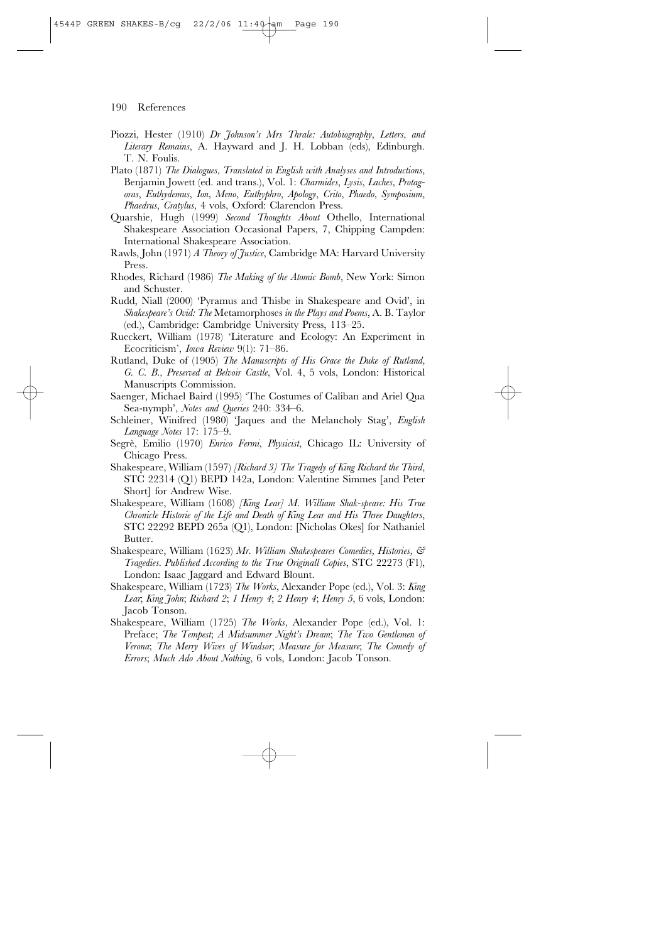- Piozzi, Hester (1910) *Dr Johnson's Mrs Thrale: Autobiography, Letters, and Literary Remains*, A. Hayward and J. H. Lobban (eds), Edinburgh. T. N. Foulis.
- Plato (1871) *The Dialogues, Translated in English with Analyses and Introductions*, Benjamin Jowett (ed. and trans.), Vol. 1: *Charmides*, *Lysis*, *Laches*, *Protagoras*, *Euthydemus*, *Ion*, *Meno*, *Euthyphro*, *Apology*, *Crito*, *Phaedo*, *Symposium*, *Phaedrus*, *Cratylus*, 4 vols, Oxford: Clarendon Press.
- Quarshie, Hugh (1999) *Second Thoughts About* Othello, International Shakespeare Association Occasional Papers, 7, Chipping Campden: International Shakespeare Association.
- Rawls, John (1971) *A Theory of Justice*, Cambridge MA: Harvard University Press.
- Rhodes, Richard (1986) *The Making of the Atomic Bomb*, New York: Simon and Schuster.
- Rudd, Niall (2000) 'Pyramus and Thisbe in Shakespeare and Ovid', in *Shakespeare's Ovid: The* Metamorphoses *in the Plays and Poems*, A. B. Taylor (ed.), Cambridge: Cambridge University Press, 113–25.
- Rueckert, William (1978) 'Literature and Ecology: An Experiment in Ecocriticism', *Iowa Review* 9(1): 71–86.
- Rutland, Duke of (1905) *The Manuscripts of His Grace the Duke of Rutland, G. C. B., Preserved at Belvoir Castle*, Vol. 4, 5 vols, London: Historical Manuscripts Commission.
- Saenger, Michael Baird (1995) 'The Costumes of Caliban and Ariel Qua Sea-nymph', *Notes and Queries* 240: 334–6.
- Schleiner, Winifred (1980) 'Jaques and the Melancholy Stag', *English Language Notes* 17: 175–9.
- Segrè, Emilio (1970) *Enrico Fermi, Physicist*, Chicago IL: University of Chicago Press.
- Shakespeare, William (1597) *[Richard 3] The Tragedy of King Richard the Third*, STC 22314 (Q1) BEPD 142a, London: Valentine Simmes [and Peter Short] for Andrew Wise.
- Shakespeare, William (1608) *[King Lear] M. William Shak-speare: His True Chronicle Historie of the Life and Death of King Lear and His Three Daughters*, STC 22292 BEPD 265a (Q1), London: [Nicholas Okes] for Nathaniel Butter.
- Shakespeare, William (1623) *Mr. William Shakespeares Comedies, Histories, & Tragedies. Published According to the True Originall Copies*, STC 22273 (F1), London: Isaac Jaggard and Edward Blount.
- Shakespeare, William (1723) *The Works*, Alexander Pope (ed.), Vol. 3: *King Lear*; *King John*; *Richard 2*; *1 Henry 4*; *2 Henry 4*; *Henry 5*, 6 vols, London: Jacob Tonson.
- Shakespeare, William (1725) *The Works*, Alexander Pope (ed.), Vol. 1: Preface; *The Tempest*; *A Midsummer Night's Dream*; *The Two Gentlemen of Verona*; *The Merry Wives of Windsor*; *Measure for Measure*; *The Comedy of Errors*; *Much Ado About Nothing*, 6 vols, London: Jacob Tonson.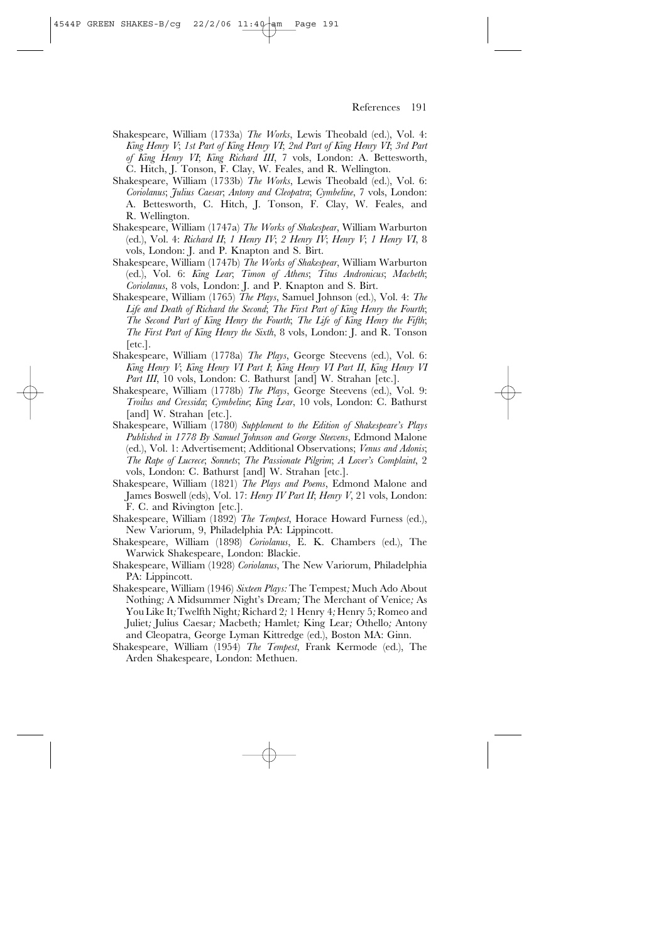- Shakespeare, William (1733a) *The Works*, Lewis Theobald (ed.), Vol. 4: *King Henry V*; *1st Part of King Henry VI*; *2nd Part of King Henry VI*; *3rd Part of King Henry VI*; *King Richard III*, 7 vols, London: A. Bettesworth, C. Hitch, J. Tonson, F. Clay, W. Feales, and R. Wellington.
- Shakespeare, William (1733b) *The Works*, Lewis Theobald (ed.), Vol. 6: *Coriolanus*; *Julius Caesar*; *Antony and Cleopatra*; *Cymbeline*, 7 vols, London: A. Bettesworth, C. Hitch, J. Tonson, F. Clay, W. Feales, and R. Wellington.
- Shakespeare, William (1747a) *The Works of Shakespear*, William Warburton (ed.), Vol. 4: *Richard II*; *1 Henry IV*; *2 Henry IV*; *Henry V*; *1 Henry VI*, 8 vols, London: J. and P. Knapton and S. Birt.
- Shakespeare, William (1747b) *The Works of Shakespear*, William Warburton (ed.), Vol. 6: *King Lear*; *Timon of Athens*; *Titus Andronicus*; *Macbeth*; *Coriolanus*, 8 vols, London: J. and P. Knapton and S. Birt.
- Shakespeare, William (1765) *The Plays*, Samuel Johnson (ed.), Vol. 4: *The Life and Death of Richard the Second*; *The First Part of King Henry the Fourth*; *The Second Part of King Henry the Fourth*; *The Life of King Henry the Fifth*; *The First Part of King Henry the Sixth*, 8 vols, London: J. and R. Tonson [etc.].
- Shakespeare, William (1778a) *The Plays*, George Steevens (ed.), Vol. 6: *King Henry V*; *King Henry VI Part I*; *King Henry VI Part II*, *King Henry VI* Part III, 10 vols, London: C. Bathurst [and] W. Strahan [etc.].
- Shakespeare, William (1778b) *The Plays*, George Steevens (ed.), Vol. 9: *Troilus and Cressida*; *Cymbeline*; *King Lear*, 10 vols, London: C. Bathurst [and] W. Strahan [etc.].
- Shakespeare, William (1780) *Supplement to the Edition of Shakespeare's Plays Published in 1778 By Samuel Johnson and George Steevens*, Edmond Malone (ed.), Vol. 1: Advertisement; Additional Observations; *Venus and Adonis*; *The Rape of Lucrece*; *Sonnets*; *The Passionate Pilgrim*; *A Lover's Complaint*, 2 vols, London: C. Bathurst [and] W. Strahan [etc.].
- Shakespeare, William (1821) *The Plays and Poems*, Edmond Malone and James Boswell (eds), Vol. 17: *Henry IV Part II*; *Henry V*, 21 vols, London: F. C. and Rivington [etc.].
- Shakespeare, William (1892) *The Tempest*, Horace Howard Furness (ed.), New Variorum, 9, Philadelphia PA: Lippincott.
- Shakespeare, William (1898) *Coriolanus*, E. K. Chambers (ed.), The Warwick Shakespeare, London: Blackie.
- Shakespeare, William (1928) *Coriolanus*, The New Variorum, Philadelphia PA: Lippincott.
- Shakespeare, William (1946) *Sixteen Plays:* The Tempest*;* Much Ado About Nothing*;* A Midsummer Night's Dream*;* The Merchant of Venice*;* As You Like It*;*Twelfth Night*;* Richard 2*;* 1 Henry 4*;* Henry 5*;* Romeo and Juliet*;* Julius Caesar*;* Macbeth*;* Hamlet*;* King Lear*;* Othello*;* Antony and Cleopatra, George Lyman Kittredge (ed.), Boston MA: Ginn.
- Shakespeare, William (1954) *The Tempest*, Frank Kermode (ed.), The Arden Shakespeare, London: Methuen.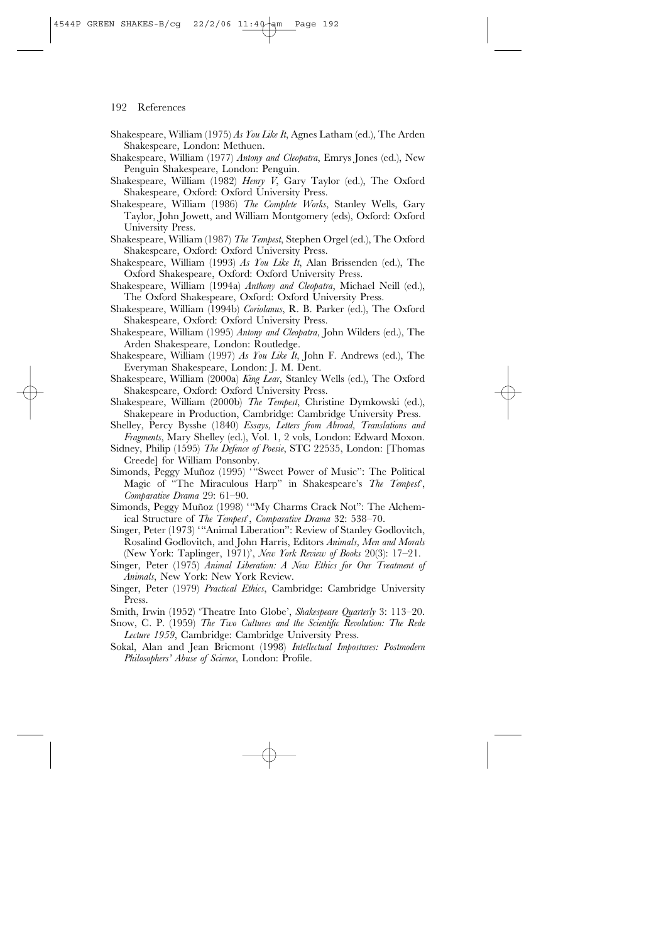- Shakespeare, William (1975) *As You Like It*, Agnes Latham (ed.), The Arden Shakespeare, London: Methuen.
- Shakespeare, William (1977) *Antony and Cleopatra*, Emrys Jones (ed.), New Penguin Shakespeare, London: Penguin.
- Shakespeare, William (1982) *Henry V*, Gary Taylor (ed.), The Oxford Shakespeare, Oxford: Oxford University Press.
- Shakespeare, William (1986) *The Complete Works*, Stanley Wells, Gary Taylor, John Jowett, and William Montgomery (eds), Oxford: Oxford University Press.
- Shakespeare, William (1987) *The Tempest*, Stephen Orgel (ed.), The Oxford Shakespeare, Oxford: Oxford University Press.
- Shakespeare, William (1993) *As You Like It*, Alan Brissenden (ed.), The Oxford Shakespeare, Oxford: Oxford University Press.
- Shakespeare, William (1994a) *Anthony and Cleopatra*, Michael Neill (ed.), The Oxford Shakespeare, Oxford: Oxford University Press.
- Shakespeare, William (1994b) *Coriolanus*, R. B. Parker (ed.), The Oxford Shakespeare, Oxford: Oxford University Press.
- Shakespeare, William (1995) *Antony and Cleopatra*, John Wilders (ed.), The Arden Shakespeare, London: Routledge.
- Shakespeare, William (1997) *As You Like It*, John F. Andrews (ed.), The Everyman Shakespeare, London: J. M. Dent.
- Shakespeare, William (2000a) *King Lear*, Stanley Wells (ed.), The Oxford Shakespeare, Oxford: Oxford University Press.
- Shakespeare, William (2000b) *The Tempest*, Christine Dymkowski (ed.), Shakepeare in Production, Cambridge: Cambridge University Press.
- Shelley, Percy Bysshe (1840) *Essays, Letters from Abroad, Translations and Fragments*, Mary Shelley (ed.), Vol. 1, 2 vols, London: Edward Moxon.
- Sidney, Philip (1595) *The Defence of Poesie*, STC 22535, London: [Thomas Creede] for William Ponsonby.
- Simonds, Peggy Muñoz (1995) '"Sweet Power of Music": The Political Magic of "The Miraculous Harp" in Shakespeare's *The Tempest*', *Comparative Drama* 29: 61–90.
- Simonds, Peggy Muñoz (1998) '"My Charms Crack Not": The Alchemical Structure of *The Tempest*', *Comparative Drama* 32: 538–70.
- Singer, Peter (1973) '"Animal Liberation": Review of Stanley Godlovitch, Rosalind Godlovitch, and John Harris, Editors *Animals, Men and Morals* (New York: Taplinger, 1971)', *New York Review of Books* 20(3): 17–21.
- Singer, Peter (1975) *Animal Liberation: A New Ethics for Our Treatment of Animals*, New York: New York Review.
- Singer, Peter (1979) *Practical Ethics*, Cambridge: Cambridge University Press.
- Smith, Irwin (1952) 'Theatre Into Globe', *Shakespeare Quarterly* 3: 113–20.
- Snow, C. P. (1959) *The Two Cultures and the Scientific Revolution: The Rede Lecture 1959*, Cambridge: Cambridge University Press.
- Sokal, Alan and Jean Bricmont (1998) *Intellectual Impostures: Postmodern Philosophers' Abuse of Science*, London: Profile.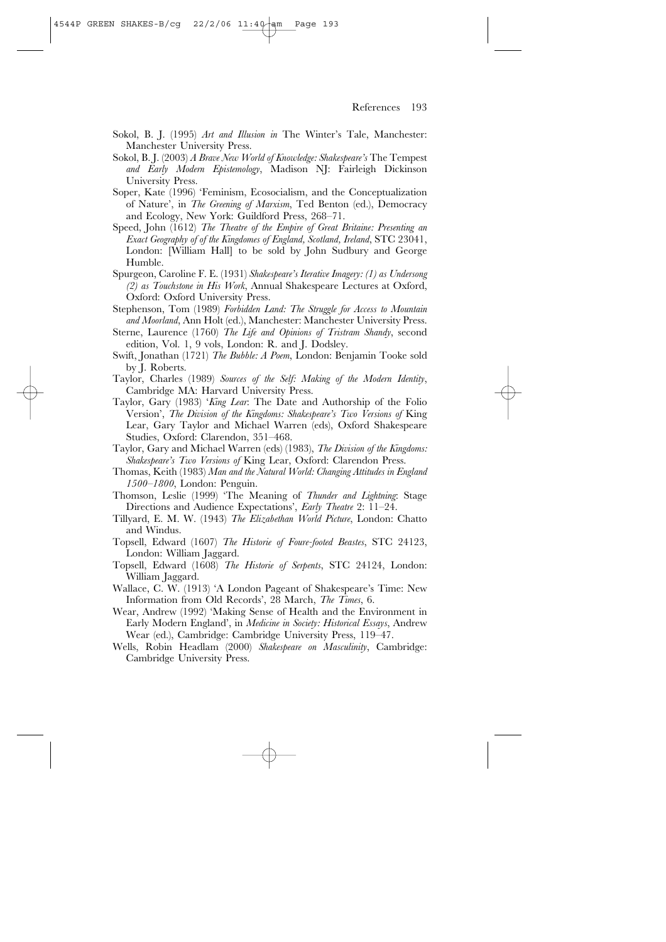- Sokol, B. J. (1995) *Art and Illusion in* The Winter's Tale, Manchester: Manchester University Press.
- Sokol, B. J. (2003) *A Brave New World of Knowledge: Shakespeare's* The Tempest *and Early Modern Epistemology*, Madison NJ: Fairleigh Dickinson University Press.
- Soper, Kate (1996) 'Feminism, Ecosocialism, and the Conceptualization of Nature', in *The Greening of Marxism*, Ted Benton (ed.), Democracy and Ecology, New York: Guildford Press, 268–71.
- Speed, John (1612) *The Theatre of the Empire of Great Britaine: Presenting an Exact Geography of of the Kingdomes of England, Scotland, Ireland*, STC 23041, London: [William Hall] to be sold by John Sudbury and George Humble.
- Spurgeon, Caroline F. E. (1931) *Shakespeare's Iterative Imagery: (1) as Undersong (2) as Touchstone in His Work*, Annual Shakespeare Lectures at Oxford, Oxford: Oxford University Press.
- Stephenson, Tom (1989) *Forbidden Land: The Struggle for Access to Mountain and Moorland*, Ann Holt (ed.), Manchester: Manchester University Press.
- Sterne, Laurence (1760) *The Life and Opinions of Tristram Shandy*, second edition, Vol. 1, 9 vols, London: R. and J. Dodsley.
- Swift, Jonathan (1721) *The Bubble: A Poem*, London: Benjamin Tooke sold by J. Roberts.
- Taylor, Charles (1989) *Sources of the Self: Making of the Modern Identity*, Cambridge MA: Harvard University Press.
- Taylor, Gary (1983) '*King Lear*: The Date and Authorship of the Folio Version', *The Division of the Kingdoms: Shakespeare's Two Versions of* King Lear, Gary Taylor and Michael Warren (eds), Oxford Shakespeare Studies, Oxford: Clarendon, 351–468.
- Taylor, Gary and Michael Warren (eds) (1983), *The Division of the Kingdoms: Shakespeare's Two Versions of* King Lear, Oxford: Clarendon Press.
- Thomas, Keith (1983) *Man and the Natural World: Changing Attitudes in England 1500–1800*, London: Penguin.
- Thomson, Leslie (1999) 'The Meaning of *Thunder and Lightning*: Stage Directions and Audience Expectations', *Early Theatre* 2: 11–24.
- Tillyard, E. M. W. (1943) *The Elizabethan World Picture*, London: Chatto and Windus.
- Topsell, Edward (1607) *The Historie of Foure-footed Beastes*, STC 24123, London: William Jaggard.
- Topsell, Edward (1608) *The Historie of Serpents*, STC 24124, London: William Jaggard.
- Wallace, C. W. (1913) 'A London Pageant of Shakespeare's Time: New Information from Old Records', 28 March, *The Times*, 6.
- Wear, Andrew (1992) 'Making Sense of Health and the Environment in Early Modern England', in *Medicine in Society: Historical Essays*, Andrew Wear (ed.), Cambridge: Cambridge University Press, 119–47.
- Wells, Robin Headlam (2000) *Shakespeare on Masculinity*, Cambridge: Cambridge University Press.